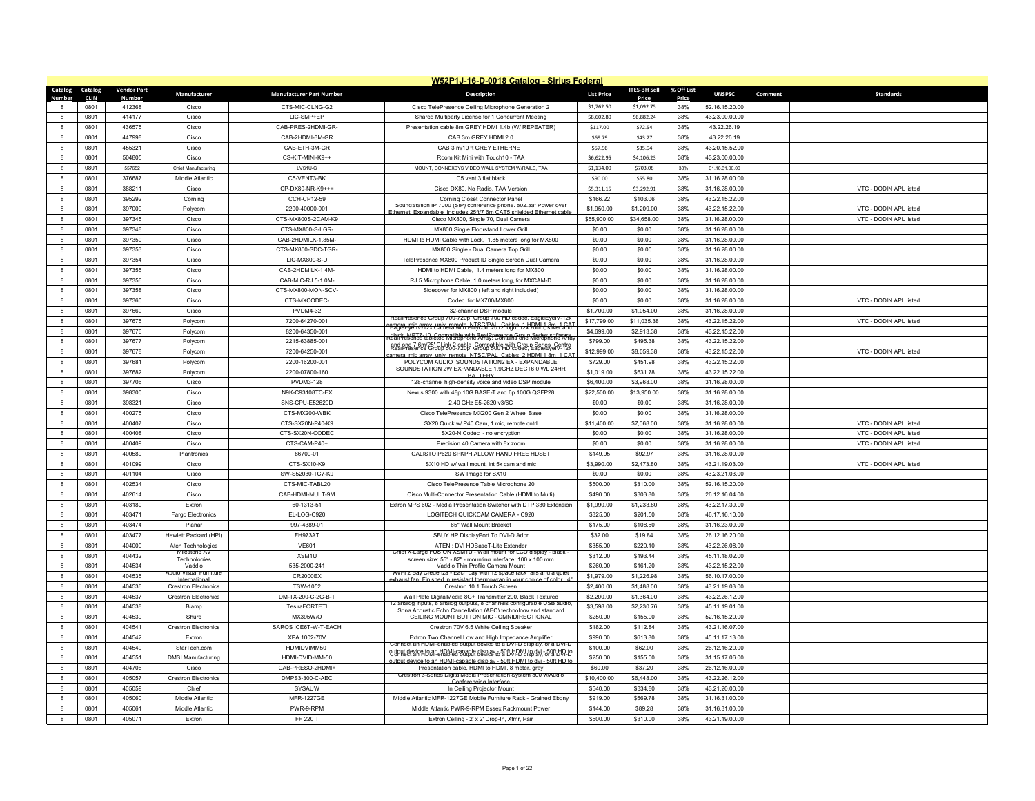|                         | W52P1J-16-D-0018 Catalog - Sirius Federal |                    |                                              |                                    |                                                                                                                                               |                        |                       |            |                                  |         |                        |
|-------------------------|-------------------------------------------|--------------------|----------------------------------------------|------------------------------------|-----------------------------------------------------------------------------------------------------------------------------------------------|------------------------|-----------------------|------------|----------------------------------|---------|------------------------|
| Catalog Catalog         |                                           | <b>Vendor Part</b> | Manufacturer                                 | <b>Manufacturer Part Number</b>    | <b>Description</b>                                                                                                                            | <b>List Price</b>      | ITES-3H Sell          | % Off List | <b>UNSPSC</b>                    | Comment | <b>Standards</b>       |
| Numher                  | <b>CLIN</b>                               | <b>Numbe</b>       |                                              |                                    |                                                                                                                                               | \$1,762.50             | Price<br>\$1,092.75   | Price      |                                  |         |                        |
| $\mathbf{R}$            | 0801<br>0801                              | 412368<br>414177   | Cisco                                        | CTS-MIC-CLNG-G2<br>LIC-SMP+EP      | Cisco TelePresence Ceiling Microphone Generation 2                                                                                            |                        | \$6,882.24            | 38%        | 52.16.15.20.00                   |         |                        |
|                         |                                           |                    | Cisco<br>Cisco                               |                                    | Shared Multiparty License for 1 Concurrent Meeting                                                                                            | \$8,602.80             | \$72.54               | 38%        | 43.23.00.00.00                   |         |                        |
| 8                       | 0801                                      | 436575             |                                              | CAB-PRES-2HDMI-GR-                 | Presentation cable 8m GREY HDMI 1.4b (W/ REPEATER)                                                                                            | \$117.00               |                       | 38%        | 43.22.26.19                      |         |                        |
| 8                       | 0801                                      | 447998             | Cisco                                        | CAB-2HDMI-3M-GR                    | CAB 3m GREY HDMI 2.0                                                                                                                          | \$69.79                | \$43.27               | 38%        | 43.22.26.19                      |         |                        |
| 8                       | 0801                                      | 455321             | Cisco                                        | CAB-ETH-3M-GR                      | CAB 3 m/10 ft GREY ETHERNET                                                                                                                   | \$57.96                | \$35.94               | 38%        | 43.20.15.52.00                   |         |                        |
| 8                       | 0801                                      | 504805             | Cisco                                        | CS-KIT-MINI-K9++                   | Room Kit Mini with Touch10 - TAA                                                                                                              | \$6,622.95             | \$4,106.23            | 38%        | 43.23.00.00.00                   |         |                        |
| $\overline{\mathbf{8}}$ | 0801                                      | 557652             | Chief Manufacturing                          | LVS1U-G                            | MOUNT, CONNEXSYS VIDEO WALL SYSTEM W/RAILS, TAA                                                                                               | \$1,134.00             | \$703.08              | 38%        | 31.16.31.00.00                   |         |                        |
| 8                       | 0801                                      | 376687             | Middle Atlantic                              | C5-VENT3-BK                        | C5 vent 3 flat black                                                                                                                          | \$90.00                | \$55.80               | 38%        | 31.16.28.00.00                   |         |                        |
| 8                       | 0801                                      | 388211             | Cisco                                        | CP-DX80-NR-K9++=                   | Cisco DX80, No Radio, TAA Version                                                                                                             | \$5,311.15             | \$3,292.91            | 38%        | 31.16.28.00.00                   |         | VTC - DODIN APL listed |
| $\mathbf{a}$            | 0801                                      | 395292             | Corning                                      | CCH-CP12-59                        | Corning Closet Connector Panel<br>SoundStation IP 7000 (SIP) conference phone, 802,3af Power ove                                              | \$166.22               | \$103.06              | 38%        | 43.22.15.22.00                   |         |                        |
| 8                       | 0801                                      | 397009             | Polycom                                      | 2200-40000-001                     | Ethernet, Expandable, Includes 25ft/7 6m CAT5 shielded Ethernet cable                                                                         | \$1,950.00             | \$1,209.00            | 38%        | 43.22.15.22.00                   |         | VTC - DODIN APL listed |
| 8                       | 0801                                      | 397345             | Cisco                                        | CTS-MX800S-2CAM-K9                 | Cisco MX800, Single 70, Dual Camera                                                                                                           | \$55,900.00            | \$34,658.00           | 38%        | 31.16.28.00.00                   |         | VTC - DODIN APL listed |
| 8                       | 0801                                      | 397348             | Cisco                                        | CTS-MX800-S-LGR-                   | MX800 Single Floorstand Lower Grill                                                                                                           | \$0.00                 | \$0.00                | 38%        | 31.16.28.00.00                   |         |                        |
| 8                       | 0801                                      | 397350             | Cisco                                        | CAB-2HDMILK-1.85M-                 | HDMI to HDMI Cable with Lock, 1.85 meters long for MX800                                                                                      | \$0.00                 | \$0.00                | 38%        | 31.16.28.00.00                   |         |                        |
| 8                       | 0801                                      | 397353             | Cisco                                        | CTS-MX800-SDC-TGR-                 | MX800 Single - Dual Camera Top Grill                                                                                                          | \$0.00                 | \$0.00                | 38%        | 31.16.28.00.00                   |         |                        |
| 8                       | 0801                                      | 397354             | Cisco                                        | LIC-MX800-S-D                      | TelePresence MX800 Product ID Single Screen Dual Camera                                                                                       | \$0.00                 | \$0.00                | 38%        | 31.16.28.00.00                   |         |                        |
| 8                       | 0801                                      | 397355             | Cisco                                        | CAB-2HDMILK-1.4M-                  | HDMI to HDMI Cable, 1.4 meters long for MX800                                                                                                 | \$0.00                 | \$0.00                | 38%        | 31.16.28.00.00                   |         |                        |
| 8                       | 0801                                      | 397356             | Cisco                                        | CAB-MIC-RJ.5-1.0M-                 | RJ.5 Microphone Cable, 1.0 meters long, for MXCAM-D                                                                                           | \$0.00                 | \$0.00                | 38%        | 31.16.28.00.00                   |         |                        |
| 8                       | 0801                                      | 397358             | Cisco                                        | CTS-MX800-MON-SCV                  | Sidecover for MX800 ( left and right included)                                                                                                | \$0.00                 | \$0.00                | 38%        | 31.16.28.00.00                   |         |                        |
| 8                       | 0801                                      | 397360             | Cisco                                        | CTS-MXCODEC-                       | Codec for MX700/MX800                                                                                                                         | \$0.00                 | \$0.00                | 38%        | 31.16.28.00.00                   |         | VTC - DODIN APL listed |
| 8                       | 0801                                      | 397660             | Cisco                                        | <b>PVDM4-32</b>                    | 32-channel DSP module<br>Presence Group /00-/20p: Group /00 HD codec, EagleEvelV-12)                                                          | \$1,700.00             | \$1,054.00            | 38%        | 31.16.28.00.00                   |         |                        |
| $\mathbf{a}$            | 0801                                      | 397675             | Polycom                                      | 7200-64270-001                     | amere minerray universmore NTSC/PAL cables: 1 HDML1 8m_1 CA:<br>EagleEye IV-12x Uamera with Polycom 2012 logo, 12x zoom, silver and           | \$17,799.00            | \$11,035.38           | 38%        | 43.22.15.22.00                   |         | VTC - DODIN APL listed |
| 8                       | 0801                                      | 397676             | Polycom                                      | 8200-64350-001                     | .<br>black_MPTZ-10_Compatible with RealPresence Group Series software<br>kealPresence tabletop Microphone Array: Contains one Microphone Arra | \$4,699.00             | \$2,913.38            | 38%        | 43.22.15.22.00                   |         |                        |
| 8                       | 0801                                      | 397677             | Polycom                                      | 2215-63885-001                     | and one 7 6m/25' CLink 2 cable. Compatible with Group Series. Centro                                                                          | \$799.00               | \$495.38              | 38%        | 43.22.15.22.00                   |         |                        |
| $\mathbf{R}$            | 0801                                      | 397678             | Polycom                                      | 7200-64250-001                     | a mic array univ remote NTSC/PAL Cables: 2 HDML1 8m 1 CA                                                                                      | \$12,999.00            | \$8,059.38            | 38%        | 43.22.15.22.00                   |         | VTC - DODIN APL listed |
| 8                       | 0801                                      | 397681             | Polycom                                      | 2200-16200-001                     | POLYCOM AUDIO SOUNDSTATION2 EX - EXPANDABLE<br>SOUNDSTATION 2W EXPANDABLE 1.9GHZ DECT6.0 WL 24HH                                              | \$729.00               | \$451.98              | 38%        | 43.22.15.22.00                   |         |                        |
| 8                       | 0801                                      | 397682             | Polycom                                      | 2200-07800-160                     | <b>BATTERY</b>                                                                                                                                | \$1,019.00             | \$631.78              | 38%        | 43.22.15.22.00                   |         |                        |
| $\mathbf{g}$            | 0801                                      | 397706             | Cisco                                        | <b>PVDM3-128</b>                   | 128-channel high-density voice and video DSP module                                                                                           | \$6,400.00             | \$3,968.00            | 38%        | 31.16.28.00.00                   |         |                        |
| 8                       | 0801                                      | 398300             | Cisco                                        | N9K-C93108TC-EX                    | Nexus 9300 with 48p 10G BASE-T and 6p 100G QSFP28                                                                                             | \$22,500.00            | \$13,950.00           | 38%        | 31.16.28.00.00                   |         |                        |
| $\mathbf{g}$            | 0801                                      | 398321             | Cisco                                        | SNS-CPU-E52620D                    | 2.40 GHz E5-2620 v3/6C                                                                                                                        | \$0.00                 | \$0.00                | 38%        | 31.16.28.00.00                   |         |                        |
| 8                       | 0801                                      | 400275             | Cisco                                        | CTS-MX200-WBK                      | Cisco TelePresence MX200 Gen 2 Wheel Base                                                                                                     | \$0.00                 | \$0.00                | 38%        | 31.16.28.00.00                   |         |                        |
| 8                       | 0801                                      | 400407             | Cisco                                        | CTS-SX20N-P40-K9                   | SX20 Quick w/ P40 Cam. 1 mic. remote cntrl                                                                                                    | \$11,400.00            | \$7,068.00            | 38%        | 31.16.28.00.00                   |         | VTC - DODIN APL listed |
| $\mathbf{g}$            | 0801                                      | 400408             | Cisco                                        | CTS-SX20N-CODEC                    | SX20-N Codec - no encryption                                                                                                                  | \$0.00                 | \$0.00                | 38%        | 31.16.28.00.00                   |         | VTC - DODIN APL listed |
| 8                       | 0801                                      | 400409             | Cisco                                        | CTS-CAM-P40+                       | Precision 40 Camera with 8x zoom                                                                                                              | \$0.00                 | \$0.00                | 38%        | 31.16.28.00.00                   |         | VTC - DODIN APL listed |
| я.                      | 0801                                      | 400589             | Plantronics                                  | 86700-01                           | CALISTO P620 SPKPH ALLOW HAND FREE HDSET                                                                                                      | \$149.95               | \$92.97               | 38%        | 31.16.28.00.00                   |         |                        |
| $\mathbf{a}$            | 0801                                      | 401099             | Cisco                                        | CTS-SX10-K9                        | SX10 HD w/ wall mount, int 5x cam and mic                                                                                                     | \$3,990.00             | \$2,473.80            | 38%        | 43.21.19.03.00                   |         | VTC - DODIN APL listed |
| 8                       | 0801                                      | 401104             | Cisco                                        | SW-S52030-TC7-K9<br>CTS-MIC-TABL20 | SW Image for SX10                                                                                                                             | \$0.00                 | \$0.00                | 38%        | 43.23.21.03.00                   |         |                        |
| 8                       | 0801                                      | 402534             | Cisco                                        |                                    | Cisco TelePresence Table Microphone 20                                                                                                        | \$500.00               | \$310.00              | 38%        | 52.16.15.20.00                   |         |                        |
| $\mathbf{a}$            | 0801                                      | 402614             | Cisco                                        | CAB-HDMI-MULT-9M                   | Cisco Multi-Connector Presentation Cable (HDMI to Multi)                                                                                      | \$490.00               | \$303.80              | 38%        | 26.12.16.04.00                   |         |                        |
|                         | 0801                                      | 403180             | Extron                                       | 60-1313-51                         | Extron MPS 602 - Media Presentation Switcher with DTP 330 Extension                                                                           | \$1,990.00             | \$1,233.80            | 38%        | 43.22.17.30.00                   |         |                        |
| 8                       | 0801                                      | 403471             | Fargo Electronics                            | EL-LOG-C920                        | LOGITECH QUICKCAM CAMERA - C920                                                                                                               | \$325.00               | \$201.50              | 38%        | 46.17.16.10.00                   |         |                        |
| $\mathbf{a}$            | 0801<br>0801                              | 403474<br>403477   | Planar                                       | 997-4389-01                        | 65" Wall Mount Bracket                                                                                                                        | \$175.00<br>\$32.00    | \$108.50              | 38%<br>38% | 31.16.23.00.00                   |         |                        |
|                         | 0801                                      | 404000             | Hewlett Packard (HPI)                        | FH973AT<br><b>VE601</b>            | SBUY HP DisplayPort To DVI-D Adpr                                                                                                             |                        | \$19.84               | 38%        | 26.12.16.20.00                   |         |                        |
| 8<br>$\mathbf{a}$       | 0801                                      | 404432             | Aten Technologies<br>Milestone AV            | XSM1U                              | ATEN : DVI HDBaseT-Lite Extender<br>Chief X-Large FUSION XSM1U - Wall mount for LCD display - black                                           | \$355.00<br>\$312.00   | \$220.10<br>\$193.44  | 38%        | 43.22.26.08.00                   |         |                        |
| $\mathbf{a}$            | 0801                                      | 404534             | Vaddio                                       | 535-2000-241                       | rreen size: 55" - 82" - mounting interface: 100 x 100 m<br>Vaddio Thin Profile Camera Mount                                                   | \$260.00               | \$161.20              | 38%        | 45.11.18.02.00<br>43.22.15.22.00 |         |                        |
| 8                       | 0801                                      | 404535             | Audio Visual Furniture                       | CR2000EX                           | AVF12 Bay Credenza - Each bay with 12 space rack rails and a quiet                                                                            | \$1,979.00             | \$1,226.98            | 38%        | 56.10.17.00.00                   |         |                        |
| $\mathbf{R}$            | 0801                                      | 404536             | International<br><b>Crestron Electronics</b> | TSW-1052                           | exhaust fan Finished in resistant thermowran in your choice of color 4<br>Crestron 10.1 Touch Screen                                          | \$2,400.00             | \$1,488.00            | 38%        | 43.21.19.03.00                   |         |                        |
| $\mathbf{a}$            | 0801                                      | 404537             | <b>Crestron Electronics</b>                  | DM-TX-200-C-2G-B-T                 | Wall Plate DigitalMedia 8G+ Transmitter 200, Black Textured                                                                                   | \$2,200.00             | \$1,364.00            | 38%        | 43.22.26.12.00                   |         |                        |
| 8                       | 0801                                      | 404538             | Biamp                                        | TesiraFORTETI                      | 12 analog inputs, 8 analog outputs, 8 channels configurable USB audio                                                                         | \$3,598.00             | \$2,230.76            | 38%        | 45.11.19.01.00                   |         |                        |
| $\mathbf{a}$            | 0801                                      | 404539             |                                              | MX395W/C                           | Sona Acoustic Echo Cancellation (AEC) technology and standard                                                                                 | \$250.00               |                       | 38%        |                                  |         |                        |
| $\mathbf{a}$            | 0801                                      | 404541             | Shure<br><b>Crestron Electronics</b>         | SAROS ICE6T-W-T-EACH               | CEILING MOUNT BUTTON MIC - OMNIDIRECTIONAL<br>Crestron 70V 6.5 White Ceiling Speaker                                                          | \$182.00               | \$155.00<br>\$112.84  | 38%        | 52.16.15.20.00<br>43.21.16.07.00 |         |                        |
| 8                       | 0801                                      | 404542             | Extron                                       | XPA 1002-70V                       | Extron Two Channel Low and High Impedance Amplifier                                                                                           | \$990.00               | \$613.80              | 38%        | 45.11.17.13.00                   |         |                        |
| $\mathbf{a}$            | 0801                                      | 404549             | StarTech.com                                 | HDMIDVIMM50                        | Connect an HDMI-enabled output device to a DVI-D display, or a DVI-D                                                                          | \$100.00               | \$62.00               | 38%        |                                  |         |                        |
|                         | 0801                                      | 404551             |                                              | HDMI-DVID-MM-50                    | output device to an HDMI-capable display - 50th HDMI to dyi - 50th HDJ. B                                                                     |                        |                       | 38%        | 26.12.16.20.00<br>31.15.17.06.00 |         |                        |
| 8<br>$\mathbf{a}$       |                                           |                    | <b>DMSI Manufacturing</b>                    |                                    | e to an HDML canable display - 50ft HDML to dvi - 50ft HD to                                                                                  | \$250.00               | \$155.00              |            |                                  |         |                        |
| $\mathbf{R}$            | 0801<br>0801                              | 404706<br>405057   | Cisco<br><b>Crestron Electronics</b>         | CAB-PRESO-2HDMI<br>DMPS3-300-C-AEC | Presentation cable, HDMI to HDMI, 8 meter, gray<br>Crestron 3-Series DigitalMedia Presentation System 300 w/Audio                             | \$60.00<br>\$10,400.00 | \$37.20<br>\$6,448.00 | 38%<br>38% | 26.12.16.00.00<br>43.22.26.12.00 |         |                        |
| 8                       | 0801                                      | 405059             | Chief                                        | SYSAUW                             | Conferencing Interfac<br>In Ceiling Projector Mount                                                                                           | \$540.00               | \$334.80              | 38%        | 43.21.20.00.00                   |         |                        |
| $\mathbf{a}$            | 0801                                      | 405060             | Middle Atlantic                              | MFR-1227GE                         | Middle Atlantic MFR-1227GE Mobile Furniture Rack - Grained Ebony                                                                              | \$919.00               | \$569.78              | 38%        | 31.16.31.00.00                   |         |                        |
|                         | 0801                                      | 405061             | Middle Atlantic                              | PWR-9-RPM                          | Middle Atlantic PWR-9-RPM Essex Rackmount Power                                                                                               | \$144.00               | \$89.28               | 38%        | 31.16.31.00.00                   |         |                        |
|                         |                                           | 405071             |                                              |                                    |                                                                                                                                               |                        |                       |            |                                  |         |                        |
|                         | 0801                                      |                    | Extron                                       | FF 220 T                           | Extron Ceiling - 2' x 2' Drop-In, Xfmr, Pair                                                                                                  | \$500.00               | \$310.00              | 38%        | 43.21.19.00.00                   |         |                        |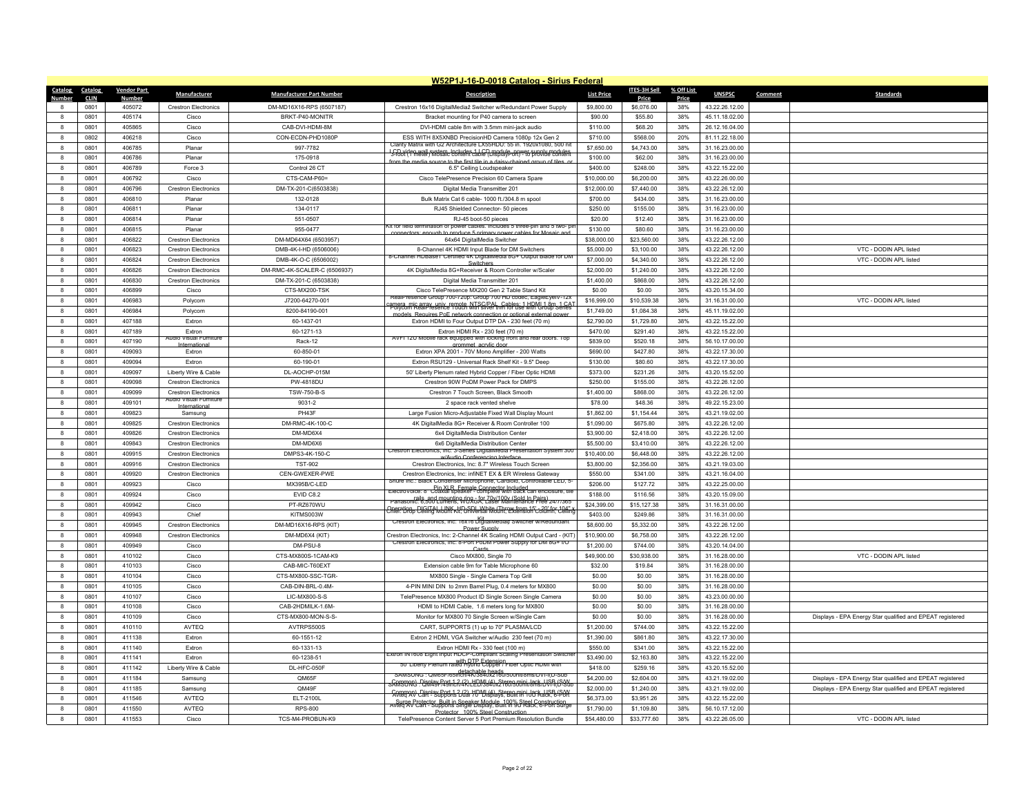|                 |              |                    |                                                       |                                 | W52P1J-16-D-0018 Catalog - Sirius Federal                                                                                                          |                   |                  |            |                |                                                           |
|-----------------|--------------|--------------------|-------------------------------------------------------|---------------------------------|----------------------------------------------------------------------------------------------------------------------------------------------------|-------------------|------------------|------------|----------------|-----------------------------------------------------------|
| Catalog Catalog |              | <b>Vendor Part</b> | Manufacturer                                          | <b>Manufacturer Part Number</b> | <b>Description</b>                                                                                                                                 | <b>List Price</b> | ITES-3H Sell     | % Off List | <b>UNSPSC</b>  | <b>Standards</b><br>Comment                               |
| <b>Number</b>   | <b>CLIN</b>  | Number             |                                                       |                                 |                                                                                                                                                    |                   | Price            | Price      |                |                                                           |
|                 | 0801         | 405072             | <b>Crestron Electronics</b>                           | DM-MD16X16-RPS (6507187)        | Crestron 16x16 DigitalMediaž Switcher w/Redundant Power Supply                                                                                     | \$9,800.00        | \$6,076.00       | 38%        | 43.22.26.12.00 |                                                           |
| $\mathbf{R}$    | 0801         | 405174             | Cisco                                                 | BRKT-P40-MONITR                 | Bracket mounting for P40 camera to screen                                                                                                          | \$90.00           | \$55.80          | 38%        | 45.11.18.02.00 |                                                           |
| 8               | 0801         | 405865             | Cisco                                                 | CAB-DVI-HDMI-8M                 | DVI-HDMI cable 8m with 3.5mm mini-jack audio                                                                                                       | \$110.00          | \$68.20          | 38%        | 26.12.16.04.00 |                                                           |
| 8               | 0802         | 406218             | Cisco                                                 | CON-ECDN-PHD1080F               | ESS WITH 8X5XNBD PrecisionHD Camera 1080p 12x Gen 2<br>Clarity Matrix with G2 Architecture LX55HDU: 55 in. 1920x1080, 500 nit                      | \$710.00          | \$568.00         | 20%        | 81.11.22.18.00 |                                                           |
| $\mathbf{a}$    | 0801         | 406785             | Planar                                                | 997-7782                        | I S-Root (fr A wall system, Includes 116P) medule on wet supply medule A                                                                           | \$7,650.00        | \$4,743.00       | 38%        | 31.16.23.00.00 |                                                           |
| 8               | 0801         | 406786             | Planar                                                | 175-0918                        | to the first tile in a dais                                                                                                                        | \$100.00          | \$62.00          | 38%        | 31.16.23.00.00 |                                                           |
| 8               | 0801         | 406789             | Force 3                                               | Control 26 CT                   | 6.5" Ceiling Loudspeaker                                                                                                                           | \$400.00          | \$248.00         | 38%        | 43.22.15.22.00 |                                                           |
| $\mathbf{a}$    | 0801         | 406792             | Cisco                                                 | CTS-CAM-P60=                    | Cisco TelePresence Precision 60 Camera Spare                                                                                                       | \$10,000.00       | \$6,200.00       | 38%        | 43.22.26.00.00 |                                                           |
| 8               | 0801         | 406796             | <b>Crestron Flectronics</b>                           | DM-TX-201-C(6503838)            | Digital Media Transmitter 201                                                                                                                      | \$12,000.00       | \$7,440.00       | 38%        | 43.22.26.12.00 |                                                           |
| $\mathbf{a}$    | 0801         | 406810             | Planar                                                | 132-0128                        | Bulk Matrix Cat 6 cable- 1000 ft./304.8 m spool                                                                                                    | \$700.00          | \$434.00         | 38%        | 31.16.23.00.00 |                                                           |
| 8               | 0801         | 406811             | Plana                                                 | 134-0117                        | RJ45 Shielded Connector- 50 pieces                                                                                                                 | \$250.00          | \$155.00         | 38%        | 31.16.23.00.00 |                                                           |
| 8               | 0801         | 406814             | Planar                                                | 551-0507                        | RJ-45 boot-50 pieces                                                                                                                               | \$20.00           | \$12.40          | 38%        | 31.16.23.00.00 |                                                           |
| $\mathbf{a}$    | 0801         | 406815             | Planar                                                | 955-0477                        | Kit for field termination of power cables, includes 5 three-pin and 5 two- p<br>th to produce 5 primary power cables for Mosaic an                 | \$130.00          | \$80.60          | 38%        | 31.16.23.00.00 |                                                           |
|                 | 0801         | 406822             | <b>Crestron Electronics</b>                           | DM-MD64X64 (6503957)            | 64x64 DigitalMedia Switcher                                                                                                                        | \$38,000.00       | \$23,560.00      | 38%        | 43.22.26.12.00 |                                                           |
| 8               | 0801         | 406823             | <b>Crestron Electronics</b>                           | DMB-4K-I-HD (6506006)           | 8-Channel 4K HDMI Input Blade for DM Switchers                                                                                                     | \$5,000.00        | \$3,100.00       | 38%        | 43.22.26.12.00 | VTC - DODIN APL listed                                    |
| $\mathbf{a}$    | 0801         | 406824             | <b>Crestron Electronics</b>                           | DMB-4K-O-C (6506002)            | i-Channel HDBase i Certified 4K DigitalMedia 8G+ Output Bla                                                                                        | \$7,000.00        | \$4,340.00       | 38%        | 43.22.26.12.00 | VTC - DODIN APL listed                                    |
|                 | 0801         | 406826             | <b>Crestron Electronics</b>                           | DM-RMC-4K-SCALER-C (6506937)    | 4K DigitalMedia 8G+Receiver & Room Controller w/Scaler                                                                                             | \$2,000.00        | \$1,240.00       | 38%        | 43.22.26.12.00 |                                                           |
| 8               | 0801         | 406830             | <b>Crestron Electronics</b>                           | DM-TX-201-C (6503838)           | Digital Media Transmitter 201                                                                                                                      | \$1,400.00        | \$868.00         | 38%        | 43.22.26.12.00 |                                                           |
| $\mathbf{a}$    | 0801         | 406899             | Cisco                                                 | CTS-MX200-TSK                   | Cisco TelePresence MX200 Gen 2 Table Stand Kit                                                                                                     | \$0.00            | \$0.00           | 38%        | 43.20.15.34.00 |                                                           |
| 8               | 0801         | 406983             | Polycom                                               | J7200-64270-001                 | RealPresence Group 700-720p: Group 700 HD codec, EagleEyelV-12:                                                                                    | \$16,999.00       | \$10,539.38      | 38%        | 31.16.31.00.00 | VTC - DODIN APL listed                                    |
| 8               | 0801         | 406984             | Polycom                                               | 8200-84190-001                  | <del>porça mix arrax: unix remote, NTSC/PAL, Gables: 1 HDML1 åm s1 CAT</del>                                                                       | \$1,749.00        | \$1,084.38       | 38%        | 45.11.19.02.00 |                                                           |
| $\mathbf{R}$    | 0801         | 407188             | Extron                                                | 60-1437-01                      | models. Requires PoE network connection or optional external nower<br>Extron HDMI to Four Output DTP DA - 230 feet (70 m)                          | \$2,790.00        | \$1,729.80       | 38%        | 43.22.15.22.00 |                                                           |
|                 | 0801         | 407189             | Extron                                                | 60-1271-13                      | Extron HDMI Rx - 230 feet (70 m)                                                                                                                   | \$470.00          | \$291.40         | 38%        | 43.22.15.22.00 |                                                           |
|                 |              |                    | Audio Visual Furnitur                                 |                                 | AVFI 12U Mobile rack equipped with locking front and rear doors. Top                                                                               |                   |                  |            |                |                                                           |
| 8               | 0801         | 407190             | Internations                                          | Rack-12                         | mmet acrylic doo                                                                                                                                   | \$839.00          | \$520.18         | 38%        | 56.10.17.00.00 |                                                           |
| 8               | 0801         | 409093             | Extron                                                | 60-850-01                       | Extron XPA 2001 - 70V Mono Amplifier - 200 Watts                                                                                                   | \$690.00          | \$427.80         | 38%        | 43.22.17.30.00 |                                                           |
| 8               | 0801         | 409094             | Extron                                                | 60-190-01                       | Extron RSU129 - Universal Rack Shelf Kit - 9.5" Deep                                                                                               | \$130.00          | \$80.60          | 38%        | 43.22.17.30.00 |                                                           |
| $\mathbf{a}$    | 0801         | 409097             | Liberty Wire & Cable                                  | DL-AOCHP-015M                   | 50' Liberty Plenum rated Hybrid Copper / Fiber Optic HDMI                                                                                          | \$373.00          | \$231.26         | 38%        | 43.20.15.52.00 |                                                           |
| 8               | 0801         | 409098             | <b>Crestron Electronics</b>                           | <b>PW-4818DU</b>                | Crestron 90W PoDM Power Pack for DMPS                                                                                                              | \$250.00          | \$155.00         | 38%        | 43.22.26.12.00 |                                                           |
| 8               | 0801         | 409099             | <b>Crestron Electronics</b><br>Audio Visual Furniture | <b>TSW-750-B-S</b>              | Crestron 7 Touch Screen, Black Smooth                                                                                                              | \$1,400.00        | \$868.00         | 38%        | 43.22.26.12.00 |                                                           |
| $\mathbf{R}$    | 0801         | 409101             |                                                       | 9031-2                          | 2 space rack vented shelve                                                                                                                         | \$78.00           | \$48.36          | 38%        | 49.22.15.23.00 |                                                           |
| 8               | 0801         | 409823             | Samsung                                               | PH43F                           | Large Fusion Micro-Adjustable Fixed Wall Display Mount                                                                                             | \$1,862.00        | \$1,154.44       | 38%        | 43.21.19.02.00 |                                                           |
| 8               | 0801         | 409825             | <b>Crestron Electronics</b>                           | DM-RMC-4K-100-C                 | 4K DigitalMedia 8G+ Receiver & Room Controller 100                                                                                                 | \$1,090.00        | \$675.80         | 38%        | 43.22.26.12.00 |                                                           |
| $\mathbf{a}$    | 0801         | 409826             | <b>Crestron Flectronics</b>                           | DM-MD6X4                        | 6x4 DigitalMedia Distribution Center                                                                                                               | \$3,900.00        | \$2,418.00       | 38%        | 43.22.26.12.00 |                                                           |
| $\mathbf{a}$    | 0801         | 409843             | <b>Crestron Electronics</b>                           | DM-MD6X6                        | 6x6 DigitalMedia Distribution Center                                                                                                               | \$5,500.00        | \$3,410.00       | 38%        | 43.22.26.12.00 |                                                           |
| 8               | 0801         | 409915             | <b>Crestron Electronics</b>                           | DMPS3-4K-150-C                  | Crestron Electronics, Inc. 3-Series DigitalMedia Presentation System 300<br>w/Audio Conferencing Interface                                         | \$10,400.00       | \$6,448.00       | 38%        | 43.22.26.12.00 |                                                           |
| $\mathbf{R}$    | 0801         | 409916             | <b>Crestron Electronics</b>                           | <b>TST-902</b>                  | Crestron Electronics, Inc: 8.7" Wireless Touch Screen                                                                                              | \$3,800.00        | \$2,356.00       | 38%        | 43.21.19.03.00 |                                                           |
| $\mathbf{a}$    | 0801         | 409920             | <b>Crestron Electronics</b>                           | CEN-GWEXER-PWE                  | Crestron Electronics, Inc: infiNET EX & ER Wireless Gateway                                                                                        | \$550.00          | \$341.00         | 38%        | 43.21.16.04.00 |                                                           |
| 8               | 0801         | 409923             | Cisco                                                 | MX395B/C-LED                    | Shure Inc.: Black Condenser Microphone, Cardioid, Controllable LED. :                                                                              | \$206.00          | \$127.72         | 38%        | 43.22.25.00.00 |                                                           |
| $\mathbf{R}$    | 0801         | 409924             | Cisco                                                 | EVID C8.2                       | ElectroVoice: 8" Cin XI R. Female Connector Included.<br>ElectroVoice: 8" Coaxial speaker - complete with back can enclosure, tile                 | \$188.00          | \$116.56         | 38%        | 43.20.15.09.00 |                                                           |
| 8               | 0801         | 409942             | Cisco                                                 | PT-RZ670WU                      | ranasonic: 6,500 Lumens, WUXGA, Laser Maintenance Free 24/7/365                                                                                    | \$24,399.00       | \$15,127.38      | 38%        | 31.16.31.00.00 |                                                           |
| $\mathbf{a}$    | 0801         | 409943             | Chief                                                 | KITMS003W                       | Cheration, DIGITAL LINK, HD-SDL White (Throw from 15' - 20' for 104")<br>Chief: Drop Ceiling Mount Kit; Universal Mount, Extension Column, Ceiling | \$403.00          | \$249.86         | 38%        | 31.16.31.00.00 |                                                           |
| $\mathbf{a}$    | 0801         | 409945             | <b>Crestron Electronics</b>                           | DM-MD16X16-RPS (KIT)            | Crestron Electronics, Inc: 16x16 DigitalMedia¢ Switcher w/Redundant                                                                                | \$8,600.00        | \$5,332.00       | 38%        | 43.22.26.12.00 |                                                           |
| 8               | 0801         | 409948             | <b>Crestron Flectronics</b>                           | DM-MD6X4 (KIT)                  | <b>Power Supply</b><br>Crestron Electronics, Inc: 2-Channel 4K Scaling HDMI Output Card - (KIT)                                                    | \$10,900.00       | \$6,758.00       | 38%        | 43.22.26.12.00 |                                                           |
| $\mathbf{a}$    | 0801         | 409949             | Cisco                                                 | DM-PSU-8                        | Crestron Electronics, Inc: 8-Port PoDM Power Supply for DM 8G+ I/C                                                                                 | \$1,200.00        | \$744.00         | 38%        | 43.20.14.04.00 |                                                           |
| 8               | 0801         | 410102             | Cisco                                                 | CTS-MX800S-1CAM-K9              | Card:<br>Cisco MX800, Single 70                                                                                                                    | \$49,900.00       | \$30,938.00      | 38%        | 31.16.28.00.00 | VTC - DODIN APL listed                                    |
| 8               | 0801         | 410103             | Cisco                                                 | CAB-MIC-T60EXT                  | Extension cable 9m for Table Microphone 60                                                                                                         | \$32.00           | \$19.84          | 38%        | 31.16.28.00.00 |                                                           |
| $\mathbf{a}$    | 0801         | 410104             | Cisco                                                 | CTS-MX800-SSC-TGR-              | MX800 Single - Single Camera Top Grill                                                                                                             | \$0.00            | \$0.00           | 38%        | 31.16.28.00.00 |                                                           |
| 8               | 0801         | 410105             | Cisco                                                 | CAB-DIN-BRL-0.4M-               | 4-PIN MINI DIN to 2mm Barrel Plug, 0.4 meters for MX800                                                                                            | \$0.00            | \$0.00           | 38%        | 31.16.28.00.00 |                                                           |
| 8               |              | 410107             | Cisco                                                 | LIC-MX800-S-S                   | TelePresence MX800 Product ID Single Screen Single Camera                                                                                          | \$0.00            |                  | 38%        | 43.23.00.00.00 |                                                           |
| $\mathbf{R}$    | 0801<br>0801 | 410108             | Cisco                                                 | CAB-2HDMILK-1.6M-               |                                                                                                                                                    | \$0.00            | \$0.00<br>\$0.00 | 38%        |                |                                                           |
|                 |              |                    |                                                       |                                 | HDMI to HDMI Cable, 1.6 meters long for MX800                                                                                                      |                   |                  |            | 31.16.28.00.00 |                                                           |
| 8               | 0801         | 410109             | Cisco                                                 | CTS-MX800-MON-S-S-              | Monitor for MX800 70 Single Screen w/Single Cam                                                                                                    | \$0.00            | \$0.00           | 38%        | 31.16.28.00.00 | Displays - EPA Energy Star qualified and EPEAT registered |
| 8               | 0801         | 410110             | AVTEQ                                                 | AVTRPS500S                      | CART, SUPPORTS (1) up to 70" PLASMA/LCD                                                                                                            | \$1,200.00        | \$744.00         | 38%        | 43.22.15.22.00 |                                                           |
| $\mathbf{a}$    | 0801         | 411138             | Extron                                                | 60-1551-12                      | Extron 2 HDMI, VGA Switcher w/Audio 230 feet (70 m)                                                                                                | \$1,390.00        | \$861.80         | 38%        | 43.22.17.30.00 |                                                           |
| 8               | 0801         | 411140             | Extron                                                | 60-1331-13                      | Extron HDMI Rx - 330 feet (100 m)<br>Extron IN1608 Eight Input HDCP-Compliant Scaling Presentation Switche                                         | \$550.00          | \$341.00         | 38%        | 43.22.15.22.00 |                                                           |
| 8               | 0801         | 411141             | Extron                                                | 60-1238-51                      | with OTP Extension.<br>50' Liberty Plenum rated Hybrid Copper / Fiber Optic HDMI wit                                                               | \$3,490.00        | \$2,163.80       | 38%        | 43.22.15.22.00 |                                                           |
| $\mathbf{a}$    | 0801         | 411142             | Liberty Wire & Cable                                  | DL-HFC-050F                     | SAMSUNG: QM65F/65inch/4K/384Ux2160/500nit/8ms/DVI-I(D-Sub                                                                                          | \$418.00          | \$259.16         | 38%        | 43.20.15.52.00 |                                                           |
|                 | 0801         | 411184             | Samsung                                               | QM65F                           |                                                                                                                                                    | \$4,200.00        | \$2,604.00       | 38%        | 43.21.19.02.00 | Displays - EPA Energy Star qualified and EPEAT registered |
| 8               | 0801         | 411185             | Samsung                                               | QM49F                           | Common) Display Port 1.2 (2) HDML(4) Stereo mini Jack JJSB (SAN                                                                                    | \$2,000.00        | \$1,240.00       | 38%        | 43.21.19.02.00 | Displays - EPA Energy Star qualified and EPEAT registered |
| 8               | 0801         | 411546             | AVTEQ                                                 | ELT-2100L                       | Surge Protector, Built in Speaker Module, 100% Steel Construction<br>Avteg AV Cart - Supports Single Display, Built in 90 Rack, 6-Port Surge       | \$6,373.00        | \$3,951.26       | 38%        | 43.22.15.22.00 |                                                           |
| 8               | 0801         | 411550             | <b>AVTFO</b>                                          | RPS-800                         | Protector 100% Steel Construction                                                                                                                  | \$1,790.00        | \$1,109.80       | 38%        | 56.10.17.12.00 |                                                           |
| $\mathbf{g}$    | 0801         | 411553             | Cisco                                                 | TCS-M4-PROBUN-K9                | TelePresence Content Server 5 Port Premium Resolution Bundle                                                                                       | \$54,480.00       | \$33,777.60      | 38%        | 43.22.26.05.00 | VTC - DODIN APL listed                                    |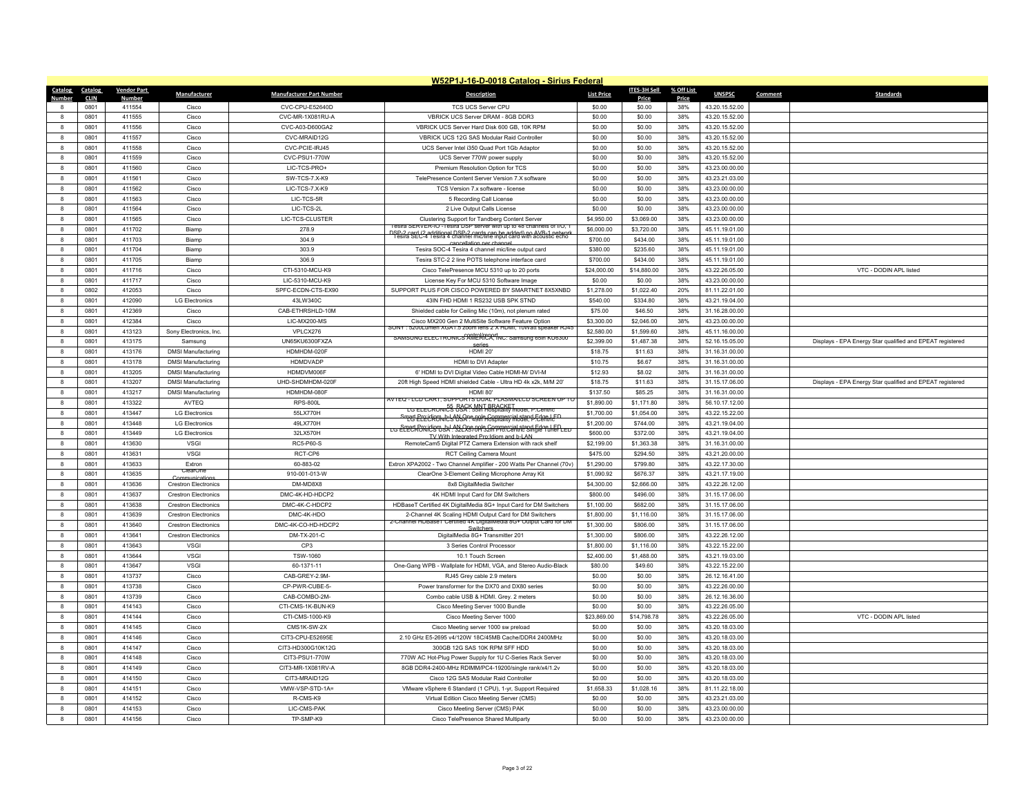|              |                 |                    |                             |                                 | W52P1J-16-D-0018 Catalog - Sirius Federal                                                                                                   |                       |                       |            |                                  |                                                           |
|--------------|-----------------|--------------------|-----------------------------|---------------------------------|---------------------------------------------------------------------------------------------------------------------------------------------|-----------------------|-----------------------|------------|----------------------------------|-----------------------------------------------------------|
|              | Catalog Catalog | <b>Vendor Part</b> | Manufacturer                | <b>Manufacturer Part Number</b> | <b>Description</b>                                                                                                                          | <b>List Price</b>     | <b>ITES-3H Sell</b>   | % Off List | <b>UNSPSC</b>                    | Comment<br><b>Standards</b>                               |
| Number       | <b>CLIN</b>     | <b>Numbe</b>       |                             |                                 |                                                                                                                                             |                       | Price                 | Price      |                                  |                                                           |
|              | 0801            | 411554             | Cisco                       | CVC-CPU-E52640D                 | TCS UCS Server CPU                                                                                                                          | \$0.00                | \$0.00                | 38%        | 43.20.15.52.00                   |                                                           |
| $\mathbf{R}$ | 0801            | 411555             | Cisco                       | CVC-MR-1X081RU-A                | VBRICK UCS Server DRAM - 8GB DDR3                                                                                                           | \$0.00                | \$0.00                | 38%        | 43.20.15.52.00                   |                                                           |
| $\mathbf{a}$ | 0801            | 411556             | Cisco                       | CVC-A03-D600GA2                 | VBRICK UCS Server Hard Disk 600 GB. 10K RPM                                                                                                 | \$0.00                | \$0.00                | 38%        | 43.20.15.52.00                   |                                                           |
| $\mathbf{g}$ | 0801            | 411557             | Cisco                       | CVC-MRAID12G                    | VBRICK UCS 12G SAS Modular Raid Controller                                                                                                  | \$0.00                | \$0.00                | 38%        | 43.20.15.52.00                   |                                                           |
| 8            | 0801            | 411558             | Cisco                       | CVC-PCIE-IRJ45                  | UCS Server Intel i350 Quad Port 1Gb Adaptor                                                                                                 | \$0.00                | \$0.00                | 38%        | 43.20.15.52.00                   |                                                           |
| 8            | 0801            | 411559             | Cisco                       | CVC-PSU1-770W                   | UCS Server 770W power supply                                                                                                                | \$0.00                | \$0.00                | 38%        | 43.20.15.52.00                   |                                                           |
| $\mathbf{g}$ | 0801            | 411560             | Cisco                       | LIC-TCS-PRO+                    | Premium Resolution Option for TCS                                                                                                           | \$0.00                | \$0.00                | 38%        | 43.23.00.00.00                   |                                                           |
| $\mathbf{g}$ | 0801            | 411561             | Cisco                       | SW-TCS-7.X-K9                   | TelePresence Content Server Version 7.X software                                                                                            | \$0.00                | \$0.00                | 38%        | 43.23.21.03.00                   |                                                           |
| 8            | 0801            | 411562             | Cisco                       | LIC-TCS-7.X-K9                  | TCS Version 7.x software - license                                                                                                          | \$0.00                | \$0.00                | 38%        | 43.23.00.00.00                   |                                                           |
| 8            | 0801            | 411563             | Cisco                       | LIC-TCS-5R                      | 5 Recording Call License                                                                                                                    | \$0.00                | \$0.00                | 38%        | 43.23.00.00.00                   |                                                           |
| 8            | 0801            | 411564             | Cisco                       | LIC-TCS-2L                      | 2 Live Output Calls License                                                                                                                 | \$0.00                | \$0.00                | 38%        | 43.23.00.00.00                   |                                                           |
| 8            | 0801            | 411565             | Cisco                       | LIC-TCS-CLUSTER                 | Clustering Support for Tandberg Content Server<br>esira SERVER-IO - I esira DSP server with up to 48 channels of I/O,                       | \$4,950.00            | \$3,069.00            | 38%        | 43.23.00.00.00                   |                                                           |
| $\mathbf{R}$ | 0801            | 411702             | Biamp                       | 278.9                           | DSP-2 card (2 additional DSP-2 cards can be added) no AVB-1 network<br>Tesira SEC-4 Tesira 4 channel mic/line input card with acoustic echo | \$6,000.00            | \$3,720.00            | 38%        | 45.11.19.01.00                   |                                                           |
|              | 0801            | 411703             | Biamp                       | 304.9                           | cancellation per channel                                                                                                                    | \$700.00              | \$434.00              | 38%        | 45.11.19.01.00                   |                                                           |
| 8            | 0801            | 411704             | Biamp                       | 303.9                           | Tesira SOC-4 Tesira 4 channel mic/line output card                                                                                          | \$380.00              | \$235.60              | 38%        | 45.11.19.01.00                   |                                                           |
| $\mathbf{a}$ | 0801            | 411705             | Biamp                       | 306.9                           | Tesira STC-2 2 line POTS telephone interface card                                                                                           | \$700.00              | \$434.00              | 38%        | 45.11.19.01.00                   |                                                           |
| 8            | 0801            | 411716             | Cisco                       | CTI-5310-MCU-K9                 | Cisco TelePresence MCU 5310 up to 20 ports                                                                                                  | \$24,000.00           | \$14,880.00           | 38%        | 43.22.26.05.00                   | VTC - DODIN APL listed                                    |
| 8            | 0801            | 411717             | Cisco                       | LIC-5310-MCU-K9                 | License Key For MCU 5310 Software Image                                                                                                     | \$0.00                | \$0.00                | 38%        | 43.23.00.00.00                   |                                                           |
| $\mathbf{a}$ | 0802            | 412053             | Cisco                       | SPFC-ECDN-CTS-EX90              | SUPPORT PLUS FOR CISCO POWERED BY SMARTNET 8X5XNBD                                                                                          | \$1,278.00            | \$1,022.40            | 20%        | 81.11.22.01.00                   |                                                           |
| 8            | 0801            | 412090             | <b>LG Electronics</b>       | 43LW340C                        | 43IN FHD HDMI 1 RS232 USB SPK STND                                                                                                          | \$540.00              | \$334.80              | 38%        | 43.21.19.04.00                   |                                                           |
| 8            | 0801            | 412369             | Cisco                       | CAB-ETHRSHLD-10M                | Shielded cable for Ceiling Mic (10m), not plenum rated                                                                                      | \$75.00               | \$46.50               | 38%        | 31.16.28.00.00                   |                                                           |
| $\mathbf{a}$ | 0801            | 412384             | Cisco                       | LIC-MX200-MS                    | Cisco MX200 Gen 2 MultiSite Software Feature Option<br>SONY<br>5200Lumen XGA1.5 zoom lens 2 X HDMI, 10Watt speaker RJ45                     | \$3,300.00            | \$2,046.00            | 38%        | 43.23.00.00.00                   |                                                           |
| 8            | 0801            | 413123             | Sony Electronics, Inc.      | VPLCX276                        | SAMSUNG ELECTRONICS AMERICA. INC: Samsung 65in KU6300                                                                                       | \$2,580.00            | \$1,599.60            | 38%        | 45.11.16.00.00                   |                                                           |
| 8            | 0801            | 413175             | Samsung                     | UN65KU6300FXZA                  | Series                                                                                                                                      | \$2,399.00            | \$1,487.38            | 38%        | 52.16.15.05.00                   | Displays - EPA Energy Star qualified and EPEAT registered |
| $\mathbf{a}$ | 0801            | 413176             | <b>DMSI Manufacturing</b>   | HDMHDM-020F                     | <b>HDMI 20'</b>                                                                                                                             | \$18.75               | \$11.63               | 38%        | 31.16.31.00.00                   |                                                           |
| 8            | 0801            | 413178             | <b>DMSI Manufacturing</b>   | <b>HDMDVADP</b>                 | <b>HDMI</b> to DVI Adapter                                                                                                                  | \$10.75               | \$6.67                | 38%        | 31.16.31.00.00                   |                                                           |
| 8            | 0801            | 413205             | <b>DMSI Manufacturing</b>   | HDMDVM006F                      | 6' HDMI to DVI Digital Video Cable HDMI-M/ DVI-M                                                                                            | \$12.93               | \$8.02                | 38%        | 31.16.31.00.00                   |                                                           |
| 8            | 0801            | 413207             | <b>DMSI Manufacturing</b>   | UHD-SHDMHDM-020F                | 20ft High Speed HDMI shielded Cable - Ultra HD 4k x2k, M/M 20'                                                                              | \$18.75               | \$11.63               | 38%        | 31.15.17.06.00                   | Displays - EPA Energy Star qualified and EPEAT registered |
| 8            | 0801            | 413217             | <b>DMSI Manufacturing</b>   | HDMHDM-080F                     | HDMI 80<br>AVTEQ - LCD CART, SUPPORTS DUAL PLASMA/LCD SCREEN UP TO                                                                          | \$137.50              | \$85.25               | 38%        | 31.16.31.00.00                   |                                                           |
| $\mathbf{a}$ | 0801            | 413322             | AVTEQ                       | <b>RPS-800L</b>                 | LG ELECRONICS BORY SUIT BRACKET                                                                                                             | \$1,890.00            | \$1,171.80            | 38%        | 56.10.17.12.00                   |                                                           |
| 8            | 0801            | 413447             | <b>LG Electronics</b>       | 55LX770H                        | Smart Preidigm hols NSA - and Formmercial stand Fdge LED                                                                                    | \$1,700.00            | \$1,054.00            | 38%        | 43.22.15.22.00                   |                                                           |
| 8            | 0801            | 413448             | I G Electronics             | 491 X770H                       | LG ELECTRONICSTO SAL 92 CR5709 S2 mmercial stand Edge LEP LED                                                                               | \$1,200.00            | \$744.00              | 38%        | 43.21.19.04.00                   |                                                           |
| 8            | 0801            | 413449             | <b>LG Electronics</b>       | 32LX570H                        | TV With Integrated Pro Idiom and b-I AN                                                                                                     | \$600.00              | \$372.00              | 38%        | 43.21.19.04.00                   |                                                           |
|              | 0801            | 413630             | <b>VSGI</b>                 | <b>RC5-P60-S</b>                | RemoteCam5 Digital PTZ Camera Extension with rack shelf                                                                                     | \$2,199.00            | \$1,363.38            | 38%        | 31.16.31.00.00                   |                                                           |
| 8            | 0801            | 413631             | <b>VSGI</b>                 | RCT-CP6                         | RCT Ceiling Camera Mount                                                                                                                    | \$475.00              | \$294.50              | 38%        | 43.21.20.00.00                   |                                                           |
| $\mathbf{a}$ | 0801            | 413633             | Extron<br>ClearOn           | 60-883-02                       | Extron XPA2002 - Two Channel Amplifier - 200 Watts Per Channel (70v)                                                                        | \$1,290.00            | \$799.80              | 38%        | 43.22.17.30.00                   |                                                           |
| 8            | 0801            | 413635             | Communication               | 910-001-013-W                   | ClearOne 3-Element Ceiling Microphone Array Kit                                                                                             | \$1,090.92            | \$676.37              | 38%        | 43.21.17.19.00                   |                                                           |
| 8            | 0801            | 413636             | <b>Crestron Electronics</b> | DM-MD8X8                        | 8x8 DigitalMedia Switcher                                                                                                                   | \$4,300.00            | \$2,666.00            | 38%        | 43.22.26.12.00                   |                                                           |
| $\mathbf{a}$ | 0801            | 413637             | <b>Crestron Flectronics</b> | DMC-4K-HD-HDCP2                 | 4K HDMI Input Card for DM Switchers                                                                                                         | \$800.00              | \$496.00              | 38%        | 31.15.17.06.00                   |                                                           |
| $\mathbf{a}$ | 0801            | 413638             | <b>Crestron Electronics</b> | DMC-4K-C-HDCP2                  | HDBaseT Certified 4K DigitalMedia 8G+ Input Card for DM Switchers                                                                           | \$1,100.00            | \$682.00              | 38%        | 31.15.17.06.00                   |                                                           |
| 8            | 0801            | 413639             | <b>Crestron Electronics</b> | DMC-4K-HDO                      | 2-Channel 4K Scaling HDMI Output Card for DM Switchers<br>2-Channel HDBase I Certified 4K DigitalMedia 8G+ Output Card for DM               | \$1,800.00            | \$1,116.00            | 38%        | 31.15.17.06.00                   |                                                           |
| $\mathbf{a}$ | 0801            | 413640             | <b>Crestron Flectronics</b> | DMC-4K-CO-HD-HDCP2              |                                                                                                                                             | \$1,300.00            | \$806.00              | 38%        | 31.15.17.06.00                   |                                                           |
| $\mathbf{a}$ | 0801            | 413641             | <b>Crestron Electronics</b> | DM-TX-201-C                     | DigitalMedia 8G+ Transmitter 201                                                                                                            | \$1,300.00            | \$806.00              | 38%        | 43.22.26.12.00                   |                                                           |
| 8            | 0801            | 413643             | <b>VSGI</b>                 | CP3                             | 3 Series Control Processor                                                                                                                  | \$1,800.00            | \$1,116.00            | 38%        | 43.22.15.22.00                   |                                                           |
| $\mathbf{R}$ | 0801            | 413644             | <b>VSGI</b>                 | TSW-1060                        | 10.1 Touch Screen                                                                                                                           | \$2,400.00            | \$1,488.00            | 38%        | 43.21.19.03.00                   |                                                           |
| 8            | 0801            | 413647             | <b>VSGI</b>                 | 60-1371-11                      | One-Gang WPB - Wallplate for HDMI, VGA, and Stereo Audio-Black                                                                              | \$80.00               | \$49.60               | 38%        | 43.22.15.22.00                   |                                                           |
| 8            | 0801<br>0801    | 413737             | Cisco                       | CAB-GREY-2.9M-                  | RJ45 Grey cable 2.9 meters                                                                                                                  | \$0.00                | \$0.00                | 38%<br>38% | 26.12.16.41.00                   |                                                           |
| 8            |                 | 413738             | Cisco                       | CP-PWR-CUBE-5-                  | Power transformer for the DX70 and DX80 series                                                                                              | \$0.00                | \$0.00                |            | 43.22.26.00.00                   |                                                           |
| 8            | 0801            | 413739             | Cisco                       | CAB-COMBO-2M-                   | Combo cable USB & HDMI. Grey. 2 meters                                                                                                      | \$0.00                | \$0.00                | 38%        | 26.12.16.36.00                   |                                                           |
| $\mathbf{a}$ | 0801            | 414143             | Cisco                       | CTI-CMS-1K-BUN-K9               | Cisco Meeting Server 1000 Bundle                                                                                                            | \$0.00                | \$0.00                | 38%        | 43.22.26.05.00                   |                                                           |
| $\mathbf{a}$ | 0801<br>0801    | 414144<br>414145   | Cisco<br>Cisco              | CTI-CMS-1000-K9<br>CMS1K-SW-2X  | Cisco Meeting Server 1000                                                                                                                   | \$23,869.00<br>\$0.00 | \$14,798.78<br>\$0.00 | 38%<br>38% | 43.22.26.05.00<br>43.20.18.03.00 | VTC - DODIN APL listed                                    |
| 8            |                 |                    |                             |                                 | Cisco Meeting server 1000 sw preload                                                                                                        |                       |                       |            |                                  |                                                           |
| $\mathbf{a}$ | 0801            | 414146             | Cisco                       | CIT3-CPU-E52695E                | 2.10 GHz E5-2695 v4/120W 18C/45MB Cache/DDR4 2400MHz                                                                                        | \$0.00                | \$0.00                | 38%        | 43.20.18.03.00                   |                                                           |
| 8            | 0801            | 414147             | Cisco                       | CIT3-HD300G10K12G               | 300GB 12G SAS 10K RPM SFF HDD                                                                                                               | \$0.00                | \$0.00                | 38%        | 43.20.18.03.00                   |                                                           |
| 8            | 0801            | 414148             | Cisco                       | CIT3-PSU1-770W                  | 770W AC Hot-Plug Power Supply for 1U C-Series Rack Server                                                                                   | \$0.00                | \$0.00                | 38%        | 43.20.18.03.00                   |                                                           |
| $\mathbf{a}$ | 0801            | 414149             | Cisco                       | CIT3-MR-1X081RV-A               | 8GB DDR4-2400-MHz RDIMM/PC4-19200/single rank/x4/1.2v                                                                                       | \$0.00                | \$0.00                | 38%        | 43.20.18.03.00                   |                                                           |
| 8            | 0801            | 414150             | Cisco                       | CIT3-MRAID12G                   | Cisco 12G SAS Modular Raid Controlle                                                                                                        | \$0.00                | \$0.00                | 38%        | 43.20.18.03.00                   |                                                           |
| 8            | 0801            | 414151             | Cisco                       | VMW-VSP-STD-1A=                 | VMware vSphere 6 Standard (1 CPU), 1-yr, Support Required                                                                                   | \$1,658.33            | \$1,028.16            | 38%        | 81.11.22.18.00                   |                                                           |
| $\mathbf{R}$ | 0801            | 414152             | Cisco                       | R-CMS-K9                        | Virtual Edition Cisco Meeting Server (CMS)                                                                                                  | \$0.00                | \$0.00                | 38%        | 43.23.21.03.00                   |                                                           |
|              | 0801            | 414153             | Cisco                       | LIC-CMS-PAK                     | Cisco Meeting Server (CMS) PAK                                                                                                              | \$0.00                | \$0.00                | 38%        | 43.23.00.00.00                   |                                                           |
| 8            | 0801            | 414156             | Cisco                       | TP-SMP-K9                       | Cisco TelePresence Shared Multiparty                                                                                                        | \$0.00                | \$0.00                | 38%        | 43.23.00.00.00                   |                                                           |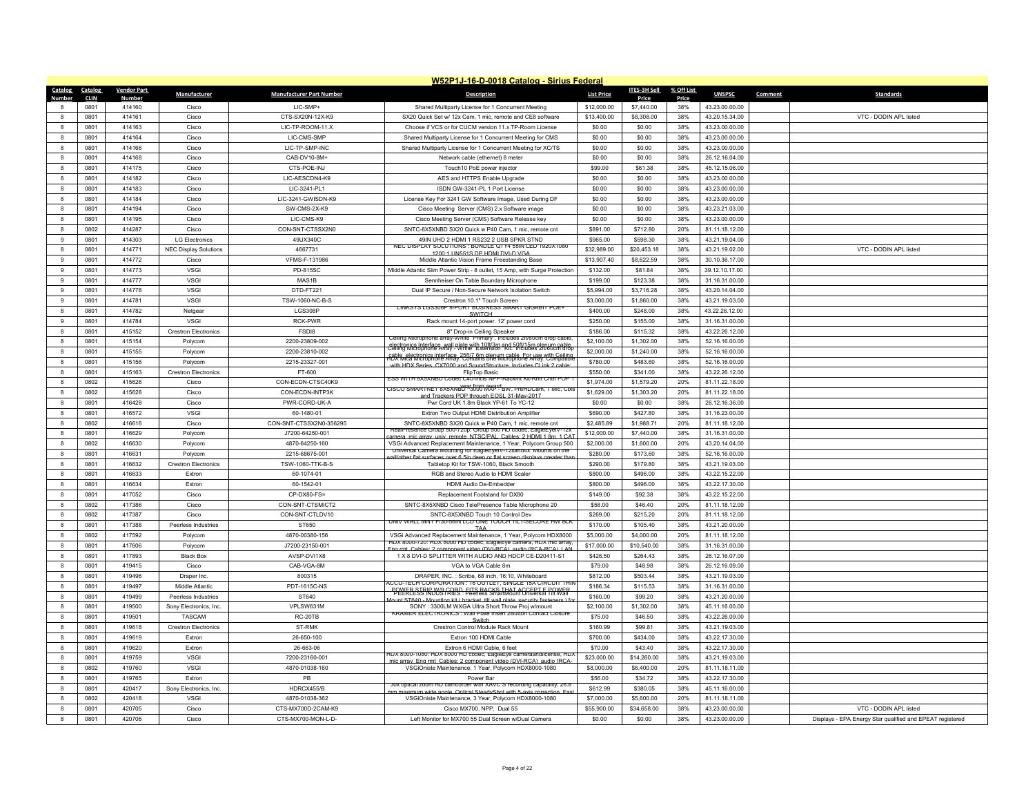|                   |              |                    |                              |                                       | W52P1J-16-D-0018 Catalog - Sirius Federal                                                                                                             |                        |                        |            |                                  |                                                           |
|-------------------|--------------|--------------------|------------------------------|---------------------------------------|-------------------------------------------------------------------------------------------------------------------------------------------------------|------------------------|------------------------|------------|----------------------------------|-----------------------------------------------------------|
| Catalog           | Catalog      | <b>Vendor Part</b> | Manufacturer                 | <b>Manufacturer Part Number</b>       | <b>Description</b>                                                                                                                                    | <b>List Price</b>      | <b>ITES-3H Sell</b>    | % Off List | <b>UNSPSC</b>                    | Comment<br><b>Standards</b>                               |
| Numher            | <b>CLIN</b>  | Numbe              |                              |                                       |                                                                                                                                                       |                        | Price                  | Price      |                                  |                                                           |
|                   | 0801         | 414160             | Cisco                        | LIC-SMP+                              | Shared Multiparty License for 1 Concurrent Meeting                                                                                                    | \$12,000.00            | \$7,440.00             | 38%        | 43.23.00.00.00                   |                                                           |
| $\mathbf{R}$      | 0801         | 414161             | Cisco                        | CTS-SX20N-12X-K9                      | SX20 Quick Set w/ 12x Cam, 1 mic, remote and CE8 software                                                                                             | \$13,400.00            | \$8,308.00             | 38%        | 43.20.15.34.00                   | VTC - DODIN API listed                                    |
| 8                 | 0801         | 414163             | Cisco                        | LIC-TP-ROOM-11.X                      | Choose if VCS or for CUCM version 11.x TP-Room License                                                                                                | \$0.00                 | \$0.00                 | 38%        | 43.23.00.00.00                   |                                                           |
| $\mathbf{g}$      | 0801         | 414164             | Cisco                        | LIC-CMS-SMP                           | Shared Multiparty License for 1 Concurrent Meeting for CMS                                                                                            | \$0.00                 | \$0.00                 | 38%        | 43.23.00.00.00                   |                                                           |
| 8                 | 0801         | 414166             | Cisco                        | LIC-TP-SMP-INC                        | Shared Multiparty License for 1 Concurrent Meeting for XC/TS                                                                                          | \$0.00                 | \$0.00                 | 38%        | 43.23.00.00.00                   |                                                           |
| 8                 | 0801         | 414168             | Cisco                        | CAB-DV10-8M+                          | Network cable (ethernet) 8 meter                                                                                                                      | \$0.00                 | \$0.00                 | 38%        | 26.12.16.04.00                   |                                                           |
| $\mathbf{g}$      | 0801         | 414175             | Cisco                        | CTS-POE-INJ                           | Touch10 PoE power injector                                                                                                                            | \$99.00                | \$61.38                | 38%        | 45.12.15.06.00                   |                                                           |
| 8                 | 0801         | 414182             | Cisco                        | LIC-AESCDN4-K9                        | AES and HTTPS Enable Upgrade                                                                                                                          | \$0.00                 | \$0.00                 | 38%        | 43.23.00.00.00                   |                                                           |
| 8                 | 0801         | 414183             | Cisco                        | LIC-3241-PL1                          | ISDN GW-3241-PL 1 Port License                                                                                                                        | \$0.00                 | \$0.00                 | 38%        | 43.23.00.00.00                   |                                                           |
| $\mathbf{R}$      | 0801         | 414184             | Cisco                        | LIC-3241-GWISDN-K9                    | License Key For 3241 GW Software Image, Used During DF                                                                                                | \$0.00                 | \$0.00                 | 38%        | 43.23.00.00.00                   |                                                           |
| 8                 | 0801         | 414194             | Cisco                        | SW-CMS-2X-K9                          | Cisco Meeting Server (CMS) 2.x Software image                                                                                                         | \$0.00                 | \$0.00                 | 38%        | 43.23.21.03.00                   |                                                           |
| 8                 | 0801         | 414195             | Cisco                        | LIC-CMS-K9                            | Cisco Meeting Server (CMS) Software Release key                                                                                                       | \$0.00                 | \$0.00                 | 38%        | 43.23.00.00.00                   |                                                           |
| $\mathbf{R}$      | 0802         | 414287             | Cisco                        | CON-SNT-CTSSX2N0                      | SNTC-8X5XNBD SX20 Quick w P40 Cam, 1 mic, remote cnt                                                                                                  | \$891.00               | \$712.80               | 20%        | 81.11.18.12.00                   |                                                           |
|                   | 0801         | 414303             | <b>LG Electronics</b>        | 49UX340C                              | 49IN UHD 2 HDMI 1 RS232 2 USB SPKR STND<br>NEC DISPLAY SOLUTIONS : BUNDLE QTY4 55IN LED 1920X1080                                                     | \$965.00               | \$598.30               | 38%        | 43.21.19.04.00                   |                                                           |
| 8                 | 0801         | 414771             | <b>NEC Display Solutions</b> | 4667731                               | 1200:1 UN551S DP HDMI DVI-D VGA                                                                                                                       | \$32,989.00            | \$20,453.18            | 38%        | 43.21.19.02.00                   | VTC - DODIN APL listed                                    |
| $\mathfrak{g}$    | 0801         | 414772             | Cisco                        | VFMS-F-131986                         | Middle Atlantic Vision Frame Freestanding Base                                                                                                        | \$13,907.40            | \$8,622.59             | 38%        | 30.10.36.17.00                   |                                                           |
| 9                 | 0801         | 414773             | <b>VSGI</b>                  | PD-815SC                              | Middle Atlantic Slim Power Strip - 8 outlet, 15 Amp, with Surge Protection                                                                            | \$132.00               | \$81.84                | 38%        | 39.12.10.17.00                   |                                                           |
| 9                 | 0801         | 414777             | <b>VSGI</b>                  | MAS1B                                 | Sennheiser On Table Boundary Microphone                                                                                                               | \$199.00               | \$123.38               | 38%        | 31.16.31.00.00                   |                                                           |
| $\alpha$          | 0801         | 414778             | VSGI                         | DTD-FT221                             | Dual IP Secure / Non-Secure Network Isolation Switch                                                                                                  | \$5,994.00             | \$3,716.28             | 38%        | 43.20.14.04.00                   |                                                           |
| $\mathbf{q}$      | 0801         | 414781             | <b>VSGI</b>                  | TSW-1060-NC-B-S                       | Crestron 10.1" Touch Screen<br>LINKSYS LGS308P 8-PORT BUSINESS SMART GIGABIT POE                                                                      | \$3,000.00             | \$1,860.00             | 38%        | 43.21.19.03.00                   |                                                           |
| 8                 | 0801         | 414782             | Netgear<br>VSGI              | LGS308P<br><b>RCK-PWR</b>             | <b>SWITCH</b>                                                                                                                                         | \$400.00               | \$248.00               | 38%        | 43.22.26.12.00                   |                                                           |
| $\mathbf{q}$      | 0801         | 414784             |                              |                                       | Rack mount 14-port power. 12' power cord                                                                                                              | \$250.00               | \$155.00               | 38%        | 31.16.31.00.00                   |                                                           |
| 8                 | 0801         | 415152             | <b>Crestron Electronics</b>  | FSD <sub>18</sub>                     | 8" Drop-in Ceiling Speaker<br>Ceiling Microphone array-White "Primary". Includes 2ft/60cm drop cable,                                                 | \$186.00               | \$115.32               | 38%        | 43.22.26.12.00                   |                                                           |
| 8                 | 0801         | 415154             | Polycom                      | 2200-23809-002                        | electronics Interface, wall plate with 10ft/3m and 50ft/15m plenum cable.<br>Ceiling Microphone Array - White "Extension" Kit: Tholudes 2ft/60cm drop | \$2,100.00             | \$1,302.00             | 38%        | 52.16.16.00.00                   |                                                           |
| $\mathbf{a}$      | 0801         | 415155             | Polycom                      | 2200-23810-002                        | rable, electronics interface, 25ft/7 6m plenum cable. For use with Ceiling<br>HDX Mica Microphone Array, Contains one Microphone Array, Compatible    | \$2,000.00             | \$1,240.00             | 38%        | 52.16.16.00.00                   |                                                           |
| 8                 | 0801         | 415156             | Polycom                      | 2215-23327-001                        | with HDX Series CX7000 and SoundStructure Includes CLink 2                                                                                            | \$780.00               | \$483.60               | 38%        | 52.16.16.00.00                   |                                                           |
| 8                 | 0801         | 415163             | <b>Crestron Electronics</b>  | FT-600                                | FlipTop Basic<br>ESS WITH 8X5XNBD Codec C40-Incls NPP-Rackmt Kit-Rmt Chtrl POP                                                                        | \$550.00               | \$341.00               | 38%        | 43.22.26.12.00                   |                                                           |
| $\mathbf{a}$      | 0802<br>0802 | 415626<br>415628   | Cisco                        | CON-ECDN-CTSC40K9<br>CON-FCDN-INTP3K  | CISCO SMARTNET 8X5XNBD <sup>92</sup> 3000 MXP <sup>r.</sup> BW, PreHDCam, 1 Mic, CbI                                                                  | \$1,974.00             | \$1,579.20             | 20%        | 81.11.22.18.00<br>81.11.22.18.00 |                                                           |
| 8<br>$\mathbf{g}$ |              |                    | Cisco                        |                                       | and Trackers POP through FOSI 31-May-2017                                                                                                             | \$1,629.00             | \$1,303.20             | 20%<br>38% |                                  |                                                           |
| $\mathbf{a}$      | 0801         | 416428             | Cisco                        | PWR-CORD-UK-A                         | Pwr Cord UK 1.8m Black YP-61 To YC-12                                                                                                                 | \$0.00                 | \$0.00                 |            | 26.12.16.36.00                   |                                                           |
| 8                 | 0801<br>0802 | 416572<br>416616   | <b>VSGI</b><br>Cisco         | 60-1480-01<br>CON-SNT-CTSSX2N0-356295 | Extron Two Output HDMI Distribution Amplifier<br>SNTC-8X5XNBD SX20 Quick w P40 Cam. 1 mic. remote cnt                                                 | \$690.00<br>\$2,485.89 | \$427.80<br>\$1,988.71 | 38%<br>20% | 31.16.23.00.00<br>81.11.18.12.00 |                                                           |
| $\mathbf{g}$      | 0801         | 416629             | Polycom                      | J7200-64250-001                       | RealPresence Group 500-720p: Group 500 HD codec, EagleEyelV-12                                                                                        | \$12,000.00            | \$7,440.00             | 38%        | 31.16.31.00.00                   |                                                           |
|                   | 0802         | 416630             | Polycom                      | 4870-64250-160                        | amera mic array univ remote NTSC/PAI Cables: 2 HDMI 1 8m 1 CA<br>VSGi Advanced Replacement Maintenance, 1 Year, Polycom Group 500                     | \$2,000.00             | \$1,600.00             | 20%        | 43.20.14.04.00                   |                                                           |
| 8                 | 0801         | 416631             | Polycom                      | 2215-68675-001                        | Universal Camera Mounting for EagleEyelV-12xand4x. Mounts on the                                                                                      | \$280.00               | \$173.60               | 38%        | 52.16.16.00.00                   |                                                           |
| $\mathbf{g}$      | 0801         | 416632             | <b>Crestron Electronics</b>  | TSW-1060-TTK-B-S                      | rall/other flat surfaces over 6 5in deep or flat screen displays greater the<br>Tabletop Kit for TSW-1060, Black Smooth                               | \$290.00               | \$179.80               | 38%        | 43.21.19.03.00                   |                                                           |
|                   | 0801         | 416633             | Extron                       | 60-1074-01                            | RGB and Stereo Audio to HDMI Scaler                                                                                                                   | \$800.00               | \$496.00               | 38%        | 43.22.15.22.00                   |                                                           |
| 8                 | 0801         | 416634             | Extron                       | 60-1542-01                            | HDMI Audio De-Embedder                                                                                                                                | \$800.00               | \$496.00               | 38%        | 43.22.17.30.00                   |                                                           |
| $\mathbf{g}$      | 0801         | 417052             | Cisco                        | CP-DX80-FS-                           | Replacement Footstand for DX80                                                                                                                        | \$149.00               | \$92.38                | 38%        | 43.22.15.22.00                   |                                                           |
| $\mathbf{a}$      | 0802         | 417386             | Cisco                        | CON-SNT-CTSMICT2                      | SNTC-8X5XNBD Cisco TelePresence Table Microphone 20                                                                                                   | \$58.00                | \$46.40                | 20%        | 81.11.18.12.00                   |                                                           |
| 8                 | 0802         | 417387             | Cisco                        | CON-SNT-CTLDV10                       | SNTC-8X5XNBD Touch 10 Control Dev                                                                                                                     | \$269.00               | \$215.20               | 20%        | 81.11.18.12.00                   |                                                           |
| $\mathbf{a}$      | 0801         | 417388             | Peerless Industries          | ST650                                 | UNIV WALL MNT F/30-56IN LCD ONE TOUCH TILT/SECURE HW BLK                                                                                              | \$170.00               | \$105.40               | 38%        | 43.21.20.00.00                   |                                                           |
| $\mathbf{a}$      | 0802         | 417592             | Polycom                      | 4870-00380-156                        | TAA<br>VSGi Advanced Replacement Maintenance, 1 Year, Polycom HDX8000                                                                                 | \$5,000.00             | \$4,000.00             | 20%        | 81.11.18.12.00                   |                                                           |
| 8                 | 0801         | 417606             | Polycom                      | J7200-23150-001                       | HDX 8000-720: HDX 8000 HD codec, EagleEye camera, HDX mic array                                                                                       | \$17,000.00            | \$10,540.00            | 38%        | 31.16.31.00.00                   |                                                           |
| $\mathbf{R}$      | 0801         | 417893             | <b>Black Box</b>             | AVSP-DVI1X8                           | Fng rmt Cables: 2 component video (DVI-RCA) audio (RCA-RCA)   AN<br>1 X 8 DVI-D SPLITTER WITH AUDIO AND HDCP CE-D20411-S1                             | \$426.50               | \$264.43               | 38%        | 26.12.16.07.00                   |                                                           |
| 8                 | 0801         | 419415             | Cisco                        | CAB-VGA-8M                            | VGA to VGA Cable 8m                                                                                                                                   | \$79.00                | \$48.98                | 38%        | 26.12.16.09.00                   |                                                           |
| 8                 | 0801         | 419496             | Draper Inc                   | 800315                                | DRAPER, INC.: Scribe, 68 inch, 16:10, Whiteboard                                                                                                      | \$812.00               | \$503.44               | 38%        | 43.21.19.03.00                   |                                                           |
| $\mathbf{R}$      | 0801         | 419497             | Middle Atlantic              | PDT-1615C-NS                          | ACCU-TECH CORPORATION : 16 OUTLET, SINGLE 15A CIRCUIT THIP                                                                                            | \$186.34               | \$115.53               | 38%        | 31.16.31.00.00                   |                                                           |
| 8                 | 0801         | 419499             | Peerless Industries          | ST640                                 | <b>POWER STRIK WIS GORD, ELTS RACKS THAT AGGEET E POWER</b>                                                                                           | \$160.00               | \$99.20                | 38%        | 43.21.20.00.00                   |                                                           |
| $\mathbf{g}$      | 0801         | 419500             | Sony Electronics, Inc.       | VPLSW631M                             | Mount ST640 - Mounting kit ( bracket tilt wall plate security fasteners ) for<br>SONY: 3300LM WXGA Ultra Short Throw Proj w/mount                     | \$2,100.00             | \$1,302.00             | 38%        | 45.11.16.00.00                   |                                                           |
| $\mathbf{g}$      | 0801         | 419501             | <b>TASCAM</b>                | RC-20TB                               | KRAMER ELECTRONICS : Wall Plate Insert 2Button Contact Closure                                                                                        | \$75.00                | \$46.50                | 38%        | 43.22.26.09.00                   |                                                           |
| 8                 | 0801         | 419618             | <b>Crestron Flectronics</b>  | ST-RMK                                | Switch<br>Crestron Control Module Rack Mount                                                                                                          | \$160.99               | \$99.81                | 38%        | 43.21.19.03.00                   |                                                           |
| $\mathbf{g}$      | 0801         | 419619             | Extron                       | 26-650-100                            | Extron 100 HDMI Cable                                                                                                                                 | \$700.00               | \$434.00               | 38%        | 43.22.17.30.00                   |                                                           |
| $\mathbf{a}$      | 0801         | 419620             | Extron                       | 26-663-06                             | Extron 6 HDMI Cable, 6 feet                                                                                                                           | \$70.00                | \$43.40                | 38%        | 43.22.17.30.00                   |                                                           |
| 8                 | 0801         | 419759             | VSGI                         | 7200-23160-001                        | HDX 8000-1080: HDX 8000 HD codec, EagleEye cameraandlicense, HD7<br>array, Eng rmt, Cables: 2 component video (DVLRCA), audio (RCA                    | \$23,000.00            | \$14,260.00            | 38%        | 43.21.19.03.00                   |                                                           |
| $\mathbf{a}$      | 0802         | 419760             | VSGI                         | 4870-01038-160                        | VSGiOniste Maintenance, 1 Year, Polycom HDX8000-1080                                                                                                  | \$8,000.00             | \$6,400.00             | 20%        | 81.11.18.11.00                   |                                                           |
|                   | 0801         | 419765             | Extron                       | PB                                    | Power Bar                                                                                                                                             | \$56.00                | \$34.72                | 38%        | 43.22.17.30.00                   |                                                           |
|                   | 0801         | 420417             | Sony Electronics, Inc.       | HDRCX455/B                            | 30x optical zoom HD camcorder with XAVC S recording capability, 26.8<br>aximum wide angle. Optical SteadyShot with 5-axis co                          | \$612.99               | \$380.05               | 38%        | 45.11.16.00.00                   |                                                           |
| $\mathbf{R}$      | 0802         | 420418             | <b>VSGI</b>                  | 4870-01038-362                        | VSGiOniste Maintenance, 3 Year, Polycom HDX8000-1080                                                                                                  | \$7,000.00             | \$5,600.00             | 20%        | 81.11.18.11.00                   |                                                           |
|                   | 0801         | 420705             | Cisco                        | CTS-MX700D-2CAM-K9                    | Cisco MX700, NPP, Dual 55                                                                                                                             | \$55,900.00            | \$34,658.00            | 38%        | 43 23 00 00 00                   | VTC - DODIN API listed                                    |
| 8                 | 0801         | 420706             | Cisco                        | CTS-MX700-MON-L-D-                    | Left Monitor for MX700 55 Dual Screen w/Dual Camera                                                                                                   | \$0.00                 | \$0.00                 | 38%        | 43.23.00.00.00                   | Displays - EPA Energy Star qualified and EPEAT registered |
|                   |              |                    |                              |                                       |                                                                                                                                                       |                        |                        |            |                                  |                                                           |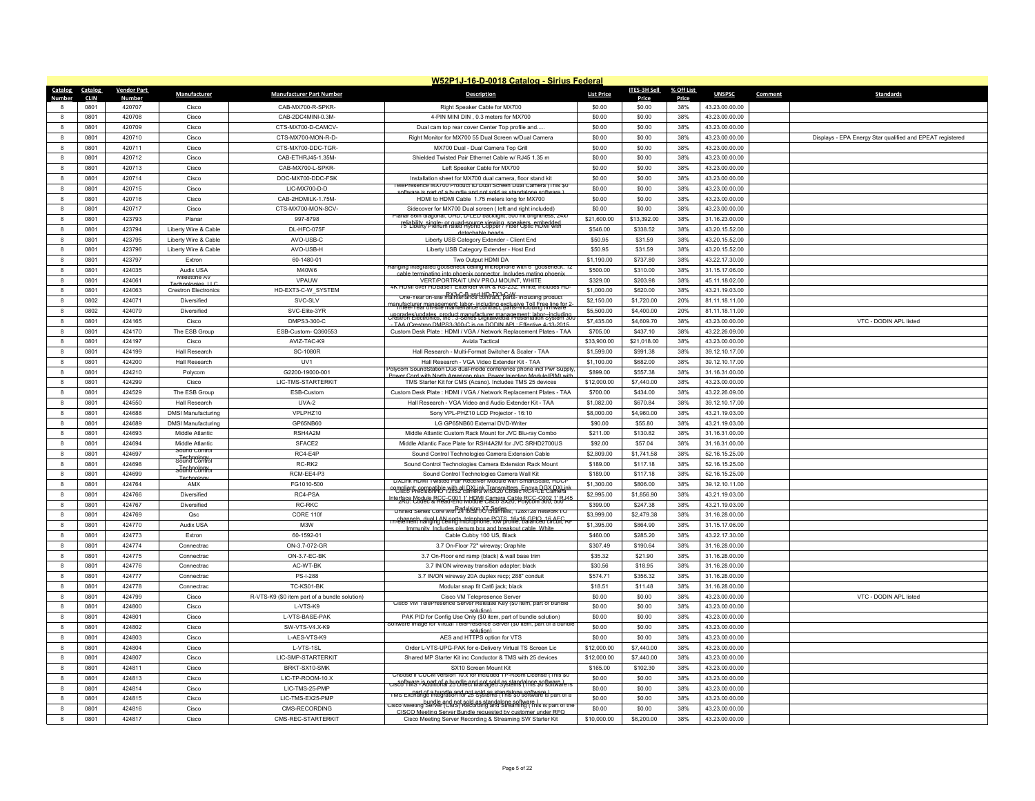|                   |                 |                    |                                  |                                               | W52P1J-16-D-0018 Catalog - Sirius Federal                                                                                                     |                        |                     |            |                                  |                                                           |
|-------------------|-----------------|--------------------|----------------------------------|-----------------------------------------------|-----------------------------------------------------------------------------------------------------------------------------------------------|------------------------|---------------------|------------|----------------------------------|-----------------------------------------------------------|
|                   | Catalog Catalog | <b>Vendor Part</b> | Manufacturer                     | <b>Manufacturer Part Number</b>               | <b>Description</b>                                                                                                                            | <b>List Price</b>      | <b>ITES-3H Sell</b> | % Off List | <b>UNSPSC</b>                    | Comment<br><b>Standards</b>                               |
| Number            | <b>CLIN</b>     | Numbe              |                                  |                                               |                                                                                                                                               |                        | Price               | Price      |                                  |                                                           |
|                   | 0801            | 420707             | Cisco                            | CAB-MX700-R-SPKR-                             | Right Speaker Cable for MX700                                                                                                                 | \$0.00                 | \$0.00              | 38%        | 43.23.00.00.00                   |                                                           |
| $\mathbf{R}$      | 0801            | 420708             | Cisco                            | CAB-2DC4MINI-0.3M-                            | 4-PIN MINI DIN, 0.3 meters for MX700                                                                                                          | \$0.00                 | \$0.00              | 38%        | 43.23.00.00.00                   |                                                           |
| 8                 | 0801            | 420709             | Cisco                            | CTS-MX700-D-CAMCV-                            | Dual cam top rear cover Center Top profile and                                                                                                | \$0.00                 | \$0.00              | 38%        | 43.23.00.00.00                   |                                                           |
| $\mathbf{a}$      | 0801            | 420710             | Cisco                            | CTS-MX700-MON-R-D-                            | Right Monitor for MX700 55 Dual Screen w/Dual Camera                                                                                          | \$0.00                 | \$0.00              | 38%        | 43.23.00.00.00                   | Displays - EPA Energy Star qualified and EPEAT registered |
| $\mathbf{a}$      | 0801            | 420711             | Cisco                            | CTS-MX700-DDC-TGR-                            | MX700 Dual - Dual Camera Top Grill                                                                                                            | \$0.00                 | \$0.00              | 38%        | 43.23.00.00.00                   |                                                           |
| 8                 | 0801            | 420712             | Cisco                            | CAB-FTHR.I45-1.35M                            | Shielded Twisted Pair Ethernet Cable w/ RJ45 1.35 m                                                                                           | \$0.00                 | \$0.00              | 38%        | 43.23.00.00.00                   |                                                           |
| $\mathbf{a}$      | 0801            | 420713             | Cisco                            | CAB-MX700-L-SPKR-                             | Left Speaker Cable for MX700                                                                                                                  | \$0.00                 | \$0.00              | 38%        | 43.23.00.00.00                   |                                                           |
| $\mathbf{a}$      | 0801            | 420714             | Cisco                            | DOC-MX700-DDC-FSK                             | Installation sheet for MX700 dual camera, floor stand kit<br>elePresence MX/00 Product ID Dual Screen Dual Camera (This \$0                   | \$0.00                 | \$0.00              | 38%        | 43.23.00.00.00                   |                                                           |
| 8                 | 0801            | 420715             | Cisco                            | LIC-MX700-D-D                                 | e is part of a bundle and not sold as standalone so                                                                                           | \$0.00                 | \$0.00              | 38%        | 43.23.00.00.00                   |                                                           |
| $\mathbf{a}$      | 0801            | 420716             | Cisco                            | CAB-2HDMILK-1.75M                             | HDMI to HDMI Cable 1.75 meters long for MX700                                                                                                 | \$0.00                 | \$0.00              | 38%        | 43.23.00.00.00                   |                                                           |
| $\mathbf{a}$      | 0801            | 420717             | Cisco                            | CTS-MX700-MON-SCV-                            | Sidecover for MX700 Dual screen ( left and right included)<br>Planar 86in diagonal, UHD, D-LED backlight, 500 nit brightness, 24x7            | \$0.00                 | \$0.00              | 38%        | 43.23.00.00.00                   |                                                           |
| 8                 | 0801            | 423793             | Planar                           | 997-8798                                      | reliability single- or quad-source viewing speakers embedded                                                                                  | \$21,600.00            | \$13,392.00         | 38%        | 31.16.23.00.00                   |                                                           |
| $\mathbf{a}$      | 0801            | 423794             | Liberty Wire & Cable             | DL-HFC-075F                                   | detachable heads                                                                                                                              | \$546.00               | \$338.52            | 38%        | 43.20.15.52.00                   |                                                           |
| $\mathbf{a}$      | 0801            | 423795             | Liberty Wire & Cable             | AVO-USB-C                                     | Liberty USB Category Extender - Client End                                                                                                    | \$50.95                | \$31.59             | 38%        | 43.20.15.52.00                   |                                                           |
| 8                 | 0801            | 423796             | Liberty Wire & Cable             | AVO-USB-H                                     | Liberty USB Category Extender - Host End                                                                                                      | \$50.95                | \$31.59             | 38%        | 43.20.15.52.00                   |                                                           |
| $\mathbf{a}$      | 0801            | 423797             | Extron                           | 60-1480-01                                    | Two Output HDMI DA<br>Hanging integrated gooseneck ceiling microphone with 6" gooseneck. 12                                                   | \$1,190.00             | \$737.80            | 38%        | 43.22.17.30.00                   |                                                           |
| $\mathbf{a}$      | 0801            | 424035             | Audix USA<br>Milestone AV        | M40W6                                         | ninating into phoenix con<br>ector Includes r                                                                                                 | \$500.00               | \$310.00            | 38%        | 31.15.17.06.00                   |                                                           |
| 8                 | 0801            | 424061             | Technologies 110                 | VPAUW                                         | VERT/PORTRAIT UNV PROJ MOUNT, WHITE<br>4K HDMLover HDBase LExtender w/IR & RS-232, White: includes HD                                         | \$329.00               | \$203.98            | 38%        | 45.11.18.02.00                   |                                                           |
| $\mathbf{a}$      | 0801            | 424063             | <b>Crestron Electronics</b>      | HD-EXT3-C-W_SYSTEM                            | RX3-C-B and HD-TX3-C-W<br>One-Year on-site maintenance contract, parts- including product                                                     | \$1,000.00             | \$620.00            | 38%        | 43.21.19.03.00                   |                                                           |
| 8                 | 0802            | 424071             | Diversified                      | SVC-SLV                                       | manufacturer management: labor-including exclusive Toll Free line for 2                                                                       | \$2,150.00             | \$1,720.00          | 20%        | 81.11.18.11.00                   |                                                           |
| 8                 | 0802            | 424079             | Diversified                      | SVC-Elite-3YR                                 | ungrades/undates_product_manufacturer_management_labor_including<br>Crestron Electronics, Inc : 3-Series DigitalMedia Presentation System 300 | \$5,500.00             | \$4,400.00          | 20%        | 81.11.18.11.00                   |                                                           |
| $\mathbf{a}$      | 0801            | 424165             | Cisco                            | DMPS3-300-C                                   | TAA (Crestron DMPS3-300-C is on DODIN API : Effective 4-13-2015                                                                               | \$7,435.00             | \$4,609.70          | 38%        | 43.23.00.00.00                   | VTC - DODIN API listed                                    |
| 8                 | 0801            | 424170             | The ESB Group                    | FSB-Custom-0360553                            | Custom Desk Plate : HDMI / VGA / Network Replacement Plates - TAA                                                                             | \$705.00               | \$437.10            | 38%        | 43.22.26.09.00                   |                                                           |
| $\mathbf{a}$      | 0801            | 424197             | Cisco                            | AVIZ-TAC-K9                                   | Avizia Tactical                                                                                                                               | \$33,900.00            | \$21,018.00         | 38%        | 43.23.00.00.00                   |                                                           |
| 8                 | 0801            | 424199             | Hall Research                    | <b>SC-1080R</b>                               | Hall Research - Multi-Format Switcher & Scaler - TAA                                                                                          | \$1,599.00             | \$991.38            | 38%        | 39.12.10.17.00                   |                                                           |
| 8                 | 0801            | 424200             | <b>Hall Research</b>             | LJV1                                          | Hall Research - VGA Video Extender Kit - TAA<br>olvcom SoundStation Duo dual-mode conference phone incl Pwr Supply                            | \$1,100.00             | \$682.00            | 38%        | 39.12.10.17.00                   |                                                           |
| $\mathbf{a}$      | 0801            | 424210             | Polycom                          | G2200-19000-001                               | Cord with North American plug Power Injection Module(PIM)                                                                                     | \$899.00               | \$557.38            | 38%        | 31.16.31.00.00                   |                                                           |
| 8                 | 0801            | 424299             | Cisco                            | LIC-TMS-STARTERKIT                            | TMS Starter Kit for CMS (Acano). Includes TMS 25 devices                                                                                      | \$12,000.00            | \$7,440.00          | 38%        | 43.23.00.00.00                   |                                                           |
| 8                 | 0801            | 424529             | The ESB Group                    | ESB-Custom                                    | Custom Desk Plate: HDMI / VGA / Network Replacement Plates - TAA                                                                              | \$700.00               | \$434.00            | 38%        | 43.22.26.09.00                   |                                                           |
| $\mathbf{R}$      | 0801            | 424550             | Hall Research                    | UVA-2                                         | Hall Research - VGA Video and Audio Extender Kit - TAA                                                                                        | \$1,082.00             | \$670.84            | 38%        | 39.12.10.17.00                   |                                                           |
| $\mathbf{a}$      | 0801            | 424688             | <b>DMSI Manufacturing</b>        | VPLPHZ10                                      | Sony VPL-PHZ10 LCD Projector - 16:10                                                                                                          | \$8,000.00             | \$4,960.00          | 38%        | 43.21.19.03.00                   |                                                           |
| 8                 | 0801            | 424689             | <b>DMSI Manufacturing</b>        | GP65NB60                                      | LG GP65NB60 External DVD-Writer                                                                                                               | \$90.00                | \$55.80             | 38%        | 43.21.19.03.00                   |                                                           |
| $\mathbf{a}$      | 0801            | 424693             | Middle Atlantic                  | RSH4A2M                                       | Middle Atlantic Custom Rack Mount for JVC Blu-ray Combo                                                                                       | \$211.00               | \$130.82            | 38%        | 31.16.31.00.00                   |                                                           |
| $\mathbf{a}$      | 0801            | 424694             | Middle Atlantic<br>Sound Control | SFACE2                                        | Middle Atlantic Face Plate for RSH4A2M for JVC SRHD2700US                                                                                     | \$92.00                | \$57.04             | 38%        | 31.16.31.00.00                   |                                                           |
| 8                 | 0801            | 424697             | s <del>Jungson Se</del>          | RC4-E4P                                       | Sound Control Technologies Camera Extension Cable                                                                                             | \$2,809.00             | \$1,741.58          | 38%        | 52.16.15.25.00                   |                                                           |
| $\mathbf{a}$      | 0801            | 424698             | sofina Contro                    | RC-RK2                                        | Sound Control Technologies Camera Extension Rack Mount                                                                                        | \$189.00               | \$117.18            | 38%        | 52.16.15.25.00                   |                                                           |
| $\mathbf{a}$      | 0801            | 424699             | Technolo                         | RCM-EE4-P3                                    | Sound Control Technologies Camera Wall Kit<br>DXLink HDML Lwisted Pair Receiver Module with SmartScale, HDCI                                  | \$189.00               | \$117.18            | 38%        | 52.16.15.25.00                   |                                                           |
| 8                 | 0801            | 424764             | AMX                              | FG1010-500                                    | compliant: compatible.with all DXLink Transmitters. Enoya DCX DXLink<br>"Cisco PrecisionHD 12x52 camera w/SX20 Codec RC4-CE Camera            | \$1,300.00             | \$806.00            | 38%        | 39.12.10.11.00                   |                                                           |
| $\mathbf{a}$      | 0801            | 424766             | Diversified                      | RC4-PSA                                       | terface Module RCC-C001 1' HDMLCamera Cable RCC-C002 1' RJ45                                                                                  | \$2,995.00             | \$1,856.90          | 38%        | 43.21.19.03.00                   |                                                           |
| 8                 | 0801            | 424767             | Diversified                      | RC-RKC                                        | Unified Series Core with 24 local I/O channels, 128x128 network I/O                                                                           | \$399.00               | \$247.38            | 38%        | 43.21.19.03.00                   |                                                           |
| $\mathbf{a}$      | 0801            | 424769             | Qsc                              | CORE 110f                                     | channels, dual LAN norts, telephone, POTS, 16x16 GPIO, 16 AFC RF.<br>In-element hanging ceiling microphone, low profile, balanced circuit, RF | \$3,999.00             | \$2,479.38          | 38%        | 31.16.28.00.00                   |                                                           |
| 8                 | 0801<br>0801    | 424770<br>424773   | Audix USA                        | M3W<br>60-1592-01                             | Immunity, Includes plenum hox and breakout cable. White                                                                                       | \$1,395.00<br>\$460.00 | \$864.90            | 38%<br>38% | 31.15.17.06.00                   |                                                           |
| 8<br>$\mathbf{a}$ |                 |                    | <b>Fxtron</b>                    |                                               | Cable Cubby 100 US, Black                                                                                                                     |                        | \$285.20            |            | 43.22.17.30.00                   |                                                           |
|                   | 0801            | 424774             | Connectrad                       | ON-3.7-072-GR                                 | 3.7 On-Floor 72" wireway; Graphite                                                                                                            | \$307.49               | \$190.64            | 38%        | 31.16.28.00.00                   |                                                           |
| 8                 | 0801            | 424775             | Connectrad                       | ON-3.7-EC-BK                                  | 3.7 On-Floor end ramp (black) & wall base trim                                                                                                | \$35.32                | \$21.90             | 38%        | 31.16.28.00.00                   |                                                           |
| 8<br>8            | 0801<br>0801    | 424776<br>424777   | Connectra<br>Connectrad          | AC-WT-BK<br>PS-I-288                          | 3.7 IN/ON wireway transition adapter; black<br>3.7 IN/ON wireway 20A duplex recp; 288" conduit                                                | \$30.56<br>\$574.71    | \$18.95<br>\$356.32 | 38%<br>38% | 31.16.28.00.00<br>31.16.28.00.00 |                                                           |
| 8                 | 0801            | 424778             | Connectrac                       | TC-KS01-BK                                    | Modular snap fit Cat6 jack; black                                                                                                             | \$18.51                | \$11.48             | 38%        | 31.16.28.00.00                   |                                                           |
| 8                 | 0801            | 424799             | Cisco                            | R-VTS-K9 (\$0 item part of a bundle solution) | Cisco VM Telepresence Server                                                                                                                  | \$0.00                 | \$0.00              | 38%        | 43.23.00.00.00                   | VTC - DODIN APL listed                                    |
| 8                 | 0801            | 424800             | Cisco                            | I-VTS-K9                                      | resence Server Release Key (\$0 item, part of bundle                                                                                          | \$0.00                 | \$0.00              | 38%        | 43.23.00.00.00                   |                                                           |
| 8                 | 0801            | 424801             | Cisco                            | L-VTS-BASE-PAK                                | PAK PID for Config Use Only (\$0 item, part of bundle solution)                                                                               | \$0.00                 | \$0.00              | 38%        | 43.23.00.00.00                   |                                                           |
| 8                 | 0801            | 424802             | Cisco                            | SW-VTS-V4.X-K9                                | oftware Image for Virtual TelePresence Server (\$0 item, part of a bundle                                                                     | \$0.00                 | \$0.00              | 38%        | 43.23.00.00.00                   |                                                           |
| 8                 | 0801            | 424803             | Cisco                            | L-AES-VTS-K9                                  | AES and HTTPS option for VTS                                                                                                                  | \$0.00                 | \$0.00              | 38%        | 43.23.00.00.00                   |                                                           |
| 8                 | 0801            | 424804             | Cisco                            | L-VTS-1SL                                     | Order L-VTS-UPG-PAK for e-Delivery Virtual TS Screen Lic                                                                                      | \$12,000.00            | \$7,440.00          | 38%        | 43.23.00.00.00                   |                                                           |
| 8                 | 0801            | 424807             | Cisco                            | LIC-SMP-STARTERKIT                            | Shared MP Starter Kit inc Conductor & TMS with 25 devices                                                                                     | \$12,000.00            | \$7,440.00          | 38%        | 43.23.00.00.00                   |                                                           |
| $\mathbf{a}$      | 0801            | 424811             | Cisco                            | BRKT-SX10-SMK                                 | SX10 Screen Mount Kit                                                                                                                         | \$165.00               | \$102.30            | 38%        | 43.23.00.00.00                   |                                                           |
| 8                 | 0801            | 424813             | Cisco                            | LIC-TP-ROOM-10.X                              | Choose if CUCM version 10.x for included TP-Room License (This \$0                                                                            | \$0.00                 | \$0.00              | 38%        | 43.23.00.00.00                   |                                                           |
| 8                 | 0801            | 424814             | Cisco                            | LIC-TMS-25-PMP                                | software is part of a bundle and not sold as standalone software )<br>Cisco TMS - Additional 25 Direct Managed Systems (This \$0 software is  | \$0.00                 | \$0.00              | 38%        | 43.23.00.00.00                   |                                                           |
| 8                 | 0801            | 424815             | Cisco                            | LIC-TMS-EX25-PMP                              | nart of a bundle and not sold as standalone software )<br>TMS Exchange integration for 25 Systems (This \$0 software is part of a             | \$0.00                 | \$0.00              | 38%        | 43.23.00.00.00                   |                                                           |
| 8                 | 0801            | 424816             | Cisco                            | CMS-RECORDING                                 | hundle and not sold as standalone software.)<br>Sisco Meeting Server (CMS) Recording and Streaming (This is part of the                       | \$0.00                 | \$0.00              | 38%        | 43.23.00.00.00                   |                                                           |
| $\mathbf{a}$      | 0801            | 424817             | Cisco                            | CMS-REC-STARTERKIT                            | CISCO Meeting Server Bundle requested by customer under REO<br>Cisco Meeting Server Recording & Streaming SW Starter Kit                      | \$10,000.00            | \$6,200.00          | 38%        | 43.23.00.00.00                   |                                                           |
|                   |                 |                    |                                  |                                               |                                                                                                                                               |                        |                     |            |                                  |                                                           |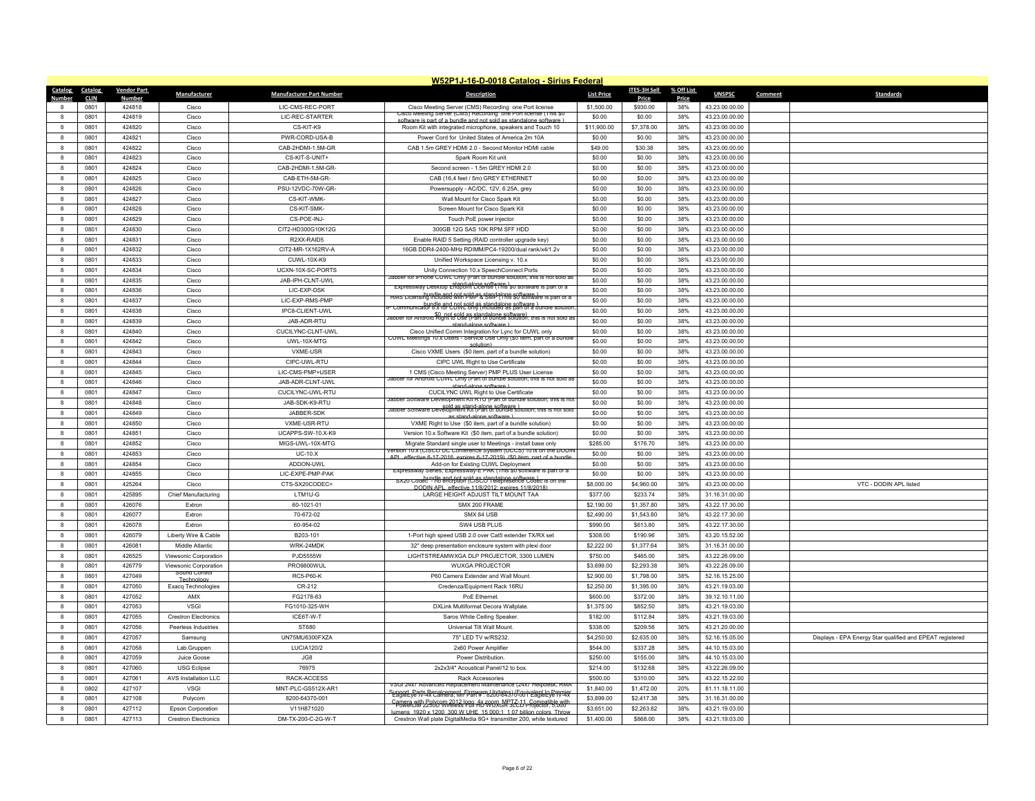|                   |             |                    |                             |                                 | W52P1J-16-D-0018 Catalog - Sirius Federal                                                                                                |                   |              |            |                                  |                                                           |
|-------------------|-------------|--------------------|-----------------------------|---------------------------------|------------------------------------------------------------------------------------------------------------------------------------------|-------------------|--------------|------------|----------------------------------|-----------------------------------------------------------|
| Catalog           | Catalog     | <b>Vendor Part</b> | Manufacturer                | <b>Manufacturer Part Number</b> | <b>Description</b>                                                                                                                       | <b>List Price</b> | ITES-3H Sell | % Off List | <b>UNSPSC</b>                    | <b>Standards</b><br>Comment                               |
| Number            | <b>CLIN</b> | Number             |                             |                                 |                                                                                                                                          |                   | Price        | Price      |                                  |                                                           |
|                   | 0801        | 424818             | Cisco                       | LIC-CMS-REC-PORT                | Cisco Meeting Server (CMS) Recording one Port license<br>Cisco Meeting Server (CMS) Recording one Port license (This \$0                 | \$1,500.00        | \$930.00     | 38%        | 43.23.00.00.00                   |                                                           |
| $\mathbf{R}$      | 0801        | 424819             | Cisco                       | <b>I IC-REC-STARTER</b>         | enftware is nart of a hundle and not sold as standalone software                                                                         | \$0.00            | \$0.00       | 38%        | 43.23.00.00.00                   |                                                           |
| 8                 | 0801        | 424820             | Cisco                       | CS-KIT-K9                       | Room Kit with integrated microphone, speakers and Touch 10                                                                               | \$11,900.00       | \$7,378.00   | 38%        | 43.23.00.00.00                   |                                                           |
| 8                 | 0801        | 424821             | Cisco                       | PWR-CORD-USA-B                  | Power Cord for United States of America 2m 10A                                                                                           | \$0.00            | \$0.00       | 38%        | 43.23.00.00.00                   |                                                           |
| $\mathbf{R}$      | 0801        | 424822             | Cisco                       | CAB-2HDMI-1.5M-GR               | CAB 1.5m GREY HDMI 2.0 - Second Monitor HDMI cable                                                                                       | \$49.00           | \$30.38      | 38%        | 43.23.00.00.00                   |                                                           |
| 8                 | 0801        | 424823             | Cisco                       | CS-KIT-S-UNIT+                  | Spark Room Kit unit                                                                                                                      | \$0.00            | \$0.00       | 38%        | 43.23.00.00.00                   |                                                           |
| 8                 | 0801        | 424824             | Cisco                       | CAB-2HDMI-1.5M-GR-              | Second screen - 1.5m GREY HDMI 2.0                                                                                                       | \$0.00            | \$0.00       | 38%        | 43.23.00.00.00                   |                                                           |
| 8                 | 0801        | 424825             | Cisco                       | CAB-ETH-5M-GR-                  | CAB (16,4 feet / 5m) GREY ETHERNET                                                                                                       | \$0.00            | \$0.00       | 38%        | 43.23.00.00.00                   |                                                           |
| 8                 | 0801        | 424826             | Cisco                       | PSU-12VDC-70W-GR-               | Powersupply - AC/DC, 12V, 6.25A, grey                                                                                                    | \$0.00            | \$0.00       | 38%        | 43.23.00.00.00                   |                                                           |
| $\mathbf{a}$      | 0801        | 424827             | Cisco                       | CS-KIT-WMK-                     | Wall Mount for Cisco Spark Kit                                                                                                           | \$0.00            | \$0.00       | 38%        | 43.23.00.00.00                   |                                                           |
| 8                 | 0801        | 424828             | Cisco                       | CS-KIT-SMK-                     | Screen Mount for Cisco Spark Kit                                                                                                         | \$0.00            | \$0.00       | 38%        | 43.23.00.00.00                   |                                                           |
| 8                 | 0801        | 424829             | Cisco                       | CS-POE-INJ-                     | Touch PoE power injector                                                                                                                 | \$0.00            | \$0.00       | 38%        | 43.23.00.00.00                   |                                                           |
| $\mathbf{a}$      | 0801        | 424830             | Cisco                       | CIT2-HD300G10K12G               | 300GB 12G SAS 10K RPM SFF HDD                                                                                                            | \$0.00            | \$0.00       | 38%        | 43.23.00.00.00                   |                                                           |
|                   | 0801        | 424831             | Cisco                       | R2XX-RAID5                      | Enable RAID 5 Setting (RAID controller upgrade key)                                                                                      | \$0.00            | \$0.00       | 38%        | 43.23.00.00.00                   |                                                           |
| 8                 | 0801        | 424832             | Cisco                       | CIT2-MR-1X162RV-A               | 16GB DDR4-2400-MHz RDIMM/PC4-19200/dual rank/x4/1.2v                                                                                     | \$0.00            | \$0.00       | 38%        | 43.23.00.00.00                   |                                                           |
| 8                 | 0801        | 424833             | Cisco                       | CUWL-10X-K9                     | Unified Workspace Licensing v. 10.x                                                                                                      | \$0.00            | \$0.00       | 38%        | 43.23.00.00.00                   |                                                           |
|                   | 0801        | 424834             | Cisco                       | UCXN-10X-SC-PORTS               | Unity Connection 10.x SpeechConnect Ports                                                                                                | \$0.00            | \$0.00       | 38%        | 43.23.00.00.00                   |                                                           |
| 8                 | 0801        | 424835             | Cisco                       | JAB-IPH-CLNT-UWL                | Jabber for iPhone CUWL Only (Part of bundle solution: this is not sold as                                                                | \$0.00            | \$0.00       | 38%        | 43.23.00.00.00                   |                                                           |
| $\mathbf{R}$      | 0801        | 424836             | Cisco                       | LIC-EXP-DSK                     | stand-alone software )<br>Expressway Desktop Endpoint License (This \$0 software is part of a                                            | \$0.00            | \$0.00       | 38%        | 43.23.00.00.00                   |                                                           |
| 8                 | 0801        | 424837             | Cisco                       | LIC-EXP-RMS-PMP                 | bundle and not spid as standalone software )<br>RMS Licensing included with PMP & SMP (This \$0 software is part of a                    | \$0.00            | \$0.00       | 38%        | 43.23.00.00.00                   |                                                           |
| 8                 | 0801        | 424838             | Cisco                       | IPC8-CLIENT-UWL                 | munical8i/19.khaPC.000 E9khp?inteludalogs saftware } سمتنا المستحدة المستحدة                                                             | \$0.00            | \$0.00       | 38%        | 43.23.00.00.00                   |                                                           |
| $\mathbf{R}$      | 0801        | 424839             | Cisco                       | JAB-ADR-RTU                     | sfl_pot_sold_as_standalone_software) abber for Android Right to Use (Part of bundle solution; this is not sold as                        | \$0.00            | \$0.00       | 38%        | 43.23.00.00.00                   |                                                           |
|                   | 0801        | 424840             | Cisco                       | CUCILYNC-CLNT-UWL               | stand-alone software )<br>Cisco Unified Comm Integration for Lync for CUWL only                                                          | \$0.00            | \$0.00       | 38%        | 43.23.00.00.00                   |                                                           |
| 8                 | 0801        | 424842             | Cisco                       | UWL-10X-MTG                     | CUWL Meetings 10.x Users - Service Use Only (\$0 item, part of a bundle                                                                  | \$0.00            | \$0.00       | 38%        | 43.23.00.00.00                   |                                                           |
| 8                 | 0801        | 424843             | Cisco                       | VXME-USR                        | solution)<br>Cisco VXME Users (\$0 item, part of a bundle solution)                                                                      | \$0.00            | \$0.00       | 38%        | 43.23.00.00.00                   |                                                           |
|                   | 0801        | 424844             |                             | CIPC-UWL-RTU                    |                                                                                                                                          | \$0.00            |              | 38%        | 43.23.00.00.00                   |                                                           |
| 8<br>8            | 0801        | 424845             | Cisco<br>Cisco              | LIC-CMS-PMP+USER                | CIPC UWL Right to Use Certificate                                                                                                        |                   | \$0.00       | 38%        |                                  |                                                           |
|                   |             |                    |                             |                                 | 1 CMS (Cisco Meeting Server) PMP PLUS User License<br>Jabber for Android CUWL Only (Part of bundle solution; this is not sold as         | \$0.00            | \$0.00       |            | 43.23.00.00.00                   |                                                           |
| 8                 | 0801        | 424846             | Cisco                       | JAB-ADR-CLNT-UWL                | stand-alone software )                                                                                                                   | \$0.00            | \$0.00       | 38%        | 43.23.00.00.00                   |                                                           |
| 8                 | 0801        | 424847             | Cisco                       | CUCILYNC-UWL-RTU                | CUCILYNC UWL Right to Use Certificate<br>Jabber Software Development Kit RTU (Part of bundle solution; this is no                        | \$0.00            | \$0.00       | 38%        | 43.23.00.00.00                   |                                                           |
| $\mathbf{R}$      | 0801        | 424848             | Cisco                       | JAB-SDK-K9-RTU                  | Jabber Software Development Rit (Part of bundle solution; this is not sold                                                               | \$0.00            | \$0.00       | 38%        | 43.23.00.00.00                   |                                                           |
|                   | 0801        | 424849             | Cisco                       | JABBER-SDK                      | as stand-alone software )                                                                                                                | \$0.00            | \$0.00       | 38%        | 43.23.00.00.00                   |                                                           |
| $\mathbf{a}$      | 0801        | 424850             | Cisco                       | VXMF-USR-RTU                    | VXME Right to Use (\$0 item, part of a bundle solution)                                                                                  | \$0.00            | \$0.00       | 38%        | 43 23 00 00 00                   |                                                           |
| $\mathbf{R}$      | 0801        | 424851             | Cisco                       | UCAPPS-SW-10.X-K9               | Version 10.x Software Kit (\$0 item, part of a bundle solution)                                                                          | \$0.00            | \$0.00       | 38%        | 43.23.00.00.00                   |                                                           |
| $\mathbf{a}$      | 0801        | 424852             | Cisco                       | MIGS-UWL-10X-MTG                | Migrate Standard single user to Meetings - install base only<br>version 10.x (CISCO UC Conference System (UCCS) 10 is on the DODIN       | \$285.00          | \$176.70     | 38%        | 43.23.00.00.00                   |                                                           |
| 8                 | 0801        | 424853             | Cisco                       | $UC-10.X$                       | APL effective 6-17-2016, expires 6-17-2019) (\$0 item part of a bund                                                                     | \$0.00            | \$0.00       | 38%        | 43.23.00.00.00                   |                                                           |
| $\mathbf{R}$      | 0801        | 424854             | Cisco                       | ADDON-UWL                       | Add-on for Existing CUWL Deployment<br>Expressway Series, Expressway-E PAK (This \$0 software is part of a                               | \$0.00            | \$0.00       | 38%        | 43.23.00.00.00                   |                                                           |
| $\mathbf{a}$      | 0801        | 424855             | Cisco                       | LIC-EXPE-PMP-PAK                | sxzu codec - no encrption (CiSCO Telepresence Codec is on the                                                                            | \$0.00            | \$0.00       | 38%        | 43.23.00.00.00                   |                                                           |
| 8                 | 0801        | 425264             | Cisco                       | CTS-SX20CODEC=                  | DODIN API effective 11/8/2012; expires 11/8/2018)                                                                                        | \$8,000.00        | \$4,960.00   | 38%        | 43.23.00.00.00                   | VTC - DODIN APL listed                                    |
| $\mathbf{R}$      | 0801        | 425895             | <b>Chief Manufacturing</b>  | LTM1U-G                         | LARGE HEIGHT ADJUST TILT MOUNT TAA                                                                                                       | \$377.00          | \$233.74     | 38%        | 31.16.31.00.00                   |                                                           |
| 8                 | 0801        | 426076             | <b>Extron</b>               | 60-1021-01                      | SMX 200 FRAME                                                                                                                            | \$2,190.00        | \$1,357.80   | 38%        | 43.22.17.30.00                   |                                                           |
| $\mathbf{a}$      | 0801        | 426077             | Extron                      | 70-672-02                       | SMX 84 USB                                                                                                                               | \$2,490.00        | \$1,543.80   | 38%        | 43.22.17.30.00                   |                                                           |
| $\mathbf{a}$      | 0801        | 426078             | Extron                      | 60-954-02                       | SW4 USB PLUS                                                                                                                             | \$990.00          | \$613.80     | 38%        | 43.22.17.30.00                   |                                                           |
| 8                 | 0801        | 426079             | Liberty Wire & Cable        | B203-101                        | 1-Port high speed USB 2.0 over Cat5 extender TX/RX set                                                                                   | \$308.00          | \$190.96     | 38%        | 43.20.15.52.00                   |                                                           |
| $\mathbf{a}$      | 0801        | 426081             | Middle Atlantic             | WRK-24MDK                       | 32" deep presentation enclosure system with plexi door                                                                                   | \$2,222.00        | \$1,377.64   | 38%        | 31.16.31.00.00                   |                                                           |
|                   | 0801        | 426525             | Viewsonic Corporation       | PJD5555W                        | LIGHTSTREAMWXGA DLP PROJECTOR, 3300 LUMEN                                                                                                | \$750.00          | \$465.00     | 38%        | 43.22.26.09.00                   |                                                           |
| 8                 | 0801        | 426779             | Viewsonic Corporation       | <b>PRO9800WUI</b>               | <b>WUXGA PROJECTOR</b>                                                                                                                   | \$3,699.00        | \$2,293.38   | 38%        | 43.22.26.09.00                   |                                                           |
| $\mathbf{a}$      | 0801        | 427049             | Sound Control<br>Technology | <b>RC5-P60-K</b>                | P60 Camera Extender and Wall Mount.                                                                                                      | \$2,900.00        | \$1,798.00   | 38%        | 52.16.15.25.00                   |                                                           |
| 8                 | 0801        | 427050             | Exacq Technologies          | CR-212                          | Credenza/Equipment Rack 16RU                                                                                                             | \$2,250.00        | \$1,395.00   | 38%        | 43.21.19.03.00                   |                                                           |
| 8                 | 0801        | 427052             | AMX                         | FG2178-63                       | PoE Ethernet                                                                                                                             | \$600.00          | \$372.00     | 38%        | 39.12.10.11.00                   |                                                           |
| $\mathbf{R}$      | 0801        | 427053             | VSGI                        | FG1010-325-WH                   | DXLink Multiformat Decora Wallplate.                                                                                                     | \$1,375.00        | \$852.50     | 38%        | 43.21.19.03.00                   |                                                           |
| 8                 | 0801        | 427055             | <b>Crestron Electronics</b> | ICE6T-W-T                       | Saros White Ceiling Speaker                                                                                                              | \$182.00          | \$112.84     | 38%        | 43.21.19.03.00                   |                                                           |
| 8                 | 0801        | 427056             | Peerless Industries         | ST680                           | Universal Tilt Wall Mount                                                                                                                | \$338.00          | \$209.56     | 38%        | 43.21.20.00.00                   |                                                           |
| 8                 | 0801        | 427057             | Samsung                     | UN75MU6300FXZA                  | 75" LED TV w/RS232.                                                                                                                      | \$4,250.00        | \$2,635.00   | 38%        | 52.16.15.05.00                   | Displays - EPA Energy Star qualified and EPEAT registered |
| 8                 | 0801        | 427058             | Lab.Gruppen                 | <b>LUCIA120/2</b>               | 2x60 Power Amplifier                                                                                                                     | \$544.00          | \$337.28     | 38%        | 44.10.15.03.00                   |                                                           |
| 8                 | 0801        | 427059             | Juice Goose                 | JG8                             | Power Distribution                                                                                                                       | \$250.00          | \$155.00     | 38%        | 44.10.15.03.00                   |                                                           |
| $\mathbf{R}$      | 0801        | 427060             | <b>USG Eclipse</b>          | 76975                           | 2x2x3/4" Acoustical Panel/12 to box.                                                                                                     | \$214.00          | \$132.68     | 38%        | 43.22.26.09.00                   |                                                           |
|                   | 0801        | 427061             | AVS Installation LLC        | RACK-ACCESS                     | <b>Rack Accessories</b>                                                                                                                  | \$500.00          | \$310.00     | 38%        | 43.22.15.22.00                   |                                                           |
| 8                 | 0802        | 427107             | <b>VSGI</b>                 | MNT-PLC-GS512X-AR1              | VSGi 24x/ Advanced Replacement Maintenance (24x/ Helpdesk, RMA                                                                           | \$1,840.00        | \$1,472.00   | 20%        | 81.11.18.11.00                   |                                                           |
|                   | 0801        | 427108             |                             | 8200-64370-001                  | Support_Parts Repalcement_Firmware Undates) (Fquivalent to Premier<br>_EagleEye IV-4x Camera; Mir Part # : 8200-64370-001 EagleEye IV-4x | \$3,899.00        | \$2,417.38   | 38%        |                                  |                                                           |
|                   | 0801        | 427112             | Polycom                     | V11H871020                      | Camera with Polycom 2012 logg 46 7009x MPT 2-11, Compatible with                                                                         | \$3,651.00        |              |            | 31.16.31.00.00<br>43.21.19.03.00 |                                                           |
| 8<br>$\mathbf{a}$ |             |                    | <b>Epson Corporation</b>    |                                 | umens 1920 x 1200 300 W LIHE 15,000:1 1.07 billion colors Throw                                                                          |                   | \$2,263.62   | 38%<br>38% |                                  |                                                           |
|                   | 0801        | 427113             | <b>Crestron Electronics</b> | DM-TX-200-C-2G-W-T              | Crestron Wall plate DigitalMedia 8G+ transmitter 200, white textured                                                                     | \$1,400.00        | \$868.00     |            | 43.21.19.03.00                   |                                                           |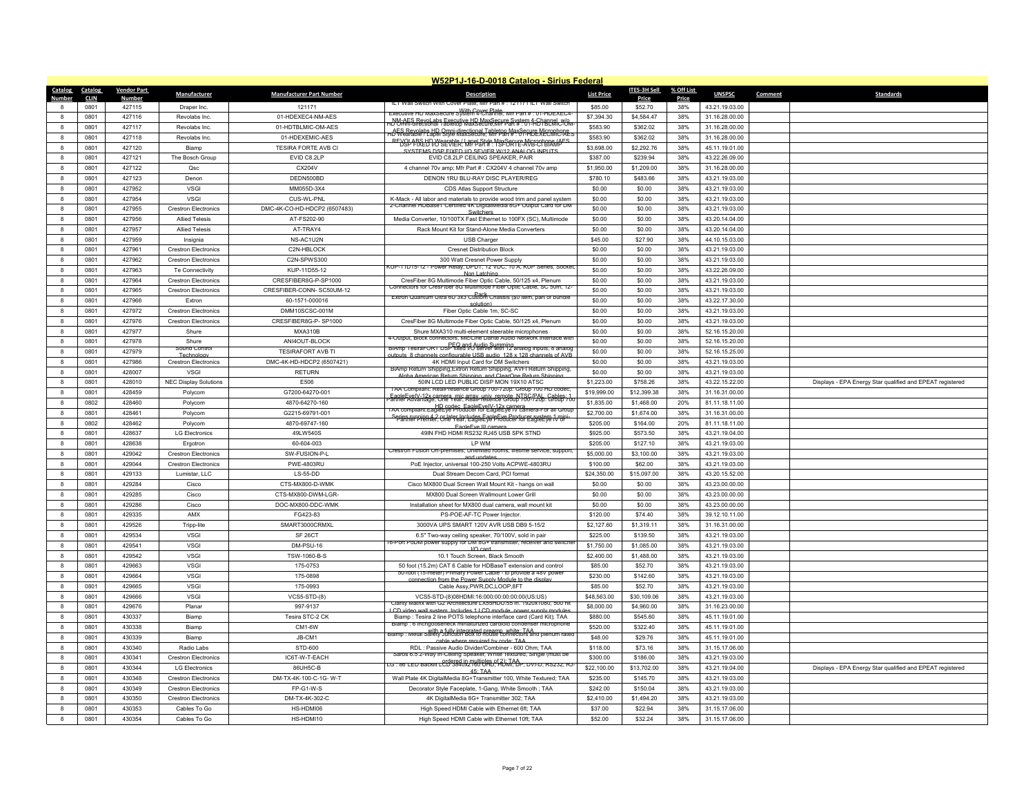|                   |             |                    |                              |                                 | W52P1J-16-D-0018 Catalog - Sirius Federal                                                                                                |                   |              |            |                |                                                           |
|-------------------|-------------|--------------------|------------------------------|---------------------------------|------------------------------------------------------------------------------------------------------------------------------------------|-------------------|--------------|------------|----------------|-----------------------------------------------------------|
| Catalog           | Catalog     | <b>Vendor Part</b> | <b>Manufacturer</b>          | <b>Manufacturer Part Number</b> | <b>Description</b>                                                                                                                       | <b>List Price</b> | ITES-3H Sell | % Off List | <b>UNSPSC</b>  | <b>Standards</b><br>Comment                               |
| Number            | <b>CLIN</b> | <u>Number</u>      |                              |                                 | ILT Wall Switch With Cover Plate:                                                                                                        |                   | Price        | Price      |                |                                                           |
| 8                 | 0801        | 427115             | Draper Inc.                  | 121171                          | With Cover Plate<br>Executive HD MaxSecure System 4-Channel; Mfr Part # : 01-HDEXEC4                                                     | \$85.00           | \$52.70      | 38%        | 43.21.19.03.00 |                                                           |
| $\mathbf{a}$      | 0801        | 427116             | Revolabs Inc.                | 01-HDEXEC4-NM-AES               | NM AES Revol abs Executive HD MaxSecure System 4rChannal بين                                                                             | \$7,394.30        | \$4,584.47   | 38%        | 31.16.28.00.00 |                                                           |
|                   | 0801        | 427117             | Revolabs Inc.                | 01-HDTBLMIC-OM-AES              | AES Revolabs HD Omni-directional Tableton MaxSecure Microphone<br>HD Wearable / Label Style MaxSecure: Mir Part # : 01-HDEXECMIC-AEs     | \$583.90          | \$362.02     | 38%        | 31.16.28.00.00 |                                                           |
| 8                 | 0801        | 427118             | Revolabs Inc.                | 01-HDEXEMIC-AES                 | <b>REYSLARS UT Wearthley, Langl Style MaxSecript Avergehene (AFS)</b>                                                                    | \$583.90          | \$362.02     | 38%        | 31.16.28.00.00 |                                                           |
| $\mathbf{a}$      | 0801        | 427120             | Biamp                        | TESIRA FORTE AVB CI             | SYSTEMS DSP FIXED I/O SEVIER W/12 ANALOG INPLITS                                                                                         | \$3,698.00        | \$2,292.76   | 38%        | 45.11.19.01.00 |                                                           |
| 8                 | 0801        | 427121             | The Bosch Group              | EVID C8.2LP                     | EVID C8.2LP CEILING SPEAKER, PAIR                                                                                                        | \$387.00          | \$239.94     | 38%        | 43.22.26.09.00 |                                                           |
| 8                 | 0801        | 427122             | Qsc                          | CX204V                          | 4 channel 70v amp; Mfr Part #: CX204V 4 channel 70v amp                                                                                  | \$1,950.00        | \$1,209.00   | 38%        | 31.16.28.00.00 |                                                           |
| $\mathbf{a}$      | 0801        | 427123             | Denon                        | DEDN500BD                       | DENON 1RU BLU-RAY DISC PLAYER/REG                                                                                                        | \$780.10          | \$483.66     | 38%        | 43.21.19.03.00 |                                                           |
|                   | 0801        | 427952             | <b>VSGI</b>                  | MM055D-3X4                      | CDS Atlas Support Structure                                                                                                              | \$0.00            | \$0.00       | 38%        | 43.21.19.03.00 |                                                           |
| 8                 | 0801        | 427954             | <b>VSGI</b>                  | CUS-WL-PNL                      | K-Mack - All labor and materials to provide wood trim and panel system                                                                   | \$0.00            | \$0.00       | 38%        | 43.21.19.03.00 |                                                           |
| $\mathbf{a}$      | 0801        | 427955             | <b>Crestron Electronics</b>  | DMC-4K-CO-HD-HDCP2 (6507483)    | z-Channel HDBase I Certified 4K DigitalMedia 8G+ Output Card for DM                                                                      | \$0.00            | \$0.00       | 38%        | 43.21.19.03.00 |                                                           |
| 8                 | 0801        | 427956             | <b>Allied Telesis</b>        | AT-FS202-90                     | Media Converter, 10/100TX Fast Ethernet to 100FX (SC), Multimode                                                                         | \$0.00            | \$0.00       | 38%        | 43.20.14.04.00 |                                                           |
| 8                 | 0801        | 427957             | <b>Allied Telesis</b>        | AT-TRAY4                        | Rack Mount Kit for Stand-Alone Media Converters                                                                                          | \$0.00            | \$0.00       | 38%        | 43.20.14.04.00 |                                                           |
| 8                 | 0801        | 427959             | Insignia                     | NS-AC1U2N                       | USB Charger                                                                                                                              | \$45.00           | \$27.90      | 38%        | 44.10.15.03.00 |                                                           |
| 8                 | 0801        | 427961             | <b>Crestron Electronics</b>  | C2N-HBLOCK                      | <b>Cresnet Distribution Block</b>                                                                                                        | \$0.00            | \$0.00       | 38%        | 43.21.19.03.00 |                                                           |
| $\mathbf{a}$      | 0801        | 427962             | <b>Crestron Electronics</b>  | C2N-SPWS300                     | 300 Watt Cresnet Power Supply                                                                                                            | \$0.00            | \$0.00       | 38%        | 43.21.19.03.00 |                                                           |
| 8                 | 0801        | 427963             | Te Connectivity              | KUP-11D55-12                    | KUP-11D15-12 - Power Relay, DPDT, 12 VDC, 10 A, KUP Series, Socket                                                                       | \$0.00            | \$0.00       | 38%        | 43.22.26.09.00 |                                                           |
|                   | 0801        | 427964             |                              | CRESFIBER8G-P-SP1000            | Non Latching<br>CresFiber 8G Multimode Fiber Optic Cable, 50/125 x4, Plenum                                                              | \$0.00            | \$0.00       | 38%        | 43.21.19.03.00 |                                                           |
| 8<br>$\mathbf{a}$ |             |                    | <b>Crestron Electronics</b>  |                                 | Connectors for CresFiber 8G Multimode Fiber Optic Cable, SC 50m, 12                                                                      |                   |              |            |                |                                                           |
|                   | 0801        | 427965             | <b>Crestron Electronics</b>  | CRESFIBER-CONN-SC50UM-12        | Extron Quantum Ultra 6U 3x3 Custom Chassis (\$0 item, part of bundle                                                                     | \$0.00            | \$0.00       | 38%        | 43.21.19.03.00 |                                                           |
| 8                 | 0801        | 427966             | Extron                       | 60-1571-000016                  | solution)                                                                                                                                | \$0.00            | \$0.00       | 38%        | 43.22.17.30.00 |                                                           |
| 8                 | 0801        | 427972             | <b>Crestron Electronics</b>  | DMM10SCSC-001M                  | Fiber Optic Cable 1m, SC-SC                                                                                                              | \$0.00            | \$0.00       | 38%        | 43.21.19.03.00 |                                                           |
| $\mathbf{R}$      | 0801        | 427976             | <b>Crestron Flectronics</b>  | CRESFIBER8G-P-SP1000            | CresFiber 8G Multimode Fiber Optic Cable, 50/125 x4, Plenum                                                                              | \$0.00            | \$0.00       | 38%        | 43.21.19.03.00 |                                                           |
|                   | 0801        | 427977             | Shure                        | <b>MXA310B</b>                  | Shure MXA310 multi-element steerable microphones<br>4-Output, Block connectors, Mic/Line Dante Audio Network Interface wit               | \$0.00            | \$0.00       | 38%        | 52.16.15.20.00 |                                                           |
| 8                 | 0801        | 427978             | Shure                        | ANI4OUT-BLOCK                   | BIAmp_LesiraFORT_DSP_fixed I/O server with 12 analog inputs, 8 analog                                                                    | \$0.00            | \$0.00       | 38%        | 52.16.15.20.00 |                                                           |
| $\mathbf{R}$      | 0801        | 427979             | Sound Contr<br>Technology    | <b>TESIRAFORT AVB TI</b>        | nels configurable LISB audio 128 x 128 cha                                                                                               | \$0.00            | \$0.00       | 38%        | 52.16.15.25.00 |                                                           |
| 8                 | 0801        | 427986             | <b>Crestron Flectronics</b>  | DMC-4K-HD-HDCP2 (6507421)       | 4K HDMI Input Card for DM Switchers                                                                                                      | \$0.00            | \$0.00       | 38%        | 43.21.19.03.00 |                                                           |
| 8                 | 0801        | 428007             | <b>VSGI</b>                  | <b>RETURN</b>                   | BIAmp Return Shipping, Extron Return Shipping, AVFI Return Shipping<br>Alpha American Return Shinning, and ClearOne Return Shinning      | \$0.00            | \$0.00       | 38%        | 43.21.19.03.00 |                                                           |
| $\mathbf{R}$      | 0801        | 428010             | <b>NEC Display Solutions</b> | E506                            | 50IN LCD LED PUBLIC DISP MON 19X10 ATSC                                                                                                  | \$1,223.00        | \$758.26     | 38%        | 43.22.15.22.00 | Displays - EPA Energy Star qualified and EPEAT registered |
| 8                 | 0801        | 428459             | Polycom                      | G7200-64270-001                 | I AA Compliant: RealPresence Group 700-720p: Group 700 HD code                                                                           | \$19,999.00       | \$12,399.38  | 38%        | 31.16.31.00.00 |                                                           |
| $\mathbf{a}$      | 0802        | 428460             | Polycom                      | 4870-64270-160                  | FagleFyelV-12x camera, mic array univ, remote, NTSC/PAL, Cables, 1,<br>artner Advantage, One Year, RealPresence Group 700-720p: Group 70 | \$1,835.00        | \$1,468.00   | 20%        | 81.11.18.11.00 |                                                           |
| 8                 | 0801        | 428461             | Polycom                      | G2215-69791-001                 | TAA compliant:EagleEyeTProducer for EagleEyeTV camera-For all Group                                                                      | \$2,700.00        | \$1,674.00   | 38%        | 31.16.31.00.00 |                                                           |
| 8                 | 0802        | 428462             | Polycom                      | 4870-69747-160                  | Series rupping 4.2 or later Includes EagleEye Producer system 1 min<br>Partner Premier, One Year, EagleEye Producer for EagleEye IV or   | \$205.00          | \$164.00     | 20%        | 81.11.18.11.00 |                                                           |
| $\mathbf{a}$      | 0801        | 428637             | <b>LG Electronics</b>        | 49LW540S                        | FagleFye III camera<br>49IN FHD HDMI RS232 RJ45 USB SPK STND                                                                             | \$925.00          | \$573.50     | 38%        | 43.21.19.04.00 |                                                           |
| 8                 | 0801        | 428638             | Ergotron                     | 60-604-003                      | <b>IPWM</b>                                                                                                                              | \$205.00          | \$127.10     | 38%        | 43.21.19.03.00 |                                                           |
| 8                 | 0801        | 429042             | <b>Crestron Electronics</b>  | SW-FUSION-P-L                   | Crestron Fusion On-premises; Unlimited rooms; lifetime service, support,                                                                 | \$5,000.00        | \$3,100.00   | 38%        | 43.21.19.03.00 |                                                           |
| $\mathbf{a}$      | 0801        | 429044             | <b>Crestron Electronics</b>  | PWE-4803RU                      | and undate<br>PoE Injector, universal 100-250 Volts ACPWE-4803RU                                                                         | \$100.00          | \$62.00      | 38%        | 43.21.19.03.00 |                                                           |
| 8                 | 0801        | 429133             | Lumistar, LLC                | <b>LS-55-DD</b>                 | Dual Stream Decom Card, PCI format                                                                                                       | \$24,350.00       | \$15,097.00  | 38%        | 43.20.15.52.00 |                                                           |
| 8                 | 0801        | 429284             | Cisco                        | CTS-MX800-D-WMK                 |                                                                                                                                          | \$0.00            |              | 38%        | 43.23.00.00.00 |                                                           |
| 8                 | 0801        | 429285             | Cisco                        | CTS-MX800-DWM-LGR-              | Cisco MX800 Dual Screen Wall Mount Kit - hangs on wall                                                                                   | \$0.00            | \$0.00       | 38%        |                |                                                           |
|                   |             |                    |                              |                                 | MX800 Dual Screen Wallmount Lower Grill                                                                                                  |                   | \$0.00       |            | 43.23.00.00.00 |                                                           |
| 8                 | 0801        | 429286             | Cisco                        | DOC-MX800-DDC-WMK               | Installation sheet for MX800 dual camera, wall mount kit                                                                                 | \$0.00            | \$0.00       | 38%        | 43.23.00.00.00 |                                                           |
|                   | 0801        | 429335             | AMX                          | FG423-83                        | PS-POE-AF-TC Power Injector                                                                                                              | \$120.00          | \$74.40      | 38%        | 39.12.10.11.00 |                                                           |
| 8                 | 0801        | 429526             | Tripp-lite                   | SMART3000CRMXL                  | 3000VA UPS SMART 120V AVR USB DB9 5-15/2                                                                                                 | \$2,127.60        | \$1,319.11   | 38%        | 31.16.31.00.00 |                                                           |
| 8                 | 0801        | 429534             | <b>VSGI</b>                  | SF <sub>26</sub> CT             | 6.5" Two-way ceiling speaker, 70/100V, sold in pair                                                                                      | \$225.00          | \$139.50     | 38%        | 43.21.19.03.00 |                                                           |
| 8                 | 0801        | 429541             | <b>VSGI</b>                  | DM-PSU-16                       | 16-Port PoDM power supply for DM 8G+ transmitter, receiver and switche<br>I/O card                                                       | \$1,750.00        | \$1,085.00   | 38%        | 43.21.19.03.00 |                                                           |
| $\mathbf{R}$      | 0801        | 429542             | <b>VSGI</b>                  | TSW-1060-B-S                    | 10.1 Touch Screen, Black Smooth                                                                                                          | \$2,400.00        | \$1,488.00   | 38%        | 43.21.19.03.00 |                                                           |
| 8                 | 0801        | 429663             | VSGI                         | 175-0753                        | 50 foot (15.2m) CAT 6 Cable for HDBaseT extension and control                                                                            | \$85.00           | \$52.70      | 38%        | 43.21.19.03.00 |                                                           |
| 8                 | 0801        | 429664             | <b>VSGI</b>                  | 175-0898                        | 50-foot (15-meter) Primary Power Cable - to provide a 48V power<br>connection from the Power Sunnly Module to the display                | \$230.00          | \$142.60     | 38%        | 43.21.19.03.00 |                                                           |
| 8                 | 0801        | 429665             | <b>VSGI</b>                  | 175-0993                        | Cable Assy, PWR, DC, LOOP, 8FT                                                                                                           | \$85.00           | \$52.70      | 38%        | 43.21.19.03.00 |                                                           |
| 8                 | 0801        | 429666             | VSGI                         | <b>VCS5-STD-(8)</b>             | VCS5-STD-(8)08HDMI:16:000:00:00:00:00(US:US)                                                                                             | \$48,563.00       | \$30,109.06  | 38%        | 43.21.19.03.00 |                                                           |
| 8                 | 0801        | 429676             | Planar                       | 997-9137                        | Clarity Matrix with G2 Architecture LX55HDU:55 in. 1920x1080, 500 nit<br>LCD video wall system Includes 1 LCD module nower sunnly module | \$8,000.00        | \$4,960.00   | 38%        | 31.16.23.00.00 |                                                           |
|                   | 0801        | 430337             | Biamp                        | Tesira STC-2 CK                 | Biamp : Tesira 2 line POTS telephone interface card (Card Kit); TAA                                                                      | \$880.00          | \$545.60     | 38%        | 45.11.19.01.00 |                                                           |
| 8                 | 0801        | 430338             | Biamp                        | CM1-6W                          | Biamp : 6 inchgooseneck miniaturized cardioid condenser microphone                                                                       | \$520.00          | \$322.40     | 38%        | 45.11.19.01.00 |                                                           |
| 8                 | 0801        | 430339             | Biamp                        | JB-CM1                          | with a fully integrated preamp, white: TAA<br>liamp : Metal Safety Junction Box to house connectors and plenum rate                      | \$48.00           | \$29.76      | 38%        | 45.11.19.01.00 |                                                           |
|                   | 0801        | 430340             | Radio Labs                   | STD-600                         | cable where required by code: TAA<br>RDL : Passive Audio Divider/Combiner - 600 Ohm; TAA                                                 | \$118.00          | \$73.16      | 38%        | 31.15.17.06.00 |                                                           |
| 8                 | 0801        | 430341             | <b>Crestron Electronics</b>  | IC6T-W-T-EACH                   | Saros 6.5 2-Way In-Ceiling Speaker, White Textured, Single (must be                                                                      | \$300.00          | \$186.00     | 38%        | 43.21.19.03.00 |                                                           |
| 8                 | 0801        | 430344             | <b>LG Electronics</b>        | 86UH5C-B                        | <u>cG : 86"CED Backiit CCOS\$4UXZYUU"OFi\$O;"AOMA, OP, DV1-D, RS232, RJ</u>                                                              | \$22,100.00       | \$13,702.00  | 38%        | 43.21.19.04.00 |                                                           |
|                   | 0801        | 430348             | <b>Crestron Electronics</b>  | DM-TX-4K-100-C-1G-W-T           | 45.TAA<br>Wall Plate 4K DigitalMedia 8G+Transmitter 100, White Textured; TAA                                                             | \$235.00          | \$145.70     | 38%        | 43.21.19.03.00 | Displays - EPA Energy Star qualified and EPEAT registered |
|                   |             |                    |                              |                                 |                                                                                                                                          |                   |              |            |                |                                                           |
| 8                 | 0801        | 430349             | <b>Crestron Electronics</b>  | FP-G1-W-S                       | Decorator Style Faceplate, 1-Gang, White Smooth ; TAA                                                                                    | \$242.00          | \$150.04     | 38%        | 43.21.19.03.00 |                                                           |
| $\mathbf{R}$      | 0801        | 430350             | <b>Crestron Electronics</b>  | DM-TX-4K-302-C                  | 4K DigitalMedia 8G+ Transmitter 302; TAA                                                                                                 | \$2,410.00        | \$1,494.20   | 38%        | 43.21.19.03.00 |                                                           |
|                   | 0801        | 430353             | Cables To Go                 | HS-HDMI06                       | High Speed HDMI Cable with Ethernet 6ft; TAA                                                                                             | \$37.00           | \$22.94      | 38%        | 31.15.17.06.00 |                                                           |
|                   | 0801        | 430354             | Cables To Go                 | HS-HDMI10                       | High Speed HDMI Cable with Ethernet 10ft; TAA                                                                                            | \$52.00           | \$32.24      | 38%        | 31.15.17.06.00 |                                                           |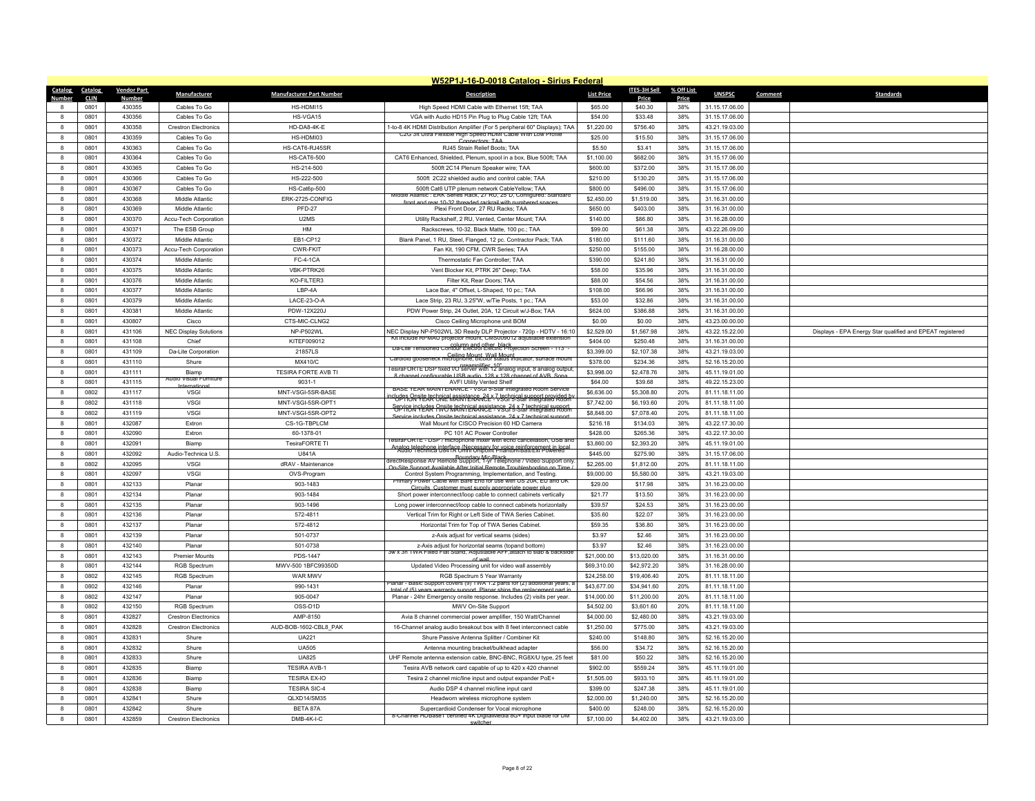|                                   |                    |                                             |                                 | W52P1J-16-D-0018 Catalog - Sirius Federal                                                                                                                                                                            |                            |                            |            |                                  |                                                           |
|-----------------------------------|--------------------|---------------------------------------------|---------------------------------|----------------------------------------------------------------------------------------------------------------------------------------------------------------------------------------------------------------------|----------------------------|----------------------------|------------|----------------------------------|-----------------------------------------------------------|
| Catalog<br>Catalog                | <b>Vendor Part</b> | Manufacturer                                | <b>Manufacturer Part Number</b> | <b>Description</b>                                                                                                                                                                                                   | <b>List Price</b>          | <b>ITES-3H Sell</b>        | % Off List | <b>UNSPSC</b>                    | <b>Standards</b><br>Comment                               |
| <b>Number</b><br><b>CLIN</b>      | <b>Number</b>      |                                             | HS-HDMI15                       |                                                                                                                                                                                                                      |                            | Price                      | Price      |                                  |                                                           |
| 0801<br>8<br>0801<br>$\mathbf{a}$ | 430355<br>430356   | Cables To Go<br>Cables To Go                | HS-VGA15                        | High Speed HDMI Cable with Ethernet 15ft; TAA<br>VGA with Audio HD15 Pin Plug to Plug Cable 12ft; TAA                                                                                                                | \$65.00<br>\$54.00         | \$40.30<br>\$33.48         | 38%<br>38% | 31.15.17.06.00<br>31.15.17.06.00 |                                                           |
| $\mathbf{g}$<br>0801              | 430358             | <b>Crestron Electronics</b>                 | HD-DA8-4K-E                     | 1-to-8 4K HDMI Distribution Amplifier (For 5 peripheral 60" Displays); TAA                                                                                                                                           | \$1,220.00                 | \$756.40                   | 38%        | 43.21.19.03.00                   |                                                           |
| 0801<br>8                         | 430359             | Cables To Go                                | HS-HDMI03                       | C2G 3ft Ultra Flexible High Speed HDMI Cable With Low Profile                                                                                                                                                        | \$25.00                    | \$15.50                    | 38%        | 31.15.17.06.00                   |                                                           |
| $\mathbf{a}$<br>0801              | 430363             | Cables To Go                                | HS-CAT6-RJ45SR                  | Connectors: TAA<br>RJ45 Strain Relief Boots: TAA                                                                                                                                                                     | \$5.50                     | \$3.41                     | 38%        | 31.15.17.06.00                   |                                                           |
| 0801<br>8                         | 430364             | Cables To Go                                | <b>HS-CAT6-500</b>              | CAT6 Enhanced, Shielded, Plenum, spool in a box, Blue 500ft; TAA                                                                                                                                                     | \$1,100.00                 | \$682.00                   | 38%        | 31.15.17.06.00                   |                                                           |
| 0801<br>8                         | 430365             | Cables To Go                                | HS-214-500                      | 500ft 2C14 Plenum Speaker wire; TAA                                                                                                                                                                                  | \$600.00                   | \$372.00                   | 38%        | 31.15.17.06.00                   |                                                           |
| $\mathbf{a}$<br>0801              | 430366             | Cables To Go                                | HS-222-500                      | 500ft 2C22 shielded audio and control cable; TAA                                                                                                                                                                     | \$210.00                   | \$130.20                   | 38%        | 31.15.17.06.00                   |                                                           |
| 0801<br>$\mathbf{a}$              | 430367             | Cables To Go                                | <b>HS-Cat6p-500</b>             | 500ft Cat6 UTP plenum network CableYellow: TAA                                                                                                                                                                       | \$800.00                   | \$496.00                   | 38%        | 31.15.17.06.00                   |                                                           |
| 8<br>0801                         | 430368             | Middle Atlantic                             | ERK-2725-CONFIG                 | Middle Atlantic : ERK Series Rack, 27 RU, 25"D, Configured: Standard                                                                                                                                                 | \$2,450.00                 | \$1,519.00                 | 38%        | 31.16.31.00.00                   |                                                           |
| 8<br>0801                         | 430369             | Middle Atlantic                             | <b>PFD-27</b>                   | front and rear 10-32 threaded rackrail with numbered spaces<br>Plexi Front Door, 27 RU Racks; TAA                                                                                                                    | \$650.00                   | \$403.00                   | 38%        | 31.16.31.00.00                   |                                                           |
| 0801<br>8                         | 430370             | Accu-Tech Corporation                       | U <sub>2MS</sub>                | Utility Rackshelf, 2 RU, Vented, Center Mount: TAA                                                                                                                                                                   | \$140.00                   | \$86.80                    | 38%        | 31.16.28.00.00                   |                                                           |
| $\mathbf{a}$<br>0801              | 430371             | The ESB Group                               | HM                              | Rackscrews, 10-32, Black Matte, 100 pc.; TAA                                                                                                                                                                         | \$99.00                    | \$61.38                    | 38%        | 43.22.26.09.00                   |                                                           |
| 8<br>0801                         | 430372             | Middle Atlantic                             | EB1-CP12                        | Blank Panel, 1 RU, Steel, Flanged, 12 pc. Contractor Pack; TAA                                                                                                                                                       | \$180.00                   | \$111.60                   | 38%        | 31.16.31.00.00                   |                                                           |
| 0801<br>8                         | 430373             | Accu-Tech Corporation                       | CWR-FKIT                        | Fan Kit. 190 CFM, CWR Series: TAA                                                                                                                                                                                    | \$250.00                   | \$155.00                   | 38%        | 31.16.28.00.00                   |                                                           |
| $\mathbf{a}$<br>0801              | 430374             | Middle Atlantic                             | <b>FC-4-1CA</b>                 | Thermostatic Fan Controller: TAA                                                                                                                                                                                     | \$390.00                   | \$241.80                   | 38%        | 31.16.31.00.00                   |                                                           |
| 8<br>0801                         | 430375             | Middle Atlantic                             | VBK-PTRK26                      | Vent Blocker Kit, PTRK 26" Deep; TAA                                                                                                                                                                                 | \$58.00                    | \$35.96                    | 38%        | 31.16.31.00.00                   |                                                           |
| 0801<br>8                         | 430376             | Middle Atlantic                             | KO-FILTER3                      | Filter Kit, Rear Doors; TAA                                                                                                                                                                                          | \$88.00                    | \$54.56                    | 38%        | 31.16.31.00.00                   |                                                           |
| 0801<br>$\mathbf{a}$              | 430377             | Middle Atlantic                             | LBP-4A                          | Lace Bar, 4" Offset, L-Shaped, 10 pc.; TAA                                                                                                                                                                           | \$108.00                   | \$66.96                    | 38%        | 31.16.31.00.00                   |                                                           |
| $\mathbf{a}$<br>0801              | 430379             | Middle Atlantic                             | I ACF-23-O-A                    | Lace Strip, 23 RU, 3.25"W, w/Tie Posts, 1 pc.; TAA                                                                                                                                                                   | \$53.00                    | \$32.86                    | 38%        | 31.16.31.00.00                   |                                                           |
| 0801<br>8                         | 430381             | Middle Atlantic                             | PDW-12X220J                     | PDW Power Strip, 24 Outlet, 20A, 12 Circuit w/J-Box; TAA                                                                                                                                                             | \$624.00                   | \$386.88                   | 38%        | 31.16.31.00.00                   |                                                           |
| 8<br>0801                         | 430807             | Cisco                                       | CTS-MIC-CLNG2                   | Cisco Ceiling Microphone unit BOM                                                                                                                                                                                    | \$0.00                     | \$0.00                     | 38%        | 43.23.00.00.00                   |                                                           |
| $\mathbf{g}$<br>0801              | 431106             | <b>NEC Display Solutions</b>                | NP-P502WI                       | NEC Display NP-P502WL 3D Ready DLP Projector - 720p - HDTV - 16:10                                                                                                                                                   | \$2,529.00                 | \$1,567.98                 | 38%        | 43.22.15.22.00                   | Displays - EPA Energy Star qualified and EPEAT registered |
| 0801<br>8                         | 431108             | Chief                                       | KITEF009012                     | Kit include RPMAU projector mount, CMS009012 adjustable extension                                                                                                                                                    | \$404.00                   | \$250.48                   | 38%        | 31.16.31.00.00                   |                                                           |
| $\mathbf{a}$<br>0801              | 431109             | Da-Lite Corporation                         | 21857LS                         | - column and other black<br>- "Da-Lite Tensioned Contour Electrol Electric Projection Screen - 113                                                                                                                   | \$3,399.00                 | \$2,107.38                 | 38%        | 43.21.19.03.00                   |                                                           |
| 0801<br>$\mathbf{a}$              | 431110             | Shure                                       | MX410/C                         | Ceiling Mount Wall Mount<br>Cardioid gooseneck microphone, bicolor status indicator, surface mount                                                                                                                   | \$378.00                   | \$234.36                   | 38%        | 52.16.15.20.00                   |                                                           |
| 8<br>0801                         | 431111             | Biamp                                       | TESIRA FORTE AVB TI             | lesiral ORTE DSP fixed I/O server with 12 analog input, 8 analog output<br>8 channel configurable LISB audio 128 x 128 channel of AVB. Sons                                                                          | \$3,998.00                 | \$2,478.76                 | 38%        | 45.11.19.01.00                   |                                                           |
| 8<br>0801                         | 431115             | Audio Visual Furnitur<br>Internationa       | 9031-1                          | <b>AVFI Utility Vented Shelf</b>                                                                                                                                                                                     | \$64.00                    | \$39.68                    | 38%        | 49.22.15.23.00                   |                                                           |
| 0802<br>$\mathbf{g}$              | 431117             | VSGI                                        | MNT-VSGI-5SR-BASE               | BASE YEAR MAINTENANCE - VSGI 5-Star Integrated Room Service                                                                                                                                                          | \$6,636.00                 | \$5,308.80                 | 20%        | 81.11.18.11.00                   |                                                           |
| $\mathbf{a}$<br>0802              | 431118             | VSGI                                        | MNT-VSGI-5SR-OPT1               | polydes Opsite technical assistance, 24 x 7 technical support provided by<br>Priori Technical assistance - VSGi 5-Star Integrated Room<br><b>SCPTIC IN THE RESIDENT CONTROL ASSISTANCE:</b> The Star Integrated Room | \$7,742.00                 | \$6,193.60                 | 20%        | 81.11.18.11.00                   |                                                           |
| $\bf8$<br>0802                    | 431119             | VSGI                                        | MNT-VSGI-5SR-OPT2               | Service includes Onsite technical assistance 24 x 7 technical sur-                                                                                                                                                   | \$8,848.00                 | \$7,078.40                 | 20%        | 81.11.18.11.00                   |                                                           |
| 0801<br>$\mathbf{a}$              | 432087             | <b>Fxtron</b>                               | CS-1G-TBPLCM                    | Wall Mount for CISCO Precision 60 HD Camera                                                                                                                                                                          | \$216.18                   | \$134.03                   | 38%        | 43.22.17.30.00                   |                                                           |
| $\bf8$<br>0801                    | 432090             | Extron                                      | 60-1378-01                      | PC 101 AC Power Controller                                                                                                                                                                                           | \$428.00                   | \$265.36                   | 38%        | 43.22.17.30.00                   |                                                           |
| $\bf8$<br>0801                    | 432091             | Biamp                                       | TesiraFORTE TI                  | esiral ORTE - DSP / microphone mixer with echo cancellation. USB and<br>Analog telephone interface (Necessary for voice reinforcement in local<br>Audio 1 echnica U841A Umni Unipoint Phantom/Batt/Ext Powered       | \$3,860.00                 | \$2,393.20                 | 38%        | 45.11.19.01.00                   |                                                           |
| 0801<br>8                         | 432092             | Audio-Technica U.S.                         | U841A                           | directResponse AV Remote Support, 1-yr Telephone / Video Support only                                                                                                                                                | \$445.00                   | \$275.90                   | 38%        | 31.15.17.06.00                   |                                                           |
| 0802<br>$\mathbf{a}$              | 432095             | VSGI                                        | dRAV - Maintenance              | On Site Sunnort Available After Initial Remote Troubleshooting on Tin                                                                                                                                                | \$2,265.00                 | \$1,812.00                 | 20%        | 81.11.18.11.00                   |                                                           |
| $\bf8$<br>0801                    | 432097             | VSGI                                        | OVS-Program                     | Control System Programming, Implementation, and Testing.<br>mary Power Cable with Bare End for use with US 20A. EU and UK                                                                                            | \$9,000.00                 | \$5,580.00                 | 38%        | 43.21.19.03.00                   |                                                           |
| 0801<br>8                         | 432133             | Planar                                      | 903-1483                        | Circuits, Customer must supply appropriate power plug                                                                                                                                                                | \$29.00                    | \$17.98                    | 38%        | 31.16.23.00.00                   |                                                           |
| $\mathbf{a}$<br>0801              | 432134             | Planar                                      | 903-1484                        | Short nower interconnect/loop cable to connect cabinets vertically                                                                                                                                                   | \$21.77                    | \$13.50                    | 38%        | 31.16.23.00.00                   |                                                           |
| $\mathbf{a}$<br>0801              | 432135             | Planar                                      | 903-1496                        | Long power interconnect/loop cable to connect cabinets horizontally                                                                                                                                                  | \$39.57                    | \$24.53                    | 38%        | 31.16.23.00.00                   |                                                           |
| 0801<br>8                         | 432136             | Plana                                       | 572-4811                        | Vertical Trim for Right or Left Side of TWA Series Cabinet.                                                                                                                                                          | \$35.60                    | \$22.07                    | 38%        | 31.16.23.00.00                   |                                                           |
| 0801<br>$\mathbf{a}$              | 432137             | Planar                                      | 572-4812                        | Horizontal Trim for Top of TWA Series Cabinet.                                                                                                                                                                       | \$59.35                    | \$36.80                    | 38%        | 31.16.23.00.00                   |                                                           |
| $\mathbf{a}$<br>0801              | 432139             | Planar                                      | 501-0737                        | z-Axis adjust for vertical seams (sides)                                                                                                                                                                             | \$3.97                     | \$2.46                     | 38%        | 31.16.23.00.00                   |                                                           |
| 0801<br>8                         | 432140             | Planar                                      | 501-0738                        | z-Axis adjust for horizontal seams (topand bottom)<br>3w x 3h TWA Fixed Flat Stand, Adjustable AFF, attach to slab & backside                                                                                        | \$3.97                     | \$2.46                     | 38%        | 31.16.23.00.00                   |                                                           |
| $\mathbf{a}$<br>0801              | 432143             | <b>Premier Mounts</b>                       | PDS-1447                        |                                                                                                                                                                                                                      | \$21,000.00                | \$13,020.00                | 38%        | 31.16.31.00.00                   |                                                           |
| 0801<br>$\mathbf{a}$              | 432144             | <b>RGB Spectrum</b>                         | MWV-500 1BFC99350D              | Updated Video Processing unit for video wall assembly                                                                                                                                                                | \$69,310.00                | \$42,972.20                | 38%        | 31.16.28.00.00                   |                                                           |
| 0802<br>8<br>$\mathbf{R}$<br>0802 | 432145<br>432146   | <b>RGB Spectrum</b><br>Plana                | WAR MWV<br>990-1431             | RGB Spectrum 5 Year Warranty<br>lanar - Basic Support covers (9) TWA 1.2 parts for (2) additional years, a                                                                                                           | \$24,258.00<br>\$43,677.00 | \$19,406.40<br>\$34,941.60 | 20%<br>20% | 81.11.18.11.00<br>81.11.18.11.00 |                                                           |
| 0802<br>$\mathbf{a}$              | 432147             | Planar                                      | 905-0047                        | total of (5) years warranty support. Planar ships the replacement part in<br>Planar - 24hr Emergency onsite response. Includes (2) visits per year.                                                                  | \$14,000.00                | \$11,200.00                | 20%        | 81.11.18.11.00                   |                                                           |
| 0802<br>$\mathbf{a}$              | 432150             |                                             | OSS-D <sub>1D</sub>             | MWV On-Site Support                                                                                                                                                                                                  |                            |                            | 20%        | 81.11.18.11.00                   |                                                           |
| $\bf8$<br>0801                    | 432827             | RGB Spectrum<br><b>Crestron Electronics</b> | AMP-8150                        | Avia 8 channel commercial power amplifier, 150 Watt/Channel                                                                                                                                                          | \$4,502.00<br>\$4,000.00   | \$3,601.60<br>\$2,480.00   | 38%        | 43.21.19.03.00                   |                                                           |
| 0801<br>8                         | 432828             | <b>Crestron Flectronics</b>                 | AUD-BOB-1602-CBL8 PAK           | 16-Channel analog audio breakout box with 8 feet interconnect cable                                                                                                                                                  | \$1,250.00                 | \$775.00                   | 38%        | 43.21.19.03.00                   |                                                           |
| $\mathbf{a}$<br>0801              | 432831             | Shure                                       | <b>UA221</b>                    | Shure Passive Antenna Splitter / Combiner Kit                                                                                                                                                                        | \$240.00                   | \$148.80                   | 38%        | 52.16.15.20.00                   |                                                           |
| 8<br>0801                         | 432832             | Shure                                       | <b>UA505</b>                    | Antenna mounting bracket/bulkhead adapter                                                                                                                                                                            | \$56.00                    | \$34.72                    | 38%        | 52.16.15.20.00                   |                                                           |
| 0801<br>8                         | 432833             | Shure                                       | <b>UA825</b>                    | UHF Remote antenna extension cable, BNC-BNC, RG8X/U type, 25 feet                                                                                                                                                    | \$81.00                    | \$50.22                    | 38%        | 52.16.15.20.00                   |                                                           |
| $\bf{8}$<br>0801                  | 432835             | Biamp                                       | <b>TESIRA AVB-1</b>             | Tesira AVB network card capable of up to 420 x 420 channel                                                                                                                                                           | \$902.00                   | \$559.24                   | 38%        | 45.11.19.01.00                   |                                                           |
| $\bf8$<br>0801                    | 432836             | Biamp                                       | <b>TESIRA EX-IO</b>             | Tesira 2 channel mic/line input and output expander PoE+                                                                                                                                                             | \$1,505.00                 | \$933.10                   | 38%        | 45.11.19.01.00                   |                                                           |
| 0801<br>8                         | 432838             | Biamp                                       | <b>TFSIRA SIC-4</b>             | Audio DSP 4 channel mic/line input card                                                                                                                                                                              | \$399.00                   | \$247.38                   | 38%        | 45.11.19.01.00                   |                                                           |
| $\bf{8}$<br>0801                  | 432841             | Shure                                       | QLXD14/SM35                     | Headworn wireless microphone system                                                                                                                                                                                  | \$2,000.00                 | \$1,240.00                 | 38%        | 52.16.15.20.00                   |                                                           |
| 8<br>0801                         | 432842             | Shure                                       | BETA 87A                        | Supercardioid Condenser for Vocal microphone                                                                                                                                                                         | \$400.00                   | \$248.00                   | 38%        | 52.16.15.20.00                   |                                                           |
| 0801<br>8                         | 432859             | <b>Crestron Electronics</b>                 | DMB-4K-I-C                      | 8-Channel HDBase1 certified 4K DigitalMedia 8G+ input blade for DM                                                                                                                                                   | \$7,100.00                 | \$4,402.00                 | 38%        | 43.21.19.03.00                   |                                                           |
|                                   |                    |                                             |                                 | switcher                                                                                                                                                                                                             |                            |                            |            |                                  |                                                           |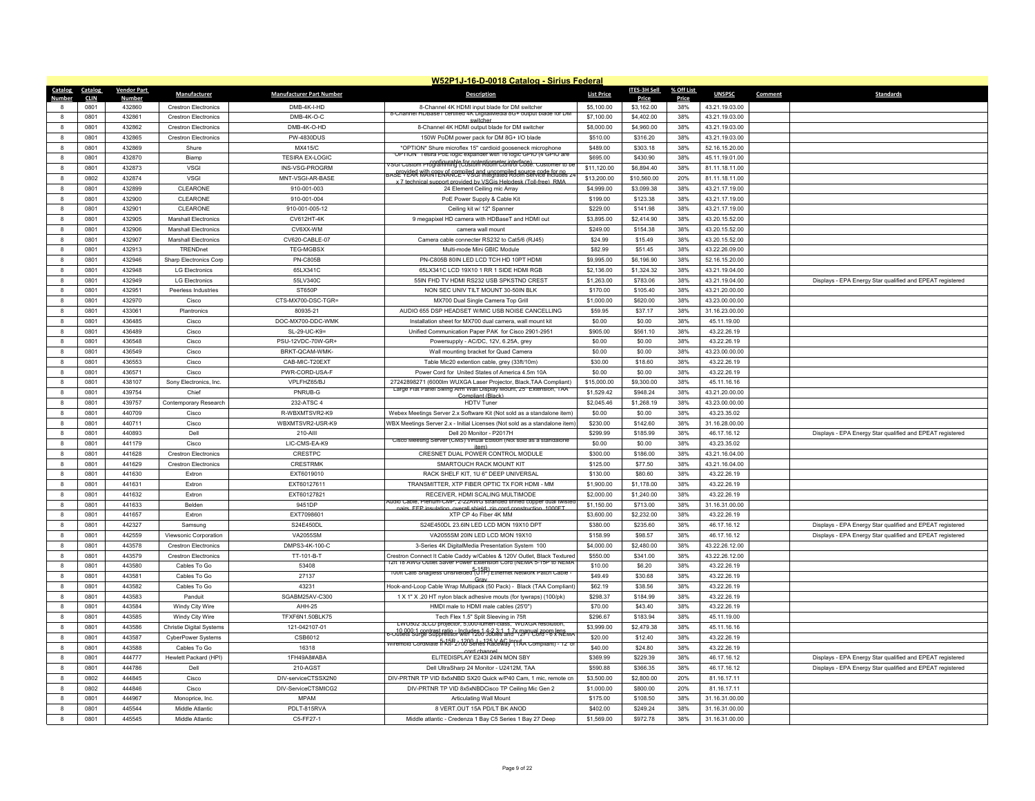|                   |              |                    |                                 |                                 | W52P1J-16-D-0018 Catalog - Sirius Federal                                                                                                     |                        |                        |            |                            |                                                                                                                        |
|-------------------|--------------|--------------------|---------------------------------|---------------------------------|-----------------------------------------------------------------------------------------------------------------------------------------------|------------------------|------------------------|------------|----------------------------|------------------------------------------------------------------------------------------------------------------------|
| Catalog           | Catalog      | <b>Vendor Part</b> | Manufacturer                    | <b>Manufacturer Part Number</b> | <b>Description</b>                                                                                                                            | <b>List Price</b>      | <b>ITES-3H Sell</b>    | % Off List | <b>UNSPSC</b>              | Comment<br><b>Standards</b>                                                                                            |
| Numhei            | <b>CLIN</b>  | Numbe              |                                 |                                 |                                                                                                                                               |                        | Price                  | Price      |                            |                                                                                                                        |
|                   | 0801         | 432860             | <b>Crestron Electronics</b>     | DMB-4K-I-HD                     | 8-Channel 4K HDMI input blade for DM switcher<br>8-Channel HDBase1 certified 4K DigitalMedia 8G+ output blade for DM                          | \$5,100.00             | \$3,162.00             | 38%        | 43.21.19.03.00             |                                                                                                                        |
| $\mathbf{R}$      | 0801         | 432861             | <b>Crestron Electronics</b>     | DMB-4K-O-C                      |                                                                                                                                               | \$7,100.00             | \$4,402.00             | 38%        | 43.21.19.03.00             |                                                                                                                        |
| 8                 | 0801         | 432862             | <b>Crestron Flectronics</b>     | DMB-4K-O-HD                     | 8-Channel 4K HDMI output blade for DM switcher                                                                                                | \$8,000.00             | \$4,960.00             | 38%        | 43.21.19.03.00             |                                                                                                                        |
| $\mathbf{a}$      | 0801         | 432865             | <b>Crestron Electronics</b>     | PW-4830DUS                      | 150W PoDM power pack for DM 8G+ I/O blade                                                                                                     | \$510.00               | \$316.20               | 38%        | 43.21.19.03.00             |                                                                                                                        |
| 8                 | 0801         | 432869             | Shure                           | MX415/C                         | *OPTION* Shure microflex 15" cardioid gooseneck microphone<br>JPTION" Tesira PoE logic expander with 16 logic GPIO (4 GPIO ari                | \$489.00               | \$303.18               | 38%        | 52.16.15.20.00             |                                                                                                                        |
| 8                 | 0801         | 432870             | Biamp                           | <b>TESIRA EX-LOGIC</b>          | 7SGi Custom Programming (Custom Room Control Code. Customer to be<br>7SGi Custom Programming (Custom Room Control Code. Customer to be        | \$695.00               | \$430.90               | 38%        | 45.11.19.01.00             |                                                                                                                        |
| $\mathbf{a}$      | 0801         | 432873             | <b>VSGI</b>                     | INS-VSG-PROGRM                  | 3ASE YEAR WITH STEWARD TO BE THE UNCOMMISTED TO BE THE TOTAL BASE.                                                                            | \$11,120.00            | \$6,894.40             | 38%        | 81.11.18.11.00             |                                                                                                                        |
| 8                 | 0802         | 432874             | <b>VSGI</b>                     | MNT-VSGI-AR-BASE                | x 7 technical support provided by VSGis Helpdesk (Toll-free) RMA                                                                              | \$13,200.00            | \$10,560.00            | 20%        | 81.11.18.11.00             |                                                                                                                        |
| 8                 | 0801         | 432899             | CLEARONE                        | 910-001-003                     | 24 Element Ceiling mic Array                                                                                                                  | \$4,999.00             | \$3,099.38             | 38%        | 43.21.17.19.00             |                                                                                                                        |
| $\mathbf{R}$      | 0801         | 432900             | CLEARONE                        | 910-001-004                     | PoE Power Supply & Cable Kit                                                                                                                  | \$199.00               | \$123.38               | 38%        | 43.21.17.19.00             |                                                                                                                        |
|                   | 0801         | 432901             | CLEARONE                        | 910-001-005-12                  | Ceiling kit w/ 12" Spanner                                                                                                                    | \$229.00               | \$141.98               | 38%        | 43.21.17.19.00             |                                                                                                                        |
| 8                 | 0801         | 432905             | <b>Marshall Electronics</b>     | CV612HT-4K                      | 9 megapixel HD camera with HDBaseT and HDMI out                                                                                               | \$3,895.00             | \$2,414.90             | 38%        | 43.20.15.52.00             |                                                                                                                        |
| $\mathbf{R}$      | 0801         | 432906             | <b>Marshall Electronics</b>     | CV6XX-WM                        | camera wall mount                                                                                                                             | \$249.00               | \$154.38               | 38%        | 43.20.15.52.00             |                                                                                                                        |
|                   | 0801         | 432907             | <b>Marshall Electronics</b>     | CV620-CABLE-07                  | Camera cable connecter RS232 to Cat5/6 (RJ45)                                                                                                 | \$24.99                | \$15.49                | 38%        | 43.20.15.52.00             |                                                                                                                        |
| 8                 | 0801         | 432913             | TRENDnet                        | <b>TEG-MGBSX</b>                | Multi-mode Mini GBIC Module                                                                                                                   | \$82.99                | \$51.45                | 38%        | 43.22.26.09.00             |                                                                                                                        |
| 8                 | 0801         | 432946             | Sharp Electronics Corp          | <b>PN-C805B</b>                 | PN-C805B 80IN LED LCD TCH HD 10PT HDMI                                                                                                        | \$9,995.00             | \$6,196.90             | 38%        | 52.16.15.20.00             |                                                                                                                        |
| 8                 | 0801         | 432948             | <b>LG Electronics</b>           | 65LX341C                        | 65LX341C LCD 19X10 1 RR 1 SIDE HDMI RGE                                                                                                       | \$2,136.00             | \$1,324.32             | 38%        | 43.21.19.04.00             |                                                                                                                        |
| 8                 | 0801         | 432949             | <b>LG Electronics</b>           | 55LV340C                        | 55IN FHD TV HDMI RS232 USB SPKSTND CREST                                                                                                      | \$1,263.00             | \$783.06               | 38%        | 43.21.19.04.00             | Displays - EPA Energy Star qualified and EPEAT registered                                                              |
| $\mathbf{R}$      | 0801         | 432951             | Peerless Industries             | ST650P                          | NON SEC UNIV TILT MOUNT 30-50IN BLK                                                                                                           | \$170.00               | \$105.40               | 38%        | 43.21.20.00.00             |                                                                                                                        |
|                   | 0801         | 432970             | Cisco                           | CTS-MX700-DSC-TGR=              | MX700 Dual Single Camera Top Grill                                                                                                            | \$1,000.00             | \$620.00               | 38%        | 43.23.00.00.00             |                                                                                                                        |
| 8                 | 0801         | 433061             | Plantronics                     | 80935-21                        | AUDIO 655 DSP HEADSET W/MIC USB NOISE CANCELLING                                                                                              | \$59.95                | \$37.17                | 38%        | 31.16.23.00.00             |                                                                                                                        |
| 8                 | 0801         | 436485             | Cisco                           | DOC-MX700-DDC-WMK               | Installation sheet for MX700 dual camera, wall mount kit                                                                                      | \$0.00                 | \$0.00                 | 38%        | 45.11.19.00                |                                                                                                                        |
| 8                 | 0801         | 436489             | Cisco                           | SL-29-UC-K9=                    | Unified Communication Paper PAK for Cisco 2901-2951                                                                                           | \$905.00               | \$561.10               | 38%        | 43.22.26.19                |                                                                                                                        |
| 8                 | 0801         | 436548             | Cisco                           | PSU-12VDC-70W-GR-               | Powersupply - AC/DC, 12V, 6.25A, grey                                                                                                         | \$0.00                 | \$0.00                 | 38%        | 43.22.26.19                |                                                                                                                        |
| 8                 | 0801         | 436549             | Cisco                           | BRKT-QCAM-WMK-                  | Wall mounting bracket for Quad Camera                                                                                                         | \$0.00                 | \$0.00                 | 38%        | 43.23.00.00.00             |                                                                                                                        |
| 8                 | 0801         | 436553             | Cisco                           | CAB-MIC-T20FXT                  | Table Mic20 extention cable, grey (33ft/10m)                                                                                                  | \$30.00                | \$18.60                | 38%        | 43.22.26.19                |                                                                                                                        |
| 8                 | 0801         | 436571             | Cisco                           | PWR-CORD-USA-F                  | Power Cord for United States of America 4.5m 10A                                                                                              | \$0.00                 | \$0.00                 | 38%        | 43.22.26.19                |                                                                                                                        |
| 8                 | 0801         | 438107             | Sony Electronics, Inc.          | VPLFHZ65/BJ                     | 27242898271 (6000lm WUXGA Laser Projector, Black, TAA Compliant)<br>Large Flat Panel Swing Arm Wall Display Mount, 25" Extension, TAA         | \$15,000.00            | \$9,300.00             | 38%        | 45.11.16.16                |                                                                                                                        |
| 8                 | 0801         | 439754             | Chief                           | PNRUB-G                         | Compliant (Black)                                                                                                                             | \$1,529.42             | \$948.24               | 38%        | 43.21.20.00.00             |                                                                                                                        |
| 8                 | 0801         | 439757             | Contemporary Research           | 232-ATSC 4                      | <b>HDTV Tuner</b>                                                                                                                             | \$2,045.46             | \$1,268.19             | 38%        | 43.23.00.00.00             |                                                                                                                        |
| 8                 | 0801         | 440709             | Cisco                           | R-WBXMTSVR2-K9                  | Webex Meetings Server 2.x Software Kit (Not sold as a standalone item)                                                                        | \$0.00                 | \$0.00                 | 38%        | 43.23.35.02                |                                                                                                                        |
| 8                 | 0801         | 440711             | Cisco                           | WBXMTSVR2-USR-K9                | WBX Meetings Server 2.x - Initial Licenses (Not sold as a standalone item)                                                                    | \$230.00               | \$142.60               | 38%        | 31.16.28.00.00             |                                                                                                                        |
| $\mathbf{a}$      | 0801         | 440893             | Dell                            | 210-AIII                        | Dell 20 Monitor - P2017H<br>Cisco Meeting Server (CMS) Virtual Edition (Not sold as a standalone                                              | \$299.99               | \$185.99               | 38%        | 46.17.16.12                | Displays - EPA Energy Star qualified and EPEAT registered                                                              |
|                   | 0801         | 441179             | Cisco                           | LIC-CMS-EA-K9                   | itom)                                                                                                                                         | \$0.00                 | \$0.00                 | 38%        | 43.23.35.02                |                                                                                                                        |
| 8                 | 0801         | 441628             | <b>Crestron Electronics</b>     | CRESTPC                         | CRESNET DUAL POWER CONTROL MODULE                                                                                                             | \$300.00               | \$186.00               | 38%        | 43.21.16.04.00             |                                                                                                                        |
| $\mathbf{a}$      | 0801         | 441629             | <b>Crestron Flectronics</b>     | CRESTRMK                        | SMARTOUCH RACK MOUNT KIT                                                                                                                      | \$125.00               | \$77.50                | 38%        | 43.21.16.04.00             |                                                                                                                        |
|                   | 0801         | 441630             | Extron                          | EXT6019010                      | RACK SHELF KIT, 1U 6" DEEP UNIVERSAL                                                                                                          | \$130.00               | \$80.60                | 38%        | 43.22.26.19                |                                                                                                                        |
| 8<br>$\mathbf{R}$ | 0801<br>0801 | 441631             | Extron                          | EXT60127611                     | TRANSMITTER, XTP FIBER OPTIC TX FOR HDMI - MM<br>RECEIVER. HDMLSCALING MULTIMODE                                                              | \$1,900.00             | \$1,178.00             | 38%<br>38% | 43.22.26.19                |                                                                                                                        |
| 8                 |              | 441632             | Extron                          | EXT60127821                     | Audio Cable, Plenum-CMP, 2-22AWG stranded tinned copper dual twiste                                                                           | \$2,000.00             | \$1,240.00             |            | 43.22.26.19                |                                                                                                                        |
|                   | 0801         | 441633             | Belden                          | 9451DP                          | pairs. EEP insulation, overall shield, zin cord construction, 1000ET                                                                          | \$1,150.00             | \$713.00               | 38%        | 31.16.31.00.00             |                                                                                                                        |
| 8<br>8            | 0801<br>0801 | 441657<br>442327   | Extron<br>Samsung               | EXT7098601<br>S24F450DI         | XTP CP 4o Fiber 4K MM<br>S24E450DL 23.6IN LED LCD MON 19X10 DPT                                                                               | \$3,600.00<br>\$380.00 | \$2,232.00<br>\$235.60 | 38%<br>38% | 43.22.26.19<br>46.17.16.12 |                                                                                                                        |
| 8                 | 0801         | 442559             | Viewsonic Corporation           | VA2055SM                        | VA2055SM 20IN LED LCD MON 19X10                                                                                                               | \$158.99               | \$98.57                | 38%        | 46.17.16.12                | Displays - EPA Energy Star qualified and EPEAT registered<br>Displays - EPA Energy Star qualified and EPEAT registered |
| 8                 | 0801         | 443578             | <b>Crestron Electronics</b>     | DMPS3-4K-100-C                  | 3-Series 4K DigitalMedia Presentation System 100                                                                                              | \$4,000.00             | \$2,480.00             | 38%        | 43.22.26.12.00             |                                                                                                                        |
| $\mathbf{R}$      | 0801         | 443579             | <b>Crestron Electronics</b>     | TT-101-B-T                      | Crestron Connect It Cable Caddy w/Cables & 120V Outlet, Black Textured                                                                        | \$550.00               | \$341.00               | 38%        | 43.22.26.12.00             |                                                                                                                        |
| 8                 | 0801         | 443580             | Cables To Go                    | 53408                           | 12ft 18 AWG Outlet Saver Power Extension Cord (NEMA 5-15P to NEMA                                                                             | \$10.00                | \$6.20                 | 38%        | 43.22.26.19                |                                                                                                                        |
| 8                 | 0801         | 443581             | Cables To Go                    | 27137                           | 100ft Cat6 Snagless Unshielded (UTP) Ethernet Network Patch Cable                                                                             | \$49.49                | \$30.68                | 38%        | 43.22.26.19                |                                                                                                                        |
| $\mathbf{R}$      | 0801         | 443582             | Cables To Go                    | 43231                           | Hook-and-Loop Cable Wrap Multipack (50 Pack) - Black (TAA Compliant                                                                           | \$62.19                | \$38.56                | 38%        | 43.22.26.19                |                                                                                                                        |
| 8                 | 0801         | 443583             | Panduit                         | SGABM25AV-C300                  | 1 X 1" X .20 HT nylon black adhesive mouts (for tywraps) (100/pk)                                                                             | \$298.37               | \$184.99               | 38%        | 43.22.26.19                |                                                                                                                        |
| $\mathbf{a}$      | 0801         | 443584             | Windy City Wire                 | AHH-25                          | HMDI male to HDMI male cables (25'0")                                                                                                         | \$70.00                | \$43.40                | 38%        | 43.22.26.19                |                                                                                                                        |
|                   | 0801         | 443585             | Windy City Wire                 | TFXF6N1.50BLK75                 | Tech Flex 1.5" Split Sleeving in 75f                                                                                                          | \$296.67               | \$183.94               | 38%        | 45.11.19.00                |                                                                                                                        |
| 8                 | 0801         | 443586             | <b>Christie Digital Systems</b> | 121-042107-01                   | LWU502 3LCD projector, 5,000-lumen-class, WUXGA resolution                                                                                    | \$3,999.00             | \$2,479.38             | 38%        | 45.11.16.16                |                                                                                                                        |
| $\mathbf{a}$      | 0801         | 443587             | CyberPower Systems              | CSB6012                         | 10.000:1 contrast ratio - Includes 1 4-3.3:1, 1.7 x manual zoom Jens.<br>5-Outlets Surge Suppressor with 1200 Joules and 12FT Cord - 6 x NEM/ | \$20.00                | \$12.40                | 38%        | 43.22.26.19                |                                                                                                                        |
| 8                 | 0801         | 443588             | Cables To Go                    | 16318                           | Wiremold CordMate II Kit- 2700 J - 125 V AC Input<br>Wiremold CordMate II Kit- 2700 Series Raceway (1AA Compliant) - 12' of                   | \$40.00                | \$24.80                | 38%        | 43.22.26.19                |                                                                                                                        |
| 8                 | 0801         | 444777             | Hewlett Packard (HPI)           | 1FH49A8#ABA                     | cord channel<br>ELITEDISPLAY E243I 24IN MON SBY                                                                                               | \$369.99               | \$229.39               | 38%        | 46.17.16.12                | Displays - EPA Energy Star qualified and EPEAT registered                                                              |
| $\mathbf{a}$      | 0801         | 444786             | Dell                            | 210-AGST                        | Dell UltraSharp 24 Monitor - U2412M, TAA                                                                                                      | \$590.88               | \$366.35               | 38%        | 46.17.16.12                | Displays - EPA Energy Star qualified and EPEAT registered                                                              |
|                   | 0802         | 444845             | Cisco                           | DIV-serviceCTSSX2N0             | DIV-PRTNR TP VID 8x5xNBD SX20 Quick w/P40 Cam, 1 mic, remote cn                                                                               | \$3,500.00             | \$2,800.00             | 20%        | 81.16.17.11                |                                                                                                                        |
|                   | 0802         | 444846             | Cisco                           | DIV-ServiceCTSMICG2             | DIV-PRTNR TP VID 8x5xNBDCisco TP Ceiling Mic Gen 2                                                                                            | \$1,000.00             | \$800.00               | 20%        | 81.16.17.11                |                                                                                                                        |
| $\mathbf{R}$      | 0801         | 444967             | Monoprice, Inc.                 | <b>MPAM</b>                     | <b>Articulating Wall Mount</b>                                                                                                                | \$175.00               | \$108.50               | 38%        | 31.16.31.00.00             |                                                                                                                        |
|                   | 0801         | 445544             | Middle Atlantic                 | PDLT-815RVA                     | 8 VERT.OUT 15A PD/LT BK ANOD                                                                                                                  | \$402.00               | \$249.24               | 38%        | 31.16.31.00.00             |                                                                                                                        |
|                   | 0801         | 445545             | Middle Atlantic                 | C5-FF27-1                       | Middle atlantic - Credenza 1 Bay C5 Series 1 Bay 27 Deep                                                                                      | \$1,569.00             | \$972.78               | 38%        | 31.16.31.00.00             |                                                                                                                        |
|                   |              |                    |                                 |                                 |                                                                                                                                               |                        |                        |            |                            |                                                                                                                        |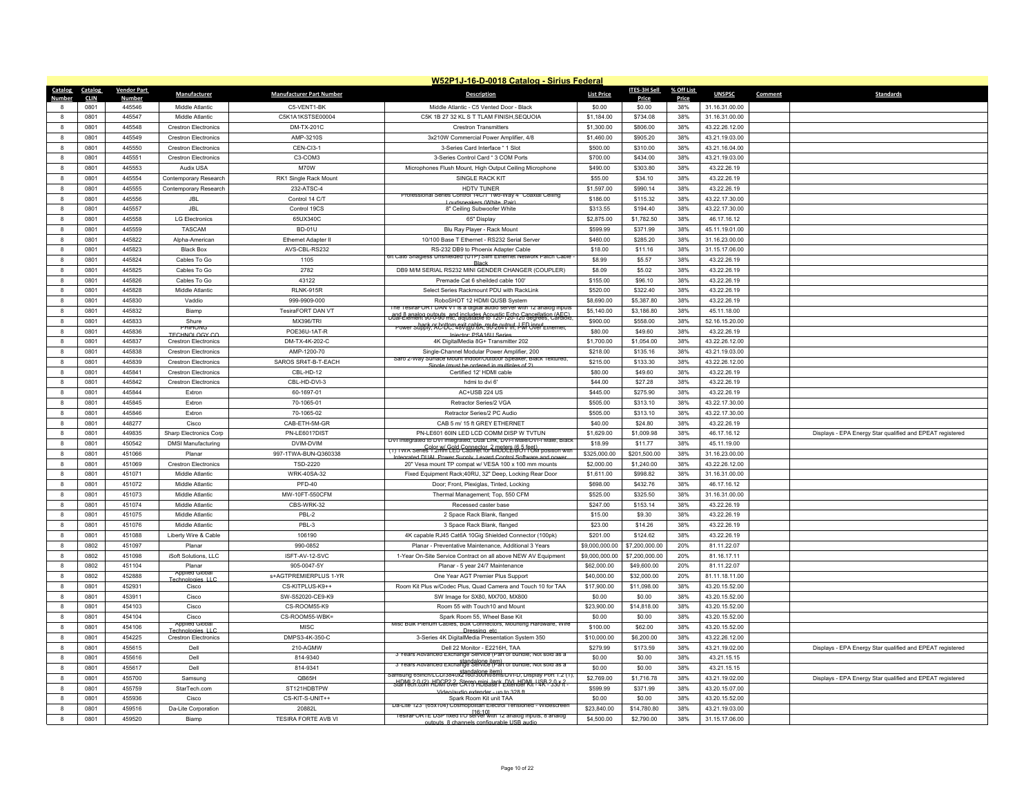|                              |             |                    |                             |                                 | W52P1J-16-D-0018 Catalog - Sirius Federal                                                                            |                   |                      |            |                |         |                                                           |
|------------------------------|-------------|--------------------|-----------------------------|---------------------------------|----------------------------------------------------------------------------------------------------------------------|-------------------|----------------------|------------|----------------|---------|-----------------------------------------------------------|
| Catalog                      | Catalog     | <b>Vendor Part</b> | Manufacturer                | <b>Manufacturer Part Number</b> | <b>Description</b>                                                                                                   | <b>List Price</b> | <b>ITES-3H Sell</b>  | % Off List | <b>UNSPSC</b>  | Comment | <b>Standards</b>                                          |
| Number                       | <b>CLIN</b> | <b>Number</b>      |                             |                                 |                                                                                                                      |                   | Price                | Price      |                |         |                                                           |
|                              | 0801        | 445546             | Middle Atlantic             | C5-VENT1-BK                     | Middle Atlantic - C5 Vented Door - Black                                                                             | \$0.00            | \$0.00               | 38%        | 31.16.31.00.00 |         |                                                           |
| $\mathbf{R}$<br>$\mathbf{g}$ | 0801        | 445547<br>445548   | Middle Atlantic             | C5K1A1KSTSE00004<br>DM-TX-201C  | C5K 1B 27 32 KL S T TLAM FINISH.SEQUOIA<br><b>Crestron Transmitters</b>                                              | \$1.184.00        | \$734.08<br>\$806.00 | 38%<br>38% | 31.16.31.00.00 |         |                                                           |
|                              | 0801        |                    | <b>Crestron Electronics</b> |                                 |                                                                                                                      | \$1,300.00        |                      |            | 43.22.26.12.00 |         |                                                           |
| $\boldsymbol{8}$             | 0801        | 445549             | <b>Crestron Electronics</b> | AMP-3210S                       | 3x210W Commercial Power Amplifier, 4/8                                                                               | \$1,460.00        | \$905.20             | 38%        | 43.21.19.03.00 |         |                                                           |
| $\mathbf{g}$                 | 0801        | 445550             | <b>Crestron Electronics</b> | CEN-CI3-1                       | 3-Series Card Interface " 1 Slot                                                                                     | \$500.00          | \$310.00             | 38%        | 43.21.16.04.00 |         |                                                           |
| -8                           | 0801        | 445551             | <b>Crestron Flectronics</b> | C3-COM3                         | 3-Series Control Card * 3 COM Ports                                                                                  | \$700.00          | \$434.00             | 38%        | 43.21.19.03.00 |         |                                                           |
| 8                            | 0801        | 445553             | Audix USA                   | M70W                            | Microphones Flush Mount, High Output Ceiling Microphone                                                              | \$490.00          | \$303.80             | 38%        | 43.22.26.19    |         |                                                           |
| $\mathbf{g}$                 | 0801        | 445554             | Contemporary Research       | RK1 Single Rack Mount           | SINGLE RACK KIT                                                                                                      | \$55.00           | \$34.10              | 38%        | 43.22.26.19    |         |                                                           |
| $\mathbf{8}$                 | 0801        | 445555             | Contemporary Research       | 232-ATSC-4                      | HDTV TUNER<br>Professional Series Control 14C/1 Two-Way 4" Coaxial Ceiling                                           | \$1,597.00        | \$990.14             | 38%        | 43.22.26.19    |         |                                                           |
| $\mathbf{8}$                 | 0801        | 445556             | <b>JBL</b>                  | Control 14 C/T                  | Loudspeakers (White Pair)                                                                                            | \$186.00          | \$115.32             | 38%        | 43.22.17.30.00 |         |                                                           |
| 8                            | 0801        | 445557             | <b>JBL</b>                  | Control 19CS                    | 8" Ceiling Subwoofer White                                                                                           | \$313.55          | \$194.40             | 38%        | 43.22.17.30.00 |         |                                                           |
| $\mathbf{a}$                 | 0801        | 445558             | <b>I G Flectronics</b>      | 65UX340C                        | 65" Display                                                                                                          | \$2,875.00        | \$1,782.50           | 38%        | 46.17.16.12    |         |                                                           |
| $\mathbf{g}$                 | 0801        | 445559             | <b>TASCAM</b>               | <b>BD-01U</b>                   | Blu Ray Player - Rack Mount                                                                                          | \$599.99          | \$371.99             | 38%        | 45.11.19.01.00 |         |                                                           |
| 8                            | 0801        | 445822             | Alpha-American              | Ethernet Adapter II             | 10/100 Base T Ethernet - RS232 Serial Server                                                                         | \$460.00          | \$285.20             | 38%        | 31.16.23.00.00 |         |                                                           |
| 8                            | 0801        | 445823             | <b>Black Box</b>            | AVS-CBL-RS232                   | RS-232 DB9 to Phoenix Adapter Cable<br>it Cato Shagiess Unshielded (UTP) Silm Ethernet Network Patch Cab             | \$18.00           | \$11.16              | 38%        | 31.15.17.06.00 |         |                                                           |
| $\mathbf{g}$                 | 0801        | 445824             | Cables To Go                | 1105                            |                                                                                                                      | \$8.99            | \$5.57               | 38%        | 43.22.26.19    |         |                                                           |
| 8                            | 0801        | 445825             | Cables To Go                | 2782                            | DB9 M/M SERIAL RS232 MINI GENDER CHANGER (COUPLER)                                                                   | \$8.09            | \$5.02               | 38%        | 43.22.26.19    |         |                                                           |
| 8                            | 0801        | 445826             | Cables To Go                | 43122                           | Premade Cat 6 sheilded cable 100'                                                                                    | \$155.00          | \$96.10              | 38%        | 43.22.26.19    |         |                                                           |
| $\mathbf{g}$                 | 0801        | 445828             | Middle Atlantic             | <b>RI NK-915R</b>               | Select Series Rackmount PDU with RackLink                                                                            | \$520.00          | \$322.40             | 38%        | 43 22 26 19    |         |                                                           |
| $\mathbf{g}$                 | 0801        | 445830             | Vaddio                      | 999-9909-000                    | RoboSHOT 12 HDMI QUSB System<br>ne TesiraFORT DAN VT is a digital audio server with 12 analog inputs                 | \$8,690.00        | \$5,387.80           | 38%        | 43.22.26.19    |         |                                                           |
| $\boldsymbol{8}$             | 0801        | 445832             | Biamo                       | TesiraFORT DAN VT               | _and 8 analog 01:0:90 mic, adjudes Acoustic Echn 20 degrees, Cardioid                                                | \$5,140.00        | \$3,186.80           | 38%        | 45.11.18.00    |         |                                                           |
| $\mathbf{g}$                 | 0801        | 445833             | Shure<br>PHIHONO            | <b>MX396/TRI</b>                | Power Supply; AC-DC; 48V(@0.6A; 9U-264V)H; LEP input                                                                 | \$900.00          | \$558.00             | 38%        | 52.16.15.20.00 |         |                                                           |
| $\mathbf{g}$                 | 0801        | 445836             | <b>TECHNOLOGY CO</b>        | POE36U-1AT-R                    | Injector: PSA16U Series                                                                                              | \$80.00           | \$49.60              | 38%        | 43.22.26.19    |         |                                                           |
| 8                            | 0801        | 445837             | <b>Crestron Electronics</b> | DM-TX-4K-202-C                  | 4K DigitalMedia 8G+ Transmitter 202                                                                                  | \$1,700.00        | \$1,054.00           | 38%        | 43.22.26.12.00 |         |                                                           |
| $\mathbf{R}$                 | 0801        | 445838             | <b>Crestron Electronics</b> | AMP-1200-70                     | Single-Channel Modular Power Amplifier, 200<br>Saro 2-Way Surface Mount Indoor/Outdoor Speaker, Black Textured,      | \$218.00          | \$135.16             | 38%        | 43.21.19.03.00 |         |                                                           |
| $\mathbf{g}$                 | 0801        | 445839             | <b>Crestron Flectronics</b> | SAROS SR4T-B-T-EACH             | ist he ordered in multiples of                                                                                       | \$215.00          | \$133.30             | 38%        | 43.22.26.12.00 |         |                                                           |
| $\boldsymbol{8}$             | 0801        | 445841             | <b>Crestron Electronics</b> | CBL-HD-12                       | Certified 12' HDMI cable                                                                                             | \$80.00           | \$49.60              | 38%        | 43.22.26.19    |         |                                                           |
| $\mathbf{R}$                 | 0801        | 445842             | <b>Crestron Electronics</b> | CBL-HD-DVI-3                    | hdmi to dvi 6                                                                                                        | \$44.00           | \$27.28              | 38%        | 43.22.26.19    |         |                                                           |
| -8                           | 0801        | 445844             | Extron                      | 60-1697-01                      | AC+USB 224 US                                                                                                        | \$445.00          | \$275.90             | 38%        | 43.22.26.19    |         |                                                           |
| $\mathbf{g}$                 | 0801        | 445845             | Extron                      | 70-1065-01                      | Retractor Series/2 VGA                                                                                               | \$505.00          | \$313.10             | 38%        | 43.22.17.30.00 |         |                                                           |
| $\mathbf{g}$                 | 0801        | 445846             | Extron                      | 70-1065-02                      | Retractor Series/2 PC Audio                                                                                          | \$505.00          | \$313.10             | 38%        | 43.22.17.30.00 |         |                                                           |
| $\mathbf{g}$                 | 0801        | 448277             | Cisco                       | CAB-ETH-5M-GR                   | CAB 5 m/ 15 ft GREY ETHERNET                                                                                         | \$40.00           | \$24.80              | 38%        | 43.22.26.19    |         |                                                           |
| $\mathbf{8}$                 | 0801        | 449835             | Sharp Electronics Corp      | PN-LE601?DIST                   | PN-LE601 60IN LED LCD COMM DISP W TVTUN<br>DVI Integrated to DVI Integrated, Dual Link, DVI-I Male/DVI-I Male, Black | \$1,629.00        | \$1,009.98           | 38%        | 46.17.16.12    |         | Displays - EPA Energy Star qualified and EPEAT registered |
| $\mathbf{g}$                 | 0801        | 450542             | <b>DMSI Manufacturing</b>   | DVIM-DVIM                       | Color w/ Gold Connector 2 meters (6.5 feet)<br>(1) TWA Series 1.2mm LED Cabinet for MIDDLE/BOTTOM position with      | \$18.99           | \$11.77              | 38%        | 45.11.19.00    |         |                                                           |
| $\mathbf{8}$                 | 0801        | 451066             | Planar                      | 997-1TWA-BUN-Q360338            | ted DHAL Power Supply Levard Control Soft                                                                            | \$325,000.00      | \$201,500.00         | 38%        | 31.16.23.00.00 |         |                                                           |
| $\bf{8}$                     | 0801        | 451069             | <b>Crestron Flectronics</b> | <b>TSD-2220</b>                 | 20" Vesa mount TP compat w/ VESA 100 x 100 mm mounts                                                                 | \$2,000.00        | \$1,240.00           | 38%        | 43.22.26.12.00 |         |                                                           |
| $\mathbf{g}$                 | 0801        | 451071             | Middle Atlantic             | WRK-40SA-32                     | Fixed Equipment Rack;40RU, 32" Deep, Locking Rear Door                                                               | \$1,611.00        | \$998.82             | 38%        | 31.16.31.00.00 |         |                                                           |
| 8                            | 0801        | 451072             | Middle Atlantic             | <b>PFD-40</b>                   | Door; Front, Plexiglas, Tinted, Locking                                                                              | \$698.00          | \$432.76             | 38%        | 46.17.16.12    |         |                                                           |
| $\mathbf{a}$                 | 0801        | 451073             | Middle Atlantic             | MW-10FT-550CFM                  | Thermal Management: Top. 550 CFM                                                                                     | \$525.00          | \$325.50             | 38%        | 31.16.31.00.00 |         |                                                           |
| $\mathbf{g}$                 | 0801        | 451074             | Middle Atlantic             | CBS-WRK-32                      | Recessed caster base                                                                                                 | \$247.00          | \$153.14             | 38%        | 43.22.26.19    |         |                                                           |
| 8                            | 0801        | 451075             | Middle Atlantic             | PBL-2                           | 2 Space Rack Blank, flanged                                                                                          | \$15.00           | \$9.30               | 38%        | 43.22.26.19    |         |                                                           |
| $\mathbf{g}$                 | 0801        | 451076             | Middle Atlantic             | PBL-3                           | 3 Space Rack Blank, flanged                                                                                          | \$23.00           | \$14.26              | 38%        | 43 22 26 19    |         |                                                           |
| $\mathbf{g}$                 | 0801        | 451088             | Liberty Wire & Cable        | 106190                          | 4K capable RJ45 Cat6A 10Gig Shielded Connector (100pk)                                                               | \$201.00          | \$124.62             | 38%        | 43.22.26.19    |         |                                                           |
| $\boldsymbol{8}$             | 0802        | 451097             | Planar                      | 990-0852                        | Planar - Preventative Maintenance, Additional 3 Years                                                                | \$9,000,000.00    | \$7,200,000.00       | 20%        | 81.11.22.07    |         |                                                           |
| $\mathbf{R}$                 | 0802        | 451098             | iSoft Solutions, LLC        | ISFT-AV-12-SVC                  | 1-Year On-Site Service Contract on all above NEW AV Equipment                                                        | \$9,000,000.00    | \$7,200,000.00       | 20%        | 81.16.17.11    |         |                                                           |
| $\mathbf{a}$                 | 0802        | 451104             | Planar<br>Applied Globa     | 905-0047-5Y                     | Planar - 5 year 24/7 Maintenance                                                                                     | \$62,000.00       | \$49,600.00          | 20%        | 81.11.22.07    |         |                                                           |
| 8                            | 0802        | 452888             | Technologies LLC            | s+AGTPREMIERPLUS 1-YR           | One Year AGT Premier Plus Support                                                                                    | \$40,000.00       | \$32,000.00          | 20%        | 81.11.18.11.00 |         |                                                           |
| $\mathbf{R}$                 | 0801        | 452931             | Cisco                       | CS-KITPI US-K9++                | Room Kit Plus w/Codec Plus, Quad Camera and Touch 10 for TAA                                                         | \$17,900.00       | \$11,098.00          | 38%        | 43.20.15.52.00 |         |                                                           |
| $\mathbf{8}$                 | 0801        | 453911             | Cisco                       | SW-S52020-CE9-K9                | SW Image for SX80, MX700, MX800                                                                                      | \$0.00            | \$0.00               | 38%        | 43.20.15.52.00 |         |                                                           |
| $\mathbf{8}$                 | 0801        | 454103             | Cisco                       | CS-ROOM55-K9                    | Room 55 with Touch10 and Mount                                                                                       | \$23,900.00       | \$14,818.00          | 38%        | 43.20.15.52.00 |         |                                                           |
| $\mathbf{a}$                 | 0801        | 454104             | Cisco<br>Applied Glot       | CS-ROOM55-WBK=                  | Spark Room 55, Wheel Base Kit<br>Misc Bulk Plenum Cables, Bulk Connectors, Mounting Hardware, Wir                    | \$0.00            | \$0.00               | 38%        | 43.20.15.52.00 |         |                                                           |
| $\mathbf{8}$                 | 0801        | 454106             | chnologies LLC              | MISC                            | Dressing etc.                                                                                                        | \$100.00          | \$62.00              | 38%        | 43.20.15.52.00 |         |                                                           |
| $\mathbf{g}$                 | 0801        | 454225             | <b>Crestron Flectronics</b> | DMPS3-4K-350-C                  | 3-Series 4K DigitalMedia Presentation System 350                                                                     | \$10,000.00       | \$6,200.00           | 38%        | 43.22.26.12.00 |         |                                                           |
| $\mathbf{a}$                 | 0801        | 455615             | Del                         | 210-AGMW                        | Dell 22 Monitor - E2216H, TAA<br>3 Years Advanced Exchange Service (Part of bundle: Not sold as a                    | \$279.99          | \$173.59             | 38%        | 43.21.19.02.00 |         | Displays - EPA Energy Star qualified and EPEAT registered |
| $\mathbf{8}$                 | 0801        | 455616             | Dell                        | 814-9340                        | 3 Years Advanced Exchange Service (Part of bundle; Not sold as a                                                     | \$0.00            | \$0.00               | 38%        | 43.21.15.15    |         |                                                           |
| $\bf{8}$                     | 0801        | 455617             | Dell                        | 814-9341                        | amsung 65inch/LCD/3840x2180/300fil/8ms/DVI-D, Display Port 1.2 (1)                                                   | \$0.00            | \$0.00               | 38%        | 43.21.15.15    |         |                                                           |
| $\mathbf{g}$                 | 0801        | 455700             | Samsung                     | QB65H                           | HDML2.0.62) HDMP322 Stereo mini Jack Extender Kit - 4R - 390 R .                                                     | \$2,769.00        | \$1,716.78           | 38%        | 43.21.19.02.00 |         | Displays - EPA Energy Star qualified and EPEAT registered |
| $\mathbf{8}$                 | 0801        | 455759             | StarTech.com                | ST121HDBTPW                     | o/audio extender - un to 328 ft                                                                                      | \$599.99          | \$371.99             | 38%        | 43.20.15.07.00 |         |                                                           |
| $\mathbf{R}$                 | 0801        | 455936             | Cisco                       | CS-KIT-S-UNIT++                 | Spark Room Kit unit TAA<br>Da-Lite 123" (65x104) Cosmopolitan Electrol Tensioned - Widescreer                        | \$0.00            | \$0.00               | 38%        | 43.20.15.52.00 |         |                                                           |
| 8                            | 0801        | 459516             | Da-Lite Corporation         | 20882L                          | Tesiral ORTE DSP fixed I/O server with 12 analog inputs, 8 analog                                                    | \$23,840.00       | \$14,780.80          | 38%        | 43.21.19.03.00 |         |                                                           |
| 8                            | 0801        | 459520             | Biamp                       | TESIRA FORTE AVB VI             | outputs. 8 channels configurable LISB audio.                                                                         | \$4,500.00        | \$2,790.00           | 38%        | 31.15.17.06.00 |         |                                                           |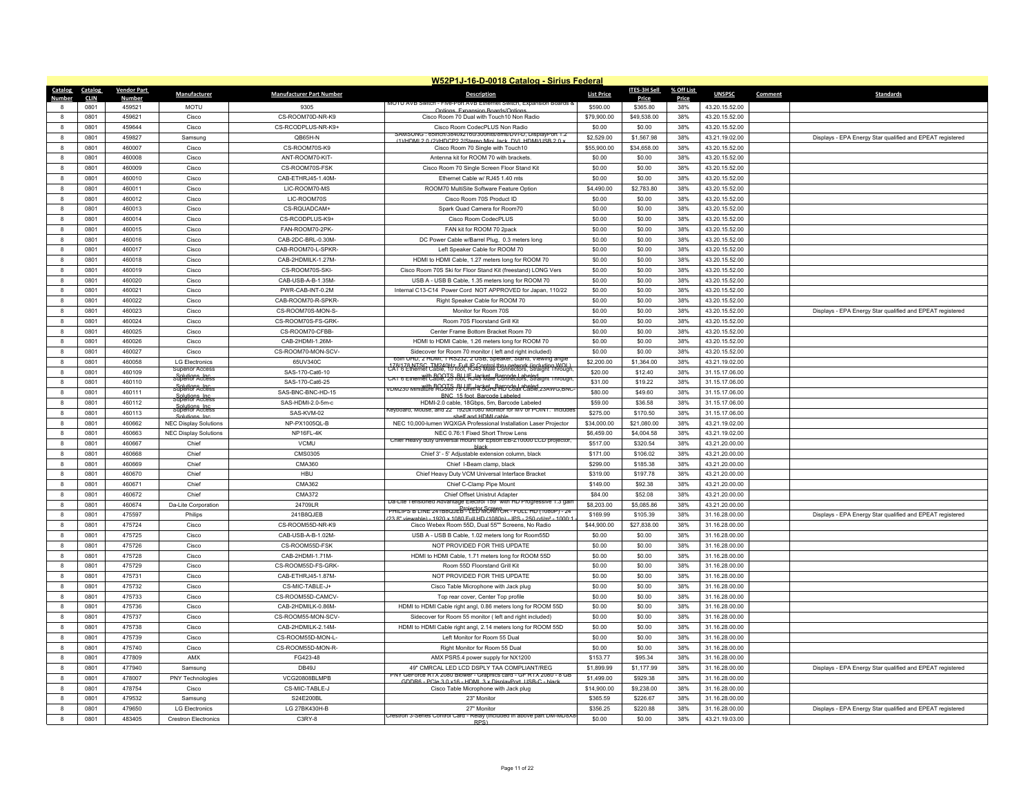|                   |             |                    |                                   |                                 | W52P1J-16-D-0018 Catalog - Sirius Federal                                                                                                        |                   |              |            |                |                                                           |
|-------------------|-------------|--------------------|-----------------------------------|---------------------------------|--------------------------------------------------------------------------------------------------------------------------------------------------|-------------------|--------------|------------|----------------|-----------------------------------------------------------|
| Catalog           | Catalog     | <b>Vendor Part</b> | Manufacturer                      | <b>Manufacturer Part Number</b> | <b>Description</b>                                                                                                                               | <b>List Price</b> | ITES-3H Sell | % Off List | <b>UNSPSC</b>  | <b>Standards</b><br>Comment                               |
| Number            | <b>CLIN</b> | <u>Number</u>      |                                   |                                 | <b>JOTU AVB SWICH - FIVE-POILAV</b>                                                                                                              |                   | Price        | Price      |                |                                                           |
|                   | 0801        | 459521             | <b>MOTU</b>                       | 9305                            | sion Roards/Ontin<br>Ontions Exp                                                                                                                 | \$590.00          | \$365.80     | 38%        | 43.20.15.52.00 |                                                           |
| $\mathbf{a}$      | 0801        | 459621             | Cisco                             | CS-ROOM70D-NR-K9                | Cisco Room 70 Dual with Touch10 Non Radio                                                                                                        | \$79,900.00       | \$49,538.00  | 38%        | 43.20.15.52.00 |                                                           |
|                   | 0801        | 459644             | Cisco                             | CS-RCODPLUS-NR-K9+              | Cisco Room CodecPLUS Non Radio                                                                                                                   | \$0.00            | \$0.00       | 38%        | 43.20.15.52.00 |                                                           |
| 8                 | 0801        | 459827             | Samsung                           | QB65H-N                         | SAMSUNG: 65inch/3840x2160/300nits/8ms/DVI-D, DisplayPort 1.2<br>(1)/HDML2.0 (2)/HDCP2.2/Stereo Mini Jack_DVL HDMI/USB.2.0                        | \$2,529.00        | \$1,567.98   | 38%        | 43.21.19.02.00 | Displays - EPA Energy Star qualified and EPEAT registered |
| $\mathbf{a}$      | 0801        | 460007             | Cisco                             | CS-ROOM70S-K9                   | Cisco Room 70 Single with Touch10                                                                                                                | \$55,900.00       | \$34,658.00  | 38%        | 43.20.15.52.00 |                                                           |
| 8                 | 0801        | 460008             | Cisco                             | ANT-ROOM70-KIT-                 | Antenna kit for ROOM 70 with brackets.                                                                                                           | \$0.00            | \$0.00       | 38%        | 43.20.15.52.00 |                                                           |
| 8                 | 0801        | 460009             | Cisco                             | CS-ROOM70S-FSK                  | Cisco Room 70 Single Screen Floor Stand Kit                                                                                                      | \$0.00            | \$0.00       | 38%        | 43.20.15.52.00 |                                                           |
| $\mathbf{a}$      | 0801        | 460010             | Cisco                             | CAB-ETHRJ45-1.40M               | Ethernet Cable w/ RJ45 1.40 mts                                                                                                                  | \$0.00            | \$0.00       | 38%        | 43.20.15.52.00 |                                                           |
|                   | 0801        | 460011             | Cisco                             | LIC-ROOM70-MS                   | ROOM70 MultiSite Software Feature Option                                                                                                         | \$4,490.00        | \$2,783.80   | 38%        | 43.20.15.52.00 |                                                           |
| 8                 | 0801        | 460012             | Cisco                             | LIC-ROOM70S                     | Cisco Room 70S Product ID                                                                                                                        | \$0.00            | \$0.00       | 38%        | 43.20.15.52.00 |                                                           |
| $\mathbf{a}$      | 0801        |                    |                                   |                                 |                                                                                                                                                  |                   |              | 38%        |                |                                                           |
|                   |             | 460013             | Cisco                             | CS-RQUADCAM+                    | Spark Quad Camera for Room70                                                                                                                     | \$0.00            | \$0.00       |            | 43.20.15.52.00 |                                                           |
| 8                 | 0801        | 460014             | Cisco                             | CS-RCODPLUS-K9+                 | Cisco Room CodecPLUS                                                                                                                             | \$0.00            | \$0.00       | 38%        | 43.20.15.52.00 |                                                           |
| 8                 | 0801        | 460015             | Cisco                             | FAN-ROOM70-2PK-                 | FAN kit for ROOM 70 2pack                                                                                                                        | \$0.00            | \$0.00       | 38%        | 43.20.15.52.00 |                                                           |
| 8                 | 0801        | 460016             | Cisco                             | CAB-2DC-BRL-0.30M-              | DC Power Cable w/Barrel Plug, 0.3 meters long                                                                                                    | \$0.00            | \$0.00       | 38%        | 43.20.15.52.00 |                                                           |
| 8                 | 0801        | 460017             | Cisco                             | CAB-ROOM70-L-SPKR-              | Left Speaker Cable for ROOM 70                                                                                                                   | \$0.00            | \$0.00       | 38%        | 43.20.15.52.00 |                                                           |
| $\mathbf{a}$      | 0801        | 460018             | Cisco                             | CAB-2HDMILK-1.27M-              | HDMI to HDMI Cable, 1.27 meters long for ROOM 70                                                                                                 | \$0.00            | \$0.00       | 38%        | 43.20.15.52.00 |                                                           |
| $\mathbf{a}$      | 0801        | 460019             | Cisco                             | CS-ROOM70S-SKI-                 | Cisco Room 70S Ski for Floor Stand Kit (freestand) LONG Vers                                                                                     | \$0.00            | \$0.00       | 38%        | 43.20.15.52.00 |                                                           |
| 8                 | 0801        | 460020             | Cisco                             | CAB-USB-A-B-1.35M-              | USB A - USB B Cable, 1.35 meters long for ROOM 70                                                                                                | \$0.00            | \$0.00       | 38%        | 43.20.15.52.00 |                                                           |
| $\mathbf{a}$      | 0801        | 460021             | Cisco                             | PWR-CAB-INT-0.2M                | Internal C13-C14 Power Cord NOT APPROVED for Japan, 110/22                                                                                       | \$0.00            | \$0.00       | 38%        | 43.20.15.52.00 |                                                           |
|                   | 0801        | 460022             | Cisco                             | CAB-ROOM70-R-SPKR-              | Right Speaker Cable for ROOM 70                                                                                                                  | \$0.00            | \$0.00       | 38%        | 43.20.15.52.00 |                                                           |
| 8                 | 0801        | 460023             | Cisco                             | CS-ROOM70S-MON-S-               | Monitor for Room 70S                                                                                                                             | \$0.00            | \$0.00       | 38%        | 43.20.15.52.00 | Displays - EPA Energy Star qualified and EPEAT registered |
| $\mathbf{R}$      | 0801        | 460024             | Cisco                             | CS-ROOM70S-FS-GRK-              | Room 70S Floorstand Grill Kit                                                                                                                    | \$0.00            | \$0.00       | 38%        | 43.20.15.52.00 |                                                           |
|                   | 0801        | 460025             | Cisco                             | CS-ROOM70-CFBB-                 | Center Frame Bottom Bracket Room 70                                                                                                              | \$0.00            | \$0.00       | 38%        | 43.20.15.52.00 |                                                           |
| 8                 | 0801        | 460026             | Cisco                             | CAB-2HDMI-1.26M-                | HDMI to HDMI Cable, 1.26 meters long for ROOM 70                                                                                                 | \$0.00            | \$0.00       | 38%        | 43.20.15.52.00 |                                                           |
| $\mathbf{R}$      | 0801        | 460027             | Cisco                             | CS-ROOM70-MON-SCV-              |                                                                                                                                                  | \$0.00            | \$0.00       | 38%        | 43.20.15.52.00 |                                                           |
| 8                 | 0801        | 460058             | <b>LG Electronics</b>             | 65UV340C                        | Sidecover for Room 70 monitor (left and right included)<br>65in UHD, 2 HDMI, 1 RS232, 2 USB, Speaker, Stand, Viewing angle                       | \$2,200.00        | \$1,364.00   | 38%        | 43.21.19.02.00 |                                                           |
|                   |             |                    | Superior Access                   |                                 | 178/178 NTSC, TM240Hz, Full US Control thru network (including WOL)<br>CAT 6 Ethernet Cable, 10 toot, KJ45 Male Connectors, Straight Through     |                   |              |            |                |                                                           |
| 8<br>$\mathbf{R}$ | 0801        | 460109             | superior Access                   | SAS-170-Cat6-10                 | with ROOTS, BLUE Jacket, Barcode Labeled<br>CAT 6 Ethernet Cable, 25 toot, RJ45 Male Connectors, Straight Through                                | \$20.00           | \$12.40      | 38%        | 31.15.17.06.00 |                                                           |
|                   | 0801        | 460110             | Solutions Inc.<br>superior Access | SAS-170-Cat6-25                 | DM230 Miniature RG598 75 ULF Jacket Barcode Labeled<br>DM230 Miniature RG598 75 ULM 4.5GHz HD Coax Cable, 23AWG, BNC                             | \$31.00           | \$19.22      | 38%        | 31.15.17.06.00 |                                                           |
| 8                 | 0801        | 460111             | Solutions<br>Superior Access      | SAS-BNC-BNC-HD-15               | BNC 15 foot Barcode Labeled                                                                                                                      | \$80.00           | \$49.60      | 38%        | 31.15.17.06.00 |                                                           |
| $\mathbf{a}$      | 0801        | 460112             | superior Access                   | SAS-HDMI-2.0-5m-c               | HDMI-2.0 cable, 18Gbps, 5m, Barcode Labeled<br>Keyboard, Mouse, and 22" 1920x1080 Monitor for MV or POINT. Includes                              | \$59.00           | \$36.58      | 38%        | 31.15.17.06.00 |                                                           |
| $\mathbf{a}$      | 0801        | 460113             | Solutions Inc.                    | SAS-KVM-02                      | shelf and HDMI cable                                                                                                                             | \$275.00          | \$170.50     | 38%        | 31.15.17.06.00 |                                                           |
| 8                 | 0801        | 460662             | <b>NEC Display Solutions</b>      | NP-PX1005QL-B                   | NFC 10.000-lumen WOXGA Professional Installation Laser Projector                                                                                 | \$34,000.00       | \$21,080.00  | 38%        | 43.21.19.02.00 |                                                           |
| $\mathbf{a}$      | 0801        | 460663             | <b>NEC Display Solutions</b>      | NP16FL-4K                       | NEC 0.76:1 Fixed Short Throw Lens                                                                                                                | \$6,459.00        | \$4,004.58   | 38%        | 43.21.19.02.00 |                                                           |
|                   | 0801        | 460667             | Chief                             | VCMU                            | Chief Heavy duty universal mount for Epson EB-Z10000 LCD projector<br>black                                                                      | \$517.00          | \$320.54     | 38%        | 43.21.20.00.00 |                                                           |
| 8                 | 0801        | 460668             | Chief                             | CMS0305                         | Chief 3' - 5' Adjustable extension column, black                                                                                                 | \$171.00          | \$106.02     | 38%        | 43.21.20.00.00 |                                                           |
| $\mathbf{R}$      | 0801        | 460669             | Chief                             | CMA360                          | Chief I-Beam clamp, black                                                                                                                        | \$299.00          | \$185.38     | 38%        | 43.21.20.00.00 |                                                           |
| 8                 | 0801        | 460670             | Chief                             | HBU                             | Chief Heavy Duty VCM Universal Interface Bracket                                                                                                 | \$319.00          | \$197.78     | 38%        | 43.21.20.00.00 |                                                           |
| 8                 | 0801        | 460671             | Chief                             | CMA362                          | Chief C-Clamp Pipe Mount                                                                                                                         | \$149.00          | \$92.38      | 38%        | 43.21.20.00.00 |                                                           |
| $\mathbf{a}$      | 0801        | 460672             | Chief                             | CMA372                          | Chief Offset Unistrut Adapter                                                                                                                    | \$84.00           | \$52.08      | 38%        | 43.21.20.00.00 |                                                           |
|                   | 0801        | 460674             | Da-Lite Corporation               | 24709LR                         | Da-Lite Tensioned Advantage Electrol 159" with HD Progressive 1.3 gain                                                                           | \$8,203.00        | \$5,085.86   | 38%        | 43.21.20.00.00 |                                                           |
|                   | 0801        | 475597             | Philips                           | 241B8QJEB                       | PHILIPS B LINE 241B8QJEB <sup>roi</sup> EED MORTOR - FULL HD (1080P) - 24<br>ewable) - 1920 x 1080 Full HD (1080n) - IPS - 250 cd/m <sup>2</sup> | \$169.99          | \$105.39     | 38%        | 31.16.28.00.00 | Displays - EPA Energy Star qualified and EPEAT registered |
| $\mathbf{a}$      | 0801        | 475724             | Cisco                             | CS-ROOM55D-NR-K9                | Cisco Webex Room 55D, Dual 55"" Screens, No Radio                                                                                                | \$44,900.00       | \$27,838.00  | 38%        | 31.16.28.00.00 |                                                           |
| $\mathbf{a}$      | 0801        | 475725             | Cisco                             | CAB-USB-A-B-1.02M-              | USB A - USB B Cable, 1.02 meters long for Room55D                                                                                                | \$0.00            | \$0.00       | 38%        | 31.16.28.00.00 |                                                           |
| 8                 | 0801        | 475726             | Cisco                             | CS-ROOM55D-FSK                  | NOT PROVIDED FOR THIS UPDATE                                                                                                                     | \$0.00            | \$0.00       | 38%        | 31.16.28.00.00 |                                                           |
| $\mathbf{R}$      | 0801        | 475728             | Cisco                             | CAB-2HDMI-1.71M-                | HDMI to HDMI Cable, 1.71 meters long for ROOM 55D                                                                                                | \$0.00            | \$0.00       | 38%        | 31.16.28.00.00 |                                                           |
| 8                 | 0801        | 475729             | Cisco                             | CS-ROOM55D-FS-GRK-              | Room 55D Floorstand Grill Kit                                                                                                                    | \$0.00            | \$0.00       | 38%        | 31.16.28.00.00 |                                                           |
| 8                 | 0801        | 475731             | Cisco                             | CAB-ETHRJ45-1.87M-              | NOT PROVIDED FOR THIS UPDATE                                                                                                                     | \$0.00            | \$0.00       | 38%        | 31.16.28.00.00 |                                                           |
| $\mathbf{a}$      | 0801        | 475732             | Cisco                             | CS-MIC-TABLE-J+                 | Cisco Table Microphone with Jack plug                                                                                                            | \$0.00            | \$0.00       | 38%        | 31.16.28.00.00 |                                                           |
| 8                 | 0801        | 475733             | Cisco                             | CS-ROOM55D-CAMCV-               | Top rear cover, Center Top profile                                                                                                               | \$0.00            | \$0.00       | 38%        | 31.16.28.00.00 |                                                           |
| 8                 | 0801        | 475736             | Cisco                             | CAB-2HDMILK-0.86M-              | HDMI to HDMI Cable right angl, 0.86 meters long for ROOM 55D                                                                                     | \$0.00            | \$0.00       | 38%        | 31.16.28.00.00 |                                                           |
| 8                 | 0801        | 475737             | Cisco                             | CS-ROOM55-MON-SCV-              | Sidecover for Room 55 monitor (left and right included)                                                                                          | \$0.00            | \$0.00       | 38%        | 31.16.28.00.00 |                                                           |
| 8                 | 0801        | 475738             | Cisco                             | CAB-2HDMILK-2.14M-              |                                                                                                                                                  | \$0.00            | \$0.00       | 38%        | 31.16.28.00.00 |                                                           |
| 8                 |             |                    |                                   |                                 | HDMI to HDMI Cable right angl, 2.14 meters long for ROOM 55D                                                                                     |                   |              |            |                |                                                           |
|                   | 0801        | 475739             | Cisco                             | CS-ROOM55D-MON-L-               | Left Monitor for Room 55 Dual                                                                                                                    | \$0.00            | \$0.00       | 38%        | 31.16.28.00.00 |                                                           |
|                   | 0801        | 475740             | Cisco                             | CS-ROOM55D-MON-R-               | Right Monitor for Room 55 Dual                                                                                                                   | \$0.00            | \$0.00       | 38%        | 31.16.28.00.00 |                                                           |
| 8                 | 0801        | 477809             | AMX                               | FG423-48                        | AMX PSR5.4 power supply for NX1200                                                                                                               | \$153.77          | \$95.34      | 38%        | 31.16.28.00.00 |                                                           |
| 8                 | 0801        | 477940             | Samsung                           | <b>DB49J</b>                    | 49" CMRCAL LED LCD DSPLY TAA COMPLIANT/REG<br>PN۱<br>GeForce RTX 2080 Blower - Graphics card - GF RTX 2080 - 8 GB                                | \$1,899.99        | \$1,177.99   | 38%        | 31.16.28.00.00 | Displays - EPA Energy Star qualified and EPEAT registered |
|                   | 0801        | 478007             | <b>PNY Technologies</b>           | VCG20808BLMPB                   | GDDR6 - PCle 3.0 x16 - HDML 3 x DisplayPort LISB-C - hlau                                                                                        | \$1,499.00        | \$929.38     | 38%        | 31.16.28.00.00 |                                                           |
| 8                 | 0801        | 478754             | Cisco                             | CS-MIC-TABLE-J                  | Cisco Table Microphone with Jack plug                                                                                                            | \$14,900.00       | \$9,238.00   | 38%        | 31.16.28.00.00 |                                                           |
| $\mathbf{R}$      | 0801        | 479532             | Samsung                           | S24E200BL                       | 23" Monito                                                                                                                                       | \$365.59          | \$226.67     | 38%        | 31.16.28.00.00 |                                                           |
|                   | 0801        | 479650             | <b>LG Electronics</b>             | LG 27BK430H-B                   | 27" Monitor<br>Crestron 3-Series Control Card - Relay (included in above part DM-MD8X8                                                           | \$356.25          | \$220.88     | 38%        | 31.16.28.00.00 | Displays - EPA Energy Star qualified and EPEAT registered |
| 8                 | 0801        | 483405             | <b>Crestron Electronics</b>       | C3RY-8                          | RPS)                                                                                                                                             | \$0.00            | \$0.00       | 38%        | 43.21.19.03.00 |                                                           |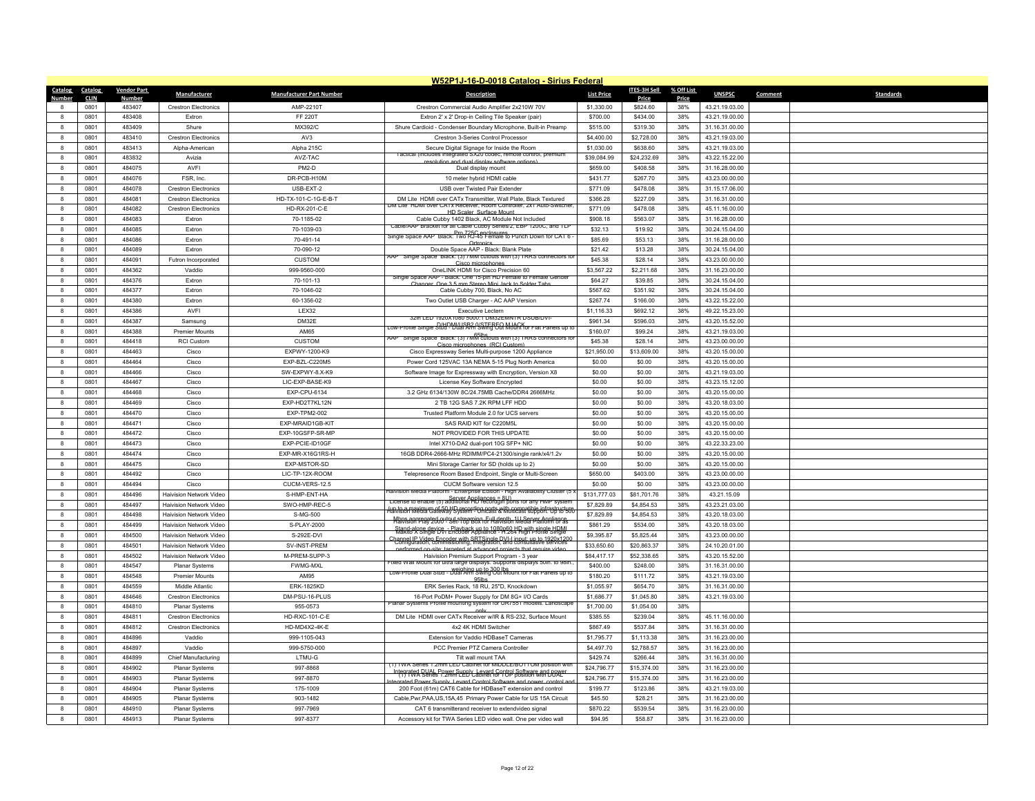|                  |              |                    |                                |                                  | W52P1J-16-D-0018 Catalog - Sirius Federal                                                                                                                                                              |                   |              |            |                |         |                  |
|------------------|--------------|--------------------|--------------------------------|----------------------------------|--------------------------------------------------------------------------------------------------------------------------------------------------------------------------------------------------------|-------------------|--------------|------------|----------------|---------|------------------|
| Catalog          | Catalog      | <b>Vendor Part</b> | Manufacturer                   | <b>Manufacturer Part Number</b>  | <b>Description</b>                                                                                                                                                                                     | <b>List Price</b> | ITES-3H Sell | % Off List | <b>UNSPSC</b>  | Comment | <b>Standards</b> |
| Numhe            | <b>CLIN</b>  | Number             |                                |                                  |                                                                                                                                                                                                        |                   | Price        | Price      |                |         |                  |
|                  | 0801         | 483407             | <b>Crestron Electronics</b>    | AMP-2210T                        | Crestron Commercial Audio Amplifier 2x210W 70V                                                                                                                                                         | \$1,330.00        | \$824.60     | 38%        | 43.21.19.03.00 |         |                  |
| $\mathbf{R}$     | 0801         | 483408             | Extron                         | <b>FF 220T</b>                   | Extron 2' x 2' Drop-in Ceiling Tile Speaker (pair)                                                                                                                                                     | \$700.00          | \$434.00     | 38%        | 43.21.19.00.00 |         |                  |
| $\mathbf{a}$     | 0801         | 483409             | Shure                          | MX392/C                          | Shure Cardioid - Condenser Boundary Microphone, Built-in Preamp                                                                                                                                        | \$515.00          | \$319.30     | 38%        | 31.16.31.00.00 |         |                  |
| $\mathbf{g}$     | 0801         | 483410             | <b>Crestron Electronics</b>    | AV3                              | Crestron 3-Series Control Processor                                                                                                                                                                    | \$4,400.00        | \$2,728.00   | 38%        | 43.21.19.03.00 |         |                  |
| 8                | 0801         | 483413             | Alpha-American                 | Alpha 215C                       | Secure Digital Signage for Inside the Room<br>actical (includes integrated SX20 codec, remote control, pre                                                                                             | \$1,030.00        | \$638.60     | 38%        | 43.21.19.03.00 |         |                  |
| $\mathbf{8}$     | 0801         | 483832             | Avizia                         | AVZ-TAC                          | resolution and dual display software options)                                                                                                                                                          | \$39,084.99       | \$24,232.69  | 38%        | 43.22.15.22.00 |         |                  |
| $\mathbf{g}$     | 0801         | 484075             | AVFI                           | PM2-D                            | Dual display mount                                                                                                                                                                                     | \$659.00          | \$408.58     | 38%        | 31.16.28.00.00 |         |                  |
| $\mathbf{g}$     | 0801         | 484076             | FSR, Inc.                      | DR-PCB-H10M                      | 10 meter hybrid HDMI cable                                                                                                                                                                             | \$431.77          | \$267.70     | 38%        | 43.23.00.00.00 |         |                  |
| 8                | 0801         | 484078             | <b>Crestron Electronics</b>    | USB-EXT-2                        | USB over Twisted Pair Extender                                                                                                                                                                         | \$771.09          | \$478.08     | 38%        | 31.15.17.06.00 |         |                  |
| 8                | 0801         | 484081             | <b>Crestron Electronics</b>    | HD-TX-101-C-1G-E-B-T             | DM Lite HDMI over CATx Transmitter, Wall Plate, Black Textured                                                                                                                                         | \$366.28          | \$227.09     | 38%        | 31.16.31.00.00 |         |                  |
| 8                | 0801         | 484082             | <b>Crestron Electronics</b>    | HD-RX-201-C-E                    | IM LITE HUMI OVER CATX Receiver, Room Controller, 2X1 Auto-S<br>HD Scaler, Surface Mount                                                                                                               | \$771.09          | \$478.08     | 38%        | 45.11.16.00.00 |         |                  |
| 8                | 0801         | 484083             | Extron                         | 70-1185-02                       | Cable Cubby 1402 Black, AC Module Not Included                                                                                                                                                         | \$908.18          | \$563.07     | 38%        | 31.16.28.00.00 |         |                  |
| 8                | 0801         | 484085             | Extron                         | 70-1039-03                       | Cable/AAP Bracket for all Cable Cubby Series/2, EBP 1200C, and TLI                                                                                                                                     | \$32.13           | \$19.92      | 38%        | 30.24.15.04.00 |         |                  |
| 8                | 0801         | 484086             | Extron                         | 70-491-14                        | Fro 725C enclosures.<br>- Single Space AAP Black: Two RJ-45 Female to Punch Down for CAT 6<br>Ortronics                                                                                                | \$85.69           | \$53.13      | 38%        | 31.16.28.00.00 |         |                  |
| 8                | 0801         | 484089             | Extron                         | 70-090-12                        | Double Space AAP - Black: Blank Plate                                                                                                                                                                  | \$21.42           | \$13.28      | 38%        | 30.24.15.04.00 |         |                  |
| 8                | 0801         | 484091             | Futron Incorporated            | <b>CUSTOM</b>                    | Single Space Black: (3) / MM cutouts with (3) TRRS connectors<br>Cisco microphones                                                                                                                     | \$45.38           | \$28.14      | 38%        | 43.23.00.00.00 |         |                  |
| 8                | 0801         | 484362             | Vaddio                         | 999-9560-000                     | OneLINK HDMI for Cisco Precision 60                                                                                                                                                                    | \$3,567.22        | \$2,211.68   | 38%        | 31.16.23.00.00 |         |                  |
| 8                | 0801         | 484376             | Extron                         | 70-101-13                        | Single Space AAP - Black: One 15-pin HD Female to Female Gender<br>Changer, One 3.5 mm Stereo Mini Jack to Solder Tabs                                                                                 | \$64.27           | \$39.85      | 38%        | 30.24.15.04.00 |         |                  |
| $\mathbf{g}$     | 0801         | 484377             | Extron                         | 70-1046-02                       | Cable Cubby 700, Black, No AC                                                                                                                                                                          | \$567.62          | \$351.92     | 38%        | 30.24.15.04.00 |         |                  |
| 8                | 0801         | 484380             | Extron                         | 60-1356-02                       | Two Outlet USB Charger - AC AAP Version                                                                                                                                                                | \$267.74          | \$166.00     | 38%        | 43.22.15.22.00 |         |                  |
| 8                | 0801         | 484386             | AVFI                           | LEX32                            | <b>Executive Lectern</b>                                                                                                                                                                               | \$1,116.33        | \$692.12     | 38%        | 49.22.15.23.00 |         |                  |
| $\mathbf{a}$     | 0801         | 484387             | Samsung                        | DM32E                            | 32in LED 1920X1080 5000:1 DM32EMN IR DSUB/DV                                                                                                                                                           | \$961.34          | \$596.03     | 38%        | 43.20.15.52.00 |         |                  |
| 8                | 0801         | 484388             | <b>Premier Mounts</b>          | AM65                             | Low-Profile Single Stud - Dual Arm Swing Out Mount for Flat Panels up to                                                                                                                               | \$160.07          | \$99.24      | 38%        | 43.21.19.03.00 |         |                  |
| 8                | 0801         | 484418             | <b>RCI Custom</b>              | <b>CUSTOM</b>                    | 65lbs<br>AAP Single Space Black: (3) /MM cutouts with (3) TRRS connectors for                                                                                                                          | \$45.38           | \$28.14      | 38%        | 43.23.00.00.00 |         |                  |
| $\mathbf{a}$     | 0801         | 484463             | Cisco                          | EXPWY-1200-K9                    | Cisco microphones (RCI Custon<br>Cisco Expressway Series Multi-purpose 1200 Appliance                                                                                                                  | \$21,950.00       | \$13,609.00  | 38%        | 43.20.15.00.00 |         |                  |
| $\mathbf{a}$     | 0801         | 484464             | Cisco                          | FXP-B7L-C220M5                   | Power Cord 125VAC 13A NEMA 5-15 Plug North America                                                                                                                                                     | \$0.00            | \$0.00       | 38%        | 43.20.15.00.00 |         |                  |
| 8                | 0801         | 484466             | Cisco                          | SW-EXPWY-8.X-K9                  | Software Image for Expressway with Encryption, Version X8                                                                                                                                              | \$0.00            | \$0.00       | 38%        | 43.21.19.03.00 |         |                  |
| 8                |              | 484467             |                                | LIC-EXP-BASE-K9                  |                                                                                                                                                                                                        |                   |              | 38%        |                |         |                  |
|                  | 0801<br>0801 | 484468             | Cisco                          | FXP-CPU-6134                     | License Key Software Encrypted<br>3.2 GHz 6134/130W 8C/24 75MB Cache/DDR4 2666MHz                                                                                                                      | \$0.00<br>\$0.00  | \$0.00       |            | 43.23.15.12.00 |         |                  |
| 8                |              |                    | Cisco                          |                                  |                                                                                                                                                                                                        |                   | \$0.00       | 38%        | 43.20.15.00.00 |         |                  |
| $\mathbf{g}$     | 0801         | 484469             | Cisco                          | EXP-HD2T7KL12N                   | 2 TB 12G SAS 7.2K RPM LFF HDD                                                                                                                                                                          | \$0.00            | \$0.00       | 38%        | 43.20.18.03.00 |         |                  |
| 8                | 0801         | 484470<br>484471   | Cisco                          | EXP-TPM2-002<br>EXP-MRAID1GB-KIT | Trusted Platform Module 2.0 for UCS servers<br>SAS RAID KIT for C220M5L                                                                                                                                | \$0.00<br>\$0.00  | \$0.00       | 38%        | 43.20.15.00.00 |         |                  |
| 8                | 0801         |                    | Cisco                          |                                  |                                                                                                                                                                                                        |                   | \$0.00       | 38%        | 43.20.15.00.00 |         |                  |
| $\boldsymbol{8}$ | 0801         | 484472             | Cisco                          | EXP-10GSFP-SR-MF                 | NOT PROVIDED FOR THIS UPDATE                                                                                                                                                                           | \$0.00            | \$0.00       | 38%        | 43.20.15.00.00 |         |                  |
| 8                | 0801         | 484473             | Cisco                          | EXP-PCIE-ID10GF                  | Intel X710-DA2 dual-port 10G SFP+ NIC                                                                                                                                                                  | \$0.00            | \$0.00       | 38%        | 43.22.33.23.00 |         |                  |
| 8                | 0801         | 484474             | Cisco                          | EXP-MR-X16G1RS-H                 | 16GB DDR4-2666-MHz RDIMM/PC4-21300/single rank/x4/1.2v                                                                                                                                                 | \$0.00            | \$0.00       | 38%        | 43.20.15.00.00 |         |                  |
| $\mathbf{8}$     | 0801         | 484475             | Cisco                          | EXP-MSTOR-SD                     | Mini Storage Carrier for SD (holds up to 2)                                                                                                                                                            | \$0.00            | \$0.00       | 38%        | 43.20.15.00.00 |         |                  |
| 8                | 0801         | 484492             | Cisco                          | LIC-TP-12X-ROOM                  | Telepresence Room Based Endpoint, Single or Multi-Screen                                                                                                                                               | \$650.00          | \$403.00     | 38%        | 43.23.00.00.00 |         |                  |
| 8                | 0801         | 484494             | Cisco                          | CUCM-VERS-12.5                   | CUCM Software version 12.5<br>sion Media Platform - Enterprise Edition - High Availability Cluster (5)                                                                                                 | \$0.00            | \$0.00       | 38%        | 43.23.00.00.00 |         |                  |
| $\mathbf{g}$     | 0801         | 484496             | Haivision Network Video        | S-HMP-FNT-HA                     | Server Appliances = 8U)<br>License to enable (5) additional HD recordgin ports for any HMP system                                                                                                      | \$131,777.03      | \$81,701.76  | 38%        | 43.21.15.09    |         |                  |
| 8                | 0801         | 484497             | Haivision Network Video        | SWO-HMP-REC-5                    | un to a maximum of 50 HD recording ports with compatible infrastructure.<br>Halvision Media Gateway System - Unicast & Multicast support. Up to 500                                                    | \$7,829.89        | \$4,854.53   | 38%        | 43.23.21.03.00 |         |                  |
| 8                | 0801         | 484498             | Haivision Network Video        | S-MG-500                         | Mbps aggregated output streaming Full depth, 1U Server Appliance                                                                                                                                       | \$7,829.89        | \$4,854.53   | 38%        | 43.20.18.03.00 |         |                  |
| $\mathbf{a}$     | 0801         | 484499             | Haivision Network Video        | S-PLAY-2000                      | Standarboe device - Playback up to 1080p60 HD with single HDML                                                                                                                                         | \$861.29          | \$534.00     | 38%        | 43.20.18.03.00 |         |                  |
| $\mathbf{g}$     | 0801         | 484500             | Haivision Network Video        | S-292E-DVI                       | Channel IP Video Encoder with SRTSingle DVI-I input up to 1920x1200<br>Configuration, commissioning, integration, and consultative services                                                            | \$9,395.87        | \$5,825.44   | 38%        | 43.23.00.00.00 |         |                  |
| $\boldsymbol{8}$ | 0801         | 484501             | Haivision Network Video        | SV-INST-PREM                     | performed on-site: targeted at advanced projects that require video                                                                                                                                    | \$33,650.60       | \$20,863.37  | 38%        | 24.10.20.01.00 |         |                  |
| $\mathbf{a}$     | 0801         | 484502             | <b>Haivision Network Video</b> | M-PREM-SUPP-3                    | Haivision Premium Support Program - 3 year                                                                                                                                                             | \$84,417.17       | \$52,338.65  | 38%        | 43.20.15.52.00 |         |                  |
| $\mathbf{a}$     | 0801         | 484547             | <b>Planar Systems</b>          | <b>FWMG-MXL</b>                  | Fixed Wall Mount for ultra large displays. Supports displays 50in. to 98in<br>Low-Profile Dual Stud - Weighing up to 300 lbs<br>Low-Profile Dual Stud - Dual Arm Swing Out Mount for Flat Panels up to | \$400.00          | \$248.00     | 38%        | 31.16.31.00.00 |         |                  |
| 8                | 0801         | 484548             | <b>Premier Mounts</b>          | AM95                             | 95 <sub>Ib</sub>                                                                                                                                                                                       | \$180.20          | \$111.72     | 38%        | 43.21.19.03.00 |         |                  |
| $\mathbf{g}$     | 0801         | 484559             | Middle Atlantic                | <b>FRK-1825KD</b>                | ERK Series Rack, 18 RU, 25"D, Knockdown                                                                                                                                                                | \$1,055.97        | \$654.70     | 38%        | 31.16.31.00.00 |         |                  |
| $\mathbf{8}$     | 0801         | 484646             | <b>Crestron Flectronics</b>    | DM-PSU-16-PLUS                   | 16-Port PoDM+ Power Supply for DM 8G+ I/O Cards                                                                                                                                                        | \$1,686.77        | \$1,045.80   | 38%        | 43.21.19.03.00 |         |                  |
| $\mathbf{8}$     | 0801         | 484810             | Planar Systems                 | 955-0573                         | Planar Systems Profile mounting system for UR/551 models. Landscape                                                                                                                                    | \$1,700.00        | \$1,054.00   | 38%        |                |         |                  |
| 8                | 0801         | 484811             | <b>Crestron Electronics</b>    | HD-RXC-101-C-E                   | DM Lite HDMI over CATx Receiver w/IR & RS-232, Surface Mount                                                                                                                                           | \$385.55          | \$239.04     | 38%        | 45.11.16.00.00 |         |                  |
| $\mathbf{a}$     | 0801         | 484812             | <b>Crestron Flectronics</b>    | HD-MD4X2-4K-E                    | 4x2 4K HDMI Switcher                                                                                                                                                                                   | \$867.49          | \$537.84     | 38%        | 31.16.31.00.00 |         |                  |
| $\mathbf{g}$     | 0801         | 484896             | Vaddio                         | 999-1105-043                     | Extension for Vaddio HDBaseT Cameras                                                                                                                                                                   | \$1,795.77        | \$1,113.38   | 38%        | 31.16.23.00.00 |         |                  |
| 8                | 0801         | 484897             | Vaddio                         | 999-5750-000                     | PCC Premier PTZ Camera Controller                                                                                                                                                                      | \$4,497.70        | \$2,788.57   | 38%        | 31.16.23.00.00 |         |                  |
| $\mathbf{8}$     | 0801         | 484899             | Chief Manufacturing            | LTMU-G                           | Tilt wall mount TAA                                                                                                                                                                                    | \$429.74          | \$266.44     | 38%        | 31.16.31.00.00 |         |                  |
| $\bf{8}$         | 0801         | 484902             | Planar Systems                 | 997-8868                         | 1) I WA Series 1.2mm LED Cabinet for MIDDLE/BOTTOM position wit                                                                                                                                        | \$24,796.77       | \$15,374.00  | 38%        | 31.16.23.00.00 |         |                  |
| $\mathbf{g}$     | 0801         | 484903             | Planar Systems                 | 997-8870                         | tegrated BLIAL Power Supply Levard Control Software and LOXIC                                                                                                                                          | \$24,796.77       | \$15,374.00  | 38%        | 31.16.23.00.00 |         |                  |
| $\mathbf{8}$     | 0801         | 484904             | Planar Systems                 | 175-1009                         | trated Power Supply Levard Control Software and nower control<br>200 Foot (61m) CAT6 Cable for HDBaseT extension and control                                                                           | \$199.77          | \$123.86     | 38%        | 43.21.19.03.00 |         |                  |
| $\mathbf{R}$     | 0801         | 484905             | <b>Planar Systems</b>          | 903-1482                         | Cable, Pwr, PAA, US, 15A, 45 Primary Power Cable for US 15A Circuit                                                                                                                                    | \$45.50           | \$28.21      | 38%        | 31.16.23.00.00 |         |                  |
| $\mathbf{a}$     | 0801         | 484910             | Planar Systems                 | 997-7969                         | CAT 6 transmitterand receiver to extendvideo signal                                                                                                                                                    | \$870.22          | \$539.54     | 38%        | 31.16.23.00.00 |         |                  |
| 8                | 0801         | 484913             | Planar Systems                 | 997-8377                         | Accessory kit for TWA Series LED video wall. One per video wall                                                                                                                                        | \$94.95           | \$58.87      | 38%        | 31.16.23.00.00 |         |                  |
|                  |              |                    |                                |                                  |                                                                                                                                                                                                        |                   |              |            |                |         |                  |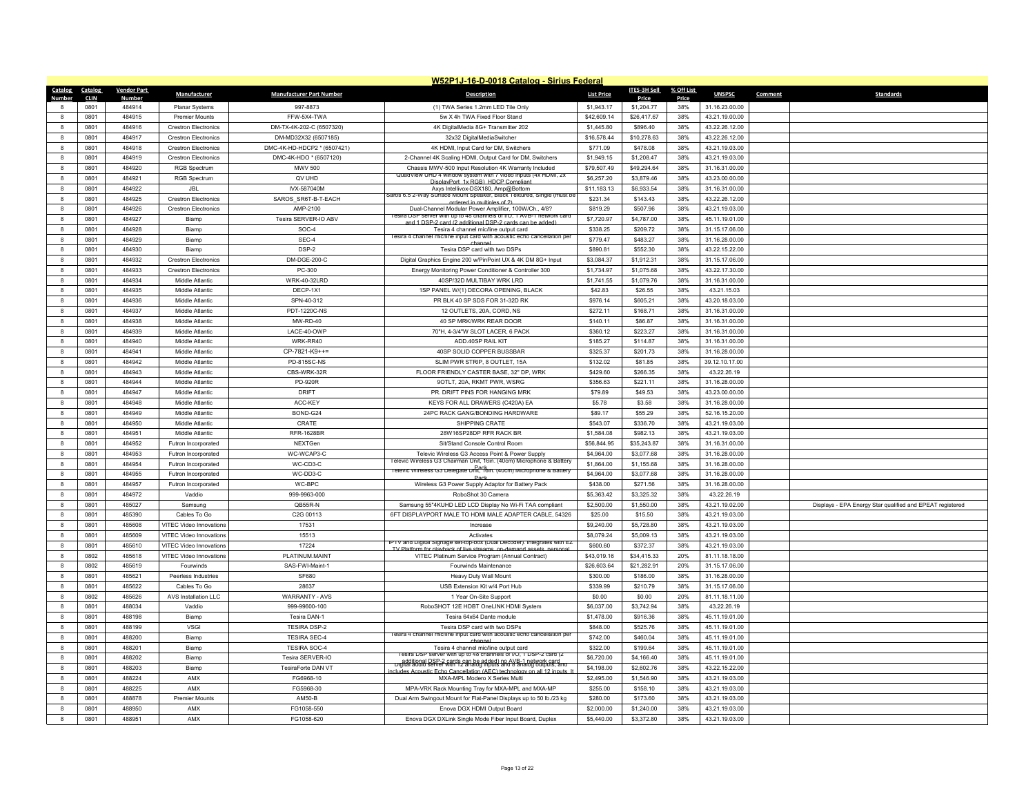|                  | W52P1J-16-D-0018 Catalog - Sirius Federal |                    |                             |                                 |                                                                                                                                    |                           |                           |            |                |         |                                                           |  |  |
|------------------|-------------------------------------------|--------------------|-----------------------------|---------------------------------|------------------------------------------------------------------------------------------------------------------------------------|---------------------------|---------------------------|------------|----------------|---------|-----------------------------------------------------------|--|--|
| Catalog          | Catalog                                   | <b>Vendor Part</b> | Manufacturer                | <b>Manufacturer Part Number</b> | <b>Description</b>                                                                                                                 | <b>List Price</b>         | ITES-3H Sell              | % Off List | <b>UNSPSC</b>  | Comment | <b>Standards</b>                                          |  |  |
|                  | <b>CLIN</b>                               | <b>Number</b>      |                             |                                 |                                                                                                                                    |                           | Price                     | Price      |                |         |                                                           |  |  |
| 8                | 0801<br>0801                              | 484914<br>484915   | Planar Systems              | 997-8873<br>FFW-5X4-TWA         | (1) TWA Series 1.2mm LED Tile Only<br>5w X 4h TWA Fixed Floor Stand                                                                | \$1,943.17<br>\$42,609.14 | \$1,204.77<br>\$26,417.67 | 38%<br>38% | 31.16.23.00.00 |         |                                                           |  |  |
| $\mathbf{8}$     |                                           | 484916             | <b>Premier Mounts</b>       |                                 |                                                                                                                                    |                           |                           | 38%        | 43.21.19.00.00 |         |                                                           |  |  |
| 8                | 0801                                      |                    | <b>Crestron Electronics</b> | DM-TX-4K-202-C (6507320)        | 4K DigitalMedia 8G+ Transmitter 202                                                                                                | \$1,445.80                | \$896.40                  |            | 43.22.26.12.00 |         |                                                           |  |  |
| 8                | 0801                                      | 484917             | <b>Crestron Electronics</b> | DM-MD32X32 (6507185)            | 32x32 DigitalMediaSwitcher                                                                                                         | \$16,578.44               | \$10,278.63               | 38%        | 43.22.26.12.00 |         |                                                           |  |  |
| 8                | 0801                                      | 484918             | <b>Crestron Electronics</b> | DMC-4K-HD-HDCP2 * (6507421)     | 4K HDMI, Input Card for DM, Switchers                                                                                              | \$771.09                  | \$478.08                  | 38%        | 43.21.19.03.00 |         |                                                           |  |  |
| 8                | 0801                                      | 484919             | <b>Crestron Electronics</b> | DMC-4K-HDO * (6507120)          | 2-Channel 4K Scaling HDMI, Output Card for DM, Switchers                                                                           | \$1,949.15                | \$1,208.47                | 38%        | 43.21.19.03.00 |         |                                                           |  |  |
| 8                | 0801                                      | 484920             | <b>RGB Spectrum</b>         | MWV 500                         | Chassis MWV-500 Input Resolution 4K Warranty Included<br>QuadView UHD 4 window system with / video inputs (4x HDMI, 2x             | \$79,507.49               | \$49,294.64               | 38%        | 31.16.31.00.00 |         |                                                           |  |  |
| $\mathbf{8}$     | 0801                                      | 484921             | <b>RGB Spectrum</b>         | QV UHD                          | DisplayPort 1x RGB) HDCP Complian                                                                                                  | \$6,257.20                | \$3,879.46                | 38%        | 43.23.00.00.00 |         |                                                           |  |  |
| -8               | 0801                                      | 484922             | JBI.                        | IVX-587040M                     | Axys Intellivox-DSX180, Amp@Bottom<br>Surface Mount Speaker, Black Textured, Single (must b<br>aros 6.5 2-W                        | \$11,183.13               | \$6.933.54                | 38%        | 31.16.31.00.00 |         |                                                           |  |  |
| $\mathbf{a}$     | 0801                                      | 484925             | <b>Crestron Electronics</b> | SAROS SR6T-B-T-EACH             | ordered in multiples of 2                                                                                                          | \$231.34                  | \$143.43                  | 38%        | 43.22.26.12.00 |         |                                                           |  |  |
| 8                | 0801                                      | 484926             | <b>Crestron Electronics</b> | AMP-2100                        | Dual-Channel Modular Power Amplifier, 100W/Ch., 4/8?<br>esira DSP server with up to 48 channels of I/O, 1 AVB-1                    | \$819.29                  | \$507.96                  | 38%        | 43.21.19.03.00 |         |                                                           |  |  |
| 8                | 0801                                      | 484927             | Biamp                       | Tesira SERVER-IO ABV            | and 1 DSP-2 card (2 additional DSP-2 cards can be added                                                                            | \$7,720.97                | \$4,787.00                | 38%        | 45.11.19.01.00 |         |                                                           |  |  |
| $\mathbf{a}$     | 0801                                      | 484928             | Biamp                       | SOC-4                           | Tesira 4 channel mic/line output card<br>esira 4 channel mic/line input card with acoustic echo cancellation per                   | \$338.25                  | \$209.72                  | 38%        | 31.15.17.06.00 |         |                                                           |  |  |
| 8                | 0801                                      | 484929             | Biamp                       | SEC-4                           | channel                                                                                                                            | \$779.47                  | \$483.27                  | 38%        | 31.16.28.00.00 |         |                                                           |  |  |
| 8                | 0801                                      | 484930             | Biamp                       | DSP-2                           | Tesira DSP card with two DSPs                                                                                                      | \$890.81                  | \$552.30                  | 38%        | 43.22.15.22.00 |         |                                                           |  |  |
| $\mathbf{a}$     | 0801                                      | 484932             | <b>Crestron Flectronics</b> | DM-DGE-200-C                    | Digital Graphics Engine 200 w/PinPoint UX & 4K DM 8G+ Input                                                                        | \$3,084.37                | \$1,912.31                | 38%        | 31.15.17.06.00 |         |                                                           |  |  |
| 8                | 0801                                      | 484933             | <b>Crestron Electronics</b> | PC-300                          | Energy Monitoring Power Conditioner & Controller 300                                                                               | \$1,734.97                | \$1,075.68                | 38%        | 43.22.17.30.00 |         |                                                           |  |  |
| 8                | 0801                                      | 484934             | Middle Atlantic             | WRK-40-32LRD                    | 40SP/32D MULTIBAY WRK LRD                                                                                                          | \$1,741.55                | \$1,079.76                | 38%        | 31.16.31.00.00 |         |                                                           |  |  |
| $\mathbf{a}$     | 0801                                      | 484935             | Middle Atlantic             | DECP-1X1                        | 1SP PANEL W/(1) DECORA OPENING, BLACK                                                                                              | \$42.83                   | \$26.55                   | 38%        | 43.21.15.03    |         |                                                           |  |  |
| $\mathbf{a}$     | 0801                                      | 484936             | Middle Atlantic             | SPN-40-312                      | PR BLK 40 SP SDS FOR 31-32D RK                                                                                                     | \$976.14                  | \$605.21                  | 38%        | 43.20.18.03.00 |         |                                                           |  |  |
| 8                | 0801                                      | 484937             | Middle Atlantic             | PDT-1220C-NS                    | 12 OUTLETS, 20A, CORD, NS                                                                                                          | \$272.11                  | \$168.71                  | 38%        | 31.16.31.00.00 |         |                                                           |  |  |
| $\mathbf{a}$     | 0801                                      | 484938             | Middle Atlantic             | MW-RD-40                        | 40 SP MRK/WRK REAR DOOR                                                                                                            | \$140.11                  | \$86.87                   | 38%        | 31.16.31.00.00 |         |                                                           |  |  |
| $\mathbf{a}$     | 0801                                      | 484939             | Middle Atlantic             | LACE-40-OWP                     | 70"H, 4-3/4"W SLOT LACER, 6 PACK                                                                                                   | \$360.12                  | \$223.27                  | 38%        | 31.16.31.00.00 |         |                                                           |  |  |
| 8                | 0801                                      | 484940             | Middle Atlantic             | WRK-RR40                        | ADD.40SP RAIL KIT                                                                                                                  | \$185.27                  | \$114.87                  | 38%        | 31.16.31.00.00 |         |                                                           |  |  |
| $\mathbf{g}$     | 0801                                      | 484941             | Middle Atlantic             | CP-7821-K9++=                   | 40SP SOLID COPPER BUSSBAR                                                                                                          | \$325.37                  | \$201.73                  | 38%        | 31.16.28.00.00 |         |                                                           |  |  |
| -8               | 0801                                      | 484942             | Middle Atlantic             | <b>PD-815SC-NS</b>              | SLIM PWR STRIP, 8 OUTLET, 15A                                                                                                      | \$132.02                  | \$81.85                   | 38%        | 39.12.10.17.00 |         |                                                           |  |  |
| 8                | 0801                                      | 484943             | Middle Atlantic             | CBS-WRK-32R                     | FLOOR FRIENDLY CASTER BASE, 32" DP, WRK                                                                                            | \$429.60                  | \$266.35                  | 38%        | 43.22.26.19    |         |                                                           |  |  |
| $\mathbf{a}$     | 0801                                      | 484944             | Middle Atlantic             | PD-920R                         | 9OTLT, 20A, RKMT PWR, WSRG                                                                                                         | \$356.63                  | \$221.11                  | 38%        | 31.16.28.00.00 |         |                                                           |  |  |
| -8               | 0801                                      | 484947             | Middle Atlantic             | <b>DRIFT</b>                    | PR. DRIFT PINS FOR HANGING MRK                                                                                                     | \$79.89                   | \$49.53                   | 38%        | 43.23.00.00.00 |         |                                                           |  |  |
| $\mathbf{a}$     | 0801                                      | 484948             | Middle Atlantic             | ACC-KEY                         | KEYS FOR ALL DRAWERS (C420A) EA                                                                                                    | \$5.78                    | \$3.58                    | 38%        | 31.16.28.00.00 |         |                                                           |  |  |
| 8                | 0801                                      | 484949             | Middle Atlantic             | BOND-G24                        | 24PC RACK GANG/BONDING HARDWARE                                                                                                    | \$89.17                   | \$55.29                   | 38%        | 52.16.15.20.00 |         |                                                           |  |  |
| $\mathbf{8}$     | 0801                                      | 484950             | Middle Atlantic             | CRATE                           | SHIPPING CRATE                                                                                                                     | \$543.07                  | \$336.70                  | 38%        | 43.21.19.03.00 |         |                                                           |  |  |
| $\mathbf{a}$     | 0801                                      | 484951             | Middle Atlantic             | <b>RFR-1628BR</b>               | 28W16SP28DP RFR RACK BR                                                                                                            | \$1,584.08                | \$982.13                  | 38%        | 43.21.19.03.00 |         |                                                           |  |  |
| $\boldsymbol{8}$ | 0801                                      | 484952             | Futron Incorporated         | NEXTGen                         | Sit/Stand Console Control Room                                                                                                     | \$56,844.95               | \$35,243.87               | 38%        | 31.16.31.00.00 |         |                                                           |  |  |
| 8                | 0801                                      | 484953             | Futron Incorporated         | WC-WCAP3-C                      | Televic Wireless G3 Access Point & Power Supply<br>I elevic Wireless G3 Chairman Unit, 16in. (40cm) Microphone & Batter            | \$4,964.00                | \$3,077.68                | 38%        | 31.16.28.00.00 |         |                                                           |  |  |
| $\bf{8}$         | 0801                                      | 484954             | Futron Incorporated         | WC-CD3-C                        | Pack<br>Televic Wireless G3 Delegate Unit, 16in. (40cm) Microphone & Battery                                                       | \$1,864.00                | \$1,155.68                | 38%        | 31.16.28.00.00 |         |                                                           |  |  |
| 8                | 0801                                      | 484955             | Futron Incorporated         | WC-DD3-C                        | Pack                                                                                                                               | \$4,964.00                | \$3,077.68                | 38%        | 31.16.28.00.00 |         |                                                           |  |  |
| 8                | 0801                                      | 484957             | Futron Incorporated         | WC-BPC                          | Wireless G3 Power Supply Adaptor for Battery Pack                                                                                  | \$438.00                  | \$271.56                  | 38%        | 31.16.28.00.00 |         |                                                           |  |  |
| 8                | 0801                                      | 484972             | Vaddio                      | 999-9963-000                    | RoboShot 30 Camera                                                                                                                 | \$5,363.42                | \$3,325.32                | 38%        | 43.22.26.19    |         |                                                           |  |  |
| $\mathbf{a}$     | 0801                                      | 485027             | Samsung                     | QB55R-N                         | Samsung 55"4KUHD LED LCD Display No Wi-Fi TAA compliant                                                                            | \$2,500.00                | \$1,550.00                | 38%        | 43.21.19.02.00 |         | Displays - EPA Energy Star qualified and EPEAT registered |  |  |
| 8                | 0801                                      | 485390             | Cables To Go                | C2G 00113                       | 6FT DISPLAYPORT MALE TO HDMI MALE ADAPTER CABLE, 54326                                                                             | \$25.00                   | \$15.50                   | 38%        | 43.21.19.03.00 |         |                                                           |  |  |
| $\mathbf{a}$     | 0801                                      | 485608             | VITEC Video Innovations     | 17531                           | Increase                                                                                                                           | \$9,240.00                | \$5,728.80                | 38%        | 43.21.19.03.00 |         |                                                           |  |  |
| $\mathbf{a}$     | 0801                                      | 485609             | VITEC Video Innovations     | 15513                           | Activates<br>IPTV and Digital Signage set-top-box (Dual Decoder), Integrates with EZ                                               | \$8,079.24                | \$5,009.13                | 38%        | 43.21.19.03.00 |         |                                                           |  |  |
| $\boldsymbol{8}$ | 0801                                      | 485610             | VITEC Video Innovations     | 17224                           | TV Platform for playback of live streams on-demand assets personal                                                                 | \$600.60                  | \$372.37                  | 38%        | 43.21.19.03.00 |         |                                                           |  |  |
| $\bf{8}$         | 0802                                      | 485618             | VITEC Video Innovations     | PLATINUM.MAINT                  | VITEC Platinum Service Program (Annual Contract)                                                                                   | \$43,019.16               | \$34,415.33               | 20%        | 81.11.18.18.00 |         |                                                           |  |  |
| -8               | 0802                                      | 485619             | Fourwinds                   | SAS-FWI-Maint-1                 | <b>Fourwinds Maintenance</b>                                                                                                       | \$26,603.64               | \$21,282.91               | 20%        | 31.15.17.06.00 |         |                                                           |  |  |
| 8                | 0801                                      | 485621             | Peerless Industries         | <b>SF680</b>                    | Heavy Duty Wall Mount                                                                                                              | \$300.00                  | \$186.00                  | 38%        | 31.16.28.00.00 |         |                                                           |  |  |
| $\mathbf{a}$     | 0801                                      | 485622             | Cables To Go                | 28637                           | USB Extension Kit w/4 Port Hub                                                                                                     | \$339.99                  | \$210.79                  | 38%        | 31.15.17.06.00 |         |                                                           |  |  |
| -8               | 0802                                      | 485626             | AVS Installation LLC        | <b>WARRANTY - AVS</b>           | 1 Year On-Site Support                                                                                                             | \$0.00                    | \$0.00                    | 20%        | 81.11.18.11.00 |         |                                                           |  |  |
| $\mathbf{8}$     | 0801                                      | 488034             | Vaddio                      | 999-99600-100                   | RoboSHOT 12E HDBT OneLINK HDMI System                                                                                              | \$6,037.00                | \$3,742.94                | 38%        | 43.22.26.19    |         |                                                           |  |  |
| 8                | 0801                                      | 488198             | Biamp                       | Tesira DAN-1                    | Tesira 64x64 Dante module                                                                                                          | \$1,478.00                | \$916.36                  | 38%        | 45.11.19.01.00 |         |                                                           |  |  |
| 8                | 0801                                      | 488199             | <b>VSGI</b>                 | <b>TESIRA DSP-2</b>             | Tesira DSP card with two DSPs<br>I esira 4 channel mic/line input card with acoustic echo cancellation per                         | \$848.00                  | \$525.76                  | 38%        | 45.11.19.01.00 |         |                                                           |  |  |
| $\mathbf{a}$     | 0801                                      | 488200             | Biamp                       | <b>TESIRA SEC-4</b>             | channe                                                                                                                             | \$742.00                  | \$460.04                  | 38%        | 45.11.19.01.00 |         |                                                           |  |  |
| 8                | 0801                                      | 488201             | Biamp                       | <b>TESIRA SOC-4</b>             | Tesira 4 channel mic/line output card<br>lesira DSP server with up to 48 channels of I/O, 1 DSP-2 card (2                          | \$322.00                  | \$199.64                  | 38%        | 45.11.19.01.00 |         |                                                           |  |  |
| 8                | 0801                                      | 488202             | Biamp                       | Tesira SERVER-IO                | additional DSP-2 cards can be added) no AVB-1 petwork card<br>Digital audio server with 12 analog inputs and 8 analog outputs, and | \$6,720.00                | \$4,166.40                | 38%        | 45.11.19.01.00 |         |                                                           |  |  |
| $\bf{8}$         | 0801                                      | 488203             | Biamp                       | TesiraForte DAN VT              | ncludes Acoustic Echo Cancellation (AEC) technology on all 12 inputs                                                               | \$4,198.00                | \$2,602.76                | 38%        | 43.22.15.22.00 |         |                                                           |  |  |
| $\boldsymbol{8}$ | 0801                                      | 488224             | AMX                         | FG6968-10                       | MXA-MPL Modero X Series Mult                                                                                                       | \$2,495.00                | \$1,546.90                | 38%        | 43.21.19.03.00 |         |                                                           |  |  |
| 8                | 0801                                      | 488225             | AMX                         | FG5968-30                       | MPA-VRK Rack Mounting Tray for MXA-MPL and MXA-MP                                                                                  | \$255.00                  | \$158.10                  | 38%        | 43.21.19.03.00 |         |                                                           |  |  |
| $\mathbf{8}$     | 0801                                      | 488878             | <b>Premier Mounts</b>       | AM50-B                          | Dual Arm Swingout Mount for Flat-Panel Displays up to 50 lb./23 kg                                                                 | \$280.00                  | \$173.60                  | 38%        | 43.21.19.03.00 |         |                                                           |  |  |
| 8                | 0801                                      | 488950             | AMX                         | FG1058-550                      | Enova DGX HDMI Output Board                                                                                                        | \$2,000.00                | \$1,240.00                | 38%        | 43.21.19.03.00 |         |                                                           |  |  |
| 8                | 0801                                      | 488951             | AMX                         | FG1058-620                      | Enova DGX DXLink Single Mode Fiber Input Board, Duplex                                                                             | \$5,440.00                | \$3,372.80                | 38%        | 43.21.19.03.00 |         |                                                           |  |  |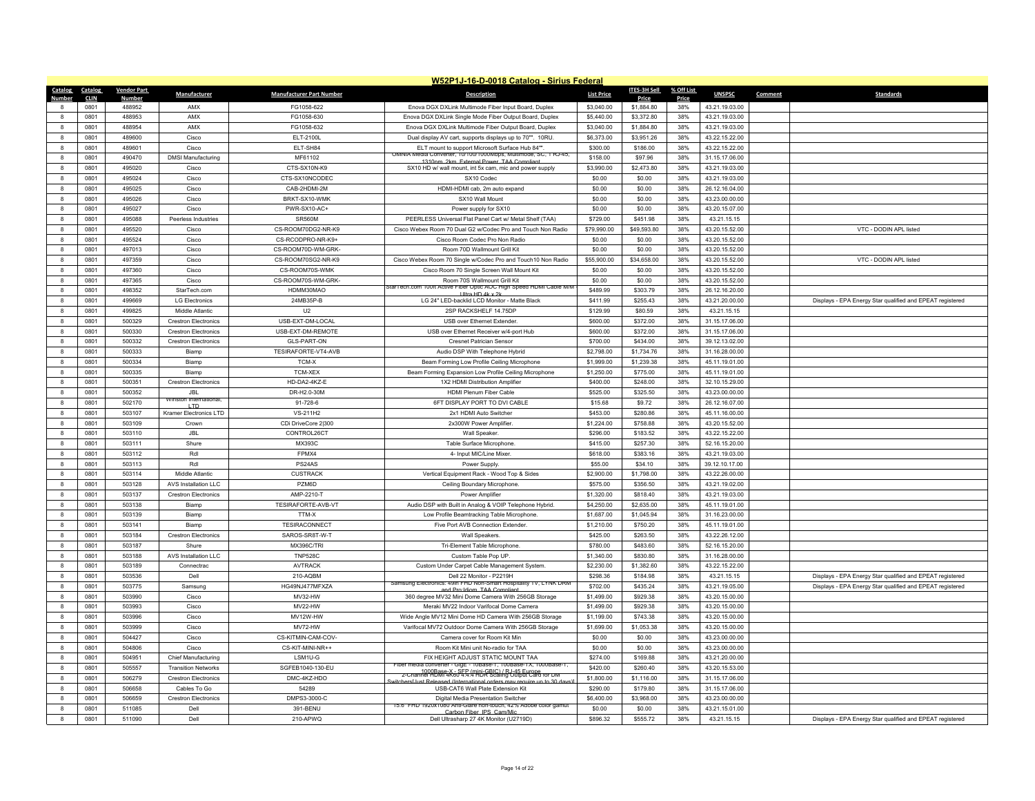|                  | W52P1J-16-D-0018 Catalog - Sirius Federal |                    |                               |                                 |                                                                                                              |                   |              |            |                |         |                                                           |  |  |
|------------------|-------------------------------------------|--------------------|-------------------------------|---------------------------------|--------------------------------------------------------------------------------------------------------------|-------------------|--------------|------------|----------------|---------|-----------------------------------------------------------|--|--|
| Catalog          | Catalog                                   | <b>Vendor Part</b> | Manufacturer                  | <b>Manufacturer Part Number</b> | <b>Description</b>                                                                                           | <b>List Price</b> | ITES-3H Sell | % Off List | <b>UNSPSC</b>  | Comment | <b>Standards</b>                                          |  |  |
| Numhe            | <b>CLIN</b>                               | Number             |                               |                                 |                                                                                                              |                   | Price        | Price      |                |         |                                                           |  |  |
|                  | 0801                                      | 488952<br>488953   | AMX                           | FG1058-622                      | Enova DGX DXLink Multimode Fiber Input Board, Duplex                                                         | \$3,040.00        | \$1,884.80   | 38%        | 43.21.19.03.00 |         |                                                           |  |  |
| $\mathbf{R}$     | 0801                                      |                    | AMX                           | FG1058-630                      | Enova DGX DXLink Single Mode Fiber Output Board, Duplex                                                      | \$5,440.00        | \$3,372.80   | 38%        | 43.21.19.03.00 |         |                                                           |  |  |
| $\mathbf{g}$     | 0801                                      | 488954             | AMX                           | FG1058-632                      | Enova DGX DXLink Multimode Fiber Output Board, Duplex                                                        | \$3,040.00        | \$1,884.80   | 38%        | 43.21.19.03.00 |         |                                                           |  |  |
| $\mathbf{8}$     | 0801                                      | 489600             | Cisco                         | ELT-2100L                       | Dual display AV cart, supports displays up to 70"". 10RU.                                                    | \$6,373.00        | \$3,951.26   | 38%        | 43.22.15.22.00 |         |                                                           |  |  |
| 8                | 0801                                      | 489601             | Cisco                         | ELT-SH84                        | ELT mount to support Microsoft Surface Hub 84""<br>Media Converter, 10/100/1000Mbps, Multimode, SC, 1 RJ-45, | \$300.00          | \$186.00     | 38%        | 43.22.15.22.00 |         |                                                           |  |  |
| $\mathbf{8}$     | 0801                                      | 490470             | <b>DMSI Manufacturing</b>     | MF61102                         | 1310nm 2km External Power, TAA Complia                                                                       | \$158.00          | \$97.96      | 38%        | 31.15.17.06.00 |         |                                                           |  |  |
| $\mathbf{a}$     | 0801                                      | 495020             | Cisco                         | CTS-SX10N-K9                    | SX10 HD w/ wall mount, int 5x cam, mic and power supply                                                      | \$3,990.00        | \$2,473.80   | 38%        | 43.21.19.03.00 |         |                                                           |  |  |
| $\boldsymbol{8}$ | 0801                                      | 495024             | Cisco                         | CTS-SX10NCODEC                  | SX10 Codec                                                                                                   | \$0.00            | \$0.00       | 38%        | 43.21.19.03.00 |         |                                                           |  |  |
| 8                | 0801                                      | 495025             | Cisco                         | CAB-2HDMI-2M                    | HDMI-HDMI cab, 2m auto expand                                                                                | \$0.00            | \$0.00       | 38%        | 26.12.16.04.00 |         |                                                           |  |  |
| 8                | 0801                                      | 495026             | Cisco                         | BRKT-SX10-WMK                   | SX10 Wall Mount                                                                                              | \$0.00            | \$0.00       | 38%        | 43.23.00.00.00 |         |                                                           |  |  |
| 8                | 0801                                      | 495027             | Cisco                         | PWR-SX10-AC+<br>SR560M          | Power supply for SX10                                                                                        | \$0.00            | \$0.00       | 38%        | 43.20.15.07.00 |         |                                                           |  |  |
| 8                | 0801                                      | 495088             | Peerless Industries           |                                 | PEERLESS Universal Flat Panel Cart w/ Metal Shelf (TAA)                                                      | \$729.00          | \$451.98     | 38%        | 43.21.15.15    |         |                                                           |  |  |
| 8                | 0801                                      | 495520             | Cisco                         | CS-ROOM70DG2-NR-K9              | Cisco Webex Room 70 Dual G2 w/Codec Pro and Touch Non Radio                                                  | \$79,990.00       | \$49,593.80  | 38%        | 43.20.15.52.00 |         | VTC - DODIN APL listed                                    |  |  |
| 8                | 0801                                      | 495524             | Cisco                         | CS-RCODPRO-NR-K9+               | Cisco Room Codec Pro Non Radio                                                                               | \$0.00            | \$0.00       | 38%        | 43.20.15.52.00 |         |                                                           |  |  |
| 8                | 0801                                      | 497013             | Cisco                         | CS-ROOM70D-WM-GRK               | Room 70D Wallmount Grill Kit                                                                                 | \$0.00            | \$0.00       | 38%        | 43.20.15.52.00 |         |                                                           |  |  |
| 8                | 0801                                      | 497359             | Cisco                         | CS-ROOM70SG2-NR-K9              | Cisco Webex Room 70 Single w/Codec Pro and Touch10 Non Radio                                                 | \$55,900.00       | \$34,658.00  | 38%        | 43.20.15.52.00 |         | VTC - DODIN APL listed                                    |  |  |
| 8                | 0801                                      | 497360             | Cisco                         | CS-ROOM70S-WMK                  | Cisco Room 70 Single Screen Wall Mount Kit                                                                   | \$0.00            | \$0.00       | 38%        | 43.20.15.52.00 |         |                                                           |  |  |
| 8                | 0801                                      | 497365             | Cisco                         | CS-ROOM70S-WM-GRK-              | Room 70S Wallmount Grill Kit<br>itar lech.com 100ft Active Fiber Optic AOC High Speed HDMI Cable M/N         | \$0.00            | \$0.00       | 38%        | 43.20.15.52.00 |         |                                                           |  |  |
| $\mathbf{g}$     | 0801                                      | 498352             | StarTech.com                  | HDMM30MAO                       | Ultra HD 4k x 2k                                                                                             | \$489.99          | \$303.79     | 38%        | 26.12.16.20.00 |         |                                                           |  |  |
| 8                | 0801                                      | 499669             | <b>LG Electronics</b>         | 24MB35P-B                       | LG 24" LED-backlid LCD Monitor - Matte Black                                                                 | \$411.99          | \$255.43     | 38%        | 43.21.20.00.00 |         | Displays - EPA Energy Star qualified and EPEAT registered |  |  |
| 8                | 0801                                      | 499825             | Middle Atlantic               | U <sub>2</sub>                  | 2SP RACKSHELF 14.75DP                                                                                        | \$129.99          | \$80.59      | 38%        | 43.21.15.15    |         |                                                           |  |  |
| $\mathbf{a}$     | 0801                                      | 500329             | <b>Crestron Electronics</b>   | USB-EXT-DM-LOCAL                | USB over Ethernet Extender                                                                                   | \$600.00          | \$372.00     | 38%        | 31.15.17.06.00 |         |                                                           |  |  |
| 8                | 0801                                      | 500330             | <b>Crestron Electronics</b>   | USB-EXT-DM-REMOTE               | USB over Ethernet Receiver w/4-port Hub                                                                      | \$600.00          | \$372.00     | 38%        | 31.15.17.06.00 |         |                                                           |  |  |
| 8                | 0801                                      | 500332             | <b>Crestron Electronics</b>   | GLS-PART-ON                     | Cresnet Patrician Sensor                                                                                     | \$700.00          | \$434.00     | 38%        | 39.12.13.02.00 |         |                                                           |  |  |
| 8                | 0801                                      | 500333             | Biamp                         | TESIRAFORTE-VT4-AVB             | Audio DSP With Telephone Hybrid                                                                              | \$2,798.00        | \$1,734.76   | 38%        | 31.16.28.00.00 |         |                                                           |  |  |
| 8                | 0801                                      | 500334             | Biamp                         | TCM-X                           | Beam Forming Low Profile Ceiling Microphone                                                                  | \$1,999.00        | \$1,239.38   | 38%        | 45.11.19.01.00 |         |                                                           |  |  |
| $\boldsymbol{8}$ | 0801                                      | 500335             | Biamp                         | TCM-XEX                         | Beam Forming Expansion Low Profile Ceiling Microphone                                                        | \$1,250.00        | \$775.00     | 38%        | 45.11.19.01.00 |         |                                                           |  |  |
| 8                | 0801                                      | 500351             | <b>Crestron Electronics</b>   | HD-DA2-4KZ-E                    | 1X2 HDMI Distribution Amplifier                                                                              | \$400.00          | \$248.00     | 38%        | 32.10.15.29.00 |         |                                                           |  |  |
| 8                | 0801                                      | 500352             | JBI.<br>Winston International | DR-H2.0-30M                     | <b>HDMI Plenum Fiber Cable</b>                                                                               | \$525.00          | \$325.50     | 38%        | 43.23.00.00.00 |         |                                                           |  |  |
| $\mathbf{g}$     | 0801                                      | 502170             | I TD                          | 91-728-6                        | 6FT DISPLAY PORT TO DVI CABLE                                                                                | \$15.68           | \$9.72       | 38%        | 26.12.16.07.00 |         |                                                           |  |  |
| 8                | 0801                                      | 503107             | Kramer Electronics LTD        | VS-211H2                        | 2x1 HDMI Auto Switcher                                                                                       | \$453.00          | \$280.86     | 38%        | 45.11.16.00.00 |         |                                                           |  |  |
| 8                | 0801                                      | 503109             | Crown                         | CDi DriveCore 2 300             | 2x300W Power Amplifier.                                                                                      | \$1,224.00        | \$758.88     | 38%        | 43.20.15.52.00 |         |                                                           |  |  |
| 8                | 0801                                      | 503110             | <b>JBL</b>                    | CONTROL26CT                     | Wall Speaker                                                                                                 | \$296.00          | \$183.52     | 38%        | 43.22.15.22.00 |         |                                                           |  |  |
| 8                | 0801                                      | 503111             | Shure                         | MX393C                          | Table Surface Microphone                                                                                     | \$415.00          | \$257.30     | 38%        | 52.16.15.20.00 |         |                                                           |  |  |
| 8                | 0801                                      | 503112             | Rdl                           | FPMX4                           | 4- Input MIC/Line Mixer                                                                                      | \$618.00          | \$383.16     | 38%        | 43.21.19.03.00 |         |                                                           |  |  |
| 8                | 0801                                      | 503113             | Rdl                           | PS24AS                          | Power Supply                                                                                                 | \$55.00           | \$34.10      | 38%        | 39.12.10.17.00 |         |                                                           |  |  |
| 8                | 0801                                      | 503114             | Middle Atlantic               | <b>CUSTRACK</b>                 | Vertical Equipment Rack - Wood Top & Sides                                                                   | \$2,900.00        | \$1,798.00   | 38%        | 43.22.26.00.00 |         |                                                           |  |  |
| 8                | 0801                                      | 503128             | AVS Installation LLC          | <b>PZM6D</b>                    | Ceiling Boundary Microphone                                                                                  | \$575.00          | \$356.50     | 38%        | 43.21.19.02.00 |         |                                                           |  |  |
| $\mathbf{g}$     | 0801                                      | 503137             | <b>Crestron Electronics</b>   | AMP-2210-T                      | Power Amplifie                                                                                               | \$1,320.00        | \$818.40     | 38%        | 43.21.19.03.00 |         |                                                           |  |  |
| 8                | 0801                                      | 503138             | Biamp                         | TESIRAFORTE-AVB-VT              | Audio DSP with Built in Analog & VOIP Telephone Hybrid.                                                      | \$4,250.00        | \$2,635.00   | 38%        | 45.11.19.01.00 |         |                                                           |  |  |
| 8                | 0801                                      | 503139             | Biamp                         | TTM-X                           | Low Profile Beamtracking Table Microphone.                                                                   | \$1,687.00        | \$1,045.94   | 38%        | 31.16.23.00.00 |         |                                                           |  |  |
| $\mathbf{g}$     | 0801                                      | 503141             | Biamp                         | <b>TESIRACONNECT</b>            | Five Port AVB Connection Extender                                                                            | \$1,210.00        | \$750.20     | 38%        | 45.11.19.01.00 |         |                                                           |  |  |
| $\mathbf{g}$     | 0801                                      | 503184             | <b>Crestron Electronics</b>   | SAROS-SR8T-W-T                  | Wall Speakers.                                                                                               | \$425.00          | \$263.50     | 38%        | 43.22.26.12.00 |         |                                                           |  |  |
| $\boldsymbol{8}$ | 0801                                      | 503187             | Shure                         | MX396C/TRI                      | Tri-Element Table Microphone                                                                                 | \$780.00          | \$483.60     | 38%        | 52.16.15.20.00 |         |                                                           |  |  |
| $\mathbf{a}$     | 0801                                      | 503188             | AVS Installation LLC          | <b>TNP528C</b>                  | Custom Table Pop UP                                                                                          | \$1,340.00        | \$830.80     | 38%        | 31.16.28.00.00 |         |                                                           |  |  |
| $\mathbf{g}$     | 0801                                      | 503189             | Connectrac                    | <b>AVTRACK</b>                  | Custom Under Carpet Cable Management System.                                                                 | \$2,230.00        | \$1,382.60   | 38%        | 43.22.15.22.00 |         |                                                           |  |  |
| 8                | 0801                                      | 503536             | Dell                          | 210-AQBM                        | Dell 22 Monitor - P2219H<br>Samsung Electronics: 49in FHD Non-Smart Hospitality TV, LYNK DRM                 | \$298.36          | \$184.98     | 38%        | 43.21.15.15    |         | Displays - EPA Energy Star qualified and EPEAT registered |  |  |
| $\mathbf{g}$     | 0801                                      | 503775             | Samsung                       | HG49NJ477MFXZA                  | and Pro Idiom TAA Compliant                                                                                  | \$702.00          | \$435.24     | 38%        | 43.21.19.05.00 |         | Displays - EPA Energy Star qualified and EPEAT registered |  |  |
| $\mathbf{a}$     | 0801                                      | 503990             | Cisco                         | MV32-HW                         | 360 degree MV32 Mini Dome Camera With 256GB Storage                                                          | \$1,499.00        | \$929.38     | 38%        | 43.20.15.00.00 |         |                                                           |  |  |
| $\mathbf{8}$     | 0801                                      | 503993             | Cisco                         | MV22-HW                         | Meraki MV22 Indoor Varifocal Dome Camera                                                                     | \$1,499.00        | \$929.38     | 38%        | 43.20.15.00.00 |         |                                                           |  |  |
| 8                | 0801                                      | 503996             | Cisco                         | MV12W-HW                        | Wide Angle MV12 Mini Dome HD Camera With 256GB Storage                                                       | \$1,199.00        | \$743.38     | 38%        | 43.20.15.00.00 |         |                                                           |  |  |
| $\mathbf{a}$     | 0801                                      | 503999             | Cisco                         | MV72-HW                         | Varifocal MV72 Outdoor Dome Camera With 256GB Storage                                                        | \$1,699.00        | \$1.053.38   | 38%        | 43.20.15.00.00 |         |                                                           |  |  |
| $\mathbf{g}$     | 0801                                      | 504427             | Cisco                         | CS-KITMIN-CAM-COV-              | Camera cover for Room Kit Min                                                                                | \$0.00            | \$0.00       | 38%        | 43.23.00.00.00 |         |                                                           |  |  |
| 8                | 0801                                      | 504806             | Cisco                         | CS-KIT-MINI-NR++                | Room Kit Mini unit No-radio for TAA                                                                          | \$0.00            | \$0.00       | 38%        | 43.23.00.00.00 |         |                                                           |  |  |
| $\mathbf{8}$     | 0801                                      | 504951             | Chief Manufacturing           | I SM1U-G                        | FIX HEIGHT ADJUST STATIC MOUNT TAA<br>Fiber media converter - GigE - 10Base-1, 100Base-1X, 1000Base-1        | \$274.00          | \$169.88     | 38%        | 43.21.20.00.00 |         |                                                           |  |  |
| $\bf{8}$         | 0801                                      | 505557             | <b>Transition Networks</b>    | SGFEB1040-130-EU                | 2-Channel HBM 4K60 4.4.4 HDR SGaling 045 Et Care for DM                                                      | \$420.00          | \$260.40     | 38%        | 43.20.15.53.00 |         |                                                           |  |  |
| $\mathbf{g}$     | 0801                                      | 506279             | <b>Crestron Electronics</b>   | DMC-4KZ-HDO                     | itchers[Just Released (International orders may require up to 30 d                                           | \$1,800.00        | \$1,116.00   | 38%        | 31.15.17.06.00 |         |                                                           |  |  |
| $\mathbf{8}$     | 0801                                      | 506658             | Cables To Go                  | 54289                           | <b>USB-CAT6 Wall Plate Extension Kit</b>                                                                     | \$290.00          | \$179.80     | 38%        | 31.15.17.06.00 |         |                                                           |  |  |
| $\mathbf{R}$     | 0801                                      | 506659             | <b>Crestron Flectronics</b>   | DMPS3-3000-C                    | Digital Media Presentation Switcher<br>15.6" FHD 1920x1080 Anti-Glare non-touch, 42% Adobe color gamut       | \$6,400.00        | \$3,968.00   | 38%        | 43.23.00.00.00 |         |                                                           |  |  |
| $\mathbf{a}$     | 0801                                      | 511085             | Del                           | 391-BENU                        | Carbon Fiber IPS, Cam/Mic                                                                                    | \$0.00            | \$0.00       | 38%        | 43 21 15 01 00 |         |                                                           |  |  |
| 8                | 0801                                      | 511090             | Dell                          | 210-APWQ                        | Dell Ultrasharp 27 4K Monitor (U2719D)                                                                       | \$896.32          | \$555.72     | 38%        | 43.21.15.15    |         | Displays - EPA Energy Star qualified and EPEAT registered |  |  |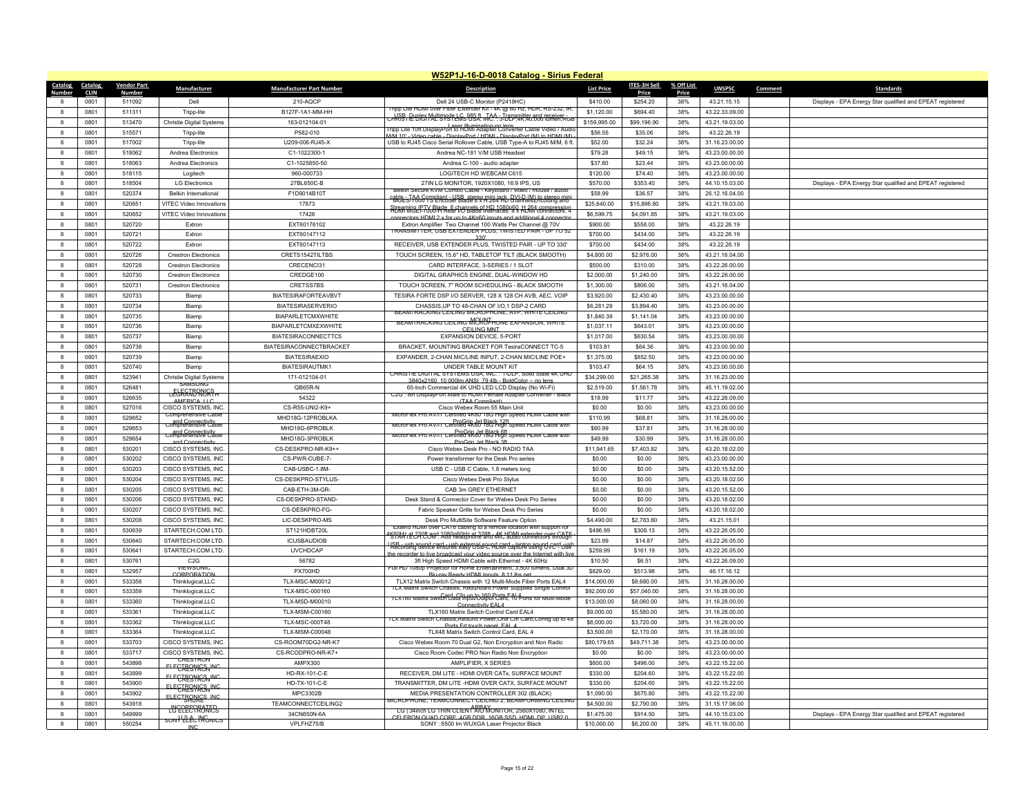| W52P1J-16-D-0018 Catalog - Sirius Federal |                         |                                         |                                 |                                                                                                                                        |                           |                          |              |                |         |                                                           |  |  |
|-------------------------------------------|-------------------------|-----------------------------------------|---------------------------------|----------------------------------------------------------------------------------------------------------------------------------------|---------------------------|--------------------------|--------------|----------------|---------|-----------------------------------------------------------|--|--|
| <b>Catalog</b><br>Catalog                 | <b>Vendor Part</b>      | <b>Manufacturer</b>                     | <b>Manufacturer Part Number</b> | <b>Description</b>                                                                                                                     | <b>List Price</b>         | ITES-3H Sell             | % Off List   | <b>UNSPSC</b>  | Comment | Standards                                                 |  |  |
| <u>Number</u><br><b>CLIN</b><br>0801      | <b>Number</b><br>511092 | Dell                                    | 210-AOCP                        | Dell 24 USB-C Monitor (P2419HC)                                                                                                        | \$410.00                  | <b>Price</b><br>\$254.20 | Price<br>38% | 43 21 15 15    |         |                                                           |  |  |
| 8<br>$\mathbf{g}$<br>0801                 | 511311                  |                                         | B127F-1A1-MM-HH                 | Tripp Lite HDMI over Fiber Extender Kit - 4K @ 60 Hz, HDR, RS-232, IR,                                                                 |                           | \$694.40                 | 38%          |                |         | Displays - EPA Energy Star qualified and EPEAT registered |  |  |
|                                           |                         | Tripp-lite                              |                                 | CHRISH PUBLEY MALL'ISYSTEMS 85.4, NC. 3-DEP.4K,40,000 fürfen Röse                                                                      | \$1,120.00                |                          |              | 43.22.33.09.00 |         |                                                           |  |  |
| 0801<br>8                                 | 513470                  | <b>Christie Digital Systems</b>         | 163-012104-01                   | Laser Illumination-no lens<br>I ripp Lite 10ft DisplayPort to HDMI Adapter Converter Cable Video / Audi                                | \$159,995.00              | \$99,196.90              | 38%          | 43.21.19.03.00 |         |                                                           |  |  |
| 0801<br>8                                 | 515571                  | Tripp-lite                              | P582-010                        | M/M 10' - Video cable - DisplayPort / HDML - DisplayPort (M) to HDML(M)                                                                | \$56.55                   | \$35.06                  | 38%          | 43.22.26.19    |         |                                                           |  |  |
| 8<br>0801                                 | 517002                  | Tripp-lite                              | U209-006-RJ45-X                 | USB to RJ45 Cisco Serial Rollover Cable, USB Type-A to RJ45 M/M, 6 ft.                                                                 | \$52.00                   | \$32.24                  | 38%          | 31.16.23.00.00 |         |                                                           |  |  |
| $\mathbf{a}$<br>0801                      | 518062                  | Andrea Electronics                      | C1-1022300-1                    | Andrea NC-181 V/M USB Headset                                                                                                          | \$79.28                   | \$49.15                  | 38%          | 43.23.00.00.00 |         |                                                           |  |  |
| 0801<br>8                                 | 518063                  | Andrea Electronics                      | C1-1025850-50                   | Andrea C-100 - audio adapter                                                                                                           | \$37.80                   | \$23.44                  | 38%          | 43.23.00.00.00 |         |                                                           |  |  |
| 0801<br>8                                 | 518115                  | Logitech                                | 960-000733                      | LOGITECH HD WEBCAM C615                                                                                                                | \$120.00                  | \$74.40                  | 38%          | 43.23.00.00.00 |         |                                                           |  |  |
| $\mathbf{a}$<br>0801                      | 518504                  | <b>LG Electronics</b>                   | 27BL650C-B                      | 27IN LG MONITOR, 1920X1080, 16:9 IPS, US<br>Belkin Secure KVM Combo Cable - Keyboard / video / mouse / audio                           | \$570.00                  | \$353.40                 | 38%          | 44.10.15.03.00 |         | Displays - EPA Energy Star qualified and EPEAT registered |  |  |
| 0801<br>8                                 | 520374                  | Belkin International                    | F1D9014B10T                     | Rhet STANG Terlient a USB aterey mini in the CNUD (M) to stereo min                                                                    | \$58.99                   | \$36.57                  | 38%          | 26.12.16.04.00 |         |                                                           |  |  |
| 8<br>0801                                 | 520651                  | VITEC Video Innovations                 | 17873                           | Streaming LP. 7 \\big Read frame and HD 1080 p60 HD 364 compression                                                                    | \$25,640.00               | \$15,896.80              | 38%          | 43.21.19.03.00 |         |                                                           |  |  |
| $\mathbf{a}$<br>0801                      | 520652                  | VITEC Video Innovations                 | 17428                           | connectors HDML2 x for up to 4Kp60 inputs and additional 4 connector                                                                   | \$6,599.75                | \$4,091.85               | 38%          | 43.21.19.03.00 |         |                                                           |  |  |
| $\mathbf{g}$<br>0801                      | 520720                  | <b>Fxtron</b>                           | EXT60176102                     | Extron Amplifier Two Channel 100 Watts Per Channel @ 70V                                                                               | \$900.00                  | \$558.00                 | 38%          | 43.22.26.19    |         |                                                           |  |  |
| 0801<br>8                                 | 520721                  | Extron                                  | EXT60147112                     | TRANSMITTER, USB EXTENDER PLUS, TWISTED PAIR - UP TO 52<br>330'                                                                        | \$700.00                  | \$434.00                 | 38%          | 43.22.26.19    |         |                                                           |  |  |
| $\mathbf{a}$<br>0801                      | 520722                  | Extron                                  | EXT60147113                     | RECEIVER, USB EXTENDER PLUS, TWISTED PAIR - UP TO 330'                                                                                 | \$700.00                  | \$434.00                 | 38%          | 43.22.26.19    |         |                                                           |  |  |
| 0801<br>8                                 | 520726                  | <b>Crestron Electronics</b>             | CRETS1542TILTBS                 | TOUCH SCREEN, 15.6" HD, TABLETOP TILT (BLACK SMOOTH)                                                                                   | \$4,800.00                | \$2,976.00               | 38%          | 43.21.16.04.00 |         |                                                           |  |  |
| 0801<br>8                                 | 520728                  | <b>Crestron Electronics</b>             | CRECENCI31                      | CARD INTERFACE, 3-SERIES / 1 SLOT                                                                                                      | \$500.00                  | \$310.00                 | 38%          | 43.22.26.00.00 |         |                                                           |  |  |
| $\bf{8}$<br>0801                          | 520730                  | <b>Crestron Electronics</b>             | CREDGE100                       | DIGITAL GRAPHICS ENGINE, DUAL-WINDOW HD                                                                                                | \$2,000.00                | \$1,240.00               | 38%          | 43.22.26.00.00 |         |                                                           |  |  |
| 8<br>0801                                 | 520731                  | <b>Crestron Electronics</b>             | CRETSS7BS                       | TOUCH SCREEN, 7" ROOM SCHEDULING - BLACK SMOOTH                                                                                        | \$1,300.00                | \$806.00                 | 38%          | 43.21.16.04.00 |         |                                                           |  |  |
| 0801<br>8                                 | 520733                  | Biamp                                   | <b>BIATESIRAFORTEAVBVT</b>      | TESIRA FORTE DSP I/O SERVER, 128 X 128 CH AVB, AEC, VOIP                                                                               | \$3,920.00                | \$2,430.40               | 38%          | 43.23.00.00.00 |         |                                                           |  |  |
| $\mathbf{a}$<br>0801                      | 520734                  | Biamn                                   | <b>BIATESIRASERVERIO</b>        | CHASSIS, UP TO 48-CHAN OF I/O, 1 DSP-2 CARD                                                                                            | \$6,281.29                | \$3,894.40               | 38%          | 43.23.00.00.00 |         |                                                           |  |  |
| 8<br>0801                                 | 520735                  | Biamp                                   | BIAPARLETCMXWHITE               | BEAMTRACKING CEILING MICROPHONE, AVP, WHITE CEILING                                                                                    | \$1,840.39                | \$1,141.04               | 38%          | 43.23.00.00.00 |         |                                                           |  |  |
| 0801<br>$\mathbf{a}$                      | 520736                  | Biamp                                   | <b>BIAPARLETCMXEXWHITE</b>      | BEAM I RACKING CEILING MCROPHONE EXPANSION, WHITE<br>CFILING MNT                                                                       | \$1,037.11                | \$643.01                 | 38%          | 43.23.00.00.00 |         |                                                           |  |  |
| $\mathbf{a}$<br>0801                      | 520737                  | Biamp                                   | BIATESIRACONNECTTC5             | EXPANSION DEVICE, 5-PORT                                                                                                               | \$1,017.00                | \$630.54                 | 38%          | 43.23.00.00.00 |         |                                                           |  |  |
| 8<br>0801                                 | 520738                  | Biamp                                   | BIATESIRACONNECTBRACKET         | BRACKET, MOUNTING BRACKET FOR TesiraCONNECT TC-5                                                                                       | \$103.81                  | \$64.36                  | 38%          | 43.23.00.00.00 |         |                                                           |  |  |
| 0801<br>8                                 | 520739                  | Biamp                                   | <b>BIATESIRAEXIO</b>            | EXPANDER, 2-CHAN MIC/LINE INPUT, 2-CHAN MIC/LINE POE+                                                                                  | \$1,375.00                | \$852.50                 | 38%          | 43.23.00.00.00 |         |                                                           |  |  |
| 0801<br>8                                 | 520740                  | Biamp                                   | <b>BIATESIRAUTMK1</b>           | UNDER TABLE MOUNT KIT                                                                                                                  | \$103.47                  | \$64.15                  | 38%          | 43.23.00.00.00 |         |                                                           |  |  |
| $\mathbf{R}$<br>0801                      | 523941                  | Christie Digital Systems                | 171-012104-01                   | CHRISTIE DIGITAL SYSTEMS USA, INC.: 1-DLP, Solid State 4K UHL                                                                          | \$34,299.00               | \$21.265.38              | 38%          | 31.16.23.00.00 |         |                                                           |  |  |
| 0801<br>8                                 | 526481                  | SAMSUNG                                 | QB65R-N                         | 3840x2160 10 000lm ANSL 79 4lb - BoldColor -- no lens<br>65-Inch Commercial 4K UHD LED LCD Display (No Wi-Fi)                          | \$2,519.00                | \$1,561.78               | 38%          | 45.11.19.02.00 |         |                                                           |  |  |
| 0801<br>8                                 | 526635                  | <b>LEGRARANGS</b>                       | 54322                           | C2G: 8in DisplayPort Male to HDMI Female Adapter Converter - Black                                                                     | \$18.99                   | \$11.77                  | 38%          | 43.22.26.09.00 |         |                                                           |  |  |
| $\mathbf{a}$<br>0801                      | 527016                  | AMERICA LLC<br>CISCO SYSTEMS. INC.      | CS-R55-UNI2-K9+                 | (TAA Compliant)<br>Cisco Webex Room 55 Main Unit                                                                                       | \$0.00                    | \$0.00                   | 38%          | 43.23.00.00.00 |         |                                                           |  |  |
| $\mathbf{g}$<br>0801                      | 529652                  | Comprehensive Cable                     | MHD18G-12PROBLKA                | MicroFlex Pro AV/IT Certified 4K60 18G High Speed HDMI Cable with                                                                      | \$110.99                  | \$68.81                  | 38%          | 31.16.28.00.00 |         |                                                           |  |  |
| 0801<br>8                                 | 529653                  | comprehensive Cable                     | MHD18G-6PROBLK                  | ProGrip Jet Black 12ft<br>MicroFlex Pro AV/IT Certified 4K60 18G High Speed HDMI Cable with                                            | \$60.99                   | \$37.81                  | 38%          | 31.16.28.00.00 |         |                                                           |  |  |
| 0801<br>$\mathbf{a}$                      | 529654                  | comprehensive Cable                     | MHD18G-3PROBLK                  | ProGrip Jet Black 6ft<br>MicroFlex Pro AV/IT Certified 4R60 18G High Speed HDMI Cable with                                             | \$49.99                   | \$30.99                  | 38%          | 31.16.28.00.00 |         |                                                           |  |  |
| $\mathbf{a}$<br>0801                      | 530201                  | and Connectivity<br>CISCO SYSTEMS, INC. | CS-DESKPRO-NR-K9++              | ProGrin, let Black 3f<br>Cisco Webex Desk Pro - NO RADIO TAA                                                                           | \$11,941.65               | \$7,403.82               | 38%          | 43.20.18.02.00 |         |                                                           |  |  |
| 0801<br>8                                 | 530202                  | CISCO SYSTEMS INC.                      | CS-PWR-CUBF-7-                  | Power transformer for the Desk Pro series                                                                                              | \$0.00                    | \$0.00                   | 38%          | 43.23.00.00.00 |         |                                                           |  |  |
| 8<br>0801                                 | 530203                  | CISCO SYSTEMS, INC                      | CAB-USBC-1.8M-                  | USB C - USB C Cable, 1.8 meters long                                                                                                   | \$0.00                    | \$0.00                   | 38%          | 43.20.15.52.00 |         |                                                           |  |  |
| 8<br>0801                                 | 530204                  | CISCO SYSTEMS, INC.                     | CS-DESKPRO-STYLUS               | Cisco Webex Desk Pro Stylus                                                                                                            | \$0.00                    | \$0.00                   | 38%          | 43.20.18.02.00 |         |                                                           |  |  |
| 0801<br>8                                 | 530205                  | CISCO SYSTEMS. INC.                     | CAB-FTH-3M-GR                   | CAB 3m GREY ETHERNET                                                                                                                   | \$0.00                    | \$0.00                   | 38%          | 43.20.15.52.00 |         |                                                           |  |  |
| $\bf{8}$<br>0801                          | 530206                  | CISCO SYSTEMS, INC.                     | CS-DESKPRO-STAND-               | Desk Stand & Connector Cover for Webex Desk Pro Series                                                                                 | \$0.00                    | \$0.00                   | 38%          | 43.20.18.02.00 |         |                                                           |  |  |
| 8<br>0801                                 | 530207                  | CISCO SYSTEMS, INC.                     | CS-DESKPRO-FG-                  | Fabric Speaker Grille for Webex Desk Pro Series                                                                                        | \$0.00                    | \$0.00                   | 38%          | 43.20.18.02.00 |         |                                                           |  |  |
| 0801<br>$\mathbf{a}$                      | 530208                  | CISCO SYSTEMS. INC.                     | LIC-DESKPRO-MS                  | Desk Pro MultiSite Software Feature Option                                                                                             | \$4,490.00                | \$2,783.80               | 38%          | 43 21 15 01    |         |                                                           |  |  |
| $\mathbf{a}$<br>0801                      | 530639                  | STARTECH.COM LTD.                       | ST121HDBT20L                    | Extend HDMI over CA16 cabling to a remote location with support for                                                                    | \$496.99                  | \$308.13                 | 38%          | 43.22.26.05.00 |         |                                                           |  |  |
| 8<br>0801                                 | 530640                  | STARTECH.COM LTD.                       | <b>ICUSBAUDIOB</b>              | 1660Hz at 230tt and 1080p60Hz at 328tt - 4K HDML extender over CAT6<br>"STARTECHTCOM". Add headphone and MIC audio connectors through  | \$23.99                   | \$14.87                  | 38%          | 43.22.26.05.00 |         |                                                           |  |  |
| 0801<br>8                                 | 530641                  | STARTECH.COM LTD.                       | <b>UVCHDCAP</b>                 | USB - usb sound card - usb external sound capiture using UVC - Use<br>Recording device ensures easy USB-C HDMI capture using UVC - Use | \$259.99                  | \$161.19                 | 38%          | 43.22.26.05.00 |         |                                                           |  |  |
| 0801<br>8                                 | 530761                  | C2G                                     | 56782                           | rder to live broadcast your video source over the In<br>3ft High Speed HDMI Cable with Ethernet - 4K 60Hz                              | \$10.50                   | \$6.51                   | 38%          | 43.22.26.09.00 |         |                                                           |  |  |
| $\mathbf{R}$<br>0801                      | 532957                  | VIEWSONK                                | PX700HD                         | Full HD 1080p Projector for Home Entertainment, 3,500 lumens, Dual 3L                                                                  | \$829.00                  | \$513.98                 | 38%          | 46.17.16.12    |         |                                                           |  |  |
| 0801<br>8                                 | 533358                  | CORPORATION<br>Thinklogical.LLC         | <b>TLX-MSC-M00012</b>           | Blu-ray Ready HDMI Inputs 8 11 lbs net<br>TLX12 Matrix Switch Chassis with 12 Multi-Mode Fiber Ports EAL4                              | \$14,000.00               | \$8,680.00               | 38%          | 31.16.28.00.00 |         |                                                           |  |  |
| 0801<br>8                                 | 533359                  | Thinklogical, LLC                       | TLX-MSC-000160                  | IT X Matrix Switch Chassis, Redundant Power Supplies Single Control                                                                    | \$92,000.00               | \$57,040.00              | 38%          | 31.16.28.00.00 |         |                                                           |  |  |
| $\mathbf{a}$<br>0801                      | 533360                  |                                         |                                 | EX160 Matrix Switch Data InputOdiput Card, 10 Ports for Multi-Mode                                                                     |                           |                          | 38%          |                |         |                                                           |  |  |
| 8<br>0801                                 | 533361                  | Thinklogical, LLC                       | TLX-MSD-M00010                  | Connectivity FALA<br>TLX160 Matrix Switch Control Card EAL4                                                                            | \$13,000.00<br>\$9,000.00 | \$8,060.00<br>\$5,580.00 | 38%          | 31.16.28.00.00 |         |                                                           |  |  |
|                                           |                         | Thinklogical, LLC                       | <b>TLX-MSM-C00160</b>           | ILX Matrix Switch Chassis, Redund Power, One Ctrl Card, Config up to 48                                                                |                           |                          |              | 31.16.28.00.00 |         |                                                           |  |  |
| 0801<br>8                                 | 533362                  | Thinklogical, LLC                       | <b>TLX-MSC-000T48</b>           | Ports Frt touch panel, FAI 4                                                                                                           | \$6,000.00                | \$3,720.00               | 38%          | 31.16.28.00.00 |         |                                                           |  |  |
| $\mathbf{a}$<br>0801                      | 533364                  | Thinklogical,LLC                        | TI X-MSM-C00048                 | TLX48 Matrix Switch Control Card, EAL 4                                                                                                | \$3,500.00                | \$2,170.00               | 38%          | 31.16.28.00.00 |         |                                                           |  |  |
| $\mathbf{a}$<br>0801                      | 533703                  | CISCO SYSTEMS, INC.                     | CS-ROOM70DG2-NR-K7              | Cisco Webex Room 70 Dual G2, Non Encryption and Non Radio                                                                              | \$80,179.65               | \$49,711.38              | 38%          | 43.23.00.00.00 |         |                                                           |  |  |
| 8<br>0801                                 | 533717                  | CISCO SYSTEMS, INC.<br><b>CRESTRON</b>  | CS-RCODPRO-NR-K7+               | Cisco Room Codec PRO Non Radio Non Encryption                                                                                          | \$0.00                    | \$0.00                   | 38%          | 43.23.00.00.00 |         |                                                           |  |  |
| 8<br>0801                                 | 543898                  | <del>ELECTRONICS, INC.</del>            | AMPX300                         | AMPLIFIER, X SERIES                                                                                                                    | \$800.00                  | \$496.00                 | 38%          | 43.22.15.22.00 |         |                                                           |  |  |
| 0801<br>8                                 | 543899                  | ELECTRONICS INC.                        | HD-RX-101-C-E                   | RECEIVER, DM LITE - HDMI OVER CATx, SURFACE MOUNT                                                                                      | \$330.00                  | \$204.60                 | 38%          | 43.22.15.22.00 |         |                                                           |  |  |
| 0801<br>$\mathbf{R}$                      | 543900                  | ELECTRONICS INC                         | HD-TX-101-C-E                   | TRANSMITTER, DM LITE -HDMI OVER CATX, SURFACE MOUNT                                                                                    | \$330.00                  | \$204.60                 | 38%          | 43.22.15.22.00 |         |                                                           |  |  |
| 8<br>0801                                 | 543902                  | ELECTRONICS INC.                        | MPC3302B                        | MEDIA PRESENTATION CONTROLLER 302 (BLACK)<br>MICROPHONE, TEAMCONNECT CEILING 2, BEAMFORMING CEILIN                                     | \$1,090.00                | \$675.80                 | 38%          | 43.22.15.22.00 |         |                                                           |  |  |
| 8<br>0801                                 | 543918                  | <b>HACOBEORATES</b>                     | TEAMCONNECTCEILING2             | LG   34 inch LG THIN CLIEN ARRAY ONITOR, 2560X1080, INTEL                                                                              | \$4,500.00                | \$2,790.00               | 38%          | 31.15.17.06.00 |         |                                                           |  |  |
| 0801<br>8                                 | 549999                  | son+ELEcHRONICS                         | 34CN650N-6A                     | CELERON OLIAD CORE, 4GB DDR, 16GB SSD, HDML DP, LISB2 0                                                                                | \$1,475.00                | \$914.50                 | 38%          | 44.10.15.03.00 |         | Displays - EPA Energy Star qualified and EPEAT registered |  |  |
| 0801<br>8                                 | 550254                  | INC.                                    | VPLFHZ75/B                      | SONY: 6500 Im WUXGA Laser Projector Black                                                                                              | \$10,000.00               | \$6,200.00               | 38%          | 45.11.16.00.00 |         |                                                           |  |  |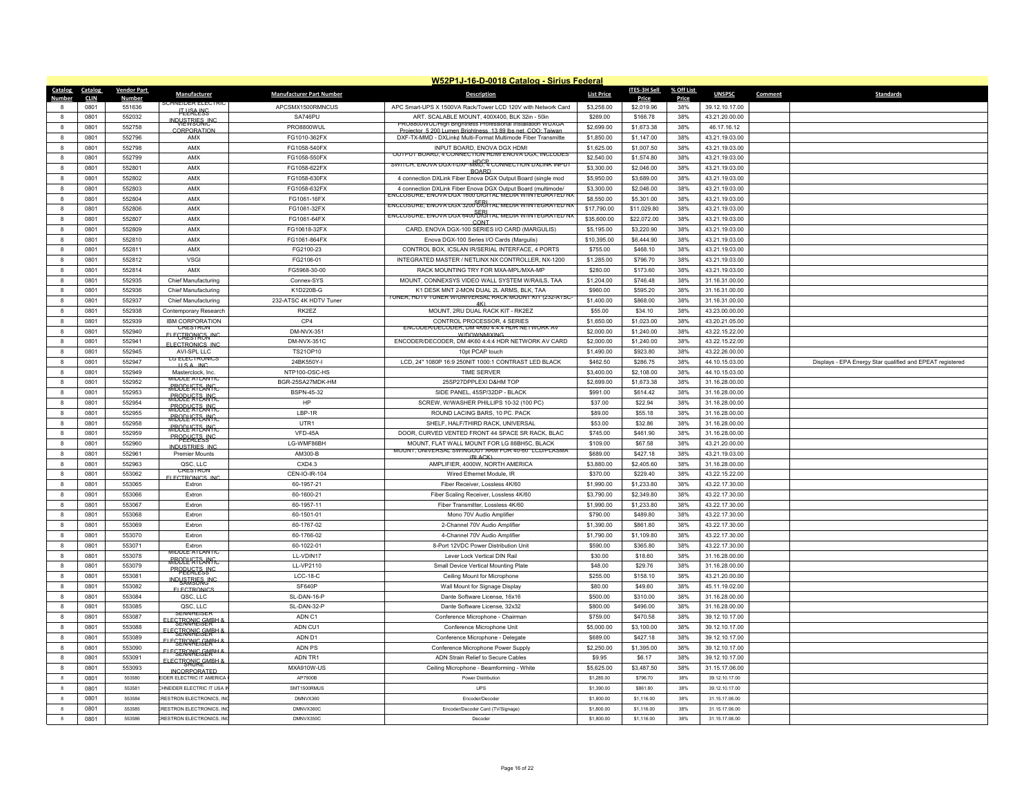|              | W52P1J-16-D-0018 Catalog - Sirius Federal |                    |                                                |                                 |                                                                                                                    |                   |              |            |                |                                                           |  |  |
|--------------|-------------------------------------------|--------------------|------------------------------------------------|---------------------------------|--------------------------------------------------------------------------------------------------------------------|-------------------|--------------|------------|----------------|-----------------------------------------------------------|--|--|
| Catalog      | Catalog                                   | <b>Vendor Part</b> | Manufacturer                                   | <b>Manufacturer Part Number</b> | <b>Description</b>                                                                                                 | <b>List Price</b> | ITES-3H Sell | % Off List | <b>UNSPSC</b>  | <b>Standards</b><br>Comment                               |  |  |
| Number       | <b>CLIN</b>                               | <b>Number</b>      | VEIDER ELECT                                   |                                 |                                                                                                                    |                   | <b>Price</b> | Price      |                |                                                           |  |  |
|              | 0801                                      | 551636             | <b>HI-HAA HAS</b>                              | APCSMX1500RMNCUS                | APC Smart-UPS X 1500VA Rack/Tower LCD 120V with Network Card                                                       | \$3,258.00        | \$2,019.96   | 38%        | 39.12.10.17.00 |                                                           |  |  |
| $\mathbf{a}$ | 0801                                      | 552032             | <b>INDHETTRIES INC</b>                         | SA746PU                         | ART. SCALABLE MOUNT, 400X400, BLK 32in - 50in<br><b>PRO8800WUL/High Brightness Professional Installation WUXGA</b> | \$269.00          | \$166.78     | 38%        | 43.21.20.00.00 |                                                           |  |  |
|              | 0801                                      | 552758             | CORPORATION                                    | PRO8800WUL                      | Projector 5 200 Lumen Brightness 13 89 lbs net COO: Taiwa                                                          | \$2,699.00        | \$1,673.38   | 38%        | 46.17.16.12    |                                                           |  |  |
| 8            | 0801                                      | 552796             | AMX                                            | FG1010-362FX                    | DXF-TX-MMD - DXLink¢ Multi-Format Multimode Fiber Transmitte                                                       | \$1,850.00        | \$1,147.00   | 38%        | 43.21.19.03.00 |                                                           |  |  |
| $\mathbf{a}$ | 0801                                      | 552798             | AMX                                            | FG1058-540FX                    | INPUT BOARD. ENOVA DGX HDMI                                                                                        | \$1,625.00        | \$1,007.50   | 38%        | 43.21.19.03.00 |                                                           |  |  |
| $\mathbf{a}$ | 0801                                      | 552799             | AMX                                            | FG1058-550FX                    | OUTPUT BOARD. 4 CONNECTION HOME INOVATIGA INCLUDES                                                                 | \$2,540.00        | \$1,574.80   | 38%        | 43.21.19.03.00 |                                                           |  |  |
| 8            | 0801                                      | 552801             | AMX                                            | FG1058-622FX                    | SWITCH, ENOVA DGX-I-DXF-MMD, 4 CONNECTION DXLINK INPUT<br><b>BOARD</b>                                             | \$3,300.00        | \$2,046.00   | 38%        | 43.21.19.03.00 |                                                           |  |  |
| $\mathbf{R}$ | 0801                                      | 552802             | AMX                                            | FG1058-630FX                    | 4 connection DXLink Fiber Enova DGX Output Board (single mod                                                       | \$5,950.00        | \$3,689.00   | 38%        | 43.21.19.03.00 |                                                           |  |  |
|              | 0801                                      | 552803             | AMX                                            | FG1058-632FX                    | 4 connection DXLink Fiber Enova DGX Output Board (multimode/                                                       | \$3,300.00        | \$2,046.00   | 38%        | 43.21.19.03.00 |                                                           |  |  |
| 8            | 0801                                      | 552804             | AMX                                            | FG1061-16FX                     | NCLOSURE. ENOVA DGX 1600 DIGITAL MEDIA W/INTEGRATED N.                                                             | \$8,550.00        | \$5,301.00   | 38%        | 43.21.19.03.00 |                                                           |  |  |
| $\mathbf{a}$ | 0801                                      | 552806             | AMX                                            | FG1061-32FX                     | ENGLOSURE, ENOVA DGX 3200 DIGITAL MEDIA W/INTEGRATED NA                                                            | \$17,790.00       | \$11,029.80  | 38%        | 43.21.19.03.00 |                                                           |  |  |
| $\mathbf{a}$ | 0801                                      | 552807             | AMX                                            | FG1061-64FX                     | ENCLOSURE, ENOVA DGX 6400 DIGITAL MEDIA WINTEGRATED NX                                                             | \$35,600.00       | \$22,072.00  | 38%        | 43.21.19.03.00 |                                                           |  |  |
| 8            | 0801                                      | 552809             | AMX                                            | FG10618-32FX                    | CONT<br>CARD, ENOVA DGX-100 SERIES I/O CARD (MARGULIS)                                                             |                   | \$3,220.90   | 38%        | 43.21.19.03.00 |                                                           |  |  |
|              |                                           |                    |                                                |                                 |                                                                                                                    | \$5,195.00        |              |            |                |                                                           |  |  |
| $\mathbf{a}$ | 0801                                      | 552810             | AMX                                            | FG1061-864FX                    | Enova DGX-100 Series I/O Cards (Margulis)                                                                          | \$10,395.00       | \$6,444.90   | 38%        | 43.21.19.03.00 |                                                           |  |  |
| 8            | 0801                                      | 552811             | AMX                                            | FG2100-23                       | CONTROL BOX. ICSLAN IR/SERIAL INTERFACE, 4 PORTS                                                                   | \$755.00          | \$468.10     | 38%        | 43.21.19.03.00 |                                                           |  |  |
| 8            | 0801                                      | 552812             | <b>VSGI</b>                                    | FG2106-01                       | INTEGRATED MASTER / NETLINX NX CONTROLLER, NX-1200                                                                 | \$1,285.00        | \$796.70     | 38%        | 43.21.19.03.00 |                                                           |  |  |
| $\mathbf{a}$ | 0801                                      | 552814             | AMX                                            | FG5968-30-00                    | RACK MOUNTING TRY FOR MXA-MPL/MXA-MP                                                                               | \$280.00          | \$173.60     | 38%        | 43.21.19.03.00 |                                                           |  |  |
| 8            | 0801                                      | 552935             | Chief Manufacturing                            | Connex-SYS                      | MOUNT. CONNEXSYS VIDEO WALL SYSTEM W/RAILS. TAA                                                                    | \$1,204.00        | \$746.48     | 38%        | 31.16.31.00.00 |                                                           |  |  |
| $\mathbf{a}$ | 0801                                      | 552936             | Chief Manufacturing                            | K1D220B-G                       | K1 DESK MNT 2-MON DUAL 2L ARMS, BLK, TAA                                                                           | \$960.00          | \$595.20     | 38%        | 31.16.31.00.00 |                                                           |  |  |
| 8            | 0801                                      | 552937             | Chief Manufacturing                            | 232-ATSC 4K HDTV Tuner          | TUNER, HDTV TUNER W/UNIVERSAL RACK MOUNT KIT (232-ATSC<br>4K                                                       | \$1,400.00        | \$868.00     | 38%        | 31.16.31.00.00 |                                                           |  |  |
| 8            | 0801                                      | 552938             | Contemporary Research                          | RK2EZ                           | MOUNT, 2RU DUAL RACK KIT - RK2EZ                                                                                   | \$55.00           | \$34.10      | 38%        | 43.23.00.00.00 |                                                           |  |  |
| $\mathbf{a}$ | 0801                                      | 552939             | <b>IBM CORPORATION</b>                         | CP4                             | CONTROL PROCESSOR, 4 SERIES                                                                                        | \$1,650.00        | \$1,023.00   | 38%        | 43.20.21.05.00 |                                                           |  |  |
|              | 0801                                      | 552940             | <b>CRESTRON</b>                                | DM-NVX-351                      | ENCODER/DECODER, DM 4K60 4:4:4 HDR NETWORK AV                                                                      | \$2,000.00        | \$1,240.00   | 38%        | 43.22.15.22.00 |                                                           |  |  |
| 8            | 0801                                      | 552941             | ELECTRONICS INC                                | <b>DM-NVX-351C</b>              | <b>W/DOWNMIXING</b><br>ENCODER/DECODER, DM 4K60 4:4:4 HDR NETWORK AV CARD                                          | \$2,000.00        | \$1,240.00   | 38%        | 43.22.15.22.00 |                                                           |  |  |
|              | 0801                                      | 552945             | <b>FLECTRONICS INC</b>                         |                                 |                                                                                                                    |                   |              |            |                |                                                           |  |  |
| 8            |                                           |                    | AVI-SPI IIC<br><b>LG ELECTRONICS</b>           | TS21OP10                        | 10pt PCAP touch                                                                                                    | \$1,490.00        | \$923.80     | 38%        | 43.22.26.00.00 |                                                           |  |  |
| $\mathbf{a}$ | 0801                                      | 552947             | <b>ILS A INC</b>                               | 24BK550Y-I                      | LCD, 24" 1080P 16:9 250NIT 1000:1 CONTRAST LED BLACK                                                               | \$462.50          | \$286.75     | 38%        | 44.10.15.03.00 | Displays - EPA Energy Star qualified and EPEAT registered |  |  |
| 8            | 0801                                      | 552949             | Masterclock, Inc.<br>MIDDLE ATLANTI            | NTP100-OSC-HS                   | <b>TIME SERVER</b>                                                                                                 | \$3,400.00        | \$2,108.00   | 38%        | 44.10.15.03.00 |                                                           |  |  |
| $\mathbf{a}$ | 0801                                      | 552952             | <b>RBOPLISTE ANTIC</b>                         | BGR-25SA27MDK-HM                | 25SP27DPPLEXI D&HM TOP                                                                                             | \$2,699.00        | \$1,673.38   | 38%        | 31.16.28.00.00 |                                                           |  |  |
| 8            | 0801                                      | 552953             | <b>RBOPLE STEANGC</b>                          | <b>BSPN-45-32</b>               | SIDE PANEL, 45SP/32DP - BLACK                                                                                      | \$991.00          | \$614.42     | 38%        | 31.16.28.00.00 |                                                           |  |  |
| 8            | 0801                                      | 552954             |                                                | HP                              | SCREW, W/WASHER PHILLIPS 10-32 (100 PC)                                                                            | \$37.00           | \$22.94      | 38%        | 31.16.28.00.00 |                                                           |  |  |
| $\mathbf{a}$ | 0801                                      | 552955             | <del>MBODL'STEAN fra</del>                     | LBP-1R                          | ROUND LACING BARS, 10 PC. PACK                                                                                     | \$89.00           | \$55.18      | 38%        | 31.16.28.00.00 |                                                           |  |  |
| 8            | 0801                                      | 552958             | <b>RBOPL'STFANG:</b>                           | UTR1                            | SHELF, HALF/THIRD RACK, UNIVERSAL                                                                                  | \$53.00           | \$32.86      | 38%        | 31.16.28.00.00 |                                                           |  |  |
| 8            | 0801                                      | 552959             | <b>RBODL'STEANTC</b>                           | VFD-45A                         | DOOR, CURVED VENTED FRONT 44 SPACE SR RACK, BLAC                                                                   | \$745.00          | \$461.90     | 38%        | 31.16.28.00.00 |                                                           |  |  |
| $\mathbf{a}$ | 0801                                      | 552960             | <b>PROPUGTS INC.</b>                           | LG-WMF86BH                      | MOUNT, FLAT WALL MOUNT FOR LG 88BH5C, BLACK                                                                        | \$109.00          | \$67.58      | 38%        | 43.21.20.00.00 |                                                           |  |  |
| 8            | 0801                                      | 552961             | <b>INDUSTRIES INC</b><br><b>Premier Mounts</b> | AM300-B                         | MOUNT, UNIVERSAL SWINGOUT ARM FOR 40-60" LCD/PLASMA                                                                | \$689.00          | \$427.18     | 38%        | 43.21.19.03.00 |                                                           |  |  |
| $\mathbf{a}$ | 0801                                      | 552963             | QSC, LLC                                       | CXD4.3                          | (BI ACK)<br>AMPLIFIER, 4000W, NORTH AMERICA                                                                        | \$3,880.00        | \$2,405.60   | 38%        | 31.16.28.00.00 |                                                           |  |  |
|              |                                           |                    | <b>CRESTRON</b>                                |                                 |                                                                                                                    |                   |              | 38%        |                |                                                           |  |  |
| 8            | 0801                                      | 553062             | <b>FLECTRONICS IN</b>                          | CEN-IO-IR-104                   | Wired Ethernet Module, IR                                                                                          | \$370.00          | \$229.40     |            | 43.22.15.22.00 |                                                           |  |  |
| 8            | 0801                                      | 553065             | Extron                                         | 60-1957-21                      | Fiber Receiver, Lossless 4K/60                                                                                     | \$1,990.00        | \$1,233.80   | 38%        | 43.22.17.30.00 |                                                           |  |  |
| $\mathbf{a}$ | 0801                                      | 553066             | Extron                                         | 60-1600-21                      | Fiber Scaling Receiver, Lossless 4K/60                                                                             | \$3,790.00        | \$2,349.80   | 38%        | 43.22.17.30.00 |                                                           |  |  |
| 8            | 0801                                      | 553067             | Extron                                         | 60-1957-11                      | Fiber Transmitter, Lossless 4K/60                                                                                  | \$1,990.00        | \$1,233.80   | 38%        | 43.22.17.30.00 |                                                           |  |  |
| 8            | 0801                                      | 553068             | Extron                                         | 60-1501-01                      | Mono 70V Audio Amplifier                                                                                           | \$790.00          | \$489.80     | 38%        | 43.22.17.30.00 |                                                           |  |  |
| $\mathbf{a}$ | 0801                                      | 553069             | Extron                                         | 60-1767-02                      | 2-Channel 70V Audio Amplifier                                                                                      | \$1,390.00        | \$861.80     | 38%        | 43.22.17.30.00 |                                                           |  |  |
| 8            | 0801                                      | 553070             | Extron                                         | 60-1766-02                      | 4-Channel 70V Audio Amplifier                                                                                      | \$1,790.00        | \$1,109.80   | 38%        | 43.22.17.30.00 |                                                           |  |  |
| 8            | 0801                                      | 553071             | Extron                                         | 60-1022-01                      | 8-Port 12VDC Power Distribution Unit                                                                               | \$590.00          | \$365.80     | 38%        | 43.22.17.30.00 |                                                           |  |  |
| $\mathbf{a}$ | 0801                                      | 553078             | MIDDLE ATLANTIC                                | LL-VDIN17                       | Lever Lock Vertical DIN Rai                                                                                        | \$30.00           | \$18.60      | 38%        | 31.16.28.00.00 |                                                           |  |  |
| 8            | 0801                                      | 553079             | <b>RBODL'STEANTC</b>                           | LL-VP2110                       | Small Device Vertical Mounting Plate                                                                               | \$48.00           | \$29.76      | 38%        | 31.16.28.00.00 |                                                           |  |  |
| 8            | 0801                                      | 553081             | <b>PROPEKTESSNC</b>                            | $LCC-18-C$                      | Ceiling Mount for Microphone                                                                                       | \$255.00          | \$158.10     | 38%        | 43.21.20.00.00 |                                                           |  |  |
| 8            | 0801                                      | 553082             | INDUSTRIES UNC                                 | SF640P                          | Wall Mount for Signage Display                                                                                     | \$80.00           | \$49.60      | 38%        | 45.11.19.02.00 |                                                           |  |  |
| 8            | 0801                                      | 553084             | <b>FLECTRONICS</b><br>QSC, LLC                 | SL-DAN-16-P                     | Dante Software License, 16x16                                                                                      | \$500.00          | \$310.00     | 38%        | 31.16.28.00.00 |                                                           |  |  |
|              |                                           |                    |                                                |                                 |                                                                                                                    |                   |              |            |                |                                                           |  |  |
| 8            | 0801                                      | 553085             | QSC, LLC<br>SENNHEISER                         | SL-DAN-32-P                     | Dante Software License, 32x32                                                                                      | \$800.00          | \$496.00     | 38%        | 31.16.28.00.00 |                                                           |  |  |
| $\mathbf{a}$ | 0801                                      | 553087             | <b>U FGERANIE GEARH</b>                        | ADN C1                          | Conference Microphone - Chairman                                                                                   | \$759.00          | \$470.58     | 38%        | 39.12.10.17.00 |                                                           |  |  |
| $\mathbf{R}$ | 0801                                      | 553088             | ELEGERANIEGEREHA                               | ADN CU1                         | Conference Microphone Unit                                                                                         | \$5,000.00        | \$3,100.00   | 38%        | 39.12.10.17.00 |                                                           |  |  |
| 8            | 0801                                      | 553089             | ELEGTRONIC GENELLA                             | ADN D1                          | Conference Microphone - Delegate                                                                                   | \$689.00          | \$427.18     | 38%        | 39.12.10.17.00 |                                                           |  |  |
| 8            | 0801                                      | 553090             | <b>FLEGTRONIC GMBH &amp;</b>                   | ADN PS                          | Conference Microphone Power Supply                                                                                 | \$2,250.00        | \$1,395.00   | 38%        | 39.12.10.17.00 |                                                           |  |  |
| 8            | 0801                                      | 553091             | ELECTRONIC CMBH                                | ADN TR1                         | ADN Strain Relief to Secure Cables                                                                                 | \$9.95            | \$6.17       | 38%        | 39.12.10.17.00 |                                                           |  |  |
| 8            | 0801                                      | 553093             | <b>INCORPORATED</b>                            | MXA910W-US                      | Ceiling Microphone - Beamforming - White                                                                           | \$5,625.00        | \$3,487.50   | 38%        | 31.15.17.06.00 |                                                           |  |  |
|              | 0801                                      | 553580             | EIDER ELECTRIC IT AMERICA                      | AP7900B                         | Power Distribution                                                                                                 | \$1,285.00        | \$796.70     | 38%        | 39.12.10.17.00 |                                                           |  |  |
| 8            | 0801                                      | 553581             | CHNEIDER ELECTRIC IT USA II                    | SMT1500RMUS                     | LIPS                                                                                                               | \$1,390.00        | \$861.80     | 38%        | 39 12 10 17 00 |                                                           |  |  |
| $\mathbf{a}$ | 0801                                      | 553584             | <b>RESTRON ELECTRONICS IN</b>                  | DMNVX360                        | Encoder/Decoder                                                                                                    | \$1,800.00        | \$1,116.00   | 38%        | 31.15.17.06.00 |                                                           |  |  |
|              | 0801                                      | 553585             | <b>RESTRON ELECTRONICS, IN</b>                 | DMNVX360C                       | Encoder/Decoder Card (TV/Signage)                                                                                  | \$1,800.00        | \$1,116.00   | 38%        | 31.15.17.06.00 |                                                           |  |  |
| 8            | 0801                                      | 553586             | <b>RESTRON ELECTRONICS INC.</b>                | DMNVX350C                       | Decoder                                                                                                            | \$1,800.00        | \$1 116 00   | 38%        | 31.15.17.06.00 |                                                           |  |  |
|              |                                           |                    |                                                |                                 |                                                                                                                    |                   |              |            |                |                                                           |  |  |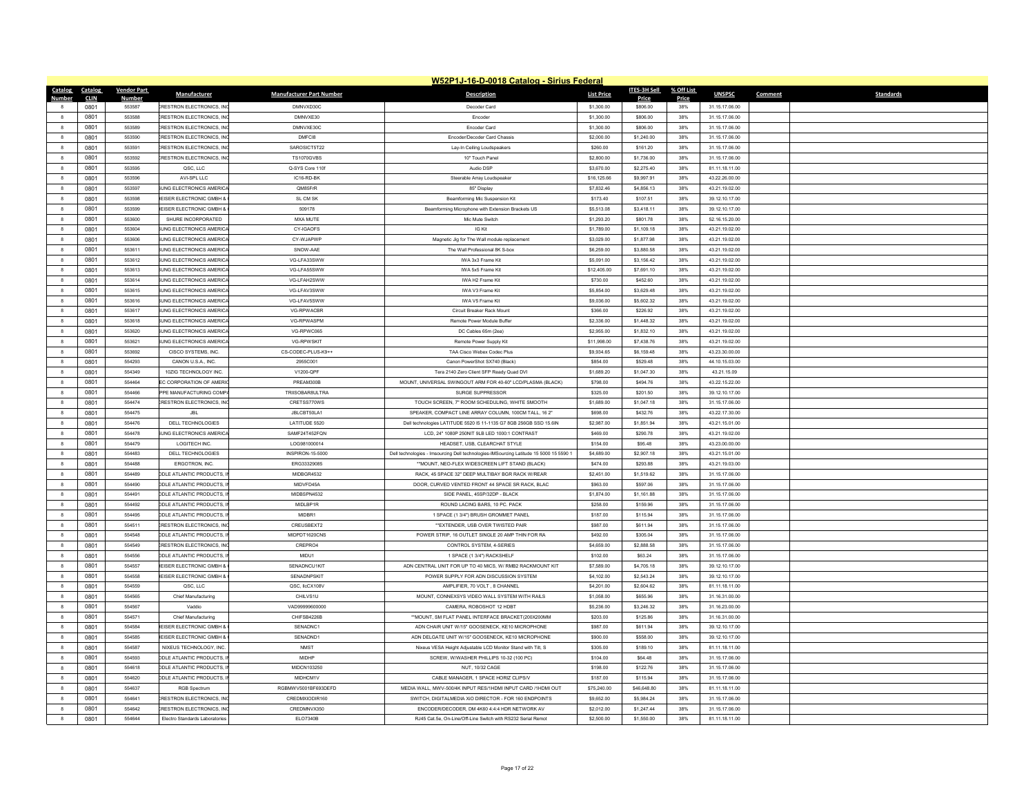|                            |                        |                             |                                                                      |                                 | W52P1J-16-D-0018 Catalog - Sirius Federal                                                            |                        |                        |                     |                                  |         |                  |
|----------------------------|------------------------|-----------------------------|----------------------------------------------------------------------|---------------------------------|------------------------------------------------------------------------------------------------------|------------------------|------------------------|---------------------|----------------------------------|---------|------------------|
| <b>Catalog</b><br>Number   | Catalog<br><b>CLIN</b> | <b>Vendor Part</b><br>Numbe | Manufacturer                                                         | <b>Manufacturer Part Number</b> | <b>Description</b>                                                                                   | <b>List Price</b>      | ITES-3H Sell<br>Price  | % Off List<br>Price | <b>UNSPSC</b>                    | Comment | <b>Standards</b> |
| -8                         | 0801                   | 553587                      | <b>CRESTRON ELECTRONICS. INC</b>                                     | DMNVXD30C                       | Decoder Card                                                                                         | \$1,300.00             | \$806.00               | 38%                 | 31.15.17.06.00                   |         |                  |
| $\overline{\mathbf{8}}$    | 0801                   | 553588                      | <b>CRESTRON ELECTRONICS, INC.</b>                                    | DMNVXE30                        | Encode                                                                                               | \$1,300.00             | \$806.00               | 38%                 | 31.15.17.06.00                   |         |                  |
| $\mathbf{g}$               | 0801                   | 553589                      | <b>CRESTRON ELECTRONICS. INC</b>                                     | DMNVXE30C                       | <b>Encoder Card</b>                                                                                  | \$1,300.00             | \$806.00               | 38%                 | 31.15.17.06.00                   |         |                  |
| 8                          | 0801                   | 553590                      | <b>CRESTRON ELECTRONICS. INC</b>                                     | DMFCI8                          | Encoder/Decoder Card Chassis                                                                         | \$2,000.00             | \$1,240.00             | 38%                 | 31.15.17.06.00                   |         |                  |
| $\overline{\mathbf{8}}$    | 0801                   | 553591                      | <b>CRESTRON ELECTRONICS, INC</b>                                     | SAROSICT5T22                    | Lay-In Ceiling Loudspeakers                                                                          | \$260.00               | \$161.20               | 38%                 | 31.15.17.06.00                   |         |                  |
| 8                          | 0801                   | 553592                      | <b>CRESTRON ELECTRONICS, INC</b>                                     | <b>TS1070GVBS</b>               | 10" Touch Pane                                                                                       | \$2,800.00             | \$1,736.00             | 38%                 | 31.15.17.06.00                   |         |                  |
| 8                          | 0801                   | 553595                      | QSC, LLC                                                             | Q-SYS Core 110f                 | Audio DSF                                                                                            | \$3,670.00             | \$2,275.40             | 38%                 | 81.11.18.11.00                   |         |                  |
| $\overline{\mathbf{8}}$    | 0801                   | 553596                      | AVI-SPL LLC                                                          | IC16-RD-BK                      | Steerable Array Loudspeaker                                                                          | \$16,125.66            | \$9,997.91             | 38%                 | 43.22.26.00.00                   |         |                  |
| 8                          | 0801                   | 553597                      | UNG ELECTRONICS AMERICA                                              | QM85FrR                         | 85* Display                                                                                          | \$7,832.46             | \$4,856.13             | 38%                 | 43.21.19.02.00                   |         |                  |
| $_{\rm 8}$                 | 0801                   | 553598                      | EISER ELECTRONIC GMBH &                                              | SL CM SK                        | Beamforming Mic Suspension Kit                                                                       | \$173.40               | \$107.51               | 38%                 | 39.12.10.17.00                   |         |                  |
| $\mathbf{8}$               | 0801                   | 553599                      | EISER ELECTRONIC GMBH &                                              | 509178                          | Beamforming Microphone with Extension Brackets US                                                    | \$5,513.08             | \$3,418.11             | 38%                 | 39.12.10.17.00                   |         |                  |
| $\overline{\mathbf{8}}$    | 0801                   | 553600                      | SHURE INCORPORATED                                                   | MXA MUTE                        | Mic Mute Switch                                                                                      | \$1,293.20             | \$801.78               | 38%                 | 52.16.15.20.00                   |         |                  |
| 8                          | 0801                   | 553604                      | UNG ELECTRONICS AMERICA                                              | CY-IGAOFS                       | IG Kit                                                                                               | \$1,789.00             | \$1,109.18             | 38%                 | 43.21.19.02.00                   |         |                  |
| $\mathbf{8}$               | 0801                   | 553606                      | <b>SUNG ELECTRONICS AMERICA</b>                                      | CY-WJAPWP                       | Magnetic Jig for The Wall module replacement                                                         | \$3,029.00             | \$1,877.98             | 38%                 | 43.21.19.02.00                   |         |                  |
| 8                          | 0801                   | 553611                      | JNG ELECTRONICS AMERICA                                              | SNOW-AAE                        | The Wall Professional 8K S-box                                                                       | \$6,259.00             | \$3,880.58             | 38%                 | 43.21.19.02.00                   |         |                  |
| $_{\rm 8}$                 | 0801                   | 553612                      | UNG ELECTRONICS AMERICA                                              | VG-LFA33SWW                     | IWA 3x3 Frame Kit                                                                                    | \$5,091.00             | \$3,156.42             | 38%                 | 43.21.19.02.00                   |         |                  |
| $\mathbf{R}$               | 0801                   | 553613                      | UNG ELECTRONICS AMERICA                                              | VG-LFA55SWW                     | IWA 5x5 Frame Kit                                                                                    | \$12,405.00            | \$7,691.10             | 38%                 | 43.21.19.02.00                   |         |                  |
| 8                          | 0801                   | 553614                      | UNG ELECTRONICS AMERICA                                              | VG-LFAH2SWW                     | IWA H2 Frame Kit                                                                                     | \$730.00               | \$452.60               | 38%                 | 43.21.19.02.00                   |         |                  |
| 8                          | 0801                   | 553615                      | UNG ELECTRONICS AMERICA                                              | VG-LFAV3SWW                     | IWA V3 Frame Kit                                                                                     | \$5,854.00             | \$3,629.48             | 38%                 | 43.21.19.02.00                   |         |                  |
| 8                          | 0801                   | 553616                      | UNG ELECTRONICS AMERICA                                              | VG-LFAV5SWW                     | IWA V5 Frame Kit                                                                                     | \$9,036.00             | \$5,602.32             | 38%                 | 43.21.19.02.00                   |         |                  |
| $\mathbf{R}$               | 0801                   | 553617                      | UNG ELECTRONICS AMERICA                                              | VG-RPWACBR                      | Circuit Breaker Rack Mount                                                                           | \$366.00               | \$226.92               | 38%                 | 43.21.19.02.00                   |         |                  |
| $\mathbf{g}$               | 0801                   | 553618                      | <b>SUNG ELECTRONICS AMERICA</b>                                      | VG-RPWASPM                      | Remote Power Module Buffe                                                                            | \$2,336.00             | \$1,448.32             | 38%                 | 43.21.19.02.00                   |         |                  |
| $\mathbf{a}$               | 0801                   | 553620                      | UNG ELECTRONICS AMERICA                                              | VG-RPWC065                      | DC Cables 65m (2ea)                                                                                  | \$2,955.00             | \$1,832.10             | 38%                 | 43.21.19.02.00                   |         |                  |
| $\mathbf{R}$               | 0801                   | 553621                      | <b>SUNG ELECTRONICS AMERICA</b>                                      | <b>VG-RPWSKIT</b>               | Remote Power Supply Kit                                                                              | \$11,998.00            | \$7 438 76             | 38%                 | 43 21 19 02 00                   |         |                  |
| $\mathbf{a}$               | 0801                   | 553692                      | CISCO SYSTEMS, INC.                                                  | CS-CODEC-PLUS-K9++              | TAA Cisco Webex Codec Plus                                                                           | \$9,934.65             | \$6,159.48             | 38%                 | 43.23.30.00.00                   |         |                  |
| $\overline{\mathbf{8}}$    | 0801                   | 554293                      | CANON U.S.A., INC.                                                   | 2955C001                        | Canon PowerShot SX740 (Black)                                                                        | \$854.00               | \$529.48               | 38%                 | 44.10.15.03.00                   |         |                  |
| 8                          | 0801                   | 554349                      | 10ZIG TECHNOLOGY INC.                                                | V1200-QPF                       | Tera 2140 Zero Client SFP Ready Quad DVI                                                             | \$1,689.20             | \$1,047.30             | 38%                 | 43.21.15.09                      |         |                  |
| $\mathbf{R}$               | 0801                   | 554464                      | <b>EC CORPORATION OF AMERIC</b>                                      | PREAM300B                       | MOUNT, UNIVERSAL SWINGOUT ARM FOR 40-60" LCD/PLASMA (BLACK)                                          | \$798.00               | \$494.76               | 38%                 | 43.22.15.22.00                   |         |                  |
| $\overline{\mathbf{8}}$    | 0801                   | 554466                      | PPE MANUFACTURING COMP.                                              | TRIISOBAR8ULTRA                 | SURGE SUPPRESSOR                                                                                     | \$325.00               | \$201.50               | 38%                 | 39.12.10.17.00                   |         |                  |
| 8                          | 0801                   | 554474                      | <b>RESTRON ELECTRONICS. INC</b>                                      | CRETSS770WS                     | TOUCH SCREEN. 7" ROOM SCHEDULING. WHITE SMOOTH                                                       | \$1,689.00             | \$1,047.18             | 38%                 | 31.15.17.06.00                   |         |                  |
| $\mathbf{a}$               | 0801                   | 554475                      | .IBI                                                                 | JBI CBT50LA1                    | SPEAKER, COMPACT LINE ARRAY COLUMN 100CM TALL 16.2"                                                  | \$698.00               | \$432.76               | 38%                 | 43.22.17.30.00                   |         |                  |
| $\overline{\mathbf{8}}$    | 0801                   | 554476                      | DELL TECHNOLOGIES                                                    | LATITUDE 5520                   | Dell technologies LATITUDE 5520 I5 11-1135 G7 8GB 256GB SSD 15.6IN                                   | \$2,987.00             | \$1,851.94             | 38%                 | 43.21.15.01.00                   |         |                  |
| $_{\rm 8}$                 | 0801                   | 554478                      | UNG ELECTRONICS AMERICA                                              | SAMF24T452FQN                   | LCD, 24" 1080P 250NIT 9LB LED 1000:1 CONTRAST                                                        | \$469.00               | \$290.78               | 38%                 | 43.21.19.02.00                   |         |                  |
| $\mathbf{a}$               | 0801                   | 554479                      | <b>LOGITECH INC</b>                                                  | 106981000014                    | HEADSET, USB. CLEARCHAT STYLE                                                                        | \$154.00               | \$95.48                | 38%                 | 43.23.00.00.00                   |         |                  |
| 8                          | 0801                   | 554483                      | DELL TECHNOLOGIES                                                    | INSPIRON-15-5000                | Dell technologies - Imsourcing Dell technologies-IMSourcing Latitude 15 5000 15 5590 1               | \$4,689.00             | \$2,907.18             | 38%                 | 43.21.15.01.00                   |         |                  |
| $\overline{\mathbf{8}}$    | 0801                   | 554488                      | ERGOTRON, INC.                                                       | ERG33329085                     | ** MOUNT, NEO-FLEX WIDESCREEN LIFT STAND (BLACK)                                                     | \$474.00               | \$293.88               | 38%                 | 43.21.19.03.00                   |         |                  |
| $\overline{\mathbf{8}}$    | 0801                   | 554489                      |                                                                      | MIDBGR4532                      |                                                                                                      |                        |                        | 38%                 |                                  |         |                  |
|                            | 0801                   | 554490                      | <b>DDLE ATLANTIC PRODUCTS,</b><br>DDLE ATLANTIC PRODUCTS.            | MIDVFD45A                       | RACK, 45 SPACE 32" DEEP MULTIBAY BGR RACK W/REAR<br>DOOR, CURVED VENTED FRONT 44 SPACE SR RACK, BLAC | \$2,451.00<br>\$963.00 | \$1,519.62<br>\$597.06 | 38%                 | 31.15.17.06.00<br>31.15.17.06.00 |         |                  |
| 8<br>8                     |                        | 554491                      | <b>DDLE ATLANTIC PRODUCTS. II</b>                                    | MIDBSPN4532                     | SIDE PANEL, 45SP/32DP - BLACK                                                                        | \$1,874.00             |                        | 38%                 |                                  |         |                  |
|                            | 0801                   |                             |                                                                      |                                 |                                                                                                      |                        | \$1,161.88             |                     | 31.15.17.06.00                   |         |                  |
| 8                          | 0801                   | 554492                      | <b>DDLE ATLANTIC PRODUCTS, II</b>                                    | MIDLBP1R                        | ROUND LACING BARS, 10 PC. PACK                                                                       | \$258.00               | \$159.96               | 38%                 | 31.15.17.06.00                   |         |                  |
| 8                          | 0801                   | 554495                      | <b>DDLE ATLANTIC PRODUCTS. II</b>                                    | MIDBR1                          | 1 SPACE (1 3/4") BRUSH GROMMET PANEL                                                                 | \$187.00               | \$115.94               | 38%                 | 31.15.17.06.00                   |         |                  |
| $\mathbf{a}$               | 0801                   | 554511<br>554548            | <b>CRESTRON ELECTRONICS. INC</b>                                     | CREUSBEXT2                      | "EXTENDER, USB OVER TWISTED PAIR                                                                     | \$987.00               | \$611.94               | 38%                 | 31.15.17.06.00                   |         |                  |
| 8                          | 0801                   | 554549                      | <b>DDLE ATLANTIC PRODUCTS, II</b><br><b>RESTRON ELECTRONICS INC.</b> | MIDPDT1620CNS<br>CREPRO4        | POWER STRIP, 16 OUTLET SINGLE 20 AMP THIN FOR RA<br>CONTROL SYSTEM, 4-SERIES                         | \$492.00<br>\$4,659.00 | \$305.04<br>\$2,888.58 | 38%                 | 31.15.17.06.00<br>31.15.17.06.00 |         |                  |
| $_{\rm 8}$<br>$\mathbf{a}$ | 0801                   | 554556                      | <b>DDLE ATLANTIC PRODUCTS.</b>                                       | MIDU1                           | 1 SPACE (1 3/4") RACKSHELF                                                                           | \$102.00               | \$63.24                | 38%<br>38%          | 31.15.17.06.00                   |         |                  |
| $\overline{\mathbf{8}}$    | 0801                   | 554557                      | EISER ELECTRONIC GMBH &                                              |                                 |                                                                                                      |                        |                        |                     |                                  |         |                  |
|                            | 0801                   |                             |                                                                      | SENADNCU1KIT                    | ADN CENTRAL UNIT FOR UP TO 40 MICS, W/ RMB2 RACKMOUNT KIT                                            | \$7,589.00             | \$4,705.18             | 38%                 | 39.12.10.17.00                   |         |                  |
| $\mathbf{8}$               | 0801                   | 554558                      | EISER ELECTRONIC GMBH &                                              | SENADNPSKIT                     | POWER SUPPLY FOR ADN DISCUSSION SYSTEM                                                               | \$4,102.00             | \$2,543.24             | 38%                 | 39.12.10.17.00                   |         |                  |
| $\mathbf{8}$               | 0801                   | 554559<br>554565            | QSC, LLC                                                             | QSC, IIcCX108V                  | AMPLIFIER, 70 VOLT, 8 CHANNEL                                                                        | \$4,201.00             | \$2,604.62<br>\$655.96 | 38%                 | 81.11.18.11.00                   |         |                  |
| 8                          | 0801                   |                             | Chief Manufacturing                                                  | CHILVS1U                        | MOUNT, CONNEXSYS VIDEO WALL SYSTEM WITH RAILS                                                        | \$1,058.00             |                        | 38%                 | 31.16.31.00.00                   |         |                  |
| $_{\rm 8}$                 | 0801                   | 554567                      | Vaddio                                                               | VAD99999600000                  | CAMERA, ROBOSHOT 12 HDBT                                                                             | \$5,236.00             | \$3,246.32             | 38%                 | 31.16.23.00.00                   |         |                  |
| $\mathbf{a}$               | 0801                   | 554571                      | Chief Manufacturing                                                  | CHIFSB4226E                     | ** MOUNT, SM FLAT PANEL INTERFACE BRACKET(200X200MM                                                  | \$203.00               | \$125.86               | 38%                 | 31.16.31.00.00                   |         |                  |
| 8                          | 0801                   | 554584                      | EISER ELECTRONIC GMBH &                                              | SENADNC1                        | ADN CHAIR UNIT W/15" GOOSENECK, KE10 MICROPHONE                                                      | \$987.00               | \$611.94               | 38%                 | 39.12.10.17.00                   |         |                  |
| 8                          | 0801                   | 554585                      | EISER ELECTRONIC GMBH & 0                                            | SENADND1                        | ADN DELGATE UNIT W/15" GOOSENECK, KE10 MICROPHONE                                                    | \$900.00               | \$558.00               | 38%                 | 39.12.10.17.00                   |         |                  |
| 8                          | 0801                   | 554587                      | NIXEUS TECHNOLOGY, INC.                                              | <b>NMST</b>                     | Nixeus VESA Height Adjustable LCD Monitor Stand with Tilt, S                                         | \$305.00               | \$189.10               | 38%                 | 81.11.18.11.00                   |         |                  |
| 8                          | 0801                   | 554593                      | DDLE ATLANTIC PRODUCTS. II                                           | MIDHF                           | SCREW, W/WASHER PHILLIPS 10-32 (100 PC)                                                              | \$104.00               | S64.48                 | 38%                 | 31.15.17.06.00                   |         |                  |
| $_{8}$                     | 0801                   | 554618                      | <b>DDLE ATLANTIC PRODUCTS, II</b>                                    | MIDCN103250                     | NUT, 10/32 CAGE                                                                                      | \$198.00               | \$122.76               | 38%                 | 31.15.17.06.00                   |         |                  |
| 8                          | 0801                   | 554620                      | <b>DDLE ATLANTIC PRODUCTS, II</b>                                    | MIDHCM1V                        | CABLE MANAGER, 1 SPACE HORIZ CLIPS/V                                                                 | \$187.00               | \$115.94               | 38%                 | 31.15.17.06.00                   |         |                  |
| $\mathbf{R}$               | 0801                   | 554637                      | <b>RGB Spectrum</b>                                                  | RGBMWV5001BE693DEED             | MEDIA WALL, MWV-500/4K INPUT RES/1HDMLINPUT CARD /1HDMLOUT                                           | \$75,240.00            | \$46,648.80            | 38%                 | 81 11 18 11 00                   |         |                  |
| $\mathbf{a}$               | 0801                   | 554641                      | <b>CRESTRON ELECTRONICS, INC</b>                                     | CREDMXIODIR160                  | SWITCH, DIGITALMEDIA XiO DIRECTOR - FOR 160 ENDPOINTS                                                | \$9,652.00             | \$5,984.24             | 38%                 | 31.15.17.06.00                   |         |                  |
| $\mathbf{a}$               | 0801                   | 554642                      | <b>CRESTRON ELECTRONICS, INC</b>                                     | CREDMNVX350                     | ENCODER/DECODER, DM 4K60 4:4:4 HDR NETWORK AV                                                        | \$2,012.00             | \$1,247.44             | 38%                 | 31.15.17.06.00                   |         |                  |
| $\mathbf{8}$               | 0801                   | 554644                      | Electro Standards Laboratories                                       | ELO7340B                        | RJ45 Cat.5e, On-Line/Off-Line Switch with RS232 Serial Remot                                         | \$2,500.00             | \$1,550.00             | 38%                 | 81.11.18.11.00                   |         |                  |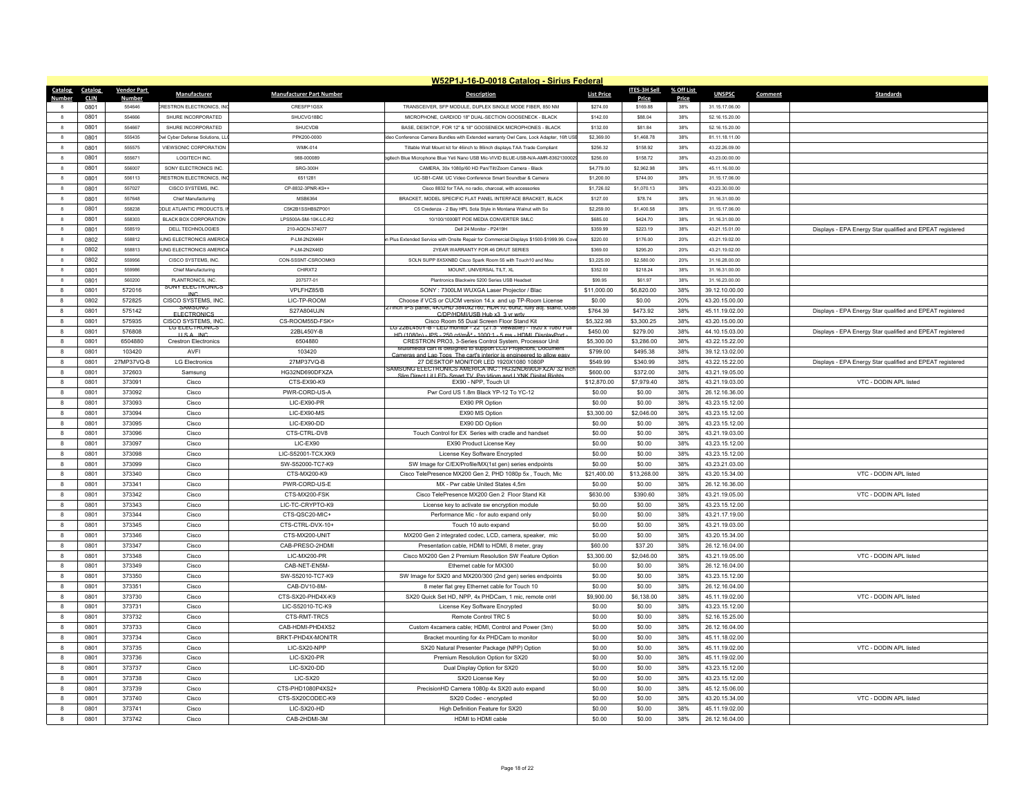|                                   | W52P1J-16-D-0018 Catalog - Sirius Federal |                                  |                                 |                                                                                                                                                     |                   |                     |            |                |         |                                                           |  |  |  |
|-----------------------------------|-------------------------------------------|----------------------------------|---------------------------------|-----------------------------------------------------------------------------------------------------------------------------------------------------|-------------------|---------------------|------------|----------------|---------|-----------------------------------------------------------|--|--|--|
| Catalog<br>Catalog                | <b>Vendor Part</b>                        | Manufacturer                     | <b>Manufacturer Part Number</b> | <b>Description</b>                                                                                                                                  | <b>List Price</b> | <b>ITES-3H Sell</b> | % Off List | <b>UNSPSC</b>  | Comment | <b>Standards</b>                                          |  |  |  |
| <b>Number</b><br><b>CLIN</b>      | <b>Number</b>                             |                                  |                                 |                                                                                                                                                     |                   | Price               | Price      |                |         |                                                           |  |  |  |
| 0801                              | 554646                                    | <b>CRESTRON ELECTRONICS. INC</b> | CRESEP1GSX                      | TRANSCEIVER. SFP MODULE, DUPLEX SINGLE MODE FIBER, 850 NM                                                                                           | \$274.00          | \$169.88            | 38%        | 31.15.17.06.00 |         |                                                           |  |  |  |
| 0801<br>$\mathbf{a}$              | 554666                                    | SHURE INCORPORATED               | SHUCVG18BC                      | MICROPHONE, CARDIOD 18" DUAL-SECTION GOOSENECK - BLACK                                                                                              | \$142.00          | S88.04              | 38%        | 52 16 15 20 00 |         |                                                           |  |  |  |
| $\mathbf{8}$<br>0801              | 554667                                    | SHURE INCORPORATED               | SHUCVDB                         | BASE, DESKTOP, FOR 12" & 18" GOOSENECK MICROPHONES - BLACK                                                                                          | \$132.00          | S81.84              | 38%        | 52.16.15.20.00 |         |                                                           |  |  |  |
| $\,$ 8<br>0801                    | 555435                                    | Owl Cyber Defense Solutions, LLO | PPK200-0000                     | deo Conference Camera Bundles with Extended warranty Owl Care, Lock Adapter, 16ft USE                                                               | \$2,369.00        | \$1,468.78          | 38%        | 81.11.18.11.00 |         |                                                           |  |  |  |
| $\mathbf{g}$<br>0801              | 555575                                    | VIEWSONIC CORPORATION            | <b>WMK-014</b>                  | Tiltable Wall Mount kit for 46inch to 86inch displays TAA Trade Compliant                                                                           | \$256.32          | \$158.92            | 38%        | 43 22 26 09 00 |         |                                                           |  |  |  |
| 0801<br>8                         | 555671                                    | LOGITECH INC.                    | 988-000089                      | gitech Blue Microphone Blue Yeti Nano USB Mic-VIVID BLUE-USB-N/A-AMR-8362130002                                                                     | \$256.00          | \$158.72            | 38%        | 43.23.00.00.00 |         |                                                           |  |  |  |
| 0801<br>$\mathbf{8}$              | 556007                                    | SONY ELECTRONICS INC.            | SRG-300H                        | CAMERA, 30x 1080p/60 HD Pan/Tilt/Zoom Camera - Black                                                                                                | \$4,779.00        | \$2,962.98          | 38%        | 45.11.16.00.00 |         |                                                           |  |  |  |
| $\mathbf{a}$<br>0801              | 556113                                    | <b>RESTRON ELECTRONICS INC.</b>  | 6511281                         | UC-SB1-CAM UC Video Conference Smart Soundbar & Camera                                                                                              | \$1,200.00        | \$744.00            | 38%        | 31 15 17 06 00 |         |                                                           |  |  |  |
| 0801<br>8                         | 557027                                    | CISCO SYSTEMS. INC.              | CP-8832-3PNR-K9++               | Cisco 8832 for TAA, no radio, charcoal, with accessories                                                                                            | \$1,726.02        | \$1,070.13          | 38%        | 43.23.30.00.00 |         |                                                           |  |  |  |
| $_{\rm 8}$<br>0801                | 557648                                    | Chief Manufacturing              | MSB6364                         | BRACKET, MODEL SPECIFIC FLAT PANEL INTERFACE BRACKET, BLACK                                                                                         | \$127.00          | \$78.74             | 38%        | 31.16.31.00.00 |         |                                                           |  |  |  |
| 8<br>0801                         | 558238                                    | <b>DDLE ATLANTIC PRODUCTS.</b>   | C5K2B1SSHB9ZP001                | C5 Credenza - 2 Bay HPL Sota Style in Montana Walnut with So                                                                                        | \$2,259.00        | \$1,400.58          | 38%        | 31.15.17.06.00 |         |                                                           |  |  |  |
| 0801<br>8                         | 558303                                    | BLACK BOX CORPORATION            | LPS500A-SM-10K-LC-R2            | 10/100/1000BT POE MEDIA CONVERTER SMLC.                                                                                                             | \$685.00          | \$424.70            | 38%        | 31 16 31 00 00 |         |                                                           |  |  |  |
| $\mathbf{8}$<br>0801              | 558519                                    | DELL TECHNOLOGIES                | 210-AQCN-374077                 | Dell 24 Monitor - P2419H                                                                                                                            | \$359.99          | \$223.19            | 38%        | 43.21.15.01.00 |         | Displays - EPA Energy Star qualified and EPEAT registered |  |  |  |
| 8<br>0802                         | 558812                                    | <b>UNG ELECTRONICS AMERICA</b>   | P-I M-2N2X46H                   | n Plus Extended Service with Onsite Repair for Commercial Displays \$1500-\$1999.99. Co                                                             | \$220.00          | \$176.00            | 20%        | 43.21.19.02.00 |         |                                                           |  |  |  |
| 0802<br>8                         | 558813                                    | UNG ELECTRONICS AMERICA          | P-I M-2N2X46D                   | 2YEAR WARRANTY FOR 46 DR/LIT SERIES                                                                                                                 | \$369.00          | \$295.20            | 20%        | 43 21 19 02 00 |         |                                                           |  |  |  |
| $\bf{8}$<br>0802                  | 559956                                    | CISCO SYSTEMS, INC.              | CON-SSSNT-CSROOMK9              | SOLN SUPP 8X5XNBD Cisco Spark Room 55 with Touch10 and Mou                                                                                          | \$3,225.00        | \$2,580.00          | 20%        | 31.16.28.00.00 |         |                                                           |  |  |  |
| 0801<br>8                         | 559986                                    | Chief Manufacturing              | CHIRXT2                         | MOUNT, UNIVERSAL TILT, XL                                                                                                                           | \$352.00          | \$218.24            | 38%        | 31.16.31.00.00 |         |                                                           |  |  |  |
| 0801<br>$\mathbf{R}$              | 560200                                    | PLANTRONICS INC.                 | 207577-01                       | Plantronics Blackwire 5200 Series USB Headset                                                                                                       | \$99.95           | S61 97              | 38%        | 31 16 23 00 00 |         |                                                           |  |  |  |
| 8<br>0801                         | 572016                                    | SONY ELECTRONICS                 | VPLFHZ85/B                      | SONY: 7300LM WUXGA Laser Projector / Blac                                                                                                           | \$11,000.00       | \$6,820.00          | 38%        | 39.12.10.00.00 |         |                                                           |  |  |  |
| 8<br>0802                         | 572825                                    | CISCO SYSTEMS, INC.              | LIC-TP-ROOM                     | Choose if VCS or CUCM version 14.x and up TP-Room License                                                                                           | \$0.00            | \$0.00              | 20%        | 43.20.15.00.00 |         |                                                           |  |  |  |
| 8<br>0801                         | 575142                                    | SAMSUNG<br><b>FLECTRONICS</b>    | S27A804UJN                      | inch iPS panei, 4K/UHD 3840XZ160, HDR10, 60nZ, fully adj. stand, USE<br>C/DP/HDMI/LISB Hub x3 .3 yr wrty                                            | \$764.39          | \$473.92            | 38%        | 45.11.19.02.00 |         | Displays - EPA Energy Star qualified and EPEAT registered |  |  |  |
| 8<br>0801                         | 575935                                    | CISCO SYSTEMS, INC.              | CS-ROOM55D-FSK=                 | Cisco Room 55 Dual Screen Floor Stand Kit                                                                                                           | \$5,322.98        | \$3,300.25          | 38%        | 43.20.15.00.00 |         |                                                           |  |  |  |
| 8<br>0801                         | 576808                                    | <b>TGELFCTRONICS</b><br>USA INC  | 22BL450Y-B                      | LG 22BL450Y-B - LED monitor - 22" (21.5" viewable) - 1920 x 1080 Ful<br>HD (1080p) - IPS - 250 cd/mÂ <sup>2</sup> - 1000:1 - 5 ms - HDML DisplayPor | \$450.00          | \$279.00            | 38%        | 44.10.15.03.00 |         | Displays - EPA Energy Star qualified and EPEAT registered |  |  |  |
| 8<br>0801                         | 6504880                                   | <b>Crestron Electronics</b>      | 6504880                         | CRESTRON PRO3, 3-Series Control System, Processor Unit                                                                                              | \$5,300.00        | \$3,286.00          | 38%        | 43.22.15.22.00 |         |                                                           |  |  |  |
| $\mathbf{a}$<br>0801              | 103420                                    | AVFI                             | 103420                          | media cart is designed to support LCD Projectors. Documen<br>and Lan Tons. The cart's interior is e                                                 | \$799.00          | \$495.38            | 38%        | 39.12.13.02.00 |         |                                                           |  |  |  |
| 0801<br>8                         | 27MP37VQ-B                                | <b>LG Electronics</b>            | 27MP37VQ-B                      | 27 DESKTOP MONITOR LED 1920X1080 1080P                                                                                                              | \$549.99          | \$340.99            | 38%        | 43.22.15.22.00 |         | Displays - EPA Energy Star qualified and EPEAT registered |  |  |  |
| 8<br>0801                         | 372603                                    | Samsung                          | HG32ND690DFXZA                  | SAMSUNG ELECTRONICS AMERICA INC : HG32ND690DFXZA/ 32 Inc                                                                                            | \$600.00          | \$372.00            | 38%        | 43.21.19.05.00 |         |                                                           |  |  |  |
| $\mathbf{a}$<br>0801              | 373091                                    | Cisco                            | CTS-FX90-K9                     | Slim Direct Lit LED-Smart TV, Pro Idiom and LYNK Digital Rights<br>FX90 - NPP. Touch UI                                                             | \$12,870.00       | \$7,979.40          | 38%        | 43.21.19.03.00 |         | VTC - DODIN API listed                                    |  |  |  |
| 0801<br>8                         | 373092                                    | Cisco                            | PWR-CORD-US-A                   | Pwr Cord US 1.8m Black YP-12 To YC-12                                                                                                               | \$0.00            | \$0.00              | 38%        | 26.12.16.36.00 |         |                                                           |  |  |  |
| 0801<br>8                         | 373093                                    | Cisco                            | LIC-EX90-PR                     | EX90 PR Option                                                                                                                                      | \$0.00            | \$0.00              | 38%        | 43.23.15.12.00 |         |                                                           |  |  |  |
| 8<br>0801                         | 373094                                    | Cisco                            | LIC-EX90-MS                     | EX90 MS Option                                                                                                                                      | \$3,300.00        | \$2,046.00          | 38%        | 43.23.15.12.00 |         |                                                           |  |  |  |
| 0801<br>8                         | 373095                                    | Cisco                            | LIC-EX90-DD                     | EX90 DD Option                                                                                                                                      | \$0.00            | \$0.00              | 38%        | 43.23.15.12.00 |         |                                                           |  |  |  |
| 0801<br>8                         | 373096                                    | Cisco                            | CTS-CTRL-DV8                    | Touch Control for EX Series with cradle and handset                                                                                                 | \$0.00            | \$0.00              | 38%        | 43.21.19.03.00 |         |                                                           |  |  |  |
| 8<br>0801                         | 373097                                    | Cisco                            | LIC-EX90                        | EX90 Product License Key                                                                                                                            | \$0.00            | \$0.00              | 38%        | 43.23.15.12.00 |         |                                                           |  |  |  |
| 0801<br>8                         | 373098                                    | Cisco                            | LIC-S52001-TCX XK9              | License Key Software Encrypted                                                                                                                      | \$0.00            | \$0.00              | 38%        | 43.23.15.12.00 |         |                                                           |  |  |  |
| 8<br>0801                         | 373099                                    | Cisco                            | SW-S52000-TC7-K9                | SW Image for C/EX/Profile/MX(1st gen) series endpoints                                                                                              | \$0.00            | \$0.00              | 38%        | 43.23.21.03.00 |         |                                                           |  |  |  |
| 8<br>0801                         | 373340                                    | Cisco                            | CTS-MX200-K9                    | Cisco TelePresence MX200 Gen 2, PHD 1080p 5x, Touch, Mic                                                                                            | \$21,400.00       | \$13,268.00         | 38%        | 43.20.15.34.00 |         | VTC - DODIN APL listed                                    |  |  |  |
| 0801<br>8                         | 373341                                    | Cisco                            | PWR-CORD-US-F                   | MX - Pwr cable United States 4.5m                                                                                                                   | \$0.00            | \$0.00              | 38%        | 26.12.16.36.00 |         |                                                           |  |  |  |
| 8<br>0801                         | 373342                                    | Cisco                            | CTS-MX200-FSK                   | Cisco TelePresence MX200 Gen 2 Floor Stand Kit                                                                                                      | \$630.00          | \$390.60            | 38%        | 43.21.19.05.00 |         | VTC - DODIN APL listed                                    |  |  |  |
| 8<br>0801                         | 373343                                    | Cisco                            | LIC-TC-CRYPTO-K9                | License key to activate sw encryption module                                                                                                        | \$0.00            | \$0.00              | 38%        | 43.23.15.12.00 |         |                                                           |  |  |  |
| 0801                              | 373344                                    |                                  | CTS-OSC20-MIC+                  |                                                                                                                                                     |                   |                     |            |                |         |                                                           |  |  |  |
| 8                                 |                                           | Cisco                            |                                 | Performance Mic - for auto expand only                                                                                                              | \$0.00            | \$0.00              | 38%        | 43.21.17.19.00 |         |                                                           |  |  |  |
| 8<br>0801                         | 373345                                    | Cisco                            | CTS-CTRL-DVX-10+                | Touch 10 auto expand                                                                                                                                | \$0.00            | \$0.00              | 38%        | 43.21.19.03.00 |         |                                                           |  |  |  |
| 8<br>0801                         | 373346<br>373347                          | Cisco                            | CTS-MX200-UNIT                  | MX200 Gen 2 integrated codec, LCD, camera, speaker, mic                                                                                             | \$0.00            | \$0.00              | 38%        | 43.20.15.34.00 |         |                                                           |  |  |  |
| 0801<br>8<br>$\mathbf{a}$<br>0801 | 373348                                    | Cisco                            | CAB-PRESO-2HDMI<br>LIC-MX200-PR | Presentation cable, HDMI to HDMI, 8 meter, gray                                                                                                     | \$60.00           | \$37.20             | 38%<br>38% | 26.12.16.04.00 |         | VTC - DODIN APL listed                                    |  |  |  |
|                                   |                                           | Cisco                            |                                 | Cisco MX200 Gen 2 Premium Resolution SW Feature Option                                                                                              | \$3,300.00        | \$2,046.00          |            | 43.21.19.05.00 |         |                                                           |  |  |  |
| $\mathbf{a}$<br>0801              | 373349                                    | Cisco                            | CAB-NET-EN5M-                   | Ethernet cable for MX300                                                                                                                            | \$0.00            | \$0.00              | 38%        | 26.12.16.04.00 |         |                                                           |  |  |  |
| 8<br>0801                         | 373350                                    | Cisco                            | SW-S52010-TC7-K9                | SW Image for SX20 and MX200/300 (2nd gen) series endpoints                                                                                          | \$0.00            | \$0.00              | 38%        | 43.23.15.12.00 |         |                                                           |  |  |  |
| $\mathbf{a}$<br>0801              | 373351                                    | Cisco                            | CAB-DV10-8M-                    | 8 meter flat grey Ethernet cable for Touch 10                                                                                                       | \$0.00            | \$0.00              | 38%        | 26.12.16.04.00 |         |                                                           |  |  |  |
| 8<br>0801                         | 373730                                    | Cisco                            | CTS-SX20-PHD4X-K9               | SX20 Quick Set HD, NPP, 4x PHDCam, 1 mic, remote cntrl                                                                                              | \$9,900.00        | \$6,138.00          | 38%        | 45.11.19.02.00 |         | VTC - DODIN APL listed                                    |  |  |  |
| 8<br>0801                         | 373731                                    | Cisco                            | LIC-S52010-TC-K9                | License Key Software Encrypted                                                                                                                      | \$0.00            | \$0.00              | 38%        | 43.23.15.12.00 |         |                                                           |  |  |  |
| $\mathbf{a}$<br>0801              | 373732                                    | Cisco                            | CTS-RMT-TRC5                    | Remote Control TRC 5                                                                                                                                | \$0.00            | \$0.00              | 38%        | 52.16.15.25.00 |         |                                                           |  |  |  |
| $\mathbf{a}$<br>0801              | 373733                                    | Cisco                            | CAB-HDMI-PHD4XS2                | Custom 4xcamera cable; HDMI, Control and Power (3m)                                                                                                 | \$0.00            | \$0.00              | 38%        | 26.12.16.04.00 |         |                                                           |  |  |  |
| 0801<br>8                         | 373734                                    | Cisco                            | BRKT-PHD4X-MONITR               | Bracket mounting for 4x PHDCam to monitor                                                                                                           | \$0.00            | \$0.00              | 38%        | 45.11.18.02.00 |         |                                                           |  |  |  |
| $\mathbf{a}$<br>0801              | 373735                                    | Cisco                            | LIC-SX20-NPP                    | SX20 Natural Presenter Package (NPP) Option                                                                                                         | \$0.00            | \$0.00              | 38%        | 45.11.19.02.00 |         | VTC - DODIN API listed                                    |  |  |  |
| 0801<br>8                         | 373736                                    | Cisco                            | LIC-SX20-PR                     | Premium Resolution Option for SX20                                                                                                                  | \$0.00            | \$0.00              | 38%        | 45.11.19.02.00 |         |                                                           |  |  |  |
| $\mathbf{a}$<br>0801              | 373737                                    | Cisco                            | LIC-SX20-DD                     | Dual Display Option for SX20                                                                                                                        | \$0.00            | \$0.00              | 38%        | 43.23.15.12.00 |         |                                                           |  |  |  |
| $\mathbf{a}$<br>0801              | 373738                                    | Cisco                            | <b>LIC-SX20</b>                 | SX20 License Key                                                                                                                                    | \$0.00            | \$0.00              | 38%        | 43.23.15.12.00 |         |                                                           |  |  |  |
| 0801<br>8                         | 373739                                    | Cisco                            | CTS-PHD1080P4XS2+               | PrecisionHD Camera 1080p 4x SX20 auto expand                                                                                                        | \$0.00            | \$0.00              | 38%        | 45.12.15.06.00 |         |                                                           |  |  |  |
| $\mathbf{a}$<br>0801              | 373740                                    | Cisco                            | CTS-SX20CODEC-K9                | SX20 Codec - encrypted                                                                                                                              | \$0.00            | \$0.00              | 38%        | 43.20.15.34.00 |         | VTC - DODIN APL listed                                    |  |  |  |
| 8<br>0801                         | 373741                                    | Cisco                            | LIC-SX20-HD                     | High Definition Feature for SX20                                                                                                                    | \$0.00            | \$0.00              | 38%        | 45.11.19.02.00 |         |                                                           |  |  |  |
| 0801<br>$\mathbf{a}$              | 373742                                    | Cisco                            | CAB-2HDMI-3M                    | HDMI to HDMI cable                                                                                                                                  | \$0.00            | \$0.00              | 38%        | 26.12.16.04.00 |         |                                                           |  |  |  |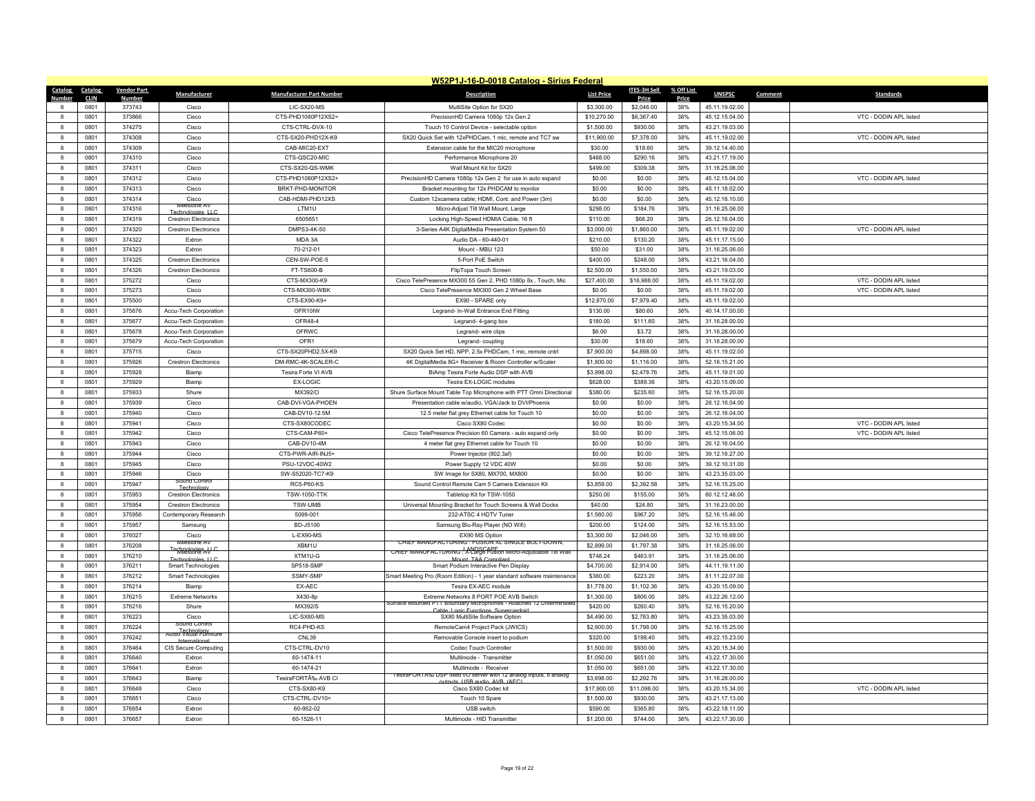|                  | W52P1J-16-D-0018 Catalog - Sirius Federal |                    |                                                 |                                 |                                                                                            |                   |                     |              |                |         |                        |  |  |
|------------------|-------------------------------------------|--------------------|-------------------------------------------------|---------------------------------|--------------------------------------------------------------------------------------------|-------------------|---------------------|--------------|----------------|---------|------------------------|--|--|
| Catalog          | <b>Catalog</b>                            | <b>Vendor Part</b> | Manufacturer                                    | <b>Manufacturer Part Number</b> | <b>Description</b>                                                                         | <b>List Price</b> | <b>ITES-3H Sell</b> | % Off List   | <b>UNSPSC</b>  | Comment | <b>Standards</b>       |  |  |
|                  | <b>CLIN</b><br>0801                       | Number<br>373743   | Cisco                                           | LIC-SX20-MS                     | MultiSite Option for SX20                                                                  | \$3,300.00        | Price<br>\$2,046.00 | Price<br>38% | 45.11.19.02.00 |         |                        |  |  |
| $\mathbf{a}$     | 0801                                      | 373866             | Cisco                                           | CTS-PHD1080P12XS2=              | PrecisionHD Camera 1080p 12x Gen 2                                                         | \$10,270.00       | \$6,367.40          | 38%          | 45.12.15.04.00 |         | VTC - DODIN APL listed |  |  |
| 8                | 0801                                      | 374275             | Cisco                                           | CTS-CTRL-DVX-10                 | Touch 10 Control Device - selectable option                                                | \$1,500.00        | \$930.00            | 38%          | 43.21.19.03.00 |         |                        |  |  |
| 8                | 0801                                      | 374308             | Cisco                                           | CTS-SX20-PHD12X-K9              | SX20 Quick Set with 12xPHDCam, 1 mic, remote and TC7 sw                                    | \$11,900.00       | \$7,378.00          | 38%          | 45.11.19.02.00 |         | VTC - DODIN APL listed |  |  |
| 8                | 0801                                      | 374309             | Cisco                                           | CAB-MIC20-EXT                   | Extension cable for the MIC20 microphone                                                   | \$30.00           | \$18.60             | 38%          | 39.12.14.40.00 |         |                        |  |  |
| 8                | 0801                                      | 374310             | Cisco                                           | CTS-QSC20-MIC                   | Performance Microphone 20                                                                  | \$468.00          | \$290.16            | 38%          | 43.21.17.19.00 |         |                        |  |  |
| 8                | 0801                                      | 374311             | Cisco                                           | CTS-SX20-QS-WMK                 | Wall Mount Kit for SX20                                                                    | \$499.00          | \$309.38            | 38%          | 31.16.25.06.00 |         |                        |  |  |
| 8                | 0801                                      | 374312             | Cisco                                           | CTS-PHD1080P12XS2+              | PrecisionHD Camera 1080p 12x Gen 2 for use in auto expand                                  | \$0.00            | \$0.00              | 38%          | 45.12.15.04.00 |         | VTC - DODIN APL listed |  |  |
| 8                | 0801                                      | 374313             | Cisco                                           | BRKT-PHD-MONITOR                | Bracket mounting for 12x PHDCAM to monitor                                                 | \$0.00            | \$0.00              | 38%          | 45.11.18.02.00 |         |                        |  |  |
| $\mathbf{g}$     | 0801                                      | 374314             | Cisco                                           | CAB-HDMI-PHD12XS                | Custom 12xcamera cable; HDMI, Cont. and Power (3m)                                         | \$0.00            | \$0.00              | 38%          | 45.12.16.10.00 |         |                        |  |  |
| 8                | 0801                                      | 374316             |                                                 | LTM1U                           | Micro-Adjust Tilt Wall Mount, Large                                                        | \$298.00          | \$184.76            | 38%          | 31.16.25.06.00 |         |                        |  |  |
| 8                | 0801                                      | 374319             | Technologies IIC<br><b>Crestron Electronics</b> | 6505651                         | Locking High-Speed HDMIA Cable, 16 ft                                                      | \$110.00          | \$68.20             | 38%          | 26.12.16.04.00 |         |                        |  |  |
| $\mathbf{g}$     | 0801                                      | 374320             | <b>Crestron Electronics</b>                     | DMPS3-4K-50                     | 3-Series A4K DigitalMedia Presentation System 50                                           | \$3,000.00        | \$1,860.00          | 38%          | 45.11.19.02.00 |         | VTC - DODIN API listed |  |  |
| 8                | 0801                                      | 374322             | Extron                                          | MDA 3A                          | Audio DA - 60-440-01                                                                       | \$210.00          | \$130.20            | 38%          | 45.11.17.15.00 |         |                        |  |  |
| $\boldsymbol{8}$ | 0801                                      | 374323             | Extron                                          | 70-212-01                       | Mount - MBU 123                                                                            | \$50.00           | \$31.00             | 38%          | 31.16.25.06.00 |         |                        |  |  |
| $\mathbf{g}$     | 0801                                      | 374325             | <b>Crestron Electronics</b>                     | CEN-SW-POE-5                    | 5-Port PoE Switch                                                                          | \$400.00          | \$248.00            | 38%          | 43.21.16.04.00 |         |                        |  |  |
| 8                | 0801                                      | 374326             | <b>Crestron Electronics</b>                     | FT-TS600-B                      | FlipTopa Touch Screen                                                                      | \$2,500.00        | \$1,550.00          | 38%          | 43.21.19.03.00 |         |                        |  |  |
| 8                | 0801                                      | 375272             | Cisco                                           | CTS-MX300-K9                    | Cisco TelePresence MX300 55 Gen 2, PHD 1080p 8x, Touch, Mic                                | \$27,400.00       | \$16,988.00         | 38%          | 45.11.19.02.00 |         | VTC - DODIN APL listed |  |  |
| 8                | 0801                                      | 375273             | Cisco                                           | CTS-MX300-WBK                   | Cisco TelePresence MX300 Gen 2 Wheel Base                                                  | \$0.00            | \$0.00              | 38%          | 45.11.19.02.00 |         | VTC - DODIN APL listed |  |  |
| 8                | 0801                                      | 375500             | Cisco                                           | CTS-EX90-K9=                    | EX90 - SPARE only                                                                          | \$12,870.00       | \$7,979.40          | 38%          | 45.11.19.02.00 |         |                        |  |  |
| $\boldsymbol{8}$ | 0801                                      | 375676             | Accu-Tech Corporation                           | OFR10IW                         | Legrand- In-Wall Entrance End Fitting                                                      | \$130.00          | \$80.60             | 38%          | 40.14.17.00.00 |         |                        |  |  |
| 8                | 0801                                      | 375677             | Accu-Tech Corporation                           | OFR48-4                         | Legrand-4-gang box                                                                         | \$180.00          | \$111.60            | 38%          | 31.16.28.00.00 |         |                        |  |  |
| $\mathbf{a}$     | 0801                                      | 375678             | Accu-Tech Corporation                           | OFRWC                           | Legrand-wire clips                                                                         | \$6.00            | \$3.72              | 38%          | 31.16.28.00.00 |         |                        |  |  |
| 8                | 0801                                      | 375679             | Accu-Tech Corporation                           | OFR1                            | Legrand-coupling                                                                           | \$30.00           | \$18.60             | 38%          | 31.16.28.00.00 |         |                        |  |  |
| $\boldsymbol{8}$ | 0801                                      | 375715             | Cisco                                           | CTS-SX20PHD2.5X-K9              | SX20 Quick Set HD, NPP, 2.5x PHDCam, 1 mic, remote cntrl                                   | \$7,900.00        | \$4,898.00          | 38%          | 45.11.19.02.00 |         |                        |  |  |
| 8                | 0801                                      | 375926             | <b>Crestron Electronics</b>                     | DM-RMC-4K-SCALER-C              | 4K DigitalMedia 8G+ Receiver & Room Controller w/Scaler                                    | \$1,800.00        | \$1,116.00          | 38%          | 52.16.15.21.00 |         |                        |  |  |
| $\mathbf{a}$     | 0801                                      | 375928             | Biamp                                           | Tesira Forte VI AVB             | BiAmp Tesira Forte Audio DSP with AVB                                                      | \$3,998.00        | \$2,478.76          | 38%          | 45.11.19.01.00 |         |                        |  |  |
| 8                | 0801                                      | 375929             | Biamp                                           | <b>EX-LOGIC</b>                 | Tesira EX-LOGIC modules                                                                    | \$628.00          | \$389.36            | 38%          | 43.20.15.09.00 |         |                        |  |  |
| 8                | 0801                                      | 375933             | Shure                                           | MX392/O                         | Shure Surface Mount Table Top Microphone with PTT Omni Directional                         | \$380.00          | \$235.60            | 38%          | 52.16.15.20.00 |         |                        |  |  |
| $\mathbf{a}$     | 0801                                      | 375939             | Cisco                                           | CAB-DVI-VGA-PHOEN               | Presentation cable w/audio, VGA/Jack to DVI/Phoenix                                        | \$0.00            | \$0.00              | 38%          | 26.12.16.04.00 |         |                        |  |  |
| 8                | 0801                                      | 375940             | Cisco                                           | CAB-DV10-12.5M                  | 12.5 meter flat grey Ethernet cable for Touch 10                                           | \$0.00            | \$0.00              | 38%          | 26.12.16.04.00 |         |                        |  |  |
| 8                | 0801                                      | 375941             | Cisco                                           | CTS-SX80CODEC                   | Cisco SX80 Codec                                                                           | \$0.00            | \$0.00              | 38%          | 43.20.15.34.00 |         | VTC - DODIN APL listed |  |  |
| 8                | 0801                                      | 375942             | Cisco                                           | CTS-CAM-P60+                    | Cisco TelePresence Precision 60 Camera - auto expand only                                  | \$0.00            | \$0.00              | 38%          | 45.12.15.06.00 |         | VTC - DODIN APL listed |  |  |
| 8                | 0801                                      | 375943             | Cisco                                           | CAB-DV10-4M                     | 4 meter flat grey Ethernet cable for Touch 10                                              | \$0.00            | \$0.00              | 38%          | 26.12.16.04.00 |         |                        |  |  |
| 8                | 0801                                      | 375944             | Cisco                                           | CTS-PWR-AIR-INJ5+               | Power Injector (802.3af)                                                                   | \$0.00            | \$0.00              | 38%          | 39.12.16.27.00 |         |                        |  |  |
| $\mathbf{g}$     | 0801                                      | 375945             | Cisco                                           | PSU-12VDC-40W2                  | Power Supply 12 VDC 40W                                                                    | \$0.00            | \$0.00              | 38%          | 39.12.10.31.00 |         |                        |  |  |
| 8                | 0801                                      | 375946             | Cisco                                           | SW-S52020-TC7-K9                | SW Image for SX80, MX700, MX800                                                            | \$0.00            | \$0.00              | 38%          | 43.23.35.03.00 |         |                        |  |  |
| 8                | 0801                                      | 375947             | Sound Control<br>Technology                     | <b>RC5-P60-KS</b>               | Sound Control Remote Cam 5 Camera Extension Kit                                            | \$3,859.00        | \$2,392.58          | 38%          | 52.16.15.25.00 |         |                        |  |  |
| $\mathbf{g}$     | 0801                                      | 375953             | <b>Crestron Electronics</b>                     | <b>TSW-1050-TTK</b>             | Tabletop Kit for TSW-1050                                                                  | \$250.00          | \$155.00            | 38%          | 60.12.12.48.00 |         |                        |  |  |
| 8                | 0801                                      | 375954             | <b>Crestron Electronics</b>                     | TSW-UMB                         | Universal Mounting Bracket for Touch Screens & Wall Docks                                  | \$40.00           | \$24.80             | 38%          | 31.16.23.00.00 |         |                        |  |  |
| 8                | 0801                                      | 375956             | Contemporary Research                           | 5099-001                        | 232-ATSC 4 HDTV Tuner                                                                      | \$1,560.00        | \$967.20            | 38%          | 52.16.15.46.00 |         |                        |  |  |
| $\mathbf{g}$     | 0801                                      | 375957             | Samsung                                         | BD-J5100                        | Samsung Blu-Ray Player (NO Wifi)                                                           | \$200.00          | \$124.00            | 38%          | 52.16.15.53.00 |         |                        |  |  |
| 8                | 0801                                      | 376027             | Cisco<br>Allestone AV                           | L-EX90-MS                       | EX90 MS Option<br>CHIFF MANUFACTURING: FUSION XI, SINGLE BOL LJOWN                         | \$3,300.00        | \$2,046.00          | 38%          | 32.10.16.68.00 |         |                        |  |  |
| $\boldsymbol{8}$ | 0801                                      | 376208             | Technologies U.C.<br>Milestone AV               | XBM1U                           | CHIEF MANUFACTURING : ANDSCAPE                                                             | \$2,899.00        | \$1,797.38          | 38%          | 31.16.25.06.00 |         |                        |  |  |
| 8                | 0801                                      | 376210             | Technologies LLC                                | XTM1U-G                         | Mount, TAA Complian                                                                        | \$748.24          | \$463.91            | 38%          | 31.16.25.06.00 |         |                        |  |  |
| 8                | 0801                                      | 376211             | Smart Technologies                              | SP518-SMP                       | Smart Podium Interactive Pen Display                                                       | \$4,700.00        | \$2,914.00          | 38%          | 44.11.19.11.00 |         |                        |  |  |
| 8                | 0801                                      | 376212             | Smart Technologies                              | SSMY-SMP                        | Smart Meeting Pro (Room Edition) - 1 year standard software maintenance                    | \$360.00          | \$223.20            | 38%          | 81.11.22.07.00 |         |                        |  |  |
| 8                | 0801                                      | 376214             | Biamp                                           | EX-AEC                          | Tesira EX-AEC module                                                                       | \$1,778.00        | \$1,102.36          | 38%          | 43.20.15.09.00 |         |                        |  |  |
| 8                | 0801                                      | 376215             | <b>Extreme Networks</b>                         | X430-8p                         | Extreme Networks 8 PORT POE AVB Switch<br>ited PTT Boundary Microphones - Attached 12 Unt  | \$1,300.00        | \$806.00            | 38%          | 43.22.26.12.00 |         |                        |  |  |
| $\boldsymbol{8}$ | 0801                                      | 376216             | Shure                                           | MX392/S                         | `able Logic Functions, Supercardoid                                                        | \$420.00          | \$260.40            | 38%          | 52.16.15.20.00 |         |                        |  |  |
| 8                | 0801                                      | 376223             | Cisco<br>Sound Contro                           | LIC-SX80-MS                     | SX80 MultiSite Software Option                                                             | \$4,490.00        | \$2,783.80          | 38%          | 43.23.35.03.00 |         |                        |  |  |
| $\mathbf{a}$     | 0801                                      | 376224             | Audio Visual Pumiture                           | RC4-PHD-KS                      | RemoteCam4 Project Pack (JWICS)                                                            | \$2,900.00        | \$1,798.00          | 38%          | 52.16.15.25.00 |         |                        |  |  |
| $\mathbf{g}$     | 0801                                      | 376242             | Internationa                                    | CNL39                           | Removable Console insert to podium                                                         | \$320.00          | \$198.40            | 38%          | 49.22.15.23.00 |         |                        |  |  |
| 8                | 0801                                      | 376464             | CIS Secure Computing                            | CTS-CTRL-DV10                   | Codec Touch Controller                                                                     | \$1,500.00        | \$930.00            | 38%          | 43.20.15.34.00 |         |                        |  |  |
| 8                | 0801                                      | 376640             | Extron                                          | 60-1474-11                      | Multimode - Transmitter                                                                    | \$1,050.00        | \$651.00            | 38%          | 43.22.17.30.00 |         |                        |  |  |
| 8                | 0801                                      | 376641             | Extron                                          | 60-1474-21                      | Multimode - Receiver<br>lesiral ORTA‰ DSP fixed I/O server with 12 analog inputs. 8 analog | \$1,050.00        | \$651.00            | 38%          | 43.22.17.30.00 |         |                        |  |  |
| 8                | 0801                                      | 376643             | Biamo                                           | TesiraFORTÉ AVB CI              | utputs LISB audio AVB (AFC                                                                 | \$3,698.00        | \$2,292.76          | 38%          | 31.16.28.00.00 |         |                        |  |  |
| 8                | 0801                                      | 376648             | Cisco                                           | CTS-SX80-K9                     | Cisco SX80 Codec kit                                                                       | \$17,900.00       | \$11,098.00         | 38%          | 43.20.15.34.00 |         | VTC - DODIN APL listed |  |  |
| $\mathbf{R}$     | 0801                                      | 376651             | Cisco                                           | CTS-CTRL-DV10=                  | Touch 10 Spare                                                                             | \$1,500.00        | \$930.00            | 38%          | 43.21.17.13.00 |         |                        |  |  |
| $\mathbf{g}$     | 0801                                      | 376654             | Extron                                          | 60-952-02                       | USB switch                                                                                 | \$590.00          | \$365.80            | 38%          | 43.22.18.11.00 |         |                        |  |  |
| 8                | 0801                                      | 376657             | Extron                                          | 60-1526-11                      | Multimode - HID Transmitter                                                                | \$1,200.00        | \$744.00            | 38%          | 43.22.17.30.00 |         |                        |  |  |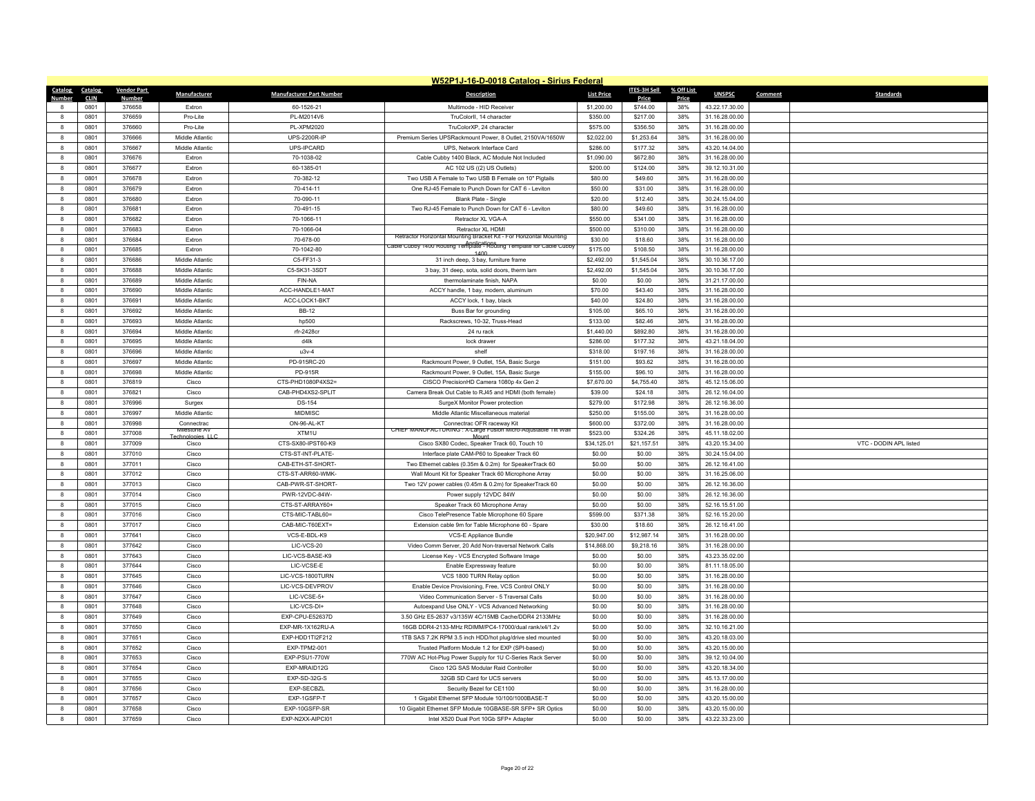|                   | W52P1J-16-D-0018 Catalog - Sirius Federal |                    |                            |                                        |                                                                                                             |                       |                     |            |                                  |                             |  |  |  |
|-------------------|-------------------------------------------|--------------------|----------------------------|----------------------------------------|-------------------------------------------------------------------------------------------------------------|-----------------------|---------------------|------------|----------------------------------|-----------------------------|--|--|--|
| Catalog Catalog   |                                           | <b>Vendor Part</b> | Manufacturer               | <b>Manufacturer Part Number</b>        | <b>Description</b>                                                                                          | <b>List Price</b>     | <b>ITES-3H Sell</b> | % Off List | <b>UNSPSC</b>                    | Comment<br><b>Standards</b> |  |  |  |
| Number            | <b>CLIN</b>                               | <b>Number</b>      |                            |                                        |                                                                                                             |                       | Price               | Price      |                                  |                             |  |  |  |
|                   | 0801                                      | 376658             | Extron                     | 60-1526-21                             | Multimode - HID Receiver                                                                                    | \$1,200.00            | \$744.00            | 38%        | 43.22.17.30.00                   |                             |  |  |  |
| $\mathbf{a}$      | 0801                                      | 376659             | Pro-Lite                   | PL-M2014V6                             | TruColorII, 14 character                                                                                    | \$350.00              | \$217.00            | 38%        | 31.16.28.00.00                   |                             |  |  |  |
| $\mathbf{a}$      | 0801                                      | 376660             | Pro-Lite                   | <b>PL-XPM2020</b>                      | TruColorXP. 24 character                                                                                    | \$575.00              | \$356.50            | 38%        | 31.16.28.00.00                   |                             |  |  |  |
| 8                 | 0801                                      | 376666             | Middle Atlantic            | UPS-2200R-IP                           | Premium Series UPSRackmount Power, 8 Outlet, 2150VA/1650W                                                   | \$2,022.00            | \$1,253.64          | 38%        | 31.16.28.00.00                   |                             |  |  |  |
| $\mathbf{a}$      | 0801                                      | 376667             | Middle Atlantic            | UPS-IPCARD                             | UPS, Network Interface Card                                                                                 | \$286.00              | \$177.32            | 38%        | 43.20.14.04.00                   |                             |  |  |  |
| 8                 | 0801                                      | 376676             | Extron                     | 70-1038-02                             | Cable Cubby 1400 Black, AC Module Not Included                                                              | \$1,090.00            | \$672.80            | 38%        | 31.16.28.00.00                   |                             |  |  |  |
| 8                 | 0801                                      | 376677             | Extron                     | 60-1385-01                             | AC 102 US ((2) US Outlets)                                                                                  | \$200.00              | \$124.00            | 38%        | 39.12.10.31.00                   |                             |  |  |  |
| $\mathbf{a}$      | 0801                                      | 376678             | Extron                     | 70-382-12                              | Two USB A Female to Two USB B Female on 10" Pigtails                                                        | \$80.00               | \$49.60             | 38%        | 31.16.28.00.00                   |                             |  |  |  |
| 8                 | 0801                                      | 376679             | Extron                     | 70-414-11                              | One RJ-45 Female to Punch Down for CAT 6 - Leviton                                                          | \$50.00               | \$31.00             | 38%        | 31.16.28.00.00                   |                             |  |  |  |
| $\mathbf{a}$      | 0801                                      | 376680             | Extron                     | 70-090-11                              | Blank Plate - Single                                                                                        | \$20.00               | \$12.40             | 38%        | 30.24.15.04.00                   |                             |  |  |  |
| 8                 | 0801                                      | 376681             | Extron                     | 70-491-15                              | Two RJ-45 Female to Punch Down for CAT 6 - Leviton                                                          | \$80.00               | \$49.60             | 38%        | 31.16.28.00.00                   |                             |  |  |  |
| 8                 | 0801                                      | 376682             | Extron                     | 70-1066-11                             | Retractor XL VGA-A                                                                                          | \$550.00              | \$341.00            | 38%        | 31.16.28.00.00                   |                             |  |  |  |
| $\mathbf{a}$      | 0801                                      | 376683             | Extron                     | 70-1066-04                             | Retractor XL HDMI<br>Retractor Horizontal Mounting Bracket Kit - For Horizontal Mounting                    | \$500.00              | \$310.00            | 38%        | 31.16.28.00.00                   |                             |  |  |  |
| $\mathbf{a}$      | 0801                                      | 376684             | Extron                     | 70-678-00                              | Applications<br>Cable Cubby 1400 Routing Template - Routing Template for Cable Cubby                        | \$30.00               | \$18.60             | 38%        | 31.16.28.00.00                   |                             |  |  |  |
| 8                 | 0801                                      | 376685             | Extron                     | 70-1042-80                             | 1400                                                                                                        | \$175.00              | \$108.50            | 38%        | 31.16.28.00.00                   |                             |  |  |  |
| $\mathbf{a}$      | 0801                                      | 376686             | Middle Atlantic            | C5-FF31-3                              | 31 inch deep, 3 bay, furniture frame                                                                        | \$2,492.00            | \$1,545.04          | 38%        | 30.10.36.17.00                   |                             |  |  |  |
| 8                 | 0801                                      | 376688             | Middle Atlantic            | C5-SK31-3SDT                           | 3 bay, 31 deep, sota, solid doors, therm lam                                                                | \$2,492.00            | \$1,545.04          | 38%        | 30.10.36.17.00                   |                             |  |  |  |
| 8                 | 0801                                      | 376689             | Middle Atlantic            | FIN-NA                                 | thermolaminate finish. NAPA                                                                                 | \$0.00                | \$0.00              | 38%        | 31.21.17.00.00                   |                             |  |  |  |
| $\mathbf{a}$      | 0801                                      | 376690             | Middle Atlantic            | ACC-HANDLE1-MAT                        | ACCY handle, 1 bay, modern, aluminum                                                                        | \$70.00               | \$43.40             | 38%        | 31.16.28.00.00                   |                             |  |  |  |
| $\mathbf{a}$      | 0801                                      | 376691             | Middle Atlantic            | ACC-LOCK1-BKT                          | ACCY lock, 1 bay, black                                                                                     | \$40.00               | \$24.80             | 38%        | 31.16.28.00.00                   |                             |  |  |  |
| 8                 | 0801                                      | 376692             | Middle Atlantic            | <b>BB-12</b>                           | Buss Bar for grounding                                                                                      | \$105.00              | \$65.10             | 38%        | 31.16.28.00.00                   |                             |  |  |  |
| $\mathbf{a}$      | 0801                                      | 376693             | Middle Atlantic            | hp500                                  | Rackscrews, 10-32. Truss-Head                                                                               | \$133.00              | \$82.46             | 38%        | 31.16.28.00.00                   |                             |  |  |  |
| $\mathbf{a}$      | 0801                                      | 376694             | Middle Atlantic            | rfr-2428cr                             | 24 ru rack                                                                                                  | \$1,440.00            | \$892.80            | 38%        | 31.16.28.00.00                   |                             |  |  |  |
| 8                 | 0801                                      | 376695             | Middle Atlantic            | d4lk                                   | lock drawer                                                                                                 | \$286.00              | \$177.32            | 38%        | 43.21.18.04.00                   |                             |  |  |  |
| $\mathbf{R}$      | 0801                                      | 376696             | Middle Atlantic            | $u3v-4$                                | shelf                                                                                                       | \$318.00              | \$197.16            | 38%        | 31.16.28.00.00                   |                             |  |  |  |
| 8                 | 0801                                      | 376697             | Middle Atlantic            | PD-915RC-20                            | Rackmount Power, 9 Outlet, 15A, Basic Surge                                                                 | \$151.00              | \$93.62             | 38%        | 31.16.28.00.00                   |                             |  |  |  |
| 8                 | 0801                                      | 376698             | Middle Atlantic            | PD-915R                                | Rackmount Power, 9 Outlet, 15A, Basic Surge                                                                 | \$155.00              | \$96.10             | 38%        | 31.16.28.00.00                   |                             |  |  |  |
| $\mathbf{g}$      | 0801                                      | 376819             | Cisco                      | CTS-PHD1080P4XS2=                      | CISCO PrecisionHD Camera 1080p 4x Gen 2                                                                     | \$7,670.00            | \$4,755.40          | 38%        | 45.12.15.06.00                   |                             |  |  |  |
| 8                 | 0801                                      | 376821             | Cisco                      | CAB-PHD4XS2-SPLIT                      | Camera Break Out Cable to RJ45 and HDMI (both female)                                                       | \$39.00               | \$24.18             | 38%        | 26.12.16.04.00                   |                             |  |  |  |
| $\mathbf{g}$      | 0801                                      | 376996             | Surgex                     | <b>DS-154</b>                          | SurgeX Monitor Power protection                                                                             | \$279.00              | \$172.98            | 38%        | 26.12.16.36.00                   |                             |  |  |  |
| $\mathbf{g}$      | 0801                                      | 376997             | Middle Atlantic            | <b>MIDMISC</b>                         | Middle Atlantic Miscellaneous material                                                                      | \$250.00              | \$155.00            | 38%        | 31.16.28.00.00                   |                             |  |  |  |
| $\mathbf{a}$      | 0801                                      | 376998             | Connectrac<br>Milestone AV | ON-96-AL-KT                            | Connectrac OFR raceway Kit<br>CHIEF MANUFACTURING : X-Large Fusion Micro-Adjustable Tilt Wall               | \$600.00              | \$372.00            | 38%        | 31.16.28.00.00                   |                             |  |  |  |
| $\mathbf{g}$      | 0801                                      | 377008             | Technologies 116           | XTM1U                                  |                                                                                                             | \$523.00              | \$324.26            | 38%        | 45.11.18.02.00                   |                             |  |  |  |
| $\mathbf{g}$      | 0801                                      | 377009             | Cisco                      | CTS-SX80-IPST60-K9                     | Cisco SX80 Codec, Speaker Track 60, Touch 10                                                                | \$34,125.01           | \$21,157.51         | 38%        | 43.20.15.34.00                   | VTC - DODIN APL listed      |  |  |  |
| 8<br>$\mathbf{a}$ | 0801                                      | 377010             | Cisco                      | CTS-ST-INT-PLATE-                      | Interface plate CAM-P60 to Speaker Track 60                                                                 | \$0.00                | \$0.00              | 38%        | 30.24.15.04.00                   |                             |  |  |  |
| $\mathbf{a}$      | 0801                                      | 377011             | Cisco                      | CAB-ETH-ST-SHORT-                      | Two Ethernet cables (0.35m & 0.2m) for SpeakerTrack 60                                                      | \$0.00                | \$0.00              | 38%        | 26.12.16.41.00                   |                             |  |  |  |
|                   | 0801                                      | 377012             | Cisco                      | CTS-ST-ARR60-WMK-<br>CAB-PWR-ST-SHORT- | Wall Mount Kit for Speaker Track 60 Microphone Array                                                        | \$0.00<br>\$0.00      | \$0.00              | 38%<br>38% | 31.16.25.06.00                   |                             |  |  |  |
| 8<br>$\mathbf{a}$ | 0801<br>0801                              | 377013             | Cisco<br>Cisco             |                                        | Two 12V power cables (0.45m & 0.2m) for SpeakerTrack 60                                                     | \$0.00                | \$0.00<br>\$0.00    | 38%        | 26.12.16.36.00                   |                             |  |  |  |
| $\mathbf{g}$      |                                           | 377014             |                            | PWR-12VDC-84W-                         | Power supply 12VDC 84W                                                                                      |                       |                     |            | 26.12.16.36.00                   |                             |  |  |  |
|                   | 0801                                      | 377015             | Cisco                      | CTS-ST-ARRAY60+                        | Speaker Track 60 Microphone Array                                                                           | \$0.00                | \$0.00              | 38%        | 52.16.15.51.00                   |                             |  |  |  |
| 8<br>$\mathbf{g}$ | 0801<br>0801                              | 377016<br>377017   | Cisco<br>Cisco             | CTS-MIC-TABL60=<br>CAB-MIC-T60EXT=     | Cisco TelePresence Table Microphone 60 Spare<br>Extension cable 9m for Table Microphone 60 - Spare          | \$599.00<br>\$30.00   | \$371.38<br>\$18.60 | 38%<br>38% | 52.16.15.20.00<br>26.12.16.41.00 |                             |  |  |  |
| 8                 | 0801                                      | 377641             | Cisco                      | VCS-E-BDL-K9                           | VCS-E Appliance Bundle                                                                                      | \$20,947.00           | \$12,987.14         | 38%        | 31.16.28.00.00                   |                             |  |  |  |
|                   |                                           |                    |                            |                                        |                                                                                                             |                       |                     |            |                                  |                             |  |  |  |
| 8<br>$\mathbf{R}$ | 0801<br>0801                              | 377642<br>377643   | Cisco                      | LIC-VCS-20<br>LIC-VCS-BASE-K9          | Video Comm Server, 20 Add Non-traversal Network Calls                                                       | \$14,868.00<br>\$0.00 | \$9,218.16          | 38%<br>38% | 31.16.28.00.00<br>43.23.35.02.00 |                             |  |  |  |
| 8                 | 0801                                      | 377644             | Cisco<br>Cisco             | LIC-VCSE-E                             | License Key - VCS Encrypted Software Image<br>Fnable Expressway feature                                     | \$0.00                | \$0.00<br>\$0.00    | 38%        | 81.11.18.05.00                   |                             |  |  |  |
| 8                 | 0801                                      | 377645             | Cisco                      | LIC-VCS-1800TURN                       | VCS 1800 TURN Relay option                                                                                  | \$0.00                | \$0.00              | 38%        | 31.16.28.00.00                   |                             |  |  |  |
| $\mathbf{g}$      | 0801                                      | 377646             | Cisco                      | LIC-VCS-DEVPROV                        | Enable Device Provisioning, Free, VCS Control ONLY                                                          | \$0.00                | \$0.00              | 38%        | 31.16.28.00.00                   |                             |  |  |  |
| 8                 | 0801                                      | 377647             | Cisco                      | LIC-VCSE-5+                            | Video Communication Server - 5 Traversal Calls                                                              | \$0.00                | \$0.00              | 38%        | 31.16.28.00.00                   |                             |  |  |  |
|                   |                                           |                    |                            |                                        |                                                                                                             |                       |                     |            |                                  |                             |  |  |  |
| $\mathbf{a}$      | 0801                                      | 377648             | Cisco                      | LIC-VCS-DI+                            | Autoexpand Use ONLY - VCS Advanced Networking                                                               | \$0.00                | \$0.00              | 38%        | 31.16.28.00.00                   |                             |  |  |  |
| $\mathbf{a}$      | 0801<br>0801                              | 377649<br>377650   | Cisco<br>Cisco             | EXP-CPU-E52637D<br>EXP-MR-1X162RU-A    | 3.50 GHz E5-2637 v3/135W 4C/15MB Cache/DDR4 2133MHz<br>16GB DDR4-2133-MHz RDIMM/PC4-17000/dual rank/x4/1.2v | \$0.00<br>\$0.00      | \$0.00<br>\$0.00    | 38%<br>38% | 31.16.28.00.00<br>32.10.16.21.00 |                             |  |  |  |
| 8<br>$\mathbf{a}$ | 0801                                      |                    |                            |                                        |                                                                                                             |                       |                     | 38%        |                                  |                             |  |  |  |
|                   |                                           | 377651             | Cisco                      | EXP-HDD1TI2F212                        | 1TB SAS 7.2K RPM 3.5 inch HDD/hot plug/drive sled mounted                                                   | \$0.00                | \$0.00              |            | 43.20.18.03.00                   |                             |  |  |  |
| $\mathbf{a}$      | 0801                                      | 377652             | Cisco                      | EXP-TPM2-001                           | Trusted Platform Module 1.2 for EXP (SPI-based)                                                             | \$0.00                | \$0.00              | 38%        | 43.20.15.00.00                   |                             |  |  |  |
| 8                 | 0801                                      | 377653             | Cisco                      | EXP-PSU1-770W                          | 770W AC Hot-Plug Power Supply for 1U C-Series Rack Server                                                   | \$0.00                | \$0.00              | 38%        | 39.12.10.04.00                   |                             |  |  |  |
| 8                 | 0801                                      | 377654             | Cisco                      | EXP-MRAID12G                           | Cisco 12G SAS Modular Raid Controller                                                                       | \$0.00                | \$0.00              | 38%        | 43.20.18.34.00                   |                             |  |  |  |
| 8                 | 0801                                      | 377655<br>377656   | Cisco                      | EXP-SD-32G-S<br>EXP-SECBZL             | 32GB SD Card for UCS servers                                                                                | \$0.00<br>\$0.00      | \$0.00              | 38%<br>38% | 45.13.17.00.00                   |                             |  |  |  |
| 8<br>$\mathbf{R}$ | 0801<br>0801                              | 377657             | Cisco<br>Cisco             | EXP-1GSFP-T                            | Security Bezel for CE1100<br>1 Gigabit Ethernet SFP Module 10/100/1000BASE-T                                | \$0.00                | \$0.00<br>\$0.00    | 38%        | 31.16.28.00.00<br>43.20.15.00.00 |                             |  |  |  |
|                   |                                           | 377658             |                            | EXP-10GSFP-SR                          | 10 Gigabit Ethernet SFP Module 10GBASE-SR SFP+ SR Optics                                                    | \$0.00                |                     |            | 43.20.15.00.00                   |                             |  |  |  |
|                   | 0801<br>0801                              | 377659             | Cisco                      | EXP-N2XX-AIPCI01                       | Intel X520 Dual Port 10Gb SFP+ Adapter                                                                      | \$0.00                | \$0.00              | 38%<br>38% | 43.22.33.23.00                   |                             |  |  |  |
| 8                 |                                           |                    | Cisco                      |                                        |                                                                                                             |                       | \$0.00              |            |                                  |                             |  |  |  |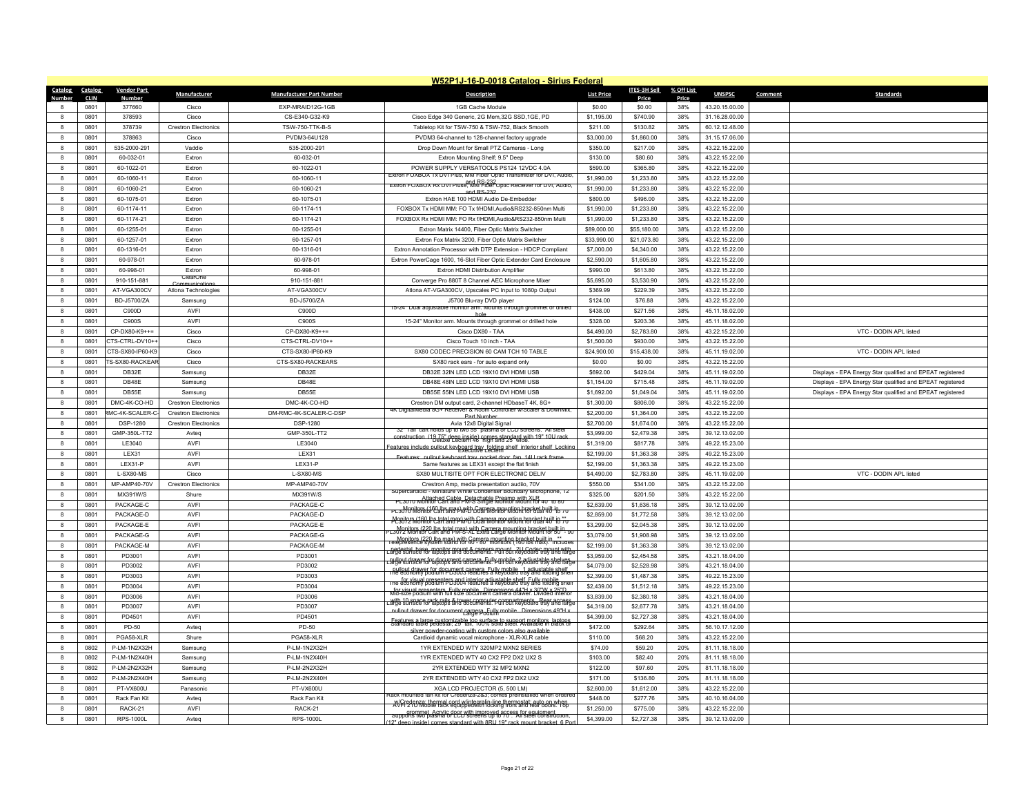|                  | W52P1J-16-D-0018 Catalog - Sirius Federal |                        |                             |                                 |                                                                                                                                                      |                   |              |            |                |         |                                                           |  |  |
|------------------|-------------------------------------------|------------------------|-----------------------------|---------------------------------|------------------------------------------------------------------------------------------------------------------------------------------------------|-------------------|--------------|------------|----------------|---------|-----------------------------------------------------------|--|--|
| Catalog          | Catalog                                   | <b>Vendor Part</b>     | Manufacturer                | <b>Manufacturer Part Number</b> | Description                                                                                                                                          | <b>List Price</b> | ITES-3H Sell | % Off List | <b>UNSPSC</b>  | Comment | <b>Standards</b>                                          |  |  |
| Number           | <b>CLIN</b>                               | <b>Number</b>          |                             |                                 |                                                                                                                                                      |                   | Price        | Price      |                |         |                                                           |  |  |
|                  | 0801                                      | 377660                 | Cisco                       | EXP-MRAID12G-1GB                | 1GB Cache Module                                                                                                                                     | \$0.00            | \$0.00       | 38%        | 43.20.15.00.00 |         |                                                           |  |  |
| $\mathbf{R}$     | 0801                                      | 378593                 | Cisco                       | CS-E340-G32-K9                  | Cisco Edge 340 Generic, 2G Mem, 32G SSD, 1GE, PD                                                                                                     | \$1.195.00        | \$740.90     | 38%        | 31.16.28.00.00 |         |                                                           |  |  |
| $\mathbf{a}$     | 0801                                      | 378739                 | <b>Crestron Flectronics</b> | <b>TSW-750-TTK-B-S</b>          | Tabletop Kit for TSW-750 & TSW-752, Black Smooth                                                                                                     | \$211.00          | \$130.82     | 38%        | 60.12.12.48.00 |         |                                                           |  |  |
| $\boldsymbol{8}$ | 0801                                      | 378863                 | Cisco                       | PVDM3-64U128                    | PVDM3 64-channel to 128-channel factory upgrade                                                                                                      | \$3,000.00        | \$1,860.00   | 38%        | 31.15.17.06.00 |         |                                                           |  |  |
| $\mathbf{g}$     | 0801                                      | 535-2000-291           | Vaddio                      | 535-2000-291                    | Drop Down Mount for Small PTZ Cameras - Long                                                                                                         | \$350.00          | \$217.00     | 38%        | 43.22.15.22.00 |         |                                                           |  |  |
| -8               | 0801                                      | 60-032-01              | Extron                      | 60-032-01                       | Extron Mounting Shelf; 9.5" Deep                                                                                                                     | \$130.00          | \$80.60      | 38%        | 43.22.15.22.00 |         |                                                           |  |  |
| 8                | 0801                                      | 60-1022-01             | Extron                      | 60-1022-01                      | POWER SUPPLY VERSATOOLS PS124 12VDC 4.0A<br>Extron FOXBOX 1x DVI Plus, MM Fiber Optic Transmitter for DVI, Audio                                     | \$590.00          | \$365.80     | 38%        | 43.22.15.22.00 |         |                                                           |  |  |
| $\mathbf{g}$     | 0801                                      | 60-1060-11             | Extron                      | 60-1060-11                      | and RS-232<br>Extron FOXBOX Rx DVI Pluse, MM Fiber Optic Reciever for DVI, Audio,                                                                    | \$1,990.00        | \$1,233.80   | 38%        | 43.22.15.22.00 |         |                                                           |  |  |
| $\mathbf{8}$     | 0801                                      | 60-1060-21             | Extron                      | 60-1060-21                      | and RS-232                                                                                                                                           | \$1,990.00        | \$1,233.80   | 38%        | 43.22.15.22.00 |         |                                                           |  |  |
| $\mathbf{8}$     | 0801                                      | 60-1075-01             | Extron                      | 60-1075-01                      | Extron HAE 100 HDMI Audio De-Embedder                                                                                                                | \$800.00          | \$496.00     | 38%        | 43.22.15.22.00 |         |                                                           |  |  |
| 8                | 0801                                      | 60-1174-11             | Extron                      | 60-1174-11                      | FOXBOX Tx HDMI MM: FO Tx f/HDMI,Audio&RS232-850nm Multi                                                                                              | \$1,990.00        | \$1,233.80   | 38%        | 43.22.15.22.00 |         |                                                           |  |  |
| $\mathbf{a}$     | 0801                                      | 60-1174-21             | Extron                      | 60-1174-21                      | FOXBOX Rx HDMI MM: FO Rx f/HDMI.Audio&RS232-850nm Multi                                                                                              | \$1,990.00        | \$1,233.80   | 38%        | 43.22.15.22.00 |         |                                                           |  |  |
| $\mathbf{g}$     | 0801                                      | 60-1255-01             | Extron                      | 60-1255-01                      | Extron Matrix 14400, Fiber Optic Matrix Switcher                                                                                                     | \$89,000.00       | \$55,180.00  | 38%        | 43.22.15.22.00 |         |                                                           |  |  |
| 8                | 0801                                      | 60-1257-01             | Extron                      | 60-1257-01                      | Extron Fox Matrix 3200, Fiber Optic Matrix Switcher                                                                                                  | \$33,990.00       | \$21,073.80  | 38%        | 43.22.15.22.00 |         |                                                           |  |  |
| 8                | 0801                                      | 60-1316-01             | Extron                      | 60-1316-01                      | Extron Annotation Processor with DTP Extension - HDCP Compliant                                                                                      | \$7,000.00        | \$4,340.00   | 38%        | 43.22.15.22.00 |         |                                                           |  |  |
| $\mathbf{g}$     | 0801                                      | 60-978-01              | Extron                      | 60-978-01                       | Extron PowerCage 1600, 16-Slot Fiber Optic Extender Card Enclosure                                                                                   | \$2,590.00        | \$1,605.80   | 38%        | 43.22.15.22.00 |         |                                                           |  |  |
| 8                | 0801                                      | 60-998-01              | Extron                      | 60-998-01                       | Extron HDMI Distribution Amplifier                                                                                                                   | \$990.00          | \$613.80     | 38%        | 43.22.15.22.00 |         |                                                           |  |  |
| 8                | 0801                                      | 910-151-881            | ClearOne<br>Communicatio    | 910-151-881                     | Converge Pro 880T 8 Channel AEC Microphone Mixer                                                                                                     | \$5,695.00        | \$3,530.90   | 38%        | 43.22.15.22.00 |         |                                                           |  |  |
| $\mathbf{g}$     | 0801                                      | AT-VGA300CV            | Atlona Technologies         | AT-VGA300CV                     | Atlona AT-VGA300CV, Upscales PC Input to 1080p Output                                                                                                | \$369.99          | \$229.39     | 38%        | 43.22.15.22.00 |         |                                                           |  |  |
| $\mathbf{g}$     | 0801                                      | BD-J5700/ZA            | Samsung                     | BD-J5700/ZA                     | J5700 Blu-ray DVD player                                                                                                                             | \$124.00          | \$76.88      | 38%        | 43.22.15.22.00 |         |                                                           |  |  |
| $\boldsymbol{8}$ | 0801                                      | C900D                  | AVFI                        | C900D                           | 15-Z4" Dual aglusta<br>iple monitor arm. Mounts through                                                                                              | \$438.00          | \$271.56     | 38%        | 45.11.18.02.00 |         |                                                           |  |  |
| $\mathbf{g}$     | 0801                                      | C900S                  | AVFI                        | C900S                           | 15-24" Monitor arm. Mounts through grommet or drilled hole                                                                                           | \$328.00          | \$203.36     | 38%        | 45.11.18.02.00 |         |                                                           |  |  |
| $\mathbf{g}$     | 0801                                      | CP-DX80-K9++=          | Cisco                       | CP-DX80-K9++=                   | Cisco DX80 - TAA                                                                                                                                     | \$4,490.00        | \$2,783.80   | 38%        | 43.22.15.22.00 |         | VTC - DODIN APL listed                                    |  |  |
| 8                | 0801                                      | CTS-CTRL-DV10++        | Cisco                       | CTS-CTRL-DV10++                 | Cisco Touch 10 inch - TAA                                                                                                                            | \$1,500.00        | \$930.00     | 38%        | 43.22.15.22.00 |         |                                                           |  |  |
| $\mathbf{R}$     | 0801                                      | CTS-SX80-IP60-K9       | Cisco                       | CTS-SX80-IP60-K9                | SX80 CODEC PRECISION 60 CAM TCH 10 TABLE                                                                                                             | \$24,900.00       | \$15,438.00  | 38%        | 45.11.19.02.00 |         | VTC - DODIN APL listed                                    |  |  |
| $\mathbf{8}$     | 0801                                      | TS-SX80-RACKEAF        | Cisco                       | CTS-SX80-RACKEARS               | SX80 rack ears - for auto expand only                                                                                                                | \$0.00            | \$0.00       | 38%        | 43.22.15.22.00 |         |                                                           |  |  |
| 8                | 0801                                      | DB32E                  | Samsung                     | DB32E                           | DB32E 32IN LED LCD 19X10 DVI HDMI USB                                                                                                                | \$692.00          | \$429.04     | 38%        | 45.11.19.02.00 |         | Displays - EPA Energy Star qualified and EPEAT registered |  |  |
| $\mathbf{R}$     | 0801                                      | DB48F                  | Samsung                     | DB48F                           | DB48E 48IN LED LCD 19X10 DVI HDMI USB                                                                                                                | \$1,154.00        | \$715.48     | 38%        | 45.11.19.02.00 |         | Displays - EPA Energy Star qualified and EPEAT registered |  |  |
| -8               | 0801                                      | DB55E                  | Samsung                     | DB55E                           | DB55E 55IN LED LCD 19X10 DVI HDMI USB                                                                                                                | \$1,692.00        | \$1.049.04   | 38%        | 45.11.19.02.00 |         | Displays - EPA Energy Star qualified and EPEAT registered |  |  |
| $\mathbf{g}$     | 0801                                      | DMC-4K-CO-HD           | <b>Crestron Electronics</b> | DMC-4K-CO-HD                    | Crestron DM output card, 2-channel HDbaseT 4K, 8G+                                                                                                   | \$1,300.00        | \$806.00     | 38%        | 43.22.15.22.00 |         |                                                           |  |  |
| $\mathbf{g}$     | 0801                                      | <b>RMC-4K-SCALER-C</b> | <b>Crestron Electronics</b> | DM-RMC-4K-SCALER-C-DSP          | 4K DigitalMedia 8G+ Receiver & Room Controller w/Scaler & DownMix,<br>Part Numbe                                                                     | \$2,200.00        | \$1,364.00   | 38%        | 43.22.15.22.00 |         |                                                           |  |  |
| $\mathbf{g}$     | 0801                                      | <b>DSP-1280</b>        | <b>Crestron Flectronics</b> | <b>DSP-1280</b>                 | Avia 12x8 Digital Signal                                                                                                                             | \$2,700.00        | \$1.674.00   | 38%        | 43.22.15.22.00 |         |                                                           |  |  |
| $\mathbf{g}$     | 0801                                      | GMP-350L-TT2           | Avteq                       | GMP-350L-TT2                    | 32" I all cart holds up to two 55" plasma or LCD screens. All steel                                                                                  | \$3,999.00        | \$2,479.38   | 38%        | 39.12.13.02.00 |         |                                                           |  |  |
| $\mathbf{g}$     | 0801                                      | LE3040                 | AVFI                        | LE3040                          | construction (19.75" deep inside) comes standard with 19" 10U rack                                                                                   | \$1,319.00        | \$817.78     | 38%        | 49.22.15.23.00 |         |                                                           |  |  |
| $\mathbf{8}$     | 0801                                      | <b>IFX31</b>           | AVFI                        | $I$ FX31                        | Features include pullout keyboard tray folding shelf interior shelf I ocking<br>pullout keyboard tray pocket door fan 14U rack f                     | \$2,199.00        | \$1,363,38   | 38%        | 49.22.15.23.00 |         |                                                           |  |  |
| $\mathbf{a}$     | 0801                                      | LEX31-P                | AVFI                        | LEX31-P                         | Same features as LEX31 except the flat finish                                                                                                        | \$2,199.00        | \$1,363.38   | 38%        | 49.22.15.23.00 |         |                                                           |  |  |
| $\mathbf{g}$     | 0801                                      | L-SX80-MS              | Cisco                       | L-SX80-MS                       | SX80 MULTISITE OPT FOR ELECTRONIC DELIV                                                                                                              | \$4,490.00        | \$2,783.80   | 38%        | 45.11.19.02.00 |         | VTC - DODIN APL listed                                    |  |  |
| 8                | 0801                                      | MP-AMP40-70V           | <b>Crestron Electronics</b> | MP-AMP40-70V                    | Crestron Amp, media presentation audiio, 70V                                                                                                         | \$550.00          | \$341.00     | 38%        | 43.22.15.22.00 |         |                                                           |  |  |
| $\mathbf{a}$     | 0801                                      | MX391W/S               | Shure                       | MX391W/S                        | ioid - Miniature White Condenser Boundary Microp                                                                                                     | \$325.00          | \$201.50     | 38%        | 43.22.15.22.00 |         |                                                           |  |  |
| $\mathbf{g}$     | 0801                                      | PACKAGE-C              | AVFI                        | PACKAGE-C                       | PL3070 Monitor Carl Cable Detachable Preamp with XLR<br>PL3070 Monitor Carl and PM-S Single Monitor Mount for 40" to 80"                             | \$2,639.00        | \$1,636.18   | 38%        | 39.12.13.02.00 |         |                                                           |  |  |
| 8                | 0801                                      | PACKAGE-D              | AVFI                        | PACKAGE-D                       | PL30/01\tonitor Carl and PM-D Gamera mounting bracket huilt-in<br>PL30/01\tonitor Carl and PM-D Gual Monitor Mount for dual 40 "to 70"               | \$2,859.00        | \$1,772.58   | 38%        | 39.12.13.02.00 |         |                                                           |  |  |
| $\mathbf{g}$     | 0801                                      | PACKAGE-E              | AVFI                        | PACKAGE-E                       | Monitor Monitor Carl and PM-D Dual Monitor Mount for dual 40 <sup>th</sup> to 70                                                                     | \$3,299.00        | \$2,045.38   | 38%        | 39.12.13.02.00 |         |                                                           |  |  |
| $\mathbf{g}$     | 0801                                      | PACKAGE-G              | AVFI                        | PACKAGE-G                       | L3072 Monitors (220 lbs total max) with Camera mounting bracket built in yu                                                                          | \$3,079.00        | \$1,908.98   | 38%        | 39.12.13.02.00 |         |                                                           |  |  |
| $\boldsymbol{8}$ | 0801                                      | PACKAGE-M              | AVFI                        | PACKAGE-M                       | Monitors (220 lbs max) with Camera mounting bracket built in **<br>elepresence system stand for 40 - 80 monitors (160 lbs max). Include:             | \$2,199.00        | \$1,363.38   | 38%        | 39.12.13.02.00 |         |                                                           |  |  |
| $\mathbf{a}$     | 0801                                      | PD3001                 | AVFI                        | PD3001                          | nedestal hase monitor mount & camera mount 2U Codec mount with<br>Large surface for laptops and documents. Pull out keyboard tray and large          | \$3,959.00        | \$2,454.58   | 38%        | 43.21.18.04.00 |         |                                                           |  |  |
| $\mathbf{a}$     | 0801                                      | PD3002                 | AVFI                        | PD3002                          | nullout drawer for document camera. Fully mobile, 2 adjustable shelves.<br>arge surface for laptops and documents. Pull out keyboard tray and larg-  | \$4,079.00        | \$2,528.98   | 38%        | 43.21.18.04.00 |         |                                                           |  |  |
| 8                | 0801                                      | PD3003                 | AVFI                        | PD3003                          | nullout drawer for document camera. Fully mobile, 1 adjustable shelf<br>The economy podium PD3003 features a keyboard tray and folding shelf         | \$2,399.00        | \$1,487.38   | 38%        | 49.22.15.23.00 |         |                                                           |  |  |
| $\mathbf{R}$     | 0801                                      | PD3004                 | AVFI                        | PD3004                          | for visual presenters and interior adjustable shelf. Fully mobile<br>The economy podium PD3004 teatures a keyboard tray and folding shelf            | \$2,439.00        | \$1,512.18   | 38%        | 49.22.15.23.00 |         |                                                           |  |  |
| $\mathbf{8}$     | 0801                                      | PD3006                 | AVFI                        | PD3006                          | for visual presenters, Fully mobile. Dimensions 44"H x 30"W x 25"D.<br>Mid-size podium with full size document camera drawer. Divided interior       | \$3,839.00        | \$2,380.18   | 38%        | 43.21.18.04.00 |         |                                                           |  |  |
| $\mathbf{a}$     | 0801                                      | PD3007                 | AVFI                        | PD3007                          | with 10 space rack rails & tower computer compartments. Rear access.<br>Large surface for laptops and documents. Pull out keyboard tray and large    | \$4,319.00        | \$2,677.78   | 38%        | 43.21.18.04.00 |         |                                                           |  |  |
| $\mathbf{a}$     | 0801                                      | PD4501                 | AVFI                        | PD4501                          | nullout drawer for document camera. Fully mobile Dimensions 49"H x                                                                                   | \$4,399.00        | \$2,727.38   | 38%        | 43.21.18.04.00 |         |                                                           |  |  |
| $\mathbf{8}$     | 0801                                      | PD-50                  | Avteq                       | PD-50                           | Features a large customizable top surface to support monitors, lantons<br>Standard table pedestal; 29" tall, 100% solid steel. Available in black or | \$472.00          | \$292.64     | 38%        | 56.10.17.12.00 |         |                                                           |  |  |
| $\mathbf{g}$     | 0801                                      | PGA58-XLR              | Shure                       | PGA58-XLR                       | Cardioid dynamic vocal microphone - XLR-XLR cable                                                                                                    | \$110.00          | \$68.20      | 38%        | 43.22.15.22.00 |         |                                                           |  |  |
| $\mathbf{a}$     | 0802                                      | P-LM-1N2X32H           | Samsung                     | P-LM-1N2X32H                    | 1YR EXTENDED WTY 320MP2 MXN2 SERIES                                                                                                                  | \$74.00           | \$59.20      | 20%        | 81.11.18.18.00 |         |                                                           |  |  |
| $\mathbf{8}$     | 0802                                      | P-LM-1N2X40H           | Samsung                     | P-LM-1N2X40H                    | 1YR EXTENDED WTY 40 CX2 FP2 DX2 UX2 S                                                                                                                | \$103.00          | \$82.40      | 20%        | 81.11.18.18.00 |         |                                                           |  |  |
| 8                | 0802                                      | P-LM-2N2X32H           | Samsung                     | P-LM-2N2X32H                    | 2YR EXTENDED WTY 32 MP2 MXN2                                                                                                                         | \$122.00          | \$97.60      | 20%        | 81.11.18.18.00 |         |                                                           |  |  |
| $\mathbf{g}$     | 0802                                      | P-LM-2N2X40H           | Samsung                     | P-LM-2N2X40H                    | 2YR EXTENDED WTY 40 CX2 FP2 DX2 UX2                                                                                                                  | \$171.00          | \$136.80     | 20%        | 81.11.18.18.00 |         |                                                           |  |  |
| $\mathbf{8}$     | 0801                                      | PT-VX600U              | Panasonic                   | PT-VX600U                       | XGA LCD PROJECTOR (5, 500 LM)                                                                                                                        | \$2,600.00        | \$1,612.00   | 38%        | 43.22.15.22.00 |         |                                                           |  |  |
| $\mathbf{R}$     | 0801                                      | Rack Fan Kit           | Avteg                       | Rack Fan Kit                    | (ack mounted fan kit for Credenza-2&3; comes preinstalled                                                                                            | \$448.00          | \$277.76     | 38%        | 40.10.16.04.00 |         |                                                           |  |  |
| 8                | 0801                                      | RACK-21                | <b>AVFI</b>                 | RACK-21                         | WCredenza: thermal cord w/integralin-line thermostat: auto on when<br>AVFI 210 Mobile rack equipped with locking front and rear doors. Top           | \$1,250.00        | \$775.00     | 38%        | 43.22.15.22.00 |         |                                                           |  |  |
| 8                | 0801                                      | <b>RPS-1000L</b>       | Avteq                       | RPS-1000L                       | Supports two plasma of CCD screens up to 70". All steel construction                                                                                 | \$4,399.00        | \$2,727.38   | 38%        | 39.12.13.02.00 |         |                                                           |  |  |
|                  |                                           |                        |                             |                                 | 12" deen inside) comes standard with 8RH 19" rack mount bracket. 6 Po                                                                                |                   |              |            |                |         |                                                           |  |  |